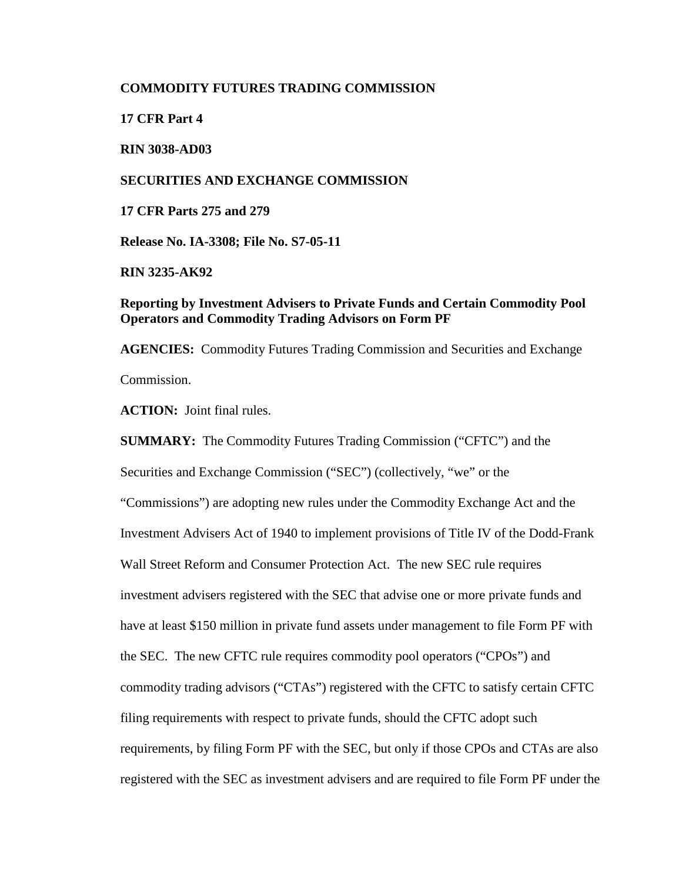## **COMMODITY FUTURES TRADING COMMISSION**

**17 CFR Part 4**

**RIN 3038-AD03**

# **SECURITIES AND EXCHANGE COMMISSION**

**17 CFR Parts 275 and 279**

**Release No. IA-3308; File No. S7-05-11**

**RIN 3235-AK92**

# **Reporting by Investment Advisers to Private Funds and Certain Commodity Pool Operators and Commodity Trading Advisors on Form PF**

**AGENCIES:** Commodity Futures Trading Commission and Securities and Exchange Commission.

**ACTION:** Joint final rules.

**SUMMARY:** The Commodity Futures Trading Commission ("CFTC") and the Securities and Exchange Commission ("SEC") (collectively, "we" or the "Commissions") are adopting new rules under the Commodity Exchange Act and the Investment Advisers Act of 1940 to implement provisions of Title IV of the Dodd-Frank Wall Street Reform and Consumer Protection Act. The new SEC rule requires investment advisers registered with the SEC that advise one or more private funds and have at least \$150 million in private fund assets under management to file Form PF with the SEC. The new CFTC rule requires commodity pool operators ("CPOs") and commodity trading advisors ("CTAs") registered with the CFTC to satisfy certain CFTC filing requirements with respect to private funds, should the CFTC adopt such requirements, by filing Form PF with the SEC, but only if those CPOs and CTAs are also registered with the SEC as investment advisers and are required to file Form PF under the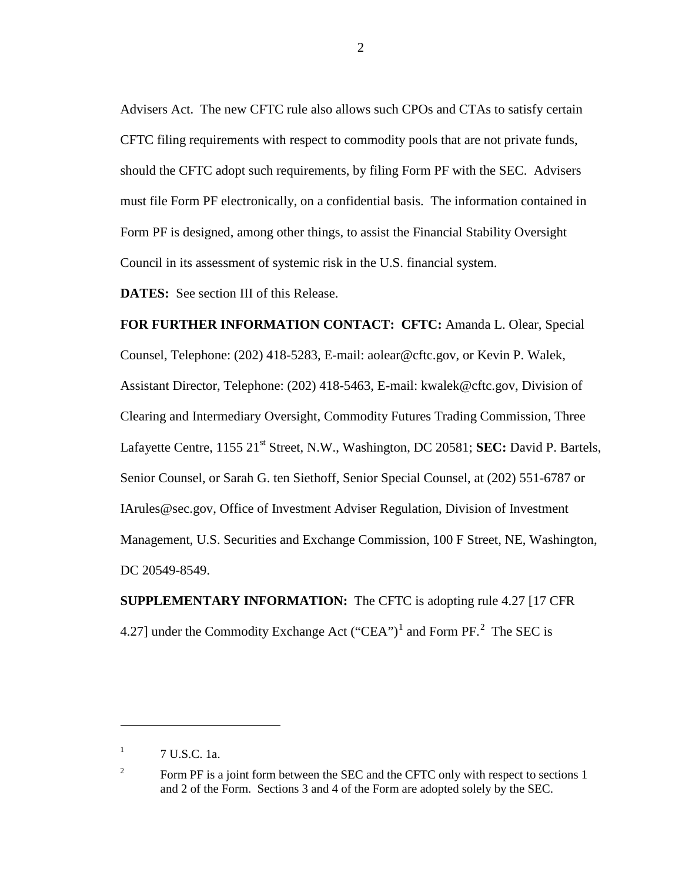Advisers Act. The new CFTC rule also allows such CPOs and CTAs to satisfy certain CFTC filing requirements with respect to commodity pools that are not private funds, should the CFTC adopt such requirements, by filing Form PF with the SEC. Advisers must file Form PF electronically, on a confidential basis. The information contained in Form PF is designed, among other things, to assist the Financial Stability Oversight Council in its assessment of systemic risk in the U.S. financial system.

**DATES:** See section III of this Release.

**FOR FURTHER INFORMATION CONTACT: CFTC:** Amanda L. Olear, Special Counsel, Telephone: (202) 418-5283, E-mail: aolear@cftc.gov, or Kevin P. Walek, Assistant Director, Telephone: (202) 418-5463, E-mail: kwalek@cftc.gov, Division of Clearing and Intermediary Oversight, Commodity Futures Trading Commission, Three Lafayette Centre, 1155 21<sup>st</sup> Street, N.W., Washington, DC 20581; **SEC:** David P. Bartels, Senior Counsel, or Sarah G. ten Siethoff, Senior Special Counsel, at (202) 551-6787 or IArules@sec.gov, Office of Investment Adviser Regulation, Division of Investment Management, U.S. Securities and Exchange Commission, 100 F Street, NE, Washington, DC 20549-8549.

**SUPPLEMENTARY INFORMATION:** The CFTC is adopting rule 4.27 [17 CFR 4.[2](#page-1-1)7] under the Commodity Exchange Act  $("CEA")^1$  $("CEA")^1$  and Form PF.<sup>2</sup> The SEC is

 $\overline{a}$ 

2

<span id="page-1-0"></span> $1$  7 U.S.C. 1a.

<span id="page-1-1"></span><sup>&</sup>lt;sup>2</sup> Form PF is a joint form between the SEC and the CFTC only with respect to sections 1 and 2 of the Form. Sections 3 and 4 of the Form are adopted solely by the SEC.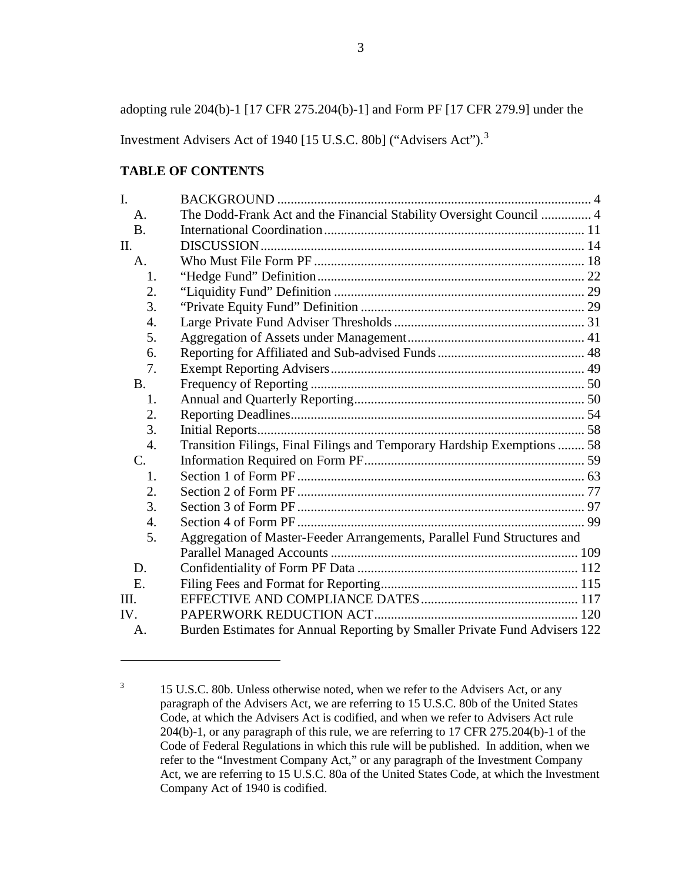adopting rule 204(b)-1 [17 CFR 275.204(b)-1] and Form PF [17 CFR 279.9] under the

Investment Advisers Act of 1940 [15 U.S.C. 80b] ("Advisers Act").<sup>[3](#page-2-0)</sup>

# **TABLE OF CONTENTS**

| $\mathbf{I}$ .  |                                                                            |  |
|-----------------|----------------------------------------------------------------------------|--|
| A.              | The Dodd-Frank Act and the Financial Stability Oversight Council  4        |  |
| <b>B.</b>       |                                                                            |  |
| II.             |                                                                            |  |
| A.              |                                                                            |  |
| 1.              |                                                                            |  |
| 2.              |                                                                            |  |
| 3.              |                                                                            |  |
| 4.              |                                                                            |  |
| 5.              |                                                                            |  |
| 6.              |                                                                            |  |
| 7.              |                                                                            |  |
| <b>B.</b>       |                                                                            |  |
| 1.              |                                                                            |  |
| 2.              |                                                                            |  |
| 3.              |                                                                            |  |
| 4.              | Transition Filings, Final Filings and Temporary Hardship Exemptions  58    |  |
| $\mathcal{C}$ . |                                                                            |  |
| 1.              |                                                                            |  |
| 2.              |                                                                            |  |
| 3.              |                                                                            |  |
| 4.              |                                                                            |  |
| 5.              | Aggregation of Master-Feeder Arrangements, Parallel Fund Structures and    |  |
|                 |                                                                            |  |
| D.              |                                                                            |  |
| E.              |                                                                            |  |
| III.            |                                                                            |  |
| IV.             |                                                                            |  |
| A.              | Burden Estimates for Annual Reporting by Smaller Private Fund Advisers 122 |  |

<span id="page-2-0"></span><sup>&</sup>lt;sup>3</sup> 15 U.S.C. 80b. Unless otherwise noted, when we refer to the Advisers Act, or any paragraph of the Advisers Act, we are referring to 15 U.S.C. 80b of the United States Code, at which the Advisers Act is codified, and when we refer to Advisers Act rule 204(b)-1, or any paragraph of this rule, we are referring to 17 CFR 275.204(b)-1 of the Code of Federal Regulations in which this rule will be published. In addition, when we refer to the "Investment Company Act," or any paragraph of the Investment Company Act, we are referring to 15 U.S.C. 80a of the United States Code, at which the Investment Company Act of 1940 is codified.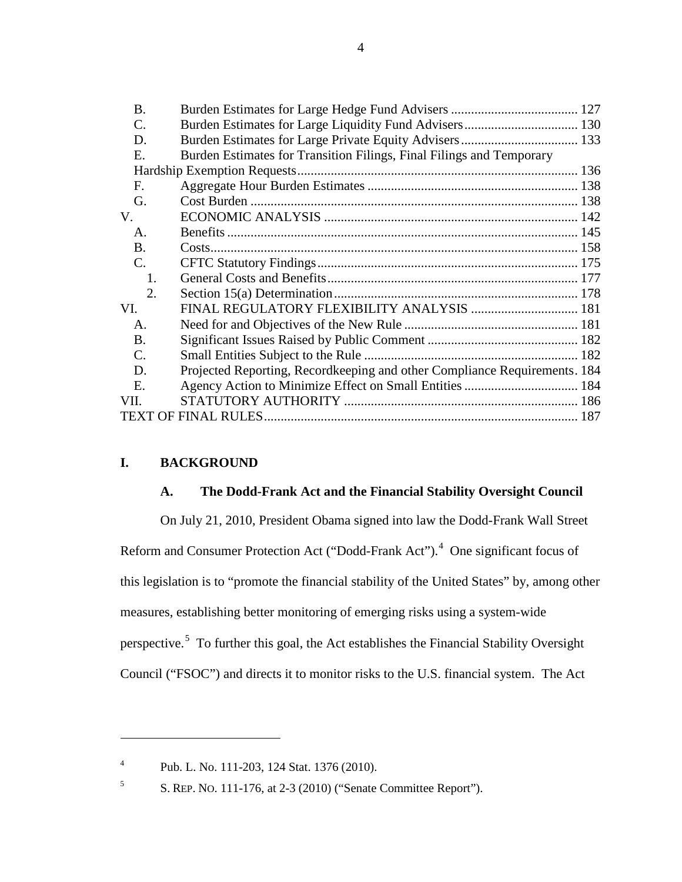| Burden Estimates for Transition Filings, Final Filings and Temporary      |  |
|---------------------------------------------------------------------------|--|
|                                                                           |  |
|                                                                           |  |
|                                                                           |  |
|                                                                           |  |
|                                                                           |  |
|                                                                           |  |
|                                                                           |  |
|                                                                           |  |
|                                                                           |  |
| FINAL REGULATORY FLEXIBILITY ANALYSIS  181                                |  |
|                                                                           |  |
|                                                                           |  |
|                                                                           |  |
| Projected Reporting, Recordkeeping and other Compliance Requirements. 184 |  |
|                                                                           |  |
|                                                                           |  |
|                                                                           |  |
|                                                                           |  |

# <span id="page-3-1"></span><span id="page-3-0"></span>**I. BACKGROUND**

 $\overline{a}$ 

# **A. The Dodd-Frank Act and the Financial Stability Oversight Council**

On July 21, 2010, President Obama signed into law the Dodd-Frank Wall Street Reform and Consumer Protection Act ("Dodd-Frank Act").<sup>[4](#page-3-2)</sup> One significant focus of this legislation is to "promote the financial stability of the United States" by, among other measures, establishing better monitoring of emerging risks using a system-wide perspective.<sup>[5](#page-3-3)</sup> To further this goal, the Act establishes the Financial Stability Oversight Council ("FSOC") and directs it to monitor risks to the U.S. financial system. The Act

<span id="page-3-2"></span><sup>4</sup> Pub. L. No. 111-203, 124 Stat. 1376 (2010).

<span id="page-3-3"></span><sup>5</sup> S. REP. NO. 111-176, at 2-3 (2010) ("Senate Committee Report").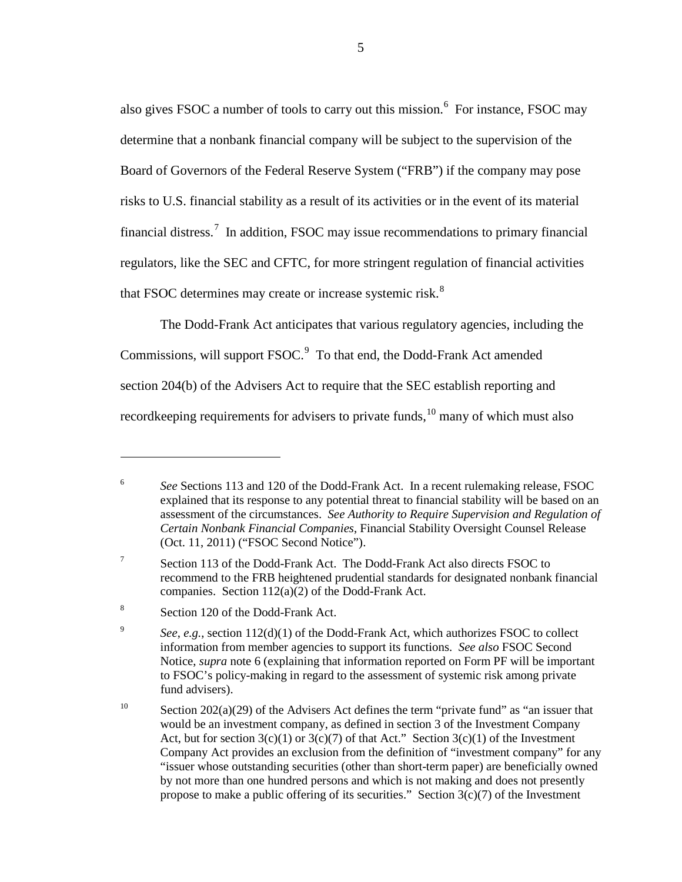<span id="page-4-0"></span>also gives FSOC a number of tools to carry out this mission.<sup>[6](#page-4-1)</sup> For instance, FSOC may determine that a nonbank financial company will be subject to the supervision of the Board of Governors of the Federal Reserve System ("FRB") if the company may pose risks to U.S. financial stability as a result of its activities or in the event of its material financial distress.<sup>[7](#page-4-2)</sup> In addition, FSOC may issue recommendations to primary financial regulators, like the SEC and CFTC, for more stringent regulation of financial activities that FSOC determines may create or increase systemic risk.<sup>[8](#page-4-3)</sup>

The Dodd-Frank Act anticipates that various regulatory agencies, including the Commissions, will support FSOC.<sup>[9](#page-4-4)</sup> To that end, the Dodd-Frank Act amended section 204(b) of the Advisers Act to require that the SEC establish reporting and recordkeeping requirements for advisers to private funds, <sup>[10](#page-4-5)</sup> many of which must also

<span id="page-4-6"></span><span id="page-4-1"></span><sup>6</sup> *See* Sections 113 and 120 of the Dodd-Frank Act. In a recent rulemaking release, FSOC explained that its response to any potential threat to financial stability will be based on an assessment of the circumstances. *See Authority to Require Supervision and Regulation of Certain Nonbank Financial Companies*, Financial Stability Oversight Counsel Release (Oct. 11, 2011) ("FSOC Second Notice").

<span id="page-4-2"></span><sup>&</sup>lt;sup>7</sup> Section 113 of the Dodd-Frank Act. The Dodd-Frank Act also directs FSOC to recommend to the FRB heightened prudential standards for designated nonbank financial companies. Section 112(a)(2) of the Dodd-Frank Act.

<span id="page-4-3"></span><sup>8</sup> Section 120 of the Dodd-Frank Act.

<span id="page-4-4"></span><sup>&</sup>lt;sup>9</sup> *See*, *e.g.*, section 112(d)(1) of the Dodd-Frank Act, which authorizes FSOC to collect information from member agencies to support its functions. *See also* FSOC Second Notice, *supra* note [6](#page-4-0) (explaining that information reported on Form PF will be important to FSOC's policy-making in regard to the assessment of systemic risk among private fund advisers).

<span id="page-4-5"></span><sup>&</sup>lt;sup>10</sup> Section 202(a)(29) of the Advisers Act defines the term "private fund" as "an issuer that would be an investment company, as defined in section 3 of the Investment Company Act, but for section  $3(c)(1)$  or  $3(c)(7)$  of that Act." Section  $3(c)(1)$  of the Investment Company Act provides an exclusion from the definition of "investment company" for any "issuer whose outstanding securities (other than short-term paper) are beneficially owned by not more than one hundred persons and which is not making and does not presently propose to make a public offering of its securities." Section  $3(c)(7)$  of the Investment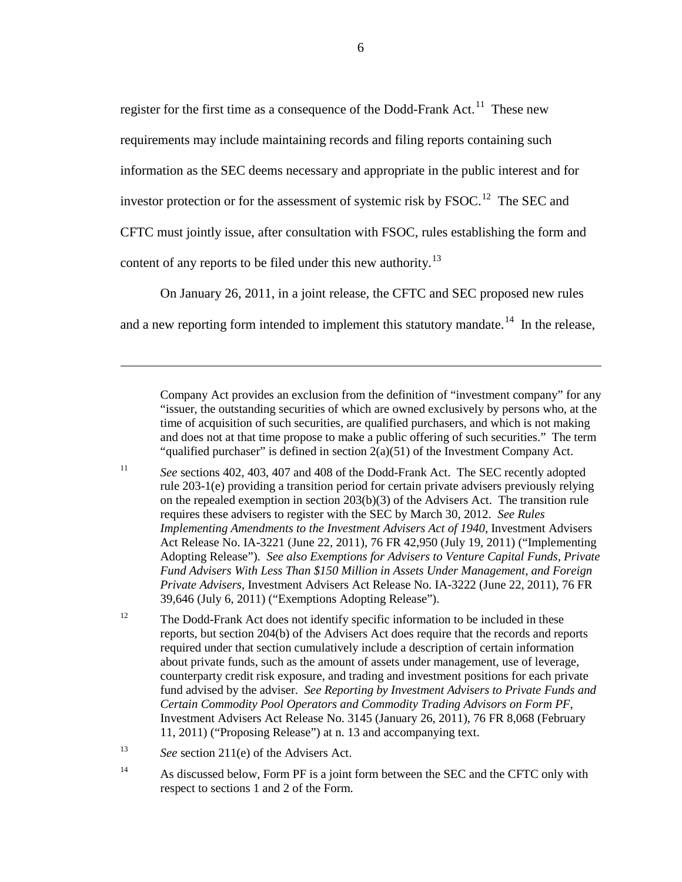<span id="page-5-5"></span>register for the first time as a consequence of the Dodd-Frank Act.<sup>[11](#page-5-0)</sup> These new

requirements may include maintaining records and filing reports containing such

information as the SEC deems necessary and appropriate in the public interest and for

investor protection or for the assessment of systemic risk by  $FSOC$ .<sup>[12](#page-5-1)</sup> The SEC and

CFTC must jointly issue, after consultation with FSOC, rules establishing the form and

content of any reports to be filed under this new authority.<sup>[13](#page-5-2)</sup>

 $\overline{a}$ 

<span id="page-5-4"></span>On January 26, 2011, in a joint release, the CFTC and SEC proposed new rules

and a new reporting form intended to implement this statutory mandate.<sup>[14](#page-5-3)</sup> In the release,

Company Act provides an exclusion from the definition of "investment company" for any "issuer, the outstanding securities of which are owned exclusively by persons who, at the time of acquisition of such securities, are qualified purchasers, and which is not making and does not at that time propose to make a public offering of such securities." The term "qualified purchaser" is defined in section 2(a)(51) of the Investment Company Act.

<span id="page-5-0"></span><sup>11</sup> *See* sections 402, 403, 407 and 408 of the Dodd-Frank Act. The SEC recently adopted rule 203-1(e) providing a transition period for certain private advisers previously relying on the repealed exemption in section  $203(b)(3)$  of the Advisers Act. The transition rule requires these advisers to register with the SEC by March 30, 2012. *See Rules Implementing Amendments to the Investment Advisers Act of 1940*, Investment Advisers Act Release No. IA-3221 (June 22, 2011), 76 FR 42,950 (July 19, 2011) ("Implementing Adopting Release"). *See also Exemptions for Advisers to Venture Capital Funds, Private Fund Advisers With Less Than \$150 Million in Assets Under Management, and Foreign Private Advisers*, Investment Advisers Act Release No. IA-3222 (June 22, 2011), 76 FR 39,646 (July 6, 2011) ("Exemptions Adopting Release").

<span id="page-5-1"></span><sup>12</sup> The Dodd-Frank Act does not identify specific information to be included in these reports, but section 204(b) of the Advisers Act does require that the records and reports required under that section cumulatively include a description of certain information about private funds, such as the amount of assets under management, use of leverage, counterparty credit risk exposure, and trading and investment positions for each private fund advised by the adviser. *See Reporting by Investment Advisers to Private Funds and Certain Commodity Pool Operators and Commodity Trading Advisors on Form PF*, Investment Advisers Act Release No. 3145 (January 26, 2011), 76 FR 8,068 (February 11, 2011) ("Proposing Release") at n. 13 and accompanying text.

<span id="page-5-2"></span><sup>13</sup> *See* section 211(e) of the Advisers Act.

<span id="page-5-3"></span><sup>14</sup> As discussed below, Form PF is a joint form between the SEC and the CFTC only with respect to sections 1 and 2 of the Form.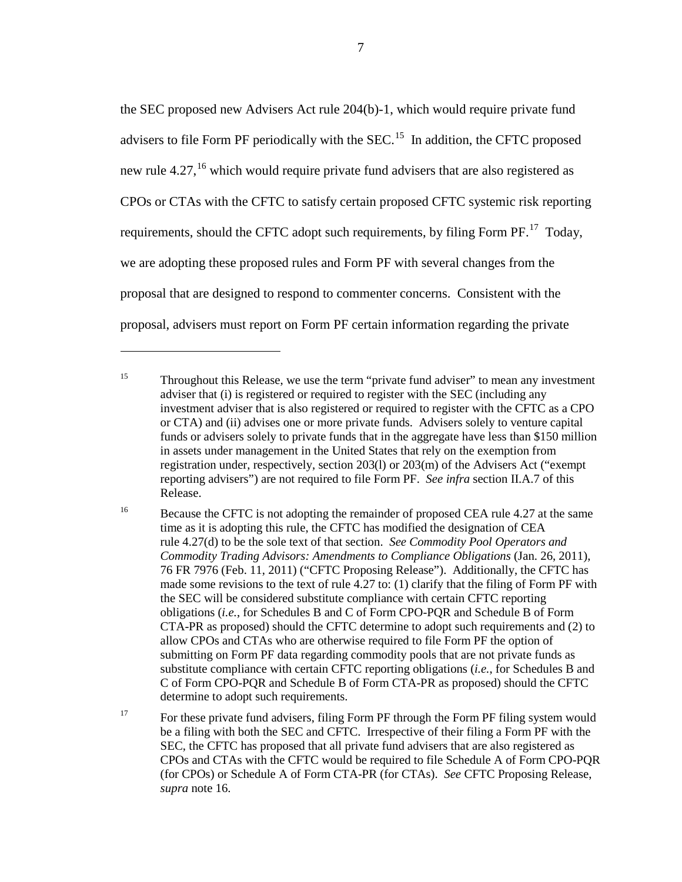<span id="page-6-0"></span>the SEC proposed new Advisers Act rule 204(b)-1, which would require private fund advisers to file Form PF periodically with the  $SEC.<sup>15</sup>$  $SEC.<sup>15</sup>$  $SEC.<sup>15</sup>$  In addition, the CFTC proposed new rule 4.27,<sup>[16](#page-6-2)</sup> which would require private fund advisers that are also registered as CPOs or CTAs with the CFTC to satisfy certain proposed CFTC systemic risk reporting requirements, should the CFTC adopt such requirements, by filing Form PF.<sup>[17](#page-6-3)</sup> Today, we are adopting these proposed rules and Form PF with several changes from the proposal that are designed to respond to commenter concerns. Consistent with the proposal, advisers must report on Form PF certain information regarding the private

 $\overline{a}$ 

7

<span id="page-6-1"></span><sup>&</sup>lt;sup>15</sup> Throughout this Release, we use the term "private fund adviser" to mean any investment adviser that (i) is registered or required to register with the SEC (including any investment adviser that is also registered or required to register with the CFTC as a CPO or CTA) and (ii) advises one or more private funds. Advisers solely to venture capital funds or advisers solely to private funds that in the aggregate have less than \$150 million in assets under management in the United States that rely on the exemption from registration under, respectively, section 203(l) or 203(m) of the Advisers Act ("exempt reporting advisers") are not required to file Form PF. *See infra* section II.A.7 of this Release.

<span id="page-6-2"></span><sup>&</sup>lt;sup>16</sup> Because the CFTC is not adopting the remainder of proposed CEA rule 4.27 at the same time as it is adopting this rule, the CFTC has modified the designation of CEA rule 4.27(d) to be the sole text of that section. *See Commodity Pool Operators and Commodity Trading Advisors: Amendments to Compliance Obligations* (Jan. 26, 2011), 76 FR 7976 (Feb. 11, 2011) ("CFTC Proposing Release"). Additionally, the CFTC has made some revisions to the text of rule 4.27 to: (1) clarify that the filing of Form PF with the SEC will be considered substitute compliance with certain CFTC reporting obligations (*i.e.*, for Schedules B and C of Form CPO-PQR and Schedule B of Form CTA-PR as proposed) should the CFTC determine to adopt such requirements and (2) to allow CPOs and CTAs who are otherwise required to file Form PF the option of submitting on Form PF data regarding commodity pools that are not private funds as substitute compliance with certain CFTC reporting obligations (*i.e.*, for Schedules B and C of Form CPO-PQR and Schedule B of Form CTA-PR as proposed) should the CFTC determine to adopt such requirements.

<span id="page-6-3"></span><sup>&</sup>lt;sup>17</sup> For these private fund advisers, filing Form PF through the Form PF filing system would be a filing with both the SEC and CFTC. Irrespective of their filing a Form PF with the SEC, the CFTC has proposed that all private fund advisers that are also registered as CPOs and CTAs with the CFTC would be required to file Schedule A of Form CPO-PQR (for CPOs) or Schedule A of Form CTA-PR (for CTAs). *See* CFTC Proposing Release, *supra* note [16.](#page-6-0)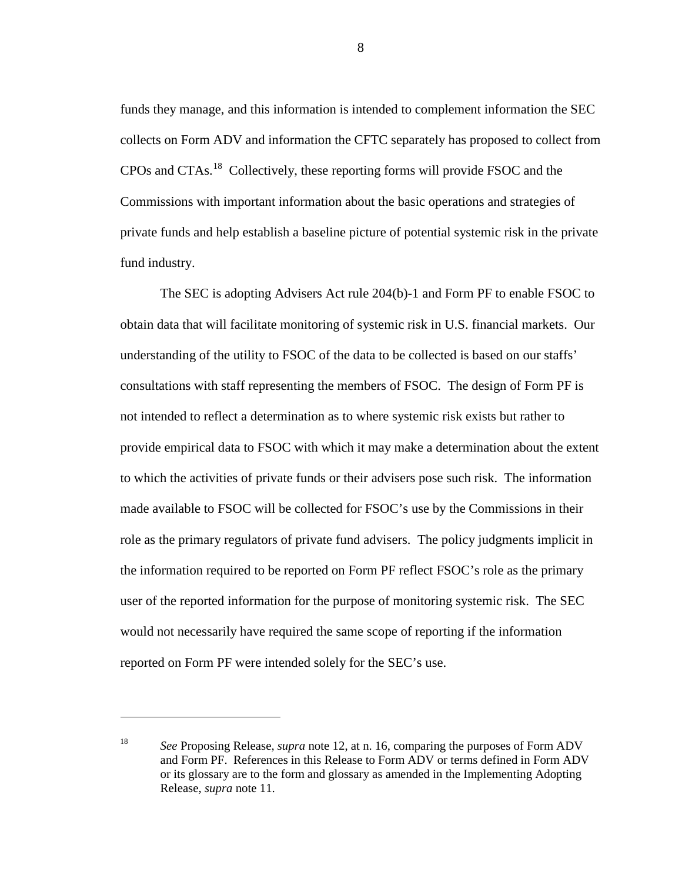funds they manage, and this information is intended to complement information the SEC collects on Form ADV and information the CFTC separately has proposed to collect from CPOs and CTAs.<sup>[18](#page-7-0)</sup> Collectively, these reporting forms will provide FSOC and the Commissions with important information about the basic operations and strategies of private funds and help establish a baseline picture of potential systemic risk in the private fund industry.

The SEC is adopting Advisers Act rule 204(b)-1 and Form PF to enable FSOC to obtain data that will facilitate monitoring of systemic risk in U.S. financial markets. Our understanding of the utility to FSOC of the data to be collected is based on our staffs' consultations with staff representing the members of FSOC. The design of Form PF is not intended to reflect a determination as to where systemic risk exists but rather to provide empirical data to FSOC with which it may make a determination about the extent to which the activities of private funds or their advisers pose such risk. The information made available to FSOC will be collected for FSOC's use by the Commissions in their role as the primary regulators of private fund advisers. The policy judgments implicit in the information required to be reported on Form PF reflect FSOC's role as the primary user of the reported information for the purpose of monitoring systemic risk. The SEC would not necessarily have required the same scope of reporting if the information reported on Form PF were intended solely for the SEC's use.

 $\overline{a}$ 

8

<span id="page-7-0"></span><sup>18</sup> *See* Proposing Release, *supra* note [12,](#page-5-4) at n. 16, comparing the purposes of Form ADV and Form PF. References in this Release to Form ADV or terms defined in Form ADV or its glossary are to the form and glossary as amended in the Implementing Adopting Release, *supra* note [11.](#page-5-5)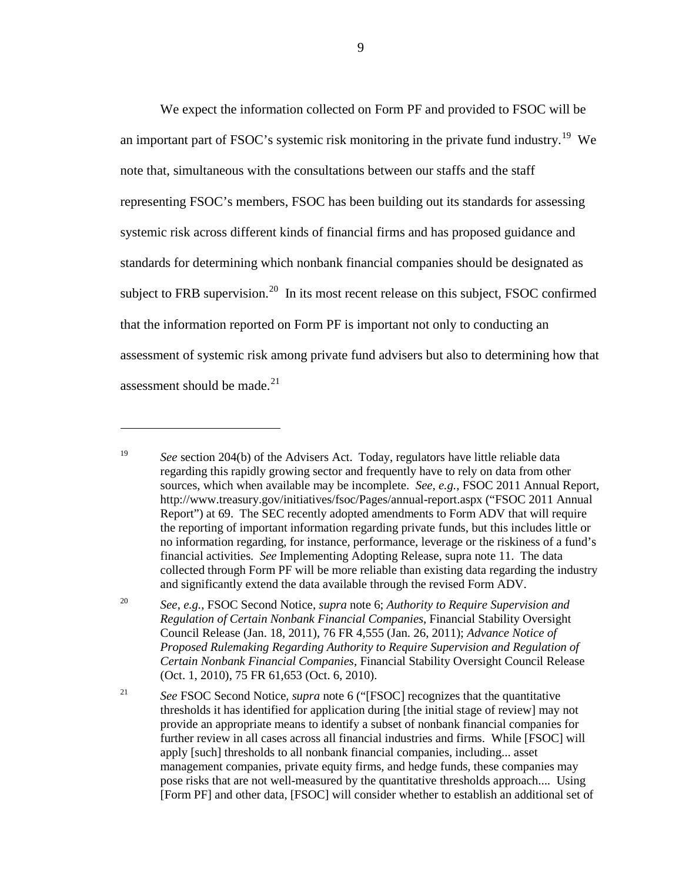We expect the information collected on Form PF and provided to FSOC will be an important part of FSOC's systemic risk monitoring in the private fund industry.<sup>[19](#page-8-0)</sup> We note that, simultaneous with the consultations between our staffs and the staff representing FSOC's members, FSOC has been building out its standards for assessing systemic risk across different kinds of financial firms and has proposed guidance and standards for determining which nonbank financial companies should be designated as subject to FRB supervision.<sup>20</sup> In its most recent release on this subject, FSOC confirmed that the information reported on Form PF is important not only to conducting an assessment of systemic risk among private fund advisers but also to determining how that assessment should be made.<sup>[21](#page-8-2)</sup>

<span id="page-8-0"></span><sup>19</sup> *See* section 204(b) of the Advisers Act. Today, regulators have little reliable data regarding this rapidly growing sector and frequently have to rely on data from other sources, which when available may be incomplete. *See*, *e.g.*, FSOC 2011 Annual Report, http://www.treasury.gov/initiatives/fsoc/Pages/annual-report.aspx ("FSOC 2011 Annual Report") at 69. The SEC recently adopted amendments to Form ADV that will require the reporting of important information regarding private funds, but this includes little or no information regarding, for instance, performance, leverage or the riskiness of a fund's financial activities. *See* Implementing Adopting Release, supra note [11.](#page-5-5) The data collected through Form PF will be more reliable than existing data regarding the industry and significantly extend the data available through the revised Form ADV.

<span id="page-8-1"></span><sup>20</sup> *See*, *e.g.*, FSOC Second Notice, *supra* note [6;](#page-4-0) *Authority to Require Supervision and Regulation of Certain Nonbank Financial Companies*, Financial Stability Oversight Council Release (Jan. 18, 2011), 76 FR 4,555 (Jan. 26, 2011); *Advance Notice of Proposed Rulemaking Regarding Authority to Require Supervision and Regulation of Certain Nonbank Financial Companies*, Financial Stability Oversight Council Release (Oct. 1, 2010), 75 FR 61,653 (Oct. 6, 2010).

<span id="page-8-2"></span><sup>21</sup> *See* FSOC Second Notice, *supra* not[e 6](#page-4-0) ("[FSOC] recognizes that the quantitative thresholds it has identified for application during [the initial stage of review] may not provide an appropriate means to identify a subset of nonbank financial companies for further review in all cases across all financial industries and firms. While [FSOC] will apply [such] thresholds to all nonbank financial companies, including... asset management companies, private equity firms, and hedge funds, these companies may pose risks that are not well-measured by the quantitative thresholds approach.... Using [Form PF] and other data, [FSOC] will consider whether to establish an additional set of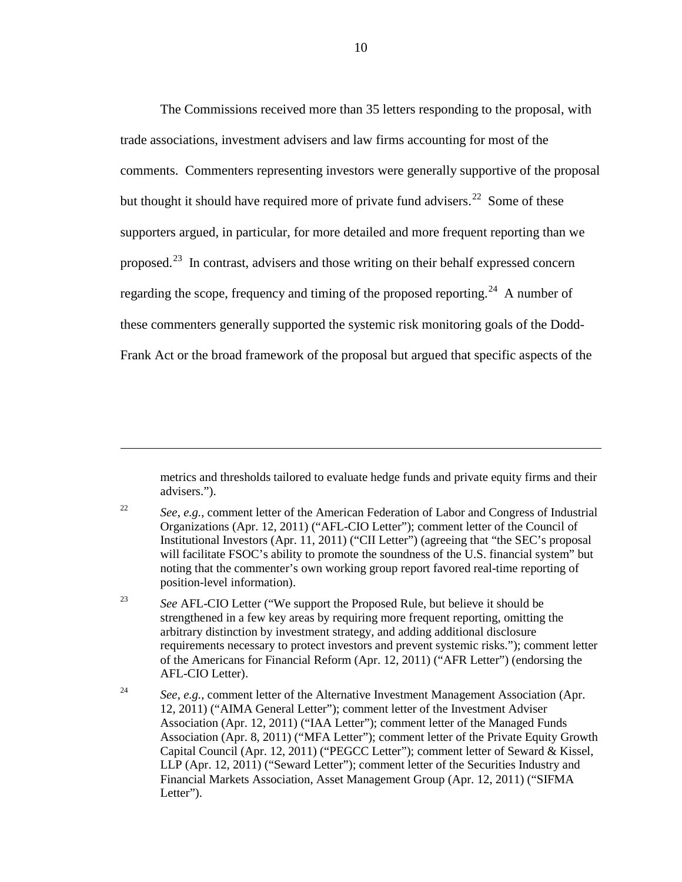The Commissions received more than 35 letters responding to the proposal, with trade associations, investment advisers and law firms accounting for most of the comments. Commenters representing investors were generally supportive of the proposal but thought it should have required more of private fund advisers.<sup>[22](#page-9-0)</sup> Some of these supporters argued, in particular, for more detailed and more frequent reporting than we proposed.[23](#page-9-1) In contrast, advisers and those writing on their behalf expressed concern regarding the scope, frequency and timing of the proposed reporting.<sup>[24](#page-9-2)</sup> A number of these commenters generally supported the systemic risk monitoring goals of the Dodd-Frank Act or the broad framework of the proposal but argued that specific aspects of the

metrics and thresholds tailored to evaluate hedge funds and private equity firms and their advisers.").

<span id="page-9-0"></span><sup>22</sup> *See*, *e.g.*, comment letter of the American Federation of Labor and Congress of Industrial Organizations (Apr. 12, 2011) ("AFL-CIO Letter"); comment letter of the Council of Institutional Investors (Apr. 11, 2011) ("CII Letter") (agreeing that "the SEC's proposal will facilitate FSOC's ability to promote the soundness of the U.S. financial system" but noting that the commenter's own working group report favored real-time reporting of position-level information).

 $\overline{a}$ 

<span id="page-9-1"></span><sup>23</sup> *See* AFL-CIO Letter ("We support the Proposed Rule, but believe it should be strengthened in a few key areas by requiring more frequent reporting, omitting the arbitrary distinction by investment strategy, and adding additional disclosure requirements necessary to protect investors and prevent systemic risks."); comment letter of the Americans for Financial Reform (Apr. 12, 2011) ("AFR Letter") (endorsing the AFL-CIO Letter).

<span id="page-9-2"></span><sup>24</sup> *See*, *e.g.*, comment letter of the Alternative Investment Management Association (Apr. 12, 2011) ("AIMA General Letter"); comment letter of the Investment Adviser Association (Apr. 12, 2011) ("IAA Letter"); comment letter of the Managed Funds Association (Apr. 8, 2011) ("MFA Letter"); comment letter of the Private Equity Growth Capital Council (Apr. 12, 2011) ("PEGCC Letter"); comment letter of Seward & Kissel, LLP (Apr. 12, 2011) ("Seward Letter"); comment letter of the Securities Industry and Financial Markets Association, Asset Management Group (Apr. 12, 2011) ("SIFMA Letter").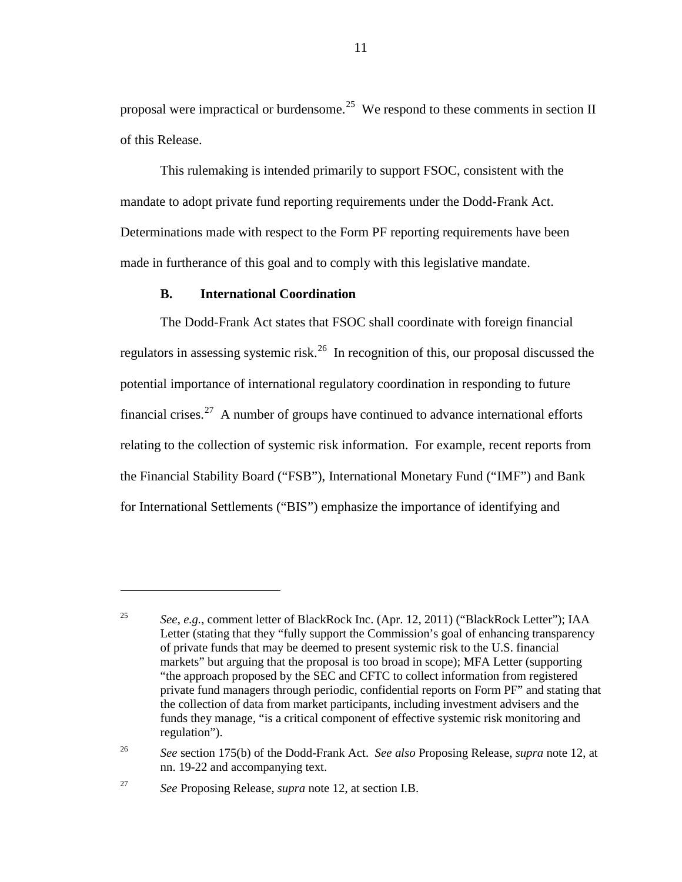proposal were impractical or burdensome.<sup>[25](#page-10-1)</sup> We respond to these comments in section II of this Release.

This rulemaking is intended primarily to support FSOC, consistent with the mandate to adopt private fund reporting requirements under the Dodd-Frank Act. Determinations made with respect to the Form PF reporting requirements have been made in furtherance of this goal and to comply with this legislative mandate.

## **B. International Coordination**

<span id="page-10-0"></span>The Dodd-Frank Act states that FSOC shall coordinate with foreign financial regulators in assessing systemic risk.<sup>26</sup> In recognition of this, our proposal discussed the potential importance of international regulatory coordination in responding to future financial crises.<sup>[27](#page-10-3)</sup> A number of groups have continued to advance international efforts relating to the collection of systemic risk information. For example, recent reports from the Financial Stability Board ("FSB"), International Monetary Fund ("IMF") and Bank for International Settlements ("BIS") emphasize the importance of identifying and

<span id="page-10-1"></span><sup>25</sup> *See*, *e.g.*, comment letter of BlackRock Inc. (Apr. 12, 2011) ("BlackRock Letter"); IAA Letter (stating that they "fully support the Commission's goal of enhancing transparency of private funds that may be deemed to present systemic risk to the U.S. financial markets" but arguing that the proposal is too broad in scope); MFA Letter (supporting "the approach proposed by the SEC and CFTC to collect information from registered private fund managers through periodic, confidential reports on Form PF" and stating that the collection of data from market participants, including investment advisers and the funds they manage, "is a critical component of effective systemic risk monitoring and regulation").

<span id="page-10-2"></span><sup>26</sup> *See* section 175(b) of the Dodd-Frank Act. *See also* Proposing Release, *supra* note [12,](#page-5-4) at nn. 19-22 and accompanying text.

<span id="page-10-3"></span><sup>27</sup> *See* Proposing Release, *supra* note [12,](#page-5-4) at section I.B.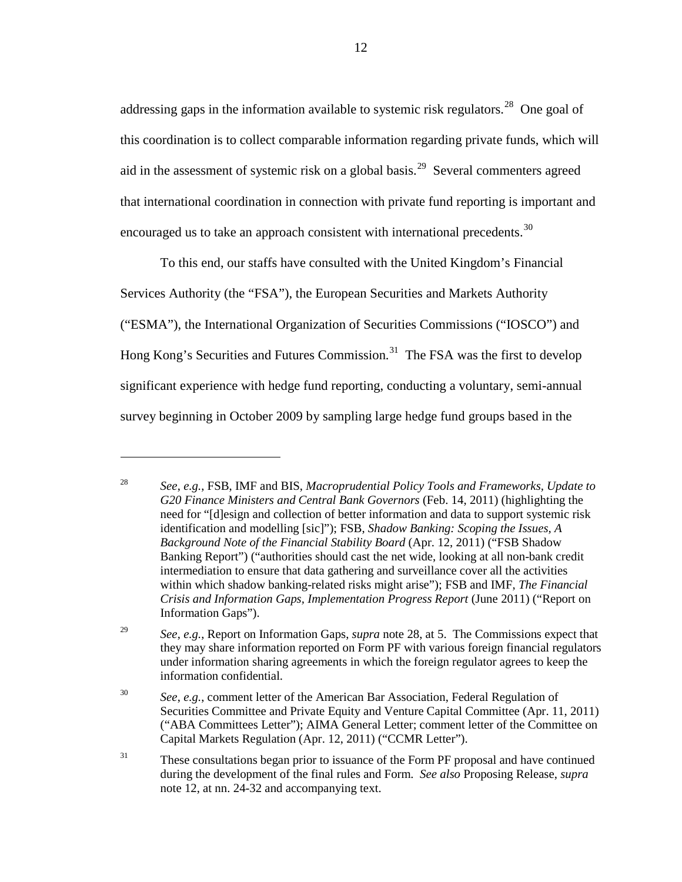<span id="page-11-0"></span>addressing gaps in the information available to systemic risk regulators.<sup>[28](#page-11-1)</sup> One goal of this coordination is to collect comparable information regarding private funds, which will aid in the assessment of systemic risk on a global basis.<sup>29</sup> Several commenters agreed that international coordination in connection with private fund reporting is important and encouraged us to take an approach consistent with international precedents.<sup>[30](#page-11-3)</sup>

To this end, our staffs have consulted with the United Kingdom's Financial Services Authority (the "FSA"), the European Securities and Markets Authority ("ESMA"), the International Organization of Securities Commissions ("IOSCO") and Hong Kong's Securities and Futures Commission.<sup>[31](#page-11-4)</sup> The FSA was the first to develop significant experience with hedge fund reporting, conducting a voluntary, semi-annual survey beginning in October 2009 by sampling large hedge fund groups based in the

<span id="page-11-1"></span><sup>28</sup> *See*, *e.g.*, FSB, IMF and BIS, *Macroprudential Policy Tools and Frameworks, Update to G20 Finance Ministers and Central Bank Governors* (Feb. 14, 2011) (highlighting the need for "[d]esign and collection of better information and data to support systemic risk identification and modelling [sic]"); FSB, *Shadow Banking: Scoping the Issues, A Background Note of the Financial Stability Board* (Apr. 12, 2011) ("FSB Shadow Banking Report") ("authorities should cast the net wide, looking at all non-bank credit intermediation to ensure that data gathering and surveillance cover all the activities within which shadow banking-related risks might arise"); FSB and IMF, *The Financial Crisis and Information Gaps, Implementation Progress Report* (June 2011) ("Report on Information Gaps").

<span id="page-11-2"></span><sup>29</sup> *See*, *e.g.*, Report on Information Gaps, *supra* note [28,](#page-11-0) at 5. The Commissions expect that they may share information reported on Form PF with various foreign financial regulators under information sharing agreements in which the foreign regulator agrees to keep the information confidential.

<span id="page-11-3"></span><sup>30</sup> *See*, *e.g.*, comment letter of the American Bar Association, Federal Regulation of Securities Committee and Private Equity and Venture Capital Committee (Apr. 11, 2011) ("ABA Committees Letter"); AIMA General Letter; comment letter of the Committee on Capital Markets Regulation (Apr. 12, 2011) ("CCMR Letter").

<span id="page-11-4"></span><sup>&</sup>lt;sup>31</sup> These consultations began prior to issuance of the Form PF proposal and have continued during the development of the final rules and Form. *See also* Proposing Release, *supra* not[e 12,](#page-5-4) at nn. 24-32 and accompanying text.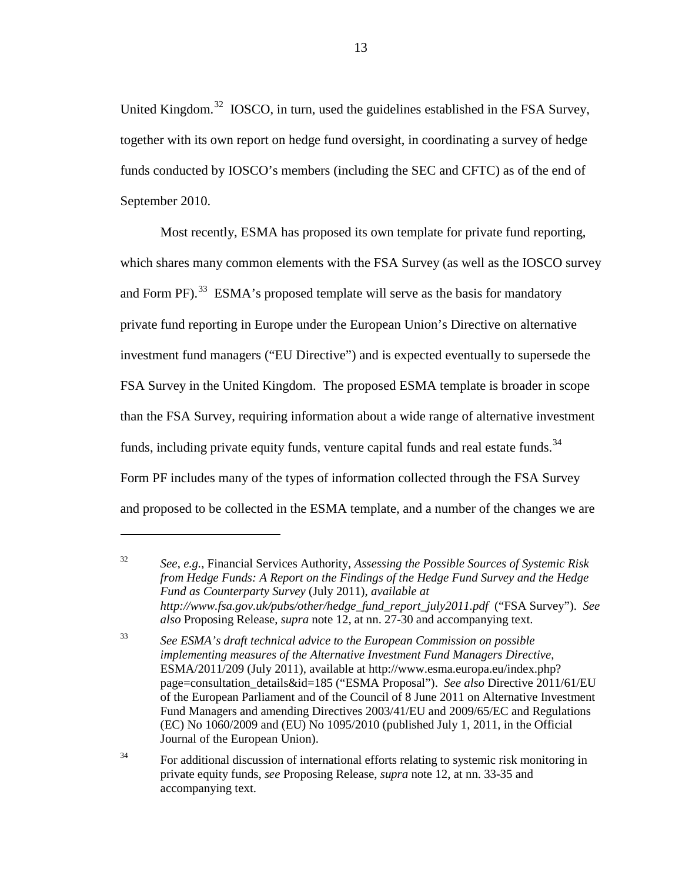United Kingdom.<sup>[32](#page-12-0)</sup> IOSCO, in turn, used the guidelines established in the FSA Survey, together with its own report on hedge fund oversight, in coordinating a survey of hedge funds conducted by IOSCO's members (including the SEC and CFTC) as of the end of September 2010.

Most recently, ESMA has proposed its own template for private fund reporting, which shares many common elements with the FSA Survey (as well as the IOSCO survey and Form PF). $^{33}$  $^{33}$  $^{33}$  ESMA's proposed template will serve as the basis for mandatory private fund reporting in Europe under the European Union's Directive on alternative investment fund managers ("EU Directive") and is expected eventually to supersede the FSA Survey in the United Kingdom. The proposed ESMA template is broader in scope than the FSA Survey, requiring information about a wide range of alternative investment funds, including private equity funds, venture capital funds and real estate funds.<sup>[34](#page-12-2)</sup> Form PF includes many of the types of information collected through the FSA Survey and proposed to be collected in the ESMA template, and a number of the changes we are

<span id="page-12-0"></span><sup>32</sup> *See*, *e.g.*, Financial Services Authority, *Assessing the Possible Sources of Systemic Risk from Hedge Funds: A Report on the Findings of the Hedge Fund Survey and the Hedge Fund as Counterparty Survey* (July 2011), *available at http://www.fsa.gov.uk/pubs/other/hedge\_fund\_report\_july2011.pdf* ("FSA Survey"). *See also* Proposing Release, *supra* note [12,](#page-5-4) at nn. 27-30 and accompanying text.

<span id="page-12-1"></span><sup>33</sup> *See ESMA's draft technical advice to the European Commission on possible implementing measures of the Alternative Investment Fund Managers Directive*, ESMA/2011/209 (July 2011), available at http://www.esma.europa.eu/index.php? page=consultation\_details&id=185 ("ESMA Proposal"). *See also* Directive 2011/61/EU of the European Parliament and of the Council of 8 June 2011 on Alternative Investment Fund Managers and amending Directives 2003/41/EU and 2009/65/EC and Regulations (EC) No 1060/2009 and (EU) No 1095/2010 (published July 1, 2011, in the Official Journal of the European Union).

<span id="page-12-2"></span><sup>&</sup>lt;sup>34</sup> For additional discussion of international efforts relating to systemic risk monitoring in private equity funds, *see* Proposing Release, *supra* note [12,](#page-5-4) at nn. 33-35 and accompanying text.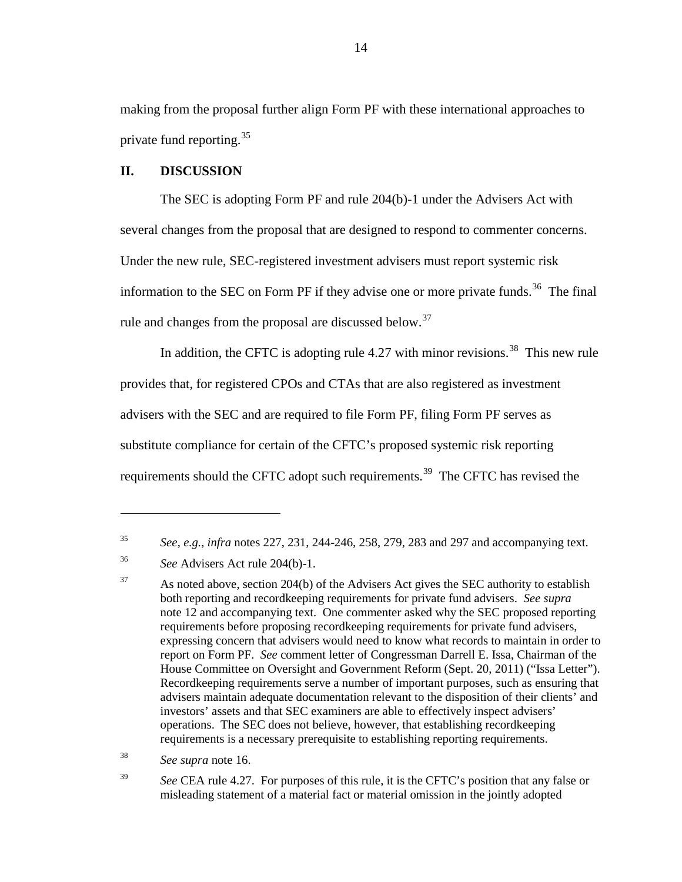making from the proposal further align Form PF with these international approaches to private fund reporting.<sup>[35](#page-13-1)</sup>

#### <span id="page-13-0"></span>**II. DISCUSSION**

The SEC is adopting Form PF and rule 204(b)-1 under the Advisers Act with several changes from the proposal that are designed to respond to commenter concerns. Under the new rule, SEC-registered investment advisers must report systemic risk information to the SEC on Form PF if they advise one or more private funds.<sup>[36](#page-13-2)</sup> The final rule and changes from the proposal are discussed below.<sup>[37](#page-13-3)</sup>

In addition, the CFTC is adopting rule 4.27 with minor revisions.<sup>38</sup> This new rule provides that, for registered CPOs and CTAs that are also registered as investment advisers with the SEC and are required to file Form PF, filing Form PF serves as substitute compliance for certain of the CFTC's proposed systemic risk reporting requirements should the CFTC adopt such requirements.<sup>[39](#page-13-5)</sup> The CFTC has revised the

 $\overline{a}$ 

<span id="page-13-4"></span><sup>38</sup> *See supra* note [16.](#page-6-0)

<span id="page-13-5"></span><sup>39</sup> See CEA rule 4.27. For purposes of this rule, it is the CFTC's position that any false or misleading statement of a material fact or material omission in the jointly adopted

<span id="page-13-1"></span><sup>35</sup> *See*, *e.g.*, *infra* notes [227,](#page-75-0) [231,](#page-76-1) [244](#page-79-0)[-246,](#page-80-0) [258,](#page-84-0) [279,](#page-92-0) [283](#page-93-0) and [297](#page-97-0) and accompanying text.

<span id="page-13-2"></span><sup>36</sup> *See* Advisers Act rule 204(b)-1.

<span id="page-13-3"></span> $37$  As noted above, section 204(b) of the Advisers Act gives the SEC authority to establish both reporting and recordkeeping requirements for private fund advisers. *See supra* note [12](#page-5-4) and accompanying text. One commenter asked why the SEC proposed reporting requirements before proposing recordkeeping requirements for private fund advisers, expressing concern that advisers would need to know what records to maintain in order to report on Form PF. *See* comment letter of Congressman Darrell E. Issa, Chairman of the House Committee on Oversight and Government Reform (Sept. 20, 2011) ("Issa Letter"). Recordkeeping requirements serve a number of important purposes, such as ensuring that advisers maintain adequate documentation relevant to the disposition of their clients' and investors' assets and that SEC examiners are able to effectively inspect advisers' operations. The SEC does not believe, however, that establishing recordkeeping requirements is a necessary prerequisite to establishing reporting requirements.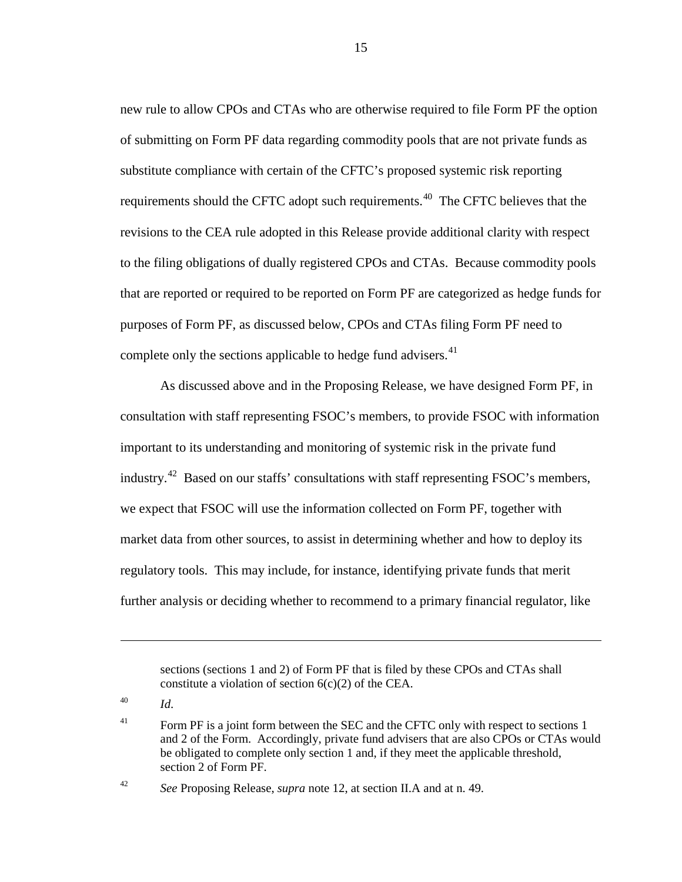new rule to allow CPOs and CTAs who are otherwise required to file Form PF the option of submitting on Form PF data regarding commodity pools that are not private funds as substitute compliance with certain of the CFTC's proposed systemic risk reporting requirements should the CFTC adopt such requirements.<sup>[40](#page-14-0)</sup> The CFTC believes that the revisions to the CEA rule adopted in this Release provide additional clarity with respect to the filing obligations of dually registered CPOs and CTAs. Because commodity pools that are reported or required to be reported on Form PF are categorized as hedge funds for purposes of Form PF, as discussed below, CPOs and CTAs filing Form PF need to complete only the sections applicable to hedge fund advisers.<sup>[41](#page-14-1)</sup>

As discussed above and in the Proposing Release, we have designed Form PF, in consultation with staff representing FSOC's members, to provide FSOC with information important to its understanding and monitoring of systemic risk in the private fund industry.<sup>[42](#page-14-2)</sup> Based on our staffs' consultations with staff representing FSOC's members, we expect that FSOC will use the information collected on Form PF, together with market data from other sources, to assist in determining whether and how to deploy its regulatory tools. This may include, for instance, identifying private funds that merit further analysis or deciding whether to recommend to a primary financial regulator, like

<span id="page-14-0"></span><sup>40</sup> *Id*.

 $\overline{a}$ 

15

sections (sections 1 and 2) of Form PF that is filed by these CPOs and CTAs shall constitute a violation of section  $6(c)(2)$  of the CEA.

<span id="page-14-1"></span><sup>&</sup>lt;sup>41</sup> Form PF is a joint form between the SEC and the CFTC only with respect to sections 1 and 2 of the Form. Accordingly, private fund advisers that are also CPOs or CTAs would be obligated to complete only section 1 and, if they meet the applicable threshold, section 2 of Form PF.

<span id="page-14-2"></span><sup>42</sup> *See* Proposing Release, *supra* note [12,](#page-5-4) at section II.A and at n. 49.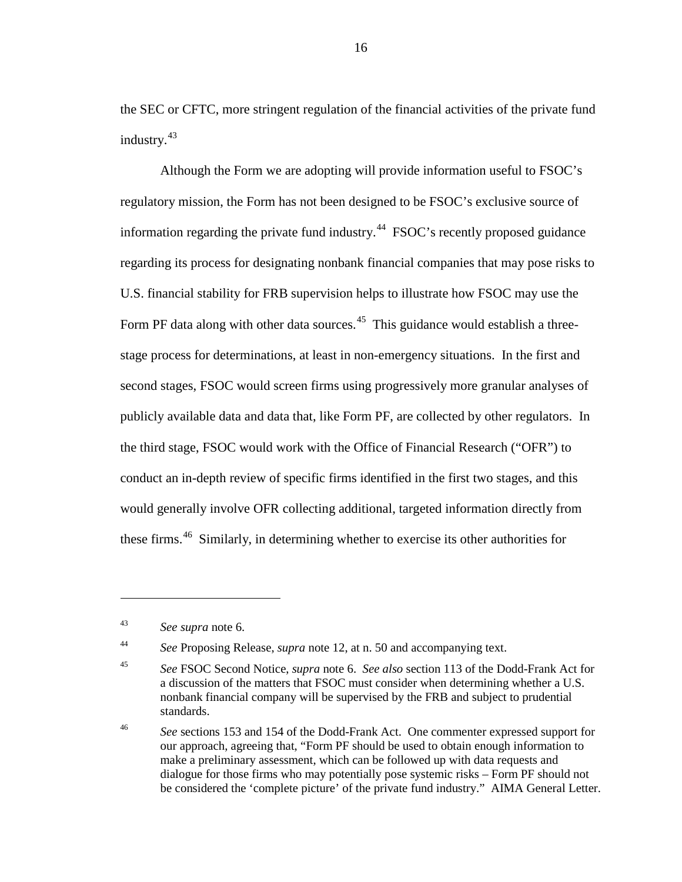the SEC or CFTC, more stringent regulation of the financial activities of the private fund industry.<sup>[43](#page-15-0)</sup>

Although the Form we are adopting will provide information useful to FSOC's regulatory mission, the Form has not been designed to be FSOC's exclusive source of information regarding the private fund industry.<sup>44</sup> FSOC's recently proposed guidance regarding its process for designating nonbank financial companies that may pose risks to U.S. financial stability for FRB supervision helps to illustrate how FSOC may use the Form PF data along with other data sources.<sup>[45](#page-15-2)</sup> This guidance would establish a threestage process for determinations, at least in non-emergency situations. In the first and second stages, FSOC would screen firms using progressively more granular analyses of publicly available data and data that, like Form PF, are collected by other regulators. In the third stage, FSOC would work with the Office of Financial Research ("OFR") to conduct an in-depth review of specific firms identified in the first two stages, and this would generally involve OFR collecting additional, targeted information directly from these firms.<sup>[46](#page-15-3)</sup> Similarly, in determining whether to exercise its other authorities for

 $\overline{a}$ 

<span id="page-15-1"></span><sup>44</sup> *See* Proposing Release, *supra* note [12,](#page-5-4) at n. 50 and accompanying text.

<span id="page-15-0"></span><sup>43</sup> *See supra* note [6.](#page-4-0)

<span id="page-15-2"></span><sup>45</sup> *See* FSOC Second Notice, *supra* not[e 6.](#page-4-0) *See also* section 113 of the Dodd-Frank Act for a discussion of the matters that FSOC must consider when determining whether a U.S. nonbank financial company will be supervised by the FRB and subject to prudential standards.

<span id="page-15-3"></span><sup>46</sup> *See* sections 153 and 154 of the Dodd-Frank Act. One commenter expressed support for our approach, agreeing that, "Form PF should be used to obtain enough information to make a preliminary assessment, which can be followed up with data requests and dialogue for those firms who may potentially pose systemic risks – Form PF should not be considered the 'complete picture' of the private fund industry." AIMA General Letter.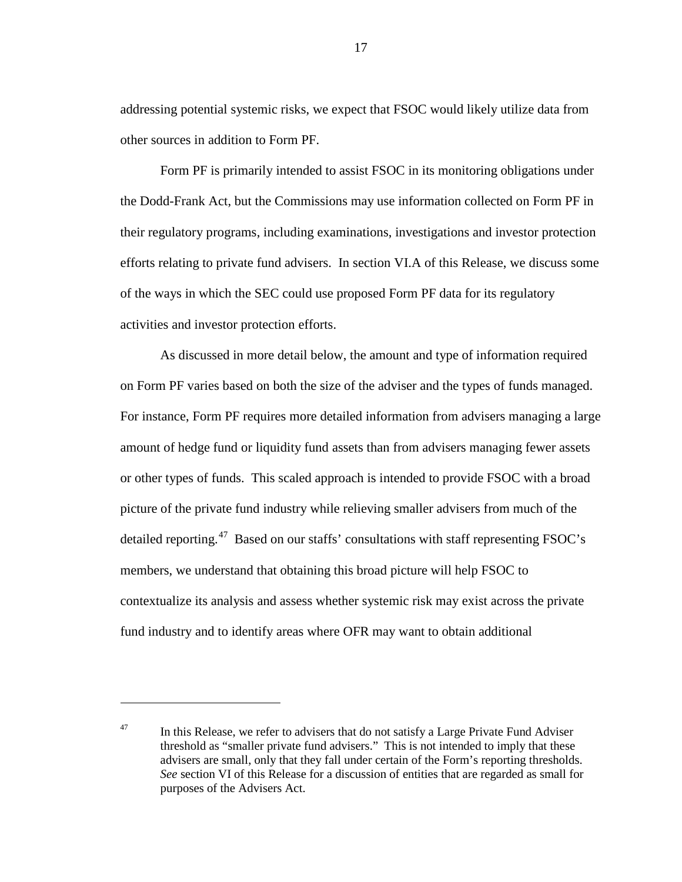addressing potential systemic risks, we expect that FSOC would likely utilize data from other sources in addition to Form PF.

Form PF is primarily intended to assist FSOC in its monitoring obligations under the Dodd-Frank Act, but the Commissions may use information collected on Form PF in their regulatory programs, including examinations, investigations and investor protection efforts relating to private fund advisers. In section VI.A of this Release, we discuss some of the ways in which the SEC could use proposed Form PF data for its regulatory activities and investor protection efforts.

As discussed in more detail below, the amount and type of information required on Form PF varies based on both the size of the adviser and the types of funds managed. For instance, Form PF requires more detailed information from advisers managing a large amount of hedge fund or liquidity fund assets than from advisers managing fewer assets or other types of funds. This scaled approach is intended to provide FSOC with a broad picture of the private fund industry while relieving smaller advisers from much of the detailed reporting.<sup>[47](#page-16-0)</sup> Based on our staffs' consultations with staff representing FSOC's members, we understand that obtaining this broad picture will help FSOC to contextualize its analysis and assess whether systemic risk may exist across the private fund industry and to identify areas where OFR may want to obtain additional

<span id="page-16-0"></span> $47$  In this Release, we refer to advisers that do not satisfy a Large Private Fund Adviser threshold as "smaller private fund advisers." This is not intended to imply that these advisers are small, only that they fall under certain of the Form's reporting thresholds. *See* section VI of this Release for a discussion of entities that are regarded as small for purposes of the Advisers Act.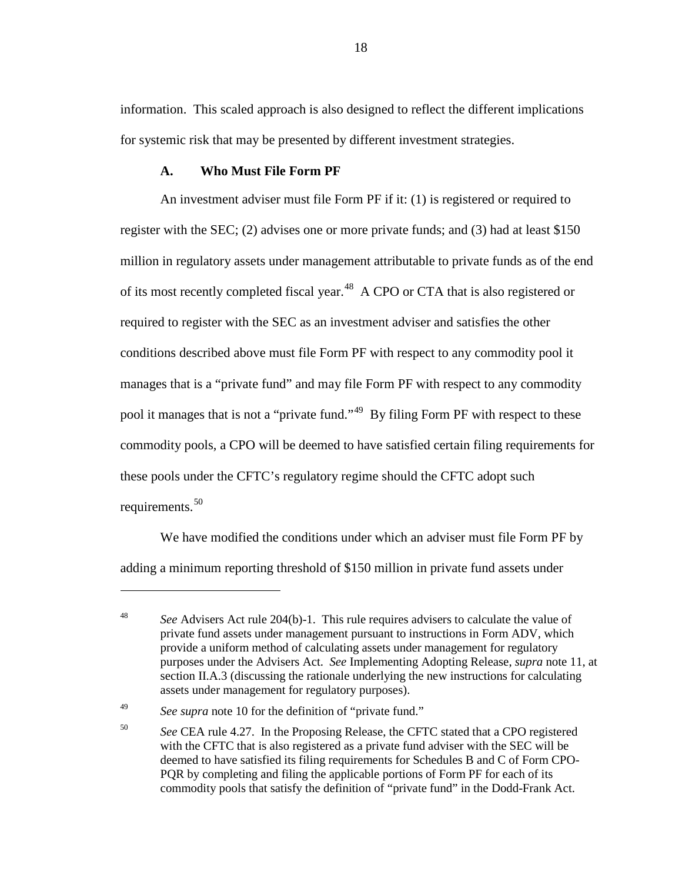information. This scaled approach is also designed to reflect the different implications for systemic risk that may be presented by different investment strategies.

#### **A. Who Must File Form PF**

<span id="page-17-0"></span>An investment adviser must file Form PF if it: (1) is registered or required to register with the SEC; (2) advises one or more private funds; and (3) had at least \$150 million in regulatory assets under management attributable to private funds as of the end of its most recently completed fiscal year.<sup>48</sup> A CPO or CTA that is also registered or required to register with the SEC as an investment adviser and satisfies the other conditions described above must file Form PF with respect to any commodity pool it manages that is a "private fund" and may file Form PF with respect to any commodity pool it manages that is not a "private fund."<sup>[49](#page-17-2)</sup> By filing Form PF with respect to these commodity pools, a CPO will be deemed to have satisfied certain filing requirements for these pools under the CFTC's regulatory regime should the CFTC adopt such requirements. [50](#page-17-3)

We have modified the conditions under which an adviser must file Form PF by adding a minimum reporting threshold of \$150 million in private fund assets under

<span id="page-17-1"></span><sup>48</sup> *See* Advisers Act rule 204(b)-1. This rule requires advisers to calculate the value of private fund assets under management pursuant to instructions in Form ADV, which provide a uniform method of calculating assets under management for regulatory purposes under the Advisers Act. *See* Implementing Adopting Release, *supra* note [11,](#page-5-5) at section II.A.3 (discussing the rationale underlying the new instructions for calculating assets under management for regulatory purposes).

<span id="page-17-3"></span><span id="page-17-2"></span><sup>49</sup> *See supra* note [10](#page-4-6) for the definition of "private fund."

<sup>50</sup> *See* CEA rule 4.27. In the Proposing Release, the CFTC stated that a CPO registered with the CFTC that is also registered as a private fund adviser with the SEC will be deemed to have satisfied its filing requirements for Schedules B and C of Form CPO-PQR by completing and filing the applicable portions of Form PF for each of its commodity pools that satisfy the definition of "private fund" in the Dodd-Frank Act.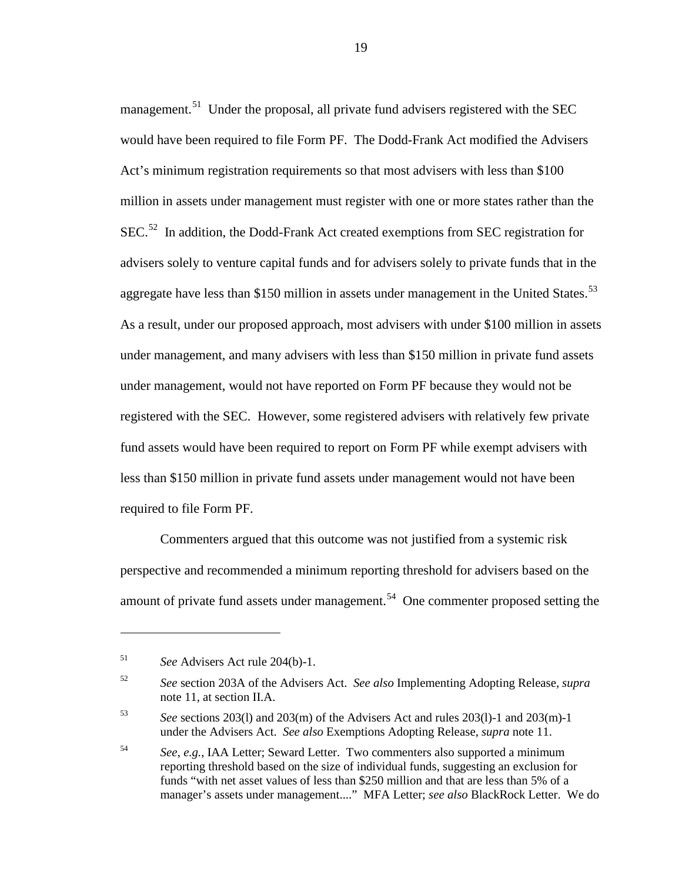management.<sup>51</sup> Under the proposal, all private fund advisers registered with the SEC would have been required to file Form PF. The Dodd-Frank Act modified the Advisers Act's minimum registration requirements so that most advisers with less than \$100 million in assets under management must register with one or more states rather than the SEC.<sup>52</sup> In addition, the Dodd-Frank Act created exemptions from SEC registration for advisers solely to venture capital funds and for advisers solely to private funds that in the aggregate have less than \$150 million in assets under management in the United States.<sup>[53](#page-18-2)</sup> As a result, under our proposed approach, most advisers with under \$100 million in assets under management, and many advisers with less than \$150 million in private fund assets under management, would not have reported on Form PF because they would not be registered with the SEC. However, some registered advisers with relatively few private fund assets would have been required to report on Form PF while exempt advisers with less than \$150 million in private fund assets under management would not have been required to file Form PF.

Commenters argued that this outcome was not justified from a systemic risk perspective and recommended a minimum reporting threshold for advisers based on the amount of private fund assets under management.<sup>[54](#page-18-3)</sup> One commenter proposed setting the

<span id="page-18-0"></span><sup>51</sup> *See* Advisers Act rule 204(b)-1.

<span id="page-18-1"></span><sup>52</sup> *See* section 203A of the Advisers Act. *See also* Implementing Adopting Release, *supra* not[e 11,](#page-5-5) at section II.A.

<span id="page-18-2"></span><sup>53</sup> *See* sections 203(l) and 203(m) of the Advisers Act and rules 203(l)-1 and 203(m)-1 under the Advisers Act. *See also* Exemptions Adopting Release, *supra* note [11.](#page-5-5)

<span id="page-18-3"></span><sup>54</sup> *See*, *e.g.*, IAA Letter; Seward Letter. Two commenters also supported a minimum reporting threshold based on the size of individual funds, suggesting an exclusion for funds "with net asset values of less than \$250 million and that are less than 5% of a manager's assets under management...." MFA Letter; *see also* BlackRock Letter. We do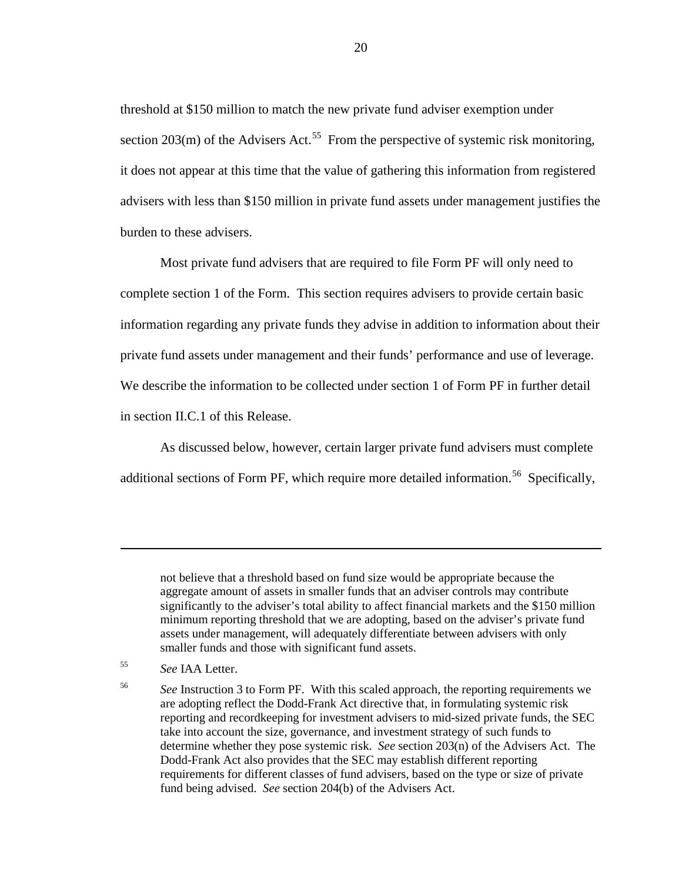threshold at \$150 million to match the new private fund adviser exemption under section  $203(m)$  of the Advisers Act.<sup>[55](#page-19-0)</sup> From the perspective of systemic risk monitoring, it does not appear at this time that the value of gathering this information from registered advisers with less than \$150 million in private fund assets under management justifies the burden to these advisers.

Most private fund advisers that are required to file Form PF will only need to complete section 1 of the Form. This section requires advisers to provide certain basic information regarding any private funds they advise in addition to information about their private fund assets under management and their funds' performance and use of leverage. We describe the information to be collected under section 1 of Form PF in further detail in section II.C.1 of this Release.

As discussed below, however, certain larger private fund advisers must complete additional sections of Form PF, which require more detailed information.<sup>[56](#page-19-1)</sup> Specifically,

not believe that a threshold based on fund size would be appropriate because the aggregate amount of assets in smaller funds that an adviser controls may contribute significantly to the adviser's total ability to affect financial markets and the \$150 million minimum reporting threshold that we are adopting, based on the adviser's private fund assets under management, will adequately differentiate between advisers with only smaller funds and those with significant fund assets.

<span id="page-19-1"></span>

<span id="page-19-0"></span><sup>55</sup> *See* IAA Letter.

<sup>56</sup> *See* Instruction 3 to Form PF. With this scaled approach, the reporting requirements we are adopting reflect the Dodd-Frank Act directive that, in formulating systemic risk reporting and recordkeeping for investment advisers to mid-sized private funds, the SEC take into account the size, governance, and investment strategy of such funds to determine whether they pose systemic risk. *See* section 203(n) of the Advisers Act. The Dodd-Frank Act also provides that the SEC may establish different reporting requirements for different classes of fund advisers, based on the type or size of private fund being advised. *See* section 204(b) of the Advisers Act.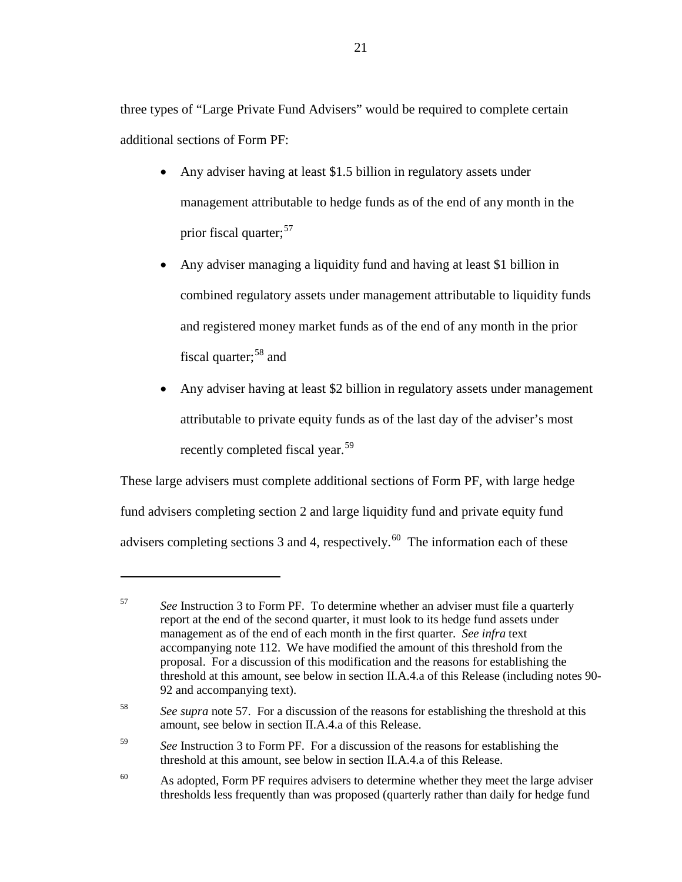three types of "Large Private Fund Advisers" would be required to complete certain additional sections of Form PF:

- Any adviser having at least \$1.5 billion in regulatory assets under management attributable to hedge funds as of the end of any month in the prior fiscal quarter; [57](#page-20-1)
- <span id="page-20-0"></span>• Any adviser managing a liquidity fund and having at least \$1 billion in combined regulatory assets under management attributable to liquidity funds and registered money market funds as of the end of any month in the prior fiscal quarter;<sup>[58](#page-20-2)</sup> and
- Any adviser having at least \$2 billion in regulatory assets under management attributable to private equity funds as of the last day of the adviser's most recently completed fiscal year.<sup>[59](#page-20-3)</sup>

These large advisers must complete additional sections of Form PF, with large hedge fund advisers completing section 2 and large liquidity fund and private equity fund advisers completing sections 3 and 4, respectively.<sup>[60](#page-20-4)</sup> The information each of these

<span id="page-20-1"></span><sup>57</sup> *See* Instruction 3 to Form PF. To determine whether an adviser must file a quarterly report at the end of the second quarter, it must look to its hedge fund assets under management as of the end of each month in the first quarter. *See infra* text accompanying note [112.](#page-39-0) We have modified the amount of this threshold from the proposal. For a discussion of this modification and the reasons for establishing the threshold at this amount, see below in section II.A.4.a of this Release (including notes [90-](#page-32-0) [92](#page-33-0) and accompanying text).

<span id="page-20-2"></span><sup>58</sup> *See supra* note [57.](#page-20-0) For a discussion of the reasons for establishing the threshold at this amount, see below in section II.A.4.a of this Release.

<span id="page-20-3"></span><sup>59</sup> *See* Instruction 3 to Form PF. For a discussion of the reasons for establishing the threshold at this amount, see below in section II.A.4.a of this Release.

<span id="page-20-4"></span><sup>&</sup>lt;sup>60</sup> As adopted, Form PF requires advisers to determine whether they meet the large adviser thresholds less frequently than was proposed (quarterly rather than daily for hedge fund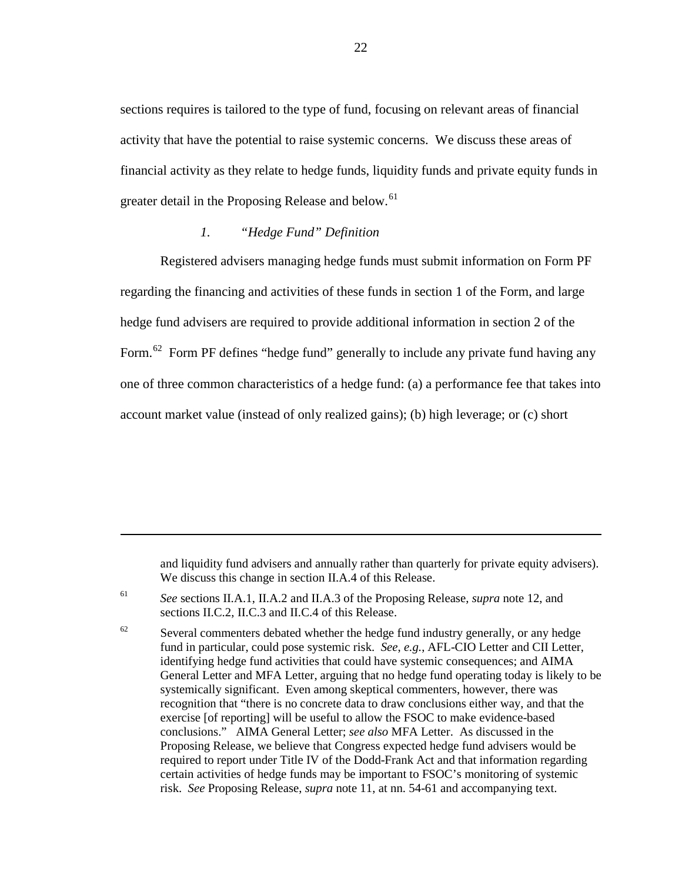sections requires is tailored to the type of fund, focusing on relevant areas of financial activity that have the potential to raise systemic concerns. We discuss these areas of financial activity as they relate to hedge funds, liquidity funds and private equity funds in greater detail in the Proposing Release and below.<sup>[61](#page-21-1)</sup>

#### *1. "Hedge Fund" Definition*

 $\overline{a}$ 

<span id="page-21-0"></span>Registered advisers managing hedge funds must submit information on Form PF regarding the financing and activities of these funds in section 1 of the Form, and large hedge fund advisers are required to provide additional information in section 2 of the Form.<sup>[62](#page-21-2)</sup> Form PF defines "hedge fund" generally to include any private fund having any one of three common characteristics of a hedge fund: (a) a performance fee that takes into account market value (instead of only realized gains); (b) high leverage; or (c) short

and liquidity fund advisers and annually rather than quarterly for private equity advisers). We discuss this change in section II.A.4 of this Release.

<span id="page-21-1"></span><sup>61</sup> *See* sections II.A.1, II.A.2 and II.A.3 of the Proposing Release, *supra* note [12,](#page-5-4) and sections II.C.2, II.C.3 and II.C.4 of this Release.

<span id="page-21-2"></span> $62$  Several commenters debated whether the hedge fund industry generally, or any hedge fund in particular, could pose systemic risk. *See*, *e.g.*, AFL-CIO Letter and CII Letter, identifying hedge fund activities that could have systemic consequences; and AIMA General Letter and MFA Letter, arguing that no hedge fund operating today is likely to be systemically significant. Even among skeptical commenters, however, there was recognition that "there is no concrete data to draw conclusions either way, and that the exercise [of reporting] will be useful to allow the FSOC to make evidence-based conclusions." AIMA General Letter; *see also* MFA Letter. As discussed in the Proposing Release, we believe that Congress expected hedge fund advisers would be required to report under Title IV of the Dodd-Frank Act and that information regarding certain activities of hedge funds may be important to FSOC's monitoring of systemic risk. *See* Proposing Release, *supra* note 11, at nn. 54-61 and accompanying text.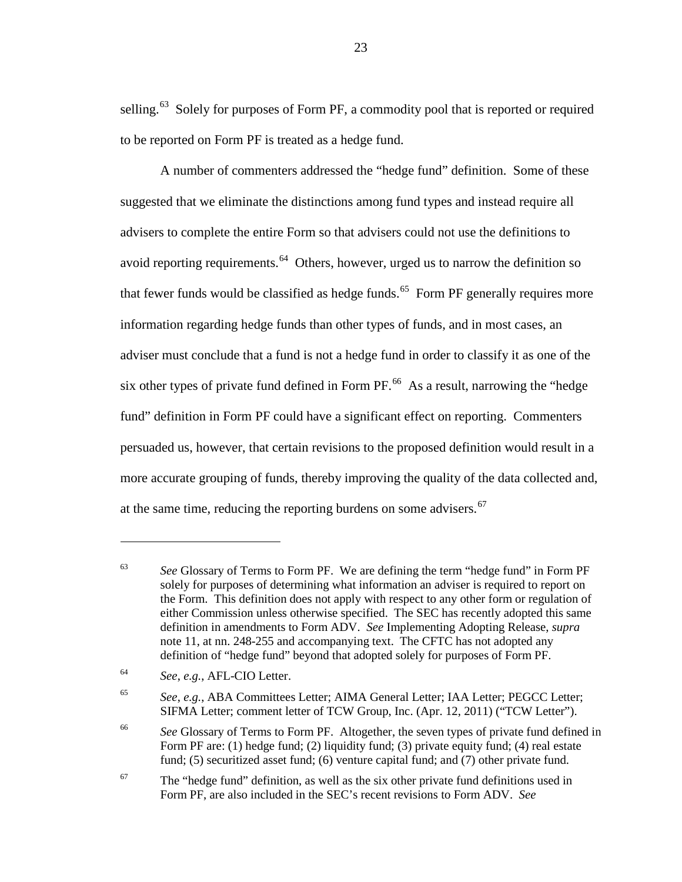selling.<sup>[63](#page-22-0)</sup> Solely for purposes of Form PF, a commodity pool that is reported or required to be reported on Form PF is treated as a hedge fund.

<span id="page-22-5"></span>A number of commenters addressed the "hedge fund" definition. Some of these suggested that we eliminate the distinctions among fund types and instead require all advisers to complete the entire Form so that advisers could not use the definitions to avoid reporting requirements.<sup>64</sup> Others, however, urged us to narrow the definition so that fewer funds would be classified as hedge funds.<sup>65</sup> Form PF generally requires more information regarding hedge funds than other types of funds, and in most cases, an adviser must conclude that a fund is not a hedge fund in order to classify it as one of the six other types of private fund defined in Form PF. [66](#page-22-3) As a result, narrowing the "hedge fund" definition in Form PF could have a significant effect on reporting. Commenters persuaded us, however, that certain revisions to the proposed definition would result in a more accurate grouping of funds, thereby improving the quality of the data collected and, at the same time, reducing the reporting burdens on some advisers.<sup>[67](#page-22-4)</sup>

<span id="page-22-0"></span><sup>63</sup> *See* Glossary of Terms to Form PF. We are defining the term "hedge fund" in Form PF solely for purposes of determining what information an adviser is required to report on the Form. This definition does not apply with respect to any other form or regulation of either Commission unless otherwise specified. The SEC has recently adopted this same definition in amendments to Form ADV. *See* Implementing Adopting Release, *supra* not[e 11,](#page-5-5) at nn. 248-255 and accompanying text. The CFTC has not adopted any definition of "hedge fund" beyond that adopted solely for purposes of Form PF.

<span id="page-22-1"></span><sup>64</sup> *See*, *e.g.*, AFL-CIO Letter.

<span id="page-22-2"></span><sup>65</sup> *See*, *e.g.*, ABA Committees Letter; AIMA General Letter; IAA Letter; PEGCC Letter; SIFMA Letter; comment letter of TCW Group, Inc. (Apr. 12, 2011) ("TCW Letter").

<span id="page-22-3"></span><sup>&</sup>lt;sup>66</sup> See Glossary of Terms to Form PF. Altogether, the seven types of private fund defined in Form PF are: (1) hedge fund; (2) liquidity fund; (3) private equity fund; (4) real estate fund; (5) securitized asset fund; (6) venture capital fund; and (7) other private fund.

<span id="page-22-4"></span> $67$  The "hedge fund" definition, as well as the six other private fund definitions used in Form PF, are also included in the SEC's recent revisions to Form ADV. *See*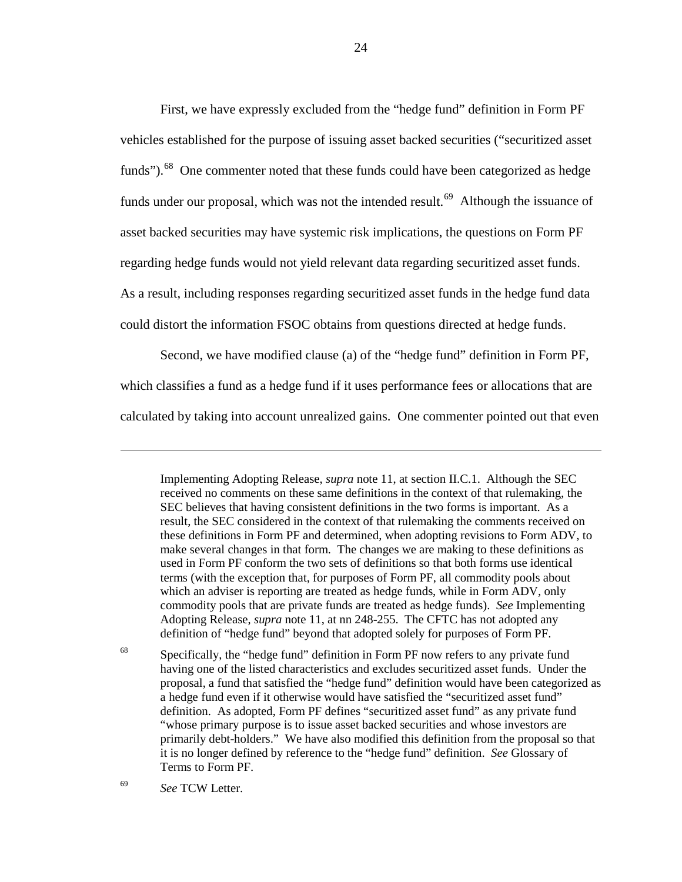<span id="page-23-2"></span>First, we have expressly excluded from the "hedge fund" definition in Form PF vehicles established for the purpose of issuing asset backed securities ("securitized asset funds").<sup>68</sup> One commenter noted that these funds could have been categorized as hedge funds under our proposal, which was not the intended result.<sup>[69](#page-23-1)</sup> Although the issuance of asset backed securities may have systemic risk implications, the questions on Form PF regarding hedge funds would not yield relevant data regarding securitized asset funds. As a result, including responses regarding securitized asset funds in the hedge fund data could distort the information FSOC obtains from questions directed at hedge funds.

Second, we have modified clause (a) of the "hedge fund" definition in Form PF, which classifies a fund as a hedge fund if it uses performance fees or allocations that are calculated by taking into account unrealized gains. One commenter pointed out that even

<span id="page-23-0"></span><sup>68</sup> Specifically, the "hedge fund" definition in Form PF now refers to any private fund having one of the listed characteristics and excludes securitized asset funds. Under the proposal, a fund that satisfied the "hedge fund" definition would have been categorized as a hedge fund even if it otherwise would have satisfied the "securitized asset fund" definition. As adopted, Form PF defines "securitized asset fund" as any private fund "whose primary purpose is to issue asset backed securities and whose investors are primarily debt-holders." We have also modified this definition from the proposal so that it is no longer defined by reference to the "hedge fund" definition. *See* Glossary of Terms to Form PF.

<span id="page-23-1"></span><sup>69</sup> *See* TCW Letter.

Implementing Adopting Release, *supra* note [11,](#page-5-5) at section II.C.1. Although the SEC received no comments on these same definitions in the context of that rulemaking, the SEC believes that having consistent definitions in the two forms is important. As a result, the SEC considered in the context of that rulemaking the comments received on these definitions in Form PF and determined, when adopting revisions to Form ADV, to make several changes in that form. The changes we are making to these definitions as used in Form PF conform the two sets of definitions so that both forms use identical terms (with the exception that, for purposes of Form PF, all commodity pools about which an adviser is reporting are treated as hedge funds, while in Form ADV, only commodity pools that are private funds are treated as hedge funds). *See* Implementing Adopting Release, *supra* note [11,](#page-5-5) at nn 248-255. The CFTC has not adopted any definition of "hedge fund" beyond that adopted solely for purposes of Form PF.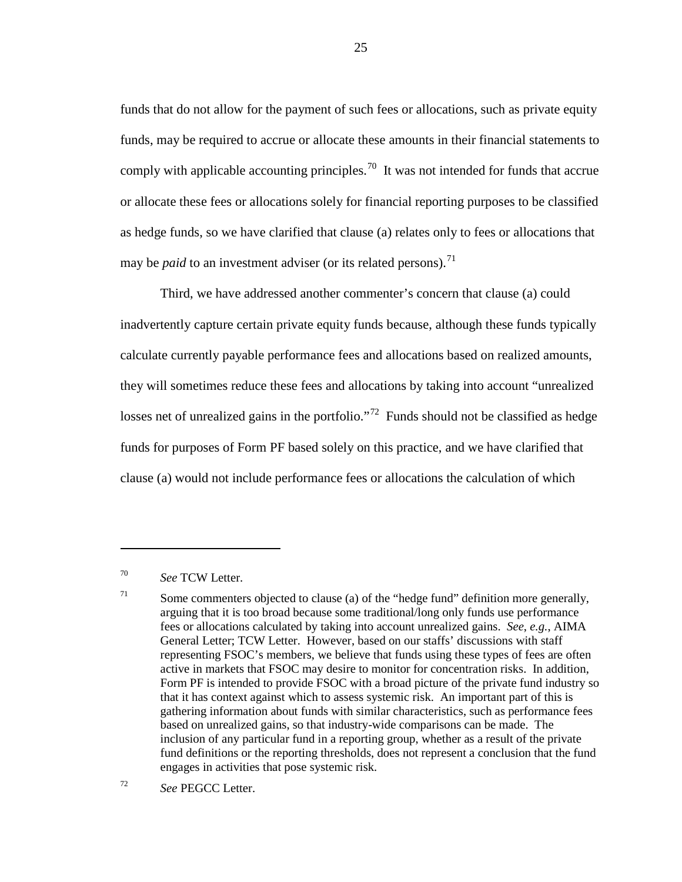funds that do not allow for the payment of such fees or allocations, such as private equity funds, may be required to accrue or allocate these amounts in their financial statements to comply with applicable accounting principles.<sup>[70](#page-24-0)</sup> It was not intended for funds that accrue or allocate these fees or allocations solely for financial reporting purposes to be classified as hedge funds, so we have clarified that clause (a) relates only to fees or allocations that may be *paid* to an investment adviser (or its related persons).<sup>[71](#page-24-1)</sup>

Third, we have addressed another commenter's concern that clause (a) could inadvertently capture certain private equity funds because, although these funds typically calculate currently payable performance fees and allocations based on realized amounts, they will sometimes reduce these fees and allocations by taking into account "unrealized losses net of unrealized gains in the portfolio."<sup>[72](#page-24-2)</sup> Funds should not be classified as hedge funds for purposes of Form PF based solely on this practice, and we have clarified that clause (a) would not include performance fees or allocations the calculation of which

<span id="page-24-0"></span><sup>70</sup> *See* TCW Letter.

 $\overline{a}$ 

<span id="page-24-2"></span><sup>72</sup> *See* PEGCC Letter.

<span id="page-24-1"></span><sup>&</sup>lt;sup>71</sup> Some commenters objected to clause (a) of the "hedge fund" definition more generally, arguing that it is too broad because some traditional/long only funds use performance fees or allocations calculated by taking into account unrealized gains. *See*, *e.g.*, AIMA General Letter; TCW Letter. However, based on our staffs' discussions with staff representing FSOC's members, we believe that funds using these types of fees are often active in markets that FSOC may desire to monitor for concentration risks. In addition, Form PF is intended to provide FSOC with a broad picture of the private fund industry so that it has context against which to assess systemic risk. An important part of this is gathering information about funds with similar characteristics, such as performance fees based on unrealized gains, so that industry-wide comparisons can be made. The inclusion of any particular fund in a reporting group, whether as a result of the private fund definitions or the reporting thresholds, does not represent a conclusion that the fund engages in activities that pose systemic risk.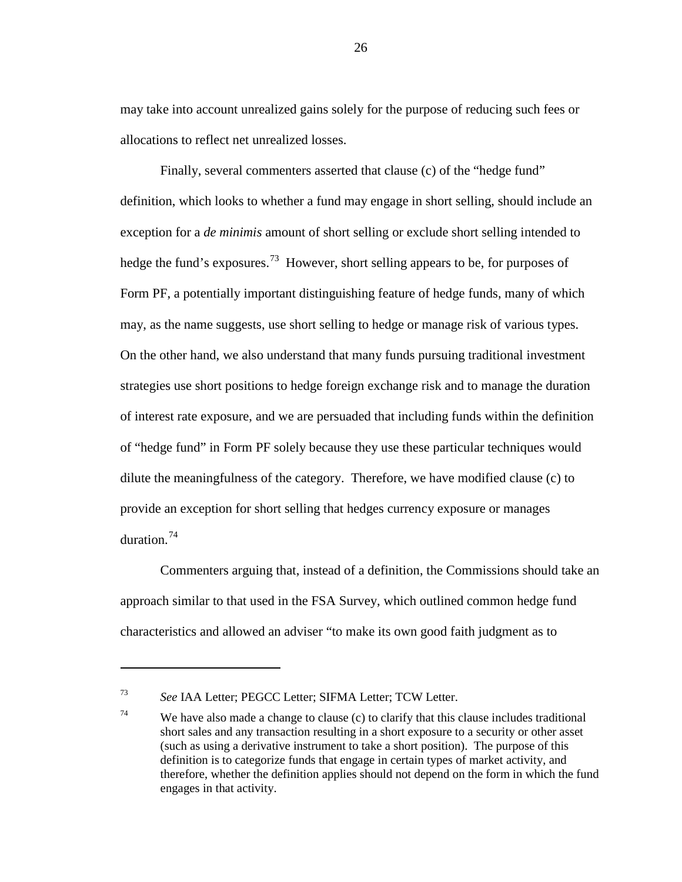may take into account unrealized gains solely for the purpose of reducing such fees or allocations to reflect net unrealized losses.

Finally, several commenters asserted that clause (c) of the "hedge fund" definition, which looks to whether a fund may engage in short selling, should include an exception for a *de minimis* amount of short selling or exclude short selling intended to hedge the fund's exposures.<sup>73</sup> However, short selling appears to be, for purposes of Form PF, a potentially important distinguishing feature of hedge funds, many of which may, as the name suggests, use short selling to hedge or manage risk of various types. On the other hand, we also understand that many funds pursuing traditional investment strategies use short positions to hedge foreign exchange risk and to manage the duration of interest rate exposure, and we are persuaded that including funds within the definition of "hedge fund" in Form PF solely because they use these particular techniques would dilute the meaningfulness of the category. Therefore, we have modified clause (c) to provide an exception for short selling that hedges currency exposure or manages duration<sup>[74](#page-25-1)</sup>

Commenters arguing that, instead of a definition, the Commissions should take an approach similar to that used in the FSA Survey, which outlined common hedge fund characteristics and allowed an adviser "to make its own good faith judgment as to

 $\overline{a}$ 

26

<span id="page-25-0"></span><sup>73</sup> *See* IAA Letter; PEGCC Letter; SIFMA Letter; TCW Letter.

<span id="page-25-1"></span><sup>&</sup>lt;sup>74</sup> We have also made a change to clause (c) to clarify that this clause includes traditional short sales and any transaction resulting in a short exposure to a security or other asset (such as using a derivative instrument to take a short position). The purpose of this definition is to categorize funds that engage in certain types of market activity, and therefore, whether the definition applies should not depend on the form in which the fund engages in that activity.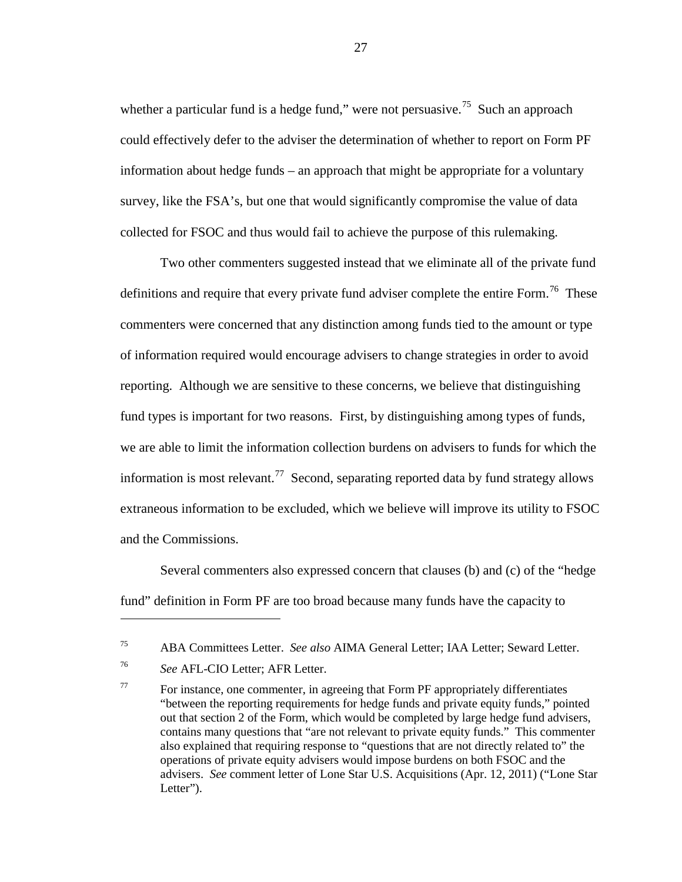whether a particular fund is a hedge fund," were not persuasive.<sup>[75](#page-26-0)</sup> Such an approach could effectively defer to the adviser the determination of whether to report on Form PF information about hedge funds – an approach that might be appropriate for a voluntary survey, like the FSA's, but one that would significantly compromise the value of data collected for FSOC and thus would fail to achieve the purpose of this rulemaking.

<span id="page-26-3"></span>Two other commenters suggested instead that we eliminate all of the private fund definitions and require that every private fund adviser complete the entire Form.<sup>76</sup> These commenters were concerned that any distinction among funds tied to the amount or type of information required would encourage advisers to change strategies in order to avoid reporting. Although we are sensitive to these concerns, we believe that distinguishing fund types is important for two reasons. First, by distinguishing among types of funds, we are able to limit the information collection burdens on advisers to funds for which the information is most relevant.<sup>[77](#page-26-2)</sup> Second, separating reported data by fund strategy allows extraneous information to be excluded, which we believe will improve its utility to FSOC and the Commissions.

Several commenters also expressed concern that clauses (b) and (c) of the "hedge fund" definition in Form PF are too broad because many funds have the capacity to

<span id="page-26-0"></span><sup>75</sup> ABA Committees Letter. *See also* AIMA General Letter; IAA Letter; Seward Letter.

<span id="page-26-1"></span><sup>76</sup> *See* AFL-CIO Letter; AFR Letter.

<span id="page-26-2"></span> $77$  For instance, one commenter, in agreeing that Form PF appropriately differentiates "between the reporting requirements for hedge funds and private equity funds," pointed out that section 2 of the Form, which would be completed by large hedge fund advisers, contains many questions that "are not relevant to private equity funds." This commenter also explained that requiring response to "questions that are not directly related to" the operations of private equity advisers would impose burdens on both FSOC and the advisers. *See* comment letter of Lone Star U.S. Acquisitions (Apr. 12, 2011) ("Lone Star Letter").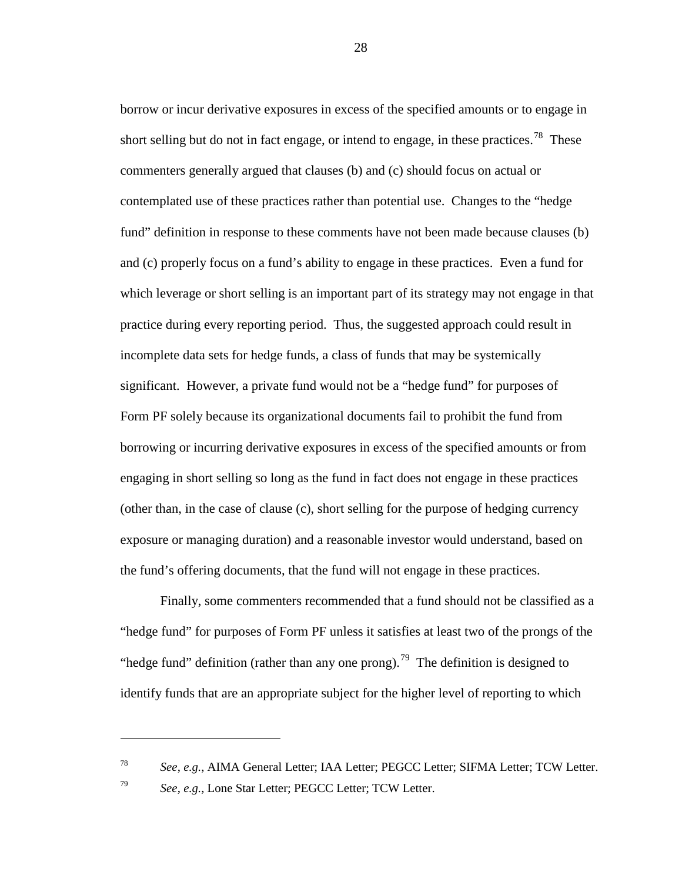borrow or incur derivative exposures in excess of the specified amounts or to engage in short selling but do not in fact engage, or intend to engage, in these practices.<sup>[78](#page-27-0)</sup> These commenters generally argued that clauses (b) and (c) should focus on actual or contemplated use of these practices rather than potential use. Changes to the "hedge fund" definition in response to these comments have not been made because clauses (b) and (c) properly focus on a fund's ability to engage in these practices. Even a fund for which leverage or short selling is an important part of its strategy may not engage in that practice during every reporting period. Thus, the suggested approach could result in incomplete data sets for hedge funds, a class of funds that may be systemically significant. However, a private fund would not be a "hedge fund" for purposes of Form PF solely because its organizational documents fail to prohibit the fund from borrowing or incurring derivative exposures in excess of the specified amounts or from engaging in short selling so long as the fund in fact does not engage in these practices (other than, in the case of clause (c), short selling for the purpose of hedging currency exposure or managing duration) and a reasonable investor would understand, based on the fund's offering documents, that the fund will not engage in these practices.

<span id="page-27-2"></span>Finally, some commenters recommended that a fund should not be classified as a "hedge fund" for purposes of Form PF unless it satisfies at least two of the prongs of the "hedge fund" definition (rather than any one prong).<sup>[79](#page-27-1)</sup> The definition is designed to identify funds that are an appropriate subject for the higher level of reporting to which

 $\overline{a}$ 

28

<span id="page-27-1"></span><span id="page-27-0"></span><sup>78</sup> *See*, *e.g.*, AIMA General Letter; IAA Letter; PEGCC Letter; SIFMA Letter; TCW Letter. <sup>79</sup> *See*, *e.g.*, Lone Star Letter; PEGCC Letter; TCW Letter.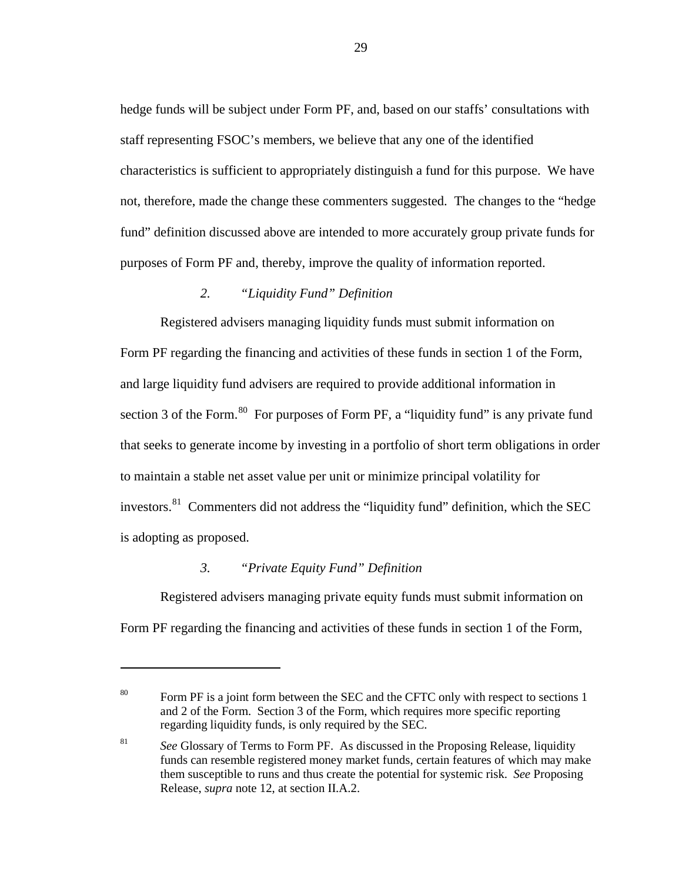hedge funds will be subject under Form PF, and, based on our staffs' consultations with staff representing FSOC's members, we believe that any one of the identified characteristics is sufficient to appropriately distinguish a fund for this purpose. We have not, therefore, made the change these commenters suggested. The changes to the "hedge fund" definition discussed above are intended to more accurately group private funds for purposes of Form PF and, thereby, improve the quality of information reported.

# *2. "Liquidity Fund" Definition*

<span id="page-28-0"></span>Registered advisers managing liquidity funds must submit information on Form PF regarding the financing and activities of these funds in section 1 of the Form, and large liquidity fund advisers are required to provide additional information in section 3 of the Form.<sup>[80](#page-28-2)</sup> For purposes of Form PF, a "liquidity fund" is any private fund that seeks to generate income by investing in a portfolio of short term obligations in order to maintain a stable net asset value per unit or minimize principal volatility for investors.<sup>[81](#page-28-3)</sup> Commenters did not address the "liquidity fund" definition, which the SEC is adopting as proposed.

#### *3. "Private Equity Fund" Definition*

 $\overline{a}$ 

<span id="page-28-1"></span>Registered advisers managing private equity funds must submit information on Form PF regarding the financing and activities of these funds in section 1 of the Form,

<span id="page-28-2"></span><sup>&</sup>lt;sup>80</sup> Form PF is a joint form between the SEC and the CFTC only with respect to sections 1 and 2 of the Form. Section 3 of the Form, which requires more specific reporting regarding liquidity funds, is only required by the SEC.

<span id="page-28-3"></span><sup>81</sup> *See* Glossary of Terms to Form PF. As discussed in the Proposing Release, liquidity funds can resemble registered money market funds, certain features of which may make them susceptible to runs and thus create the potential for systemic risk. *See* Proposing Release, *supra* note [12,](#page-5-4) at section II.A.2.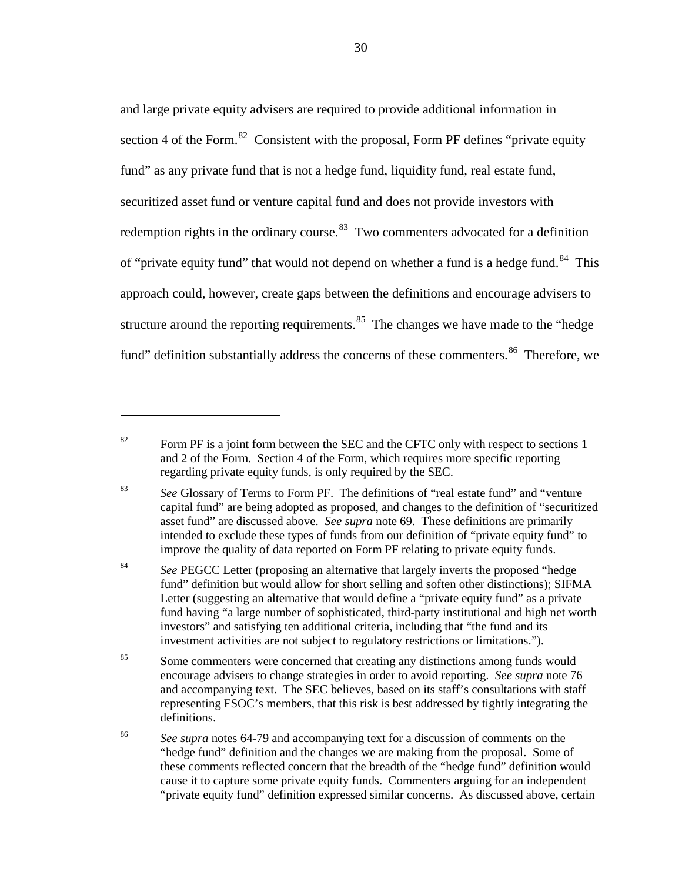and large private equity advisers are required to provide additional information in section 4 of the Form.<sup>[82](#page-29-0)</sup> Consistent with the proposal, Form PF defines "private equity" fund" as any private fund that is not a hedge fund, liquidity fund, real estate fund, securitized asset fund or venture capital fund and does not provide investors with redemption rights in the ordinary course.<sup>83</sup> Two commenters advocated for a definition of "private equity fund" that would not depend on whether a fund is a hedge fund.<sup>84</sup> This approach could, however, create gaps between the definitions and encourage advisers to structure around the reporting requirements. $85$  The changes we have made to the "hedge" fund" definition substantially address the concerns of these commenters.<sup>[86](#page-29-4)</sup> Therefore, we

 $\overline{a}$ 

<span id="page-29-1"></span><sup>83</sup> *See* Glossary of Terms to Form PF. The definitions of "real estate fund" and "venture capital fund" are being adopted as proposed, and changes to the definition of "securitized asset fund" are discussed above. *See supra* note [69.](#page-23-2) These definitions are primarily intended to exclude these types of funds from our definition of "private equity fund" to improve the quality of data reported on Form PF relating to private equity funds.

<span id="page-29-2"></span><sup>84</sup> See PEGCC Letter (proposing an alternative that largely inverts the proposed "hedge" fund" definition but would allow for short selling and soften other distinctions); SIFMA Letter (suggesting an alternative that would define a "private equity fund" as a private fund having "a large number of sophisticated, third-party institutional and high net worth investors" and satisfying ten additional criteria, including that "the fund and its investment activities are not subject to regulatory restrictions or limitations.").

<span id="page-29-3"></span><sup>85</sup> Some commenters were concerned that creating any distinctions among funds would encourage advisers to change strategies in order to avoid reporting. *See supra* note [76](#page-26-3) and accompanying text. The SEC believes, based on its staff's consultations with staff representing FSOC's members, that this risk is best addressed by tightly integrating the definitions.

<span id="page-29-4"></span><sup>86</sup> *See supra* notes [64](#page-22-5)[-79](#page-27-2) and accompanying text for a discussion of comments on the "hedge fund" definition and the changes we are making from the proposal. Some of these comments reflected concern that the breadth of the "hedge fund" definition would cause it to capture some private equity funds. Commenters arguing for an independent "private equity fund" definition expressed similar concerns. As discussed above, certain

<span id="page-29-0"></span> $82$  Form PF is a joint form between the SEC and the CFTC only with respect to sections 1 and 2 of the Form. Section 4 of the Form, which requires more specific reporting regarding private equity funds, is only required by the SEC.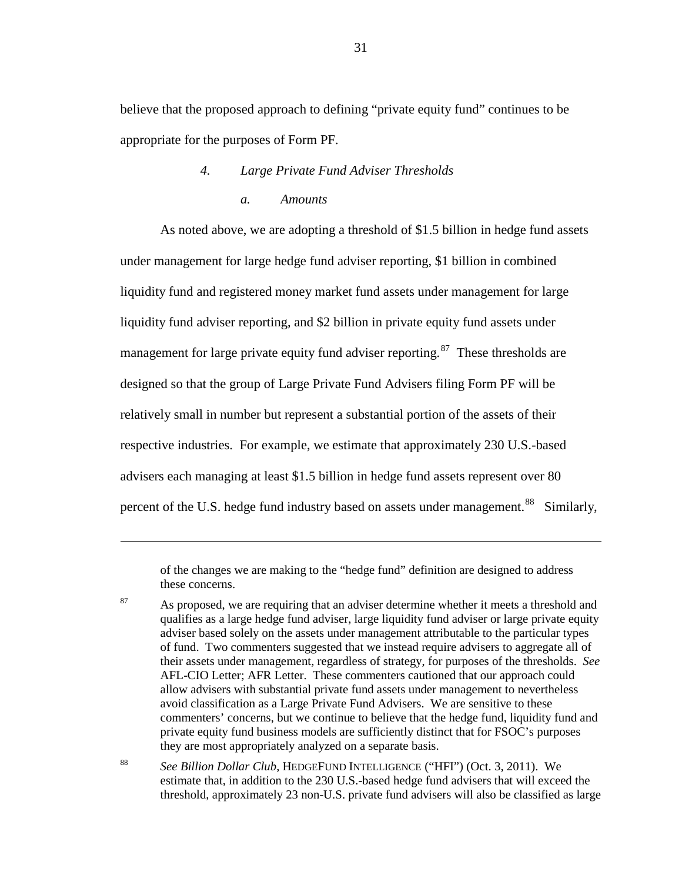<span id="page-30-0"></span>believe that the proposed approach to defining "private equity fund" continues to be appropriate for the purposes of Form PF.

# *4. Large Private Fund Adviser Thresholds a. Amounts*

As noted above, we are adopting a threshold of \$1.5 billion in hedge fund assets under management for large hedge fund adviser reporting, \$1 billion in combined liquidity fund and registered money market fund assets under management for large liquidity fund adviser reporting, and \$2 billion in private equity fund assets under management for large private equity fund adviser reporting.<sup>[87](#page-30-1)</sup> These thresholds are designed so that the group of Large Private Fund Advisers filing Form PF will be relatively small in number but represent a substantial portion of the assets of their respective industries. For example, we estimate that approximately 230 U.S.-based advisers each managing at least \$1.5 billion in hedge fund assets represent over 80 percent of the U.S. hedge fund industry based on assets under management.<sup>[88](#page-30-2)</sup> Similarly,

<span id="page-30-3"></span>of the changes we are making to the "hedge fund" definition are designed to address these concerns.

 $\overline{a}$ 

<span id="page-30-1"></span><sup>87</sup> As proposed, we are requiring that an adviser determine whether it meets a threshold and qualifies as a large hedge fund adviser, large liquidity fund adviser or large private equity adviser based solely on the assets under management attributable to the particular types of fund. Two commenters suggested that we instead require advisers to aggregate all of their assets under management, regardless of strategy, for purposes of the thresholds. *See* AFL-CIO Letter; AFR Letter. These commenters cautioned that our approach could allow advisers with substantial private fund assets under management to nevertheless avoid classification as a Large Private Fund Advisers. We are sensitive to these commenters' concerns, but we continue to believe that the hedge fund, liquidity fund and private equity fund business models are sufficiently distinct that for FSOC's purposes they are most appropriately analyzed on a separate basis.

<span id="page-30-2"></span><sup>88</sup> *See Billion Dollar Club*, HEDGEFUND INTELLIGENCE ("HFI") (Oct. 3, 2011). We estimate that, in addition to the 230 U.S.-based hedge fund advisers that will exceed the threshold, approximately 23 non-U.S. private fund advisers will also be classified as large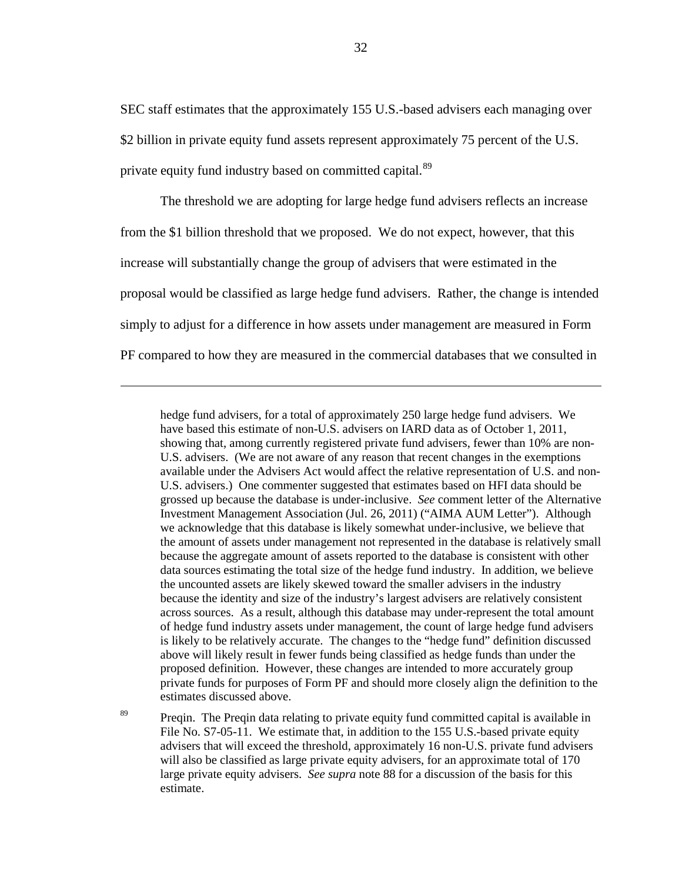SEC staff estimates that the approximately 155 U.S.-based advisers each managing over \$2 billion in private equity fund assets represent approximately 75 percent of the U.S. private equity fund industry based on committed capital.<sup>[89](#page-31-0)</sup>

The threshold we are adopting for large hedge fund advisers reflects an increase from the \$1 billion threshold that we proposed. We do not expect, however, that this increase will substantially change the group of advisers that were estimated in the proposal would be classified as large hedge fund advisers. Rather, the change is intended simply to adjust for a difference in how assets under management are measured in Form PF compared to how they are measured in the commercial databases that we consulted in

 $\overline{a}$ 

hedge fund advisers, for a total of approximately 250 large hedge fund advisers. We have based this estimate of non-U.S. advisers on IARD data as of October 1, 2011, showing that, among currently registered private fund advisers, fewer than 10% are non-U.S. advisers. (We are not aware of any reason that recent changes in the exemptions available under the Advisers Act would affect the relative representation of U.S. and non-U.S. advisers.) One commenter suggested that estimates based on HFI data should be grossed up because the database is under-inclusive. *See* comment letter of the Alternative Investment Management Association (Jul. 26, 2011) ("AIMA AUM Letter"). Although we acknowledge that this database is likely somewhat under-inclusive, we believe that the amount of assets under management not represented in the database is relatively small because the aggregate amount of assets reported to the database is consistent with other data sources estimating the total size of the hedge fund industry. In addition, we believe the uncounted assets are likely skewed toward the smaller advisers in the industry because the identity and size of the industry's largest advisers are relatively consistent across sources. As a result, although this database may under-represent the total amount of hedge fund industry assets under management, the count of large hedge fund advisers is likely to be relatively accurate. The changes to the "hedge fund" definition discussed above will likely result in fewer funds being classified as hedge funds than under the proposed definition. However, these changes are intended to more accurately group private funds for purposes of Form PF and should more closely align the definition to the estimates discussed above.

<span id="page-31-0"></span><sup>89</sup> Preqin. The Preqin data relating to private equity fund committed capital is available in File No. S7-05-11. We estimate that, in addition to the 155 U.S.-based private equity advisers that will exceed the threshold, approximately 16 non-U.S. private fund advisers will also be classified as large private equity advisers, for an approximate total of 170 large private equity advisers. *See supra* note [88](#page-30-3) for a discussion of the basis for this estimate.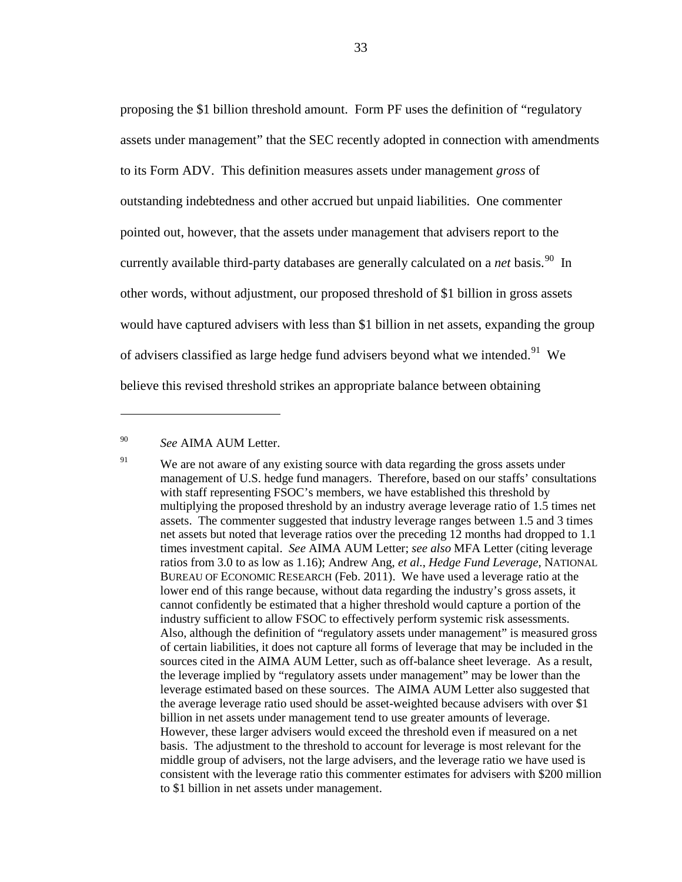<span id="page-32-0"></span>proposing the \$1 billion threshold amount. Form PF uses the definition of "regulatory assets under management" that the SEC recently adopted in connection with amendments to its Form ADV. This definition measures assets under management *gross* of outstanding indebtedness and other accrued but unpaid liabilities. One commenter pointed out, however, that the assets under management that advisers report to the currently available third-party databases are generally calculated on a *net* basis.<sup>90</sup> In other words, without adjustment, our proposed threshold of \$1 billion in gross assets would have captured advisers with less than \$1 billion in net assets, expanding the group of advisers classified as large hedge fund advisers beyond what we intended.<sup>[91](#page-32-2)</sup> We believe this revised threshold strikes an appropriate balance between obtaining

<span id="page-32-1"></span><sup>90</sup> *See* AIMA AUM Letter.

<span id="page-32-2"></span><sup>&</sup>lt;sup>91</sup> We are not aware of any existing source with data regarding the gross assets under management of U.S. hedge fund managers. Therefore, based on our staffs' consultations with staff representing FSOC's members, we have established this threshold by multiplying the proposed threshold by an industry average leverage ratio of 1.5 times net assets. The commenter suggested that industry leverage ranges between 1.5 and 3 times net assets but noted that leverage ratios over the preceding 12 months had dropped to 1.1 times investment capital. *See* AIMA AUM Letter; *see also* MFA Letter (citing leverage ratios from 3.0 to as low as 1.16); Andrew Ang, *et al.*, *Hedge Fund Leverage*, NATIONAL BUREAU OF ECONOMIC RESEARCH (Feb. 2011). We have used a leverage ratio at the lower end of this range because, without data regarding the industry's gross assets, it cannot confidently be estimated that a higher threshold would capture a portion of the industry sufficient to allow FSOC to effectively perform systemic risk assessments. Also, although the definition of "regulatory assets under management" is measured gross of certain liabilities, it does not capture all forms of leverage that may be included in the sources cited in the AIMA AUM Letter, such as off-balance sheet leverage. As a result, the leverage implied by "regulatory assets under management" may be lower than the leverage estimated based on these sources. The AIMA AUM Letter also suggested that the average leverage ratio used should be asset-weighted because advisers with over \$1 billion in net assets under management tend to use greater amounts of leverage. However, these larger advisers would exceed the threshold even if measured on a net basis. The adjustment to the threshold to account for leverage is most relevant for the middle group of advisers, not the large advisers, and the leverage ratio we have used is consistent with the leverage ratio this commenter estimates for advisers with \$200 million to \$1 billion in net assets under management.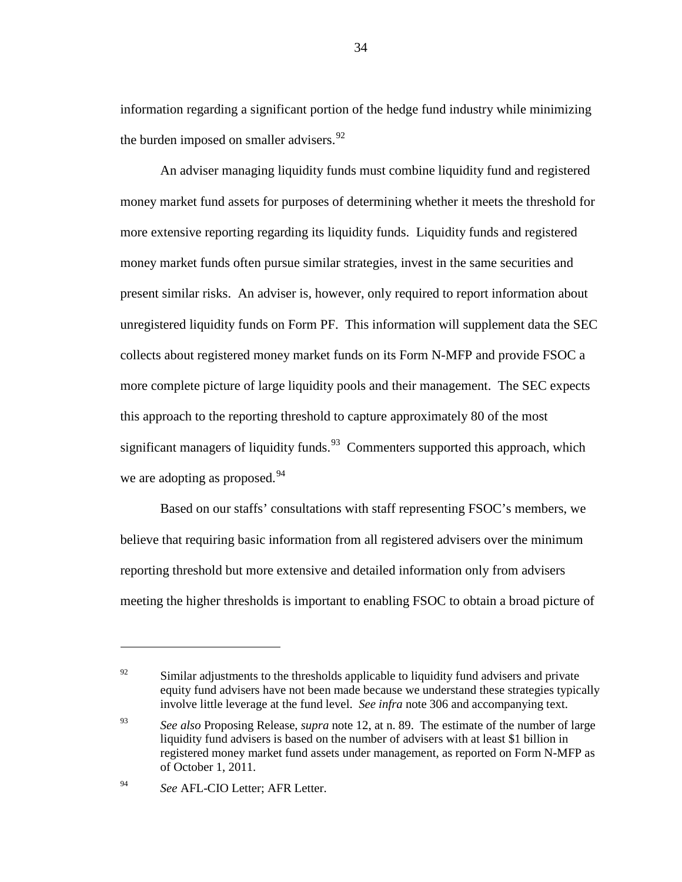<span id="page-33-0"></span>information regarding a significant portion of the hedge fund industry while minimizing the burden imposed on smaller advisers.  $92$ 

An adviser managing liquidity funds must combine liquidity fund and registered money market fund assets for purposes of determining whether it meets the threshold for more extensive reporting regarding its liquidity funds. Liquidity funds and registered money market funds often pursue similar strategies, invest in the same securities and present similar risks. An adviser is, however, only required to report information about unregistered liquidity funds on Form PF. This information will supplement data the SEC collects about registered money market funds on its Form N-MFP and provide FSOC a more complete picture of large liquidity pools and their management. The SEC expects this approach to the reporting threshold to capture approximately 80 of the most significant managers of liquidity funds.<sup>93</sup> Commenters supported this approach, which we are adopting as proposed.<sup>[94](#page-33-3)</sup>

Based on our staffs' consultations with staff representing FSOC's members, we believe that requiring basic information from all registered advisers over the minimum reporting threshold but more extensive and detailed information only from advisers meeting the higher thresholds is important to enabling FSOC to obtain a broad picture of

<span id="page-33-1"></span> $\frac{92}{92}$  Similar adjustments to the thresholds applicable to liquidity fund advisers and private equity fund advisers have not been made because we understand these strategies typically involve little leverage at the fund level. *See infra* note [306](#page-99-0) and accompanying text.

<span id="page-33-2"></span><sup>93</sup> *See also* Proposing Release, *supra* not[e 12,](#page-5-4) at n. 89. The estimate of the number of large liquidity fund advisers is based on the number of advisers with at least \$1 billion in registered money market fund assets under management, as reported on Form N-MFP as of October 1, 2011.

<span id="page-33-3"></span><sup>94</sup> *See* AFL-CIO Letter; AFR Letter.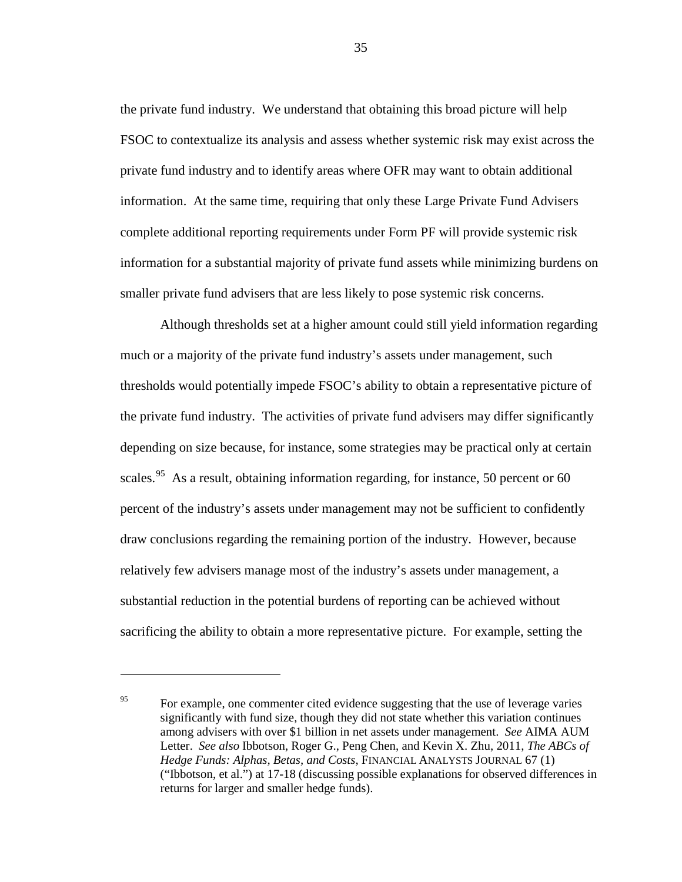the private fund industry. We understand that obtaining this broad picture will help FSOC to contextualize its analysis and assess whether systemic risk may exist across the private fund industry and to identify areas where OFR may want to obtain additional information. At the same time, requiring that only these Large Private Fund Advisers complete additional reporting requirements under Form PF will provide systemic risk information for a substantial majority of private fund assets while minimizing burdens on smaller private fund advisers that are less likely to pose systemic risk concerns.

Although thresholds set at a higher amount could still yield information regarding much or a majority of the private fund industry's assets under management, such thresholds would potentially impede FSOC's ability to obtain a representative picture of the private fund industry. The activities of private fund advisers may differ significantly depending on size because, for instance, some strategies may be practical only at certain scales.<sup>[95](#page-34-0)</sup> As a result, obtaining information regarding, for instance, 50 percent or 60 percent of the industry's assets under management may not be sufficient to confidently draw conclusions regarding the remaining portion of the industry. However, because relatively few advisers manage most of the industry's assets under management, a substantial reduction in the potential burdens of reporting can be achieved without sacrificing the ability to obtain a more representative picture. For example, setting the

 $\overline{a}$ 

35

<span id="page-34-0"></span><sup>&</sup>lt;sup>95</sup> For example, one commenter cited evidence suggesting that the use of leverage varies significantly with fund size, though they did not state whether this variation continues among advisers with over \$1 billion in net assets under management. *See* AIMA AUM Letter. *See also* Ibbotson, Roger G., Peng Chen, and Kevin X. Zhu, 2011, *The ABCs of Hedge Funds: Alphas, Betas, and Costs*, FINANCIAL ANALYSTS JOURNAL 67 (1) ("Ibbotson, et al.") at 17-18 (discussing possible explanations for observed differences in returns for larger and smaller hedge funds).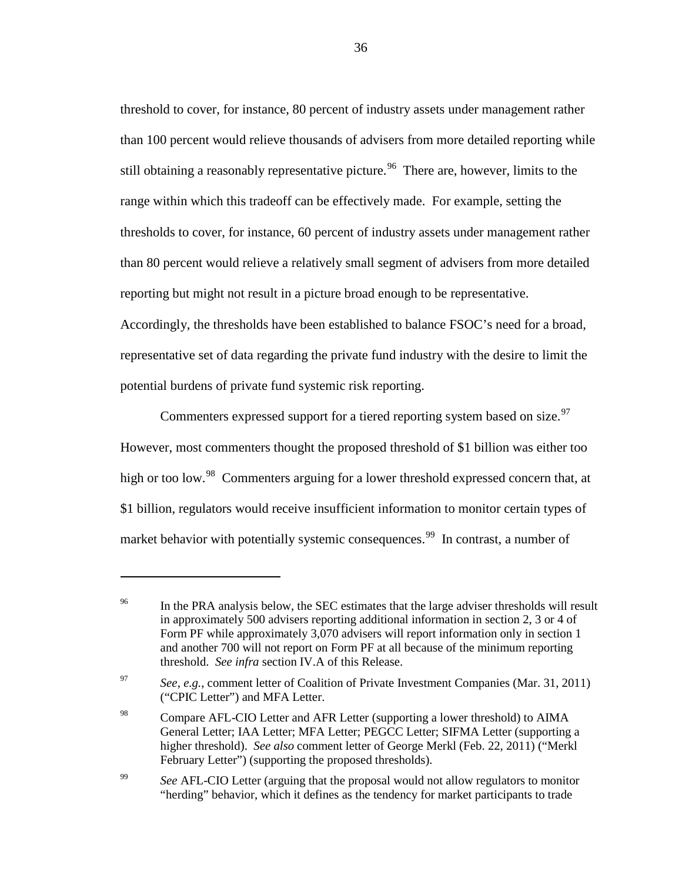threshold to cover, for instance, 80 percent of industry assets under management rather than 100 percent would relieve thousands of advisers from more detailed reporting while still obtaining a reasonably representative picture.<sup>[96](#page-35-0)</sup> There are, however, limits to the range within which this tradeoff can be effectively made. For example, setting the thresholds to cover, for instance, 60 percent of industry assets under management rather than 80 percent would relieve a relatively small segment of advisers from more detailed reporting but might not result in a picture broad enough to be representative.

Accordingly, the thresholds have been established to balance FSOC's need for a broad, representative set of data regarding the private fund industry with the desire to limit the potential burdens of private fund systemic risk reporting.

Commenters expressed support for a tiered reporting system based on size.<sup>[97](#page-35-1)</sup> However, most commenters thought the proposed threshold of \$1 billion was either too high or too low.<sup>[98](#page-35-2)</sup> Commenters arguing for a lower threshold expressed concern that, at \$1 billion, regulators would receive insufficient information to monitor certain types of market behavior with potentially systemic consequences.<sup>[99](#page-35-3)</sup> In contrast, a number of

<span id="page-35-0"></span><sup>&</sup>lt;sup>96</sup> In the PRA analysis below, the SEC estimates that the large adviser thresholds will result in approximately 500 advisers reporting additional information in section 2, 3 or 4 of Form PF while approximately 3,070 advisers will report information only in section 1 and another 700 will not report on Form PF at all because of the minimum reporting threshold. *See infra* section IV.A of this Release.

<span id="page-35-1"></span><sup>97</sup> *See*, *e.g.*, comment letter of Coalition of Private Investment Companies (Mar. 31, 2011) ("CPIC Letter") and MFA Letter.

<span id="page-35-2"></span><sup>&</sup>lt;sup>98</sup> Compare AFL-CIO Letter and AFR Letter (supporting a lower threshold) to AIMA General Letter; IAA Letter; MFA Letter; PEGCC Letter; SIFMA Letter (supporting a higher threshold). *See also* comment letter of George Merkl (Feb. 22, 2011) ("Merkl February Letter") (supporting the proposed thresholds).

<span id="page-35-3"></span><sup>&</sup>lt;sup>99</sup> *See* AFL-CIO Letter (arguing that the proposal would not allow regulators to monitor "herding" behavior, which it defines as the tendency for market participants to trade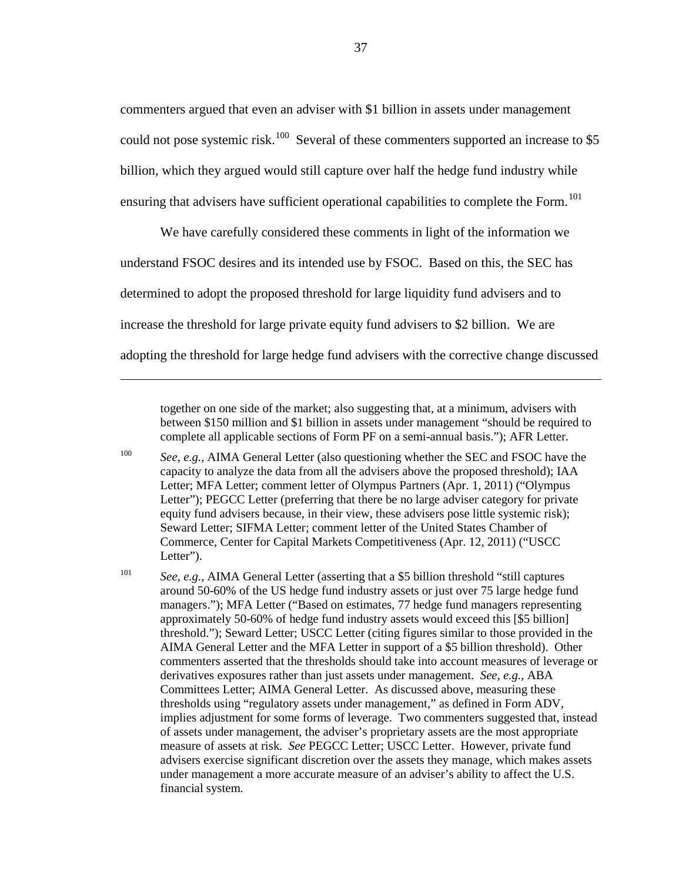commenters argued that even an adviser with \$1 billion in assets under management could not pose systemic risk.<sup>100</sup> Several of these commenters supported an increase to \$5 billion, which they argued would still capture over half the hedge fund industry while ensuring that advisers have sufficient operational capabilities to complete the Form.<sup>[101](#page-36-1)</sup>

We have carefully considered these comments in light of the information we understand FSOC desires and its intended use by FSOC. Based on this, the SEC has determined to adopt the proposed threshold for large liquidity fund advisers and to increase the threshold for large private equity fund advisers to \$2 billion. We are adopting the threshold for large hedge fund advisers with the corrective change discussed

 $\overline{a}$ 

together on one side of the market; also suggesting that, at a minimum, advisers with between \$150 million and \$1 billion in assets under management "should be required to complete all applicable sections of Form PF on a semi-annual basis."); AFR Letter.

<span id="page-36-0"></span><sup>100</sup> *See*, *e.g.*, AIMA General Letter (also questioning whether the SEC and FSOC have the capacity to analyze the data from all the advisers above the proposed threshold); IAA Letter; MFA Letter; comment letter of Olympus Partners (Apr. 1, 2011) ("Olympus Letter"); PEGCC Letter (preferring that there be no large adviser category for private equity fund advisers because, in their view, these advisers pose little systemic risk); Seward Letter; SIFMA Letter; comment letter of the United States Chamber of Commerce, Center for Capital Markets Competitiveness (Apr. 12, 2011) ("USCC Letter").

<span id="page-36-1"></span><sup>101</sup> *See*, *e.g.*, AIMA General Letter (asserting that a \$5 billion threshold "still captures around 50-60% of the US hedge fund industry assets or just over 75 large hedge fund managers."); MFA Letter ("Based on estimates, 77 hedge fund managers representing approximately 50-60% of hedge fund industry assets would exceed this [\$5 billion] threshold."); Seward Letter; USCC Letter (citing figures similar to those provided in the AIMA General Letter and the MFA Letter in support of a \$5 billion threshold). Other commenters asserted that the thresholds should take into account measures of leverage or derivatives exposures rather than just assets under management. *See*, *e.g.*, ABA Committees Letter; AIMA General Letter. As discussed above, measuring these thresholds using "regulatory assets under management," as defined in Form ADV, implies adjustment for some forms of leverage. Two commenters suggested that, instead of assets under management, the adviser's proprietary assets are the most appropriate measure of assets at risk. *See* PEGCC Letter; USCC Letter. However, private fund advisers exercise significant discretion over the assets they manage, which makes assets under management a more accurate measure of an adviser's ability to affect the U.S. financial system.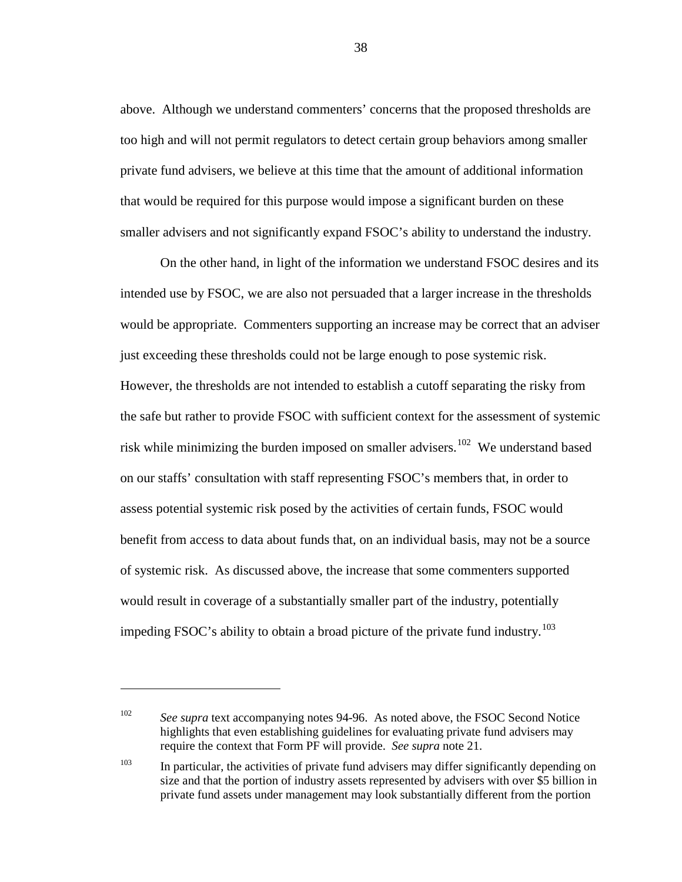above. Although we understand commenters' concerns that the proposed thresholds are too high and will not permit regulators to detect certain group behaviors among smaller private fund advisers, we believe at this time that the amount of additional information that would be required for this purpose would impose a significant burden on these smaller advisers and not significantly expand FSOC's ability to understand the industry.

On the other hand, in light of the information we understand FSOC desires and its intended use by FSOC, we are also not persuaded that a larger increase in the thresholds would be appropriate. Commenters supporting an increase may be correct that an adviser just exceeding these thresholds could not be large enough to pose systemic risk. However, the thresholds are not intended to establish a cutoff separating the risky from the safe but rather to provide FSOC with sufficient context for the assessment of systemic risk while minimizing the burden imposed on smaller advisers.<sup>[102](#page-37-0)</sup> We understand based on our staffs' consultation with staff representing FSOC's members that, in order to assess potential systemic risk posed by the activities of certain funds, FSOC would benefit from access to data about funds that, on an individual basis, may not be a source of systemic risk. As discussed above, the increase that some commenters supported would result in coverage of a substantially smaller part of the industry, potentially impeding FSOC's ability to obtain a broad picture of the private fund industry.<sup>[103](#page-37-1)</sup>

 $\overline{a}$ 

<span id="page-37-0"></span><sup>&</sup>lt;sup>102</sup> *See supra* text accompanying notes [94](#page-33-0)[-96.](#page-35-0) As noted above, the FSOC Second Notice highlights that even establishing guidelines for evaluating private fund advisers may require the context that Form PF will provide. *See supra* note [21.](#page-8-0)

<span id="page-37-1"></span> $103$  In particular, the activities of private fund advisers may differ significantly depending on size and that the portion of industry assets represented by advisers with over \$5 billion in private fund assets under management may look substantially different from the portion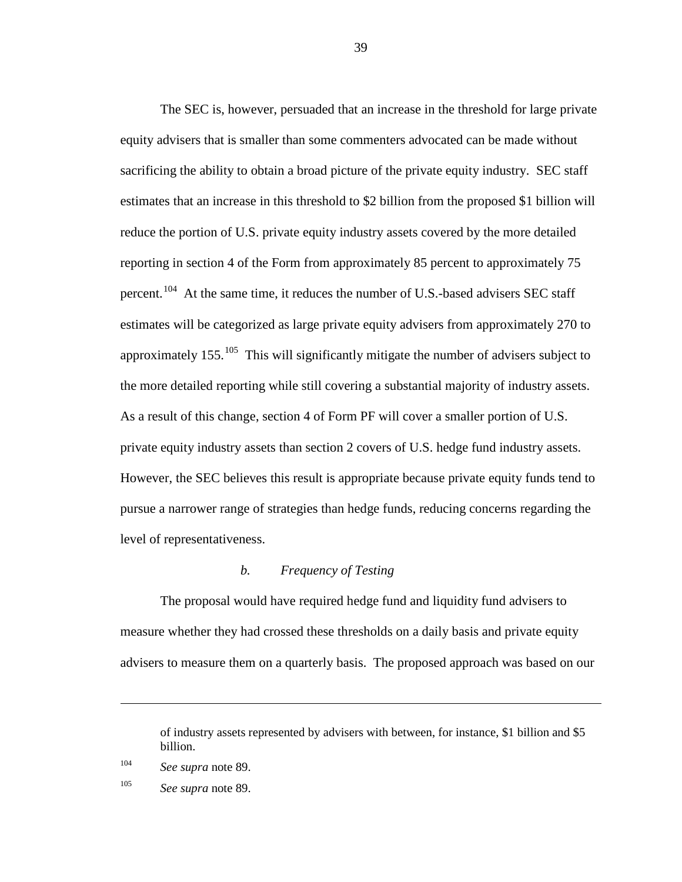The SEC is, however, persuaded that an increase in the threshold for large private equity advisers that is smaller than some commenters advocated can be made without sacrificing the ability to obtain a broad picture of the private equity industry. SEC staff estimates that an increase in this threshold to \$2 billion from the proposed \$1 billion will reduce the portion of U.S. private equity industry assets covered by the more detailed reporting in section 4 of the Form from approximately 85 percent to approximately 75 percent.<sup>[104](#page-38-0)</sup> At the same time, it reduces the number of U.S.-based advisers SEC staff estimates will be categorized as large private equity advisers from approximately 270 to approximately  $155$ .  $^{105}$  $^{105}$  $^{105}$  This will significantly mitigate the number of advisers subject to the more detailed reporting while still covering a substantial majority of industry assets. As a result of this change, section 4 of Form PF will cover a smaller portion of U.S. private equity industry assets than section 2 covers of U.S. hedge fund industry assets. However, the SEC believes this result is appropriate because private equity funds tend to pursue a narrower range of strategies than hedge funds, reducing concerns regarding the level of representativeness.

### *b. Frequency of Testing*

The proposal would have required hedge fund and liquidity fund advisers to measure whether they had crossed these thresholds on a daily basis and private equity advisers to measure them on a quarterly basis. The proposed approach was based on our

of industry assets represented by advisers with between, for instance, \$1 billion and \$5 billion.

<span id="page-38-0"></span><sup>104</sup> *See supra* note [89.](#page-31-0)

<span id="page-38-1"></span><sup>105</sup> *See supra* note [89.](#page-31-0)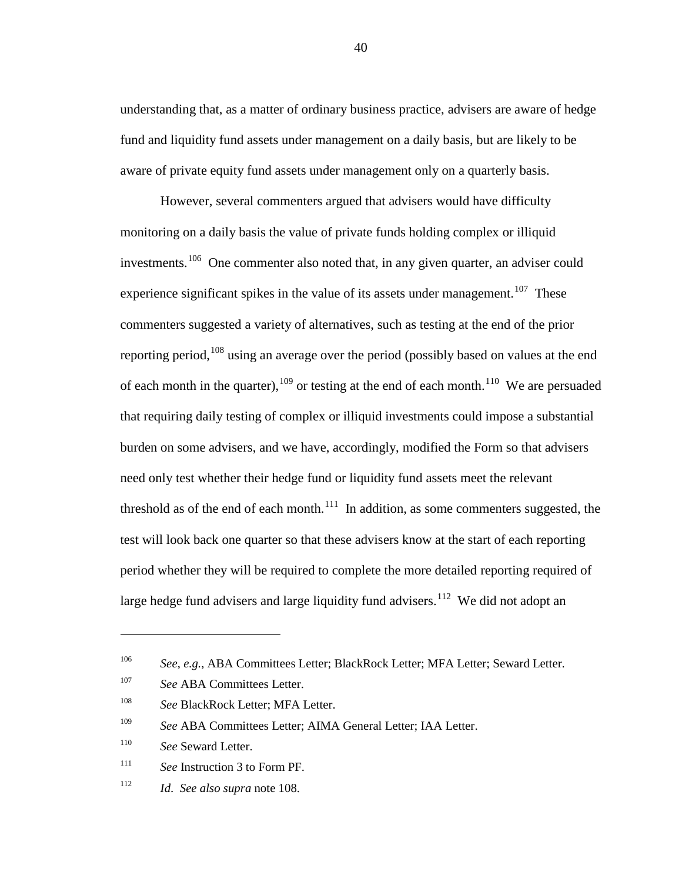understanding that, as a matter of ordinary business practice, advisers are aware of hedge fund and liquidity fund assets under management on a daily basis, but are likely to be aware of private equity fund assets under management only on a quarterly basis.

<span id="page-39-0"></span>However, several commenters argued that advisers would have difficulty monitoring on a daily basis the value of private funds holding complex or illiquid investments.<sup>[106](#page-39-1)</sup> One commenter also noted that, in any given quarter, an adviser could experience significant spikes in the value of its assets under management.<sup>[107](#page-39-2)</sup> These commenters suggested a variety of alternatives, such as testing at the end of the prior reporting period,<sup>[108](#page-39-3)</sup> using an average over the period (possibly based on values at the end of each month in the quarter),  $109$  or testing at the end of each month.<sup>[110](#page-39-5)</sup> We are persuaded that requiring daily testing of complex or illiquid investments could impose a substantial burden on some advisers, and we have, accordingly, modified the Form so that advisers need only test whether their hedge fund or liquidity fund assets meet the relevant threshold as of the end of each month.<sup>[111](#page-39-6)</sup> In addition, as some commenters suggested, the test will look back one quarter so that these advisers know at the start of each reporting period whether they will be required to complete the more detailed reporting required of large hedge fund advisers and large liquidity fund advisers.<sup>[112](#page-39-7)</sup> We did not adopt an

 $\overline{a}$ 

<span id="page-39-1"></span><sup>106</sup> *See*, *e.g.*, ABA Committees Letter; BlackRock Letter; MFA Letter; Seward Letter.

<span id="page-39-2"></span><sup>&</sup>lt;sup>107</sup> See ABA Committees Letter.

<span id="page-39-3"></span><sup>&</sup>lt;sup>108</sup> *See* BlackRock Letter; MFA Letter.

<span id="page-39-4"></span><sup>109</sup> *See* ABA Committees Letter; AIMA General Letter; IAA Letter.

<span id="page-39-5"></span><sup>110</sup> *See* Seward Letter.

<span id="page-39-6"></span><sup>111</sup> *See* Instruction 3 to Form PF.

<span id="page-39-7"></span><sup>112</sup> *Id*. *See also supra* note [108.](#page-39-0)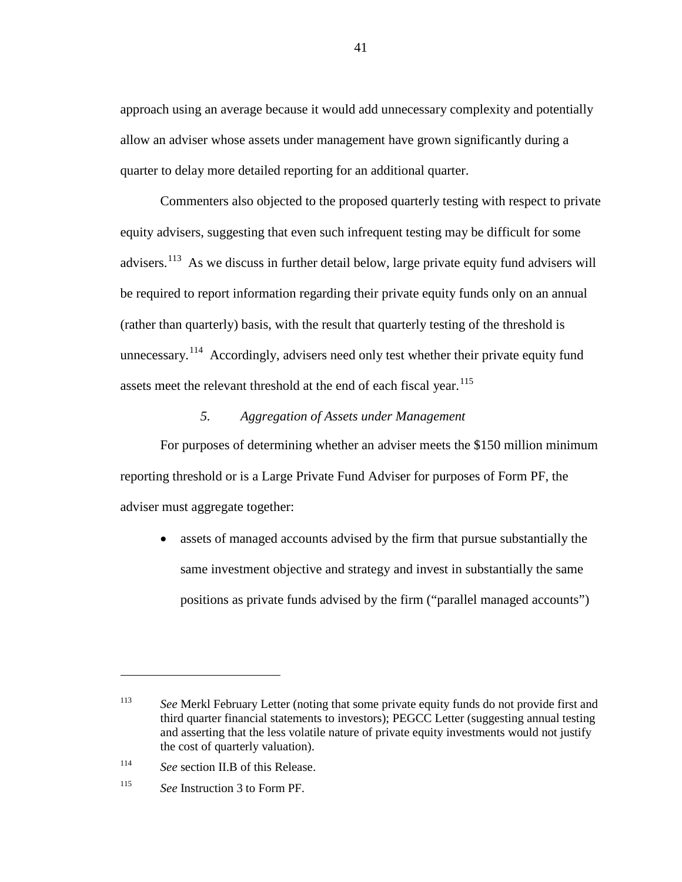approach using an average because it would add unnecessary complexity and potentially allow an adviser whose assets under management have grown significantly during a quarter to delay more detailed reporting for an additional quarter.

Commenters also objected to the proposed quarterly testing with respect to private equity advisers, suggesting that even such infrequent testing may be difficult for some advisers.<sup>[113](#page-40-0)</sup> As we discuss in further detail below, large private equity fund advisers will be required to report information regarding their private equity funds only on an annual (rather than quarterly) basis, with the result that quarterly testing of the threshold is unnecessary.<sup>[114](#page-40-1)</sup> Accordingly, advisers need only test whether their private equity fund assets meet the relevant threshold at the end of each fiscal year.<sup>[115](#page-40-2)</sup>

# *5. Aggregation of Assets under Management*

For purposes of determining whether an adviser meets the \$150 million minimum reporting threshold or is a Large Private Fund Adviser for purposes of Form PF, the adviser must aggregate together:

assets of managed accounts advised by the firm that pursue substantially the same investment objective and strategy and invest in substantially the same positions as private funds advised by the firm ("parallel managed accounts")

<span id="page-40-0"></span><sup>113</sup> *See* Merkl February Letter (noting that some private equity funds do not provide first and third quarter financial statements to investors); PEGCC Letter (suggesting annual testing and asserting that the less volatile nature of private equity investments would not justify the cost of quarterly valuation).

<span id="page-40-1"></span><sup>114</sup> *See* section II.B of this Release.

<span id="page-40-2"></span><sup>115</sup> *See* Instruction 3 to Form PF.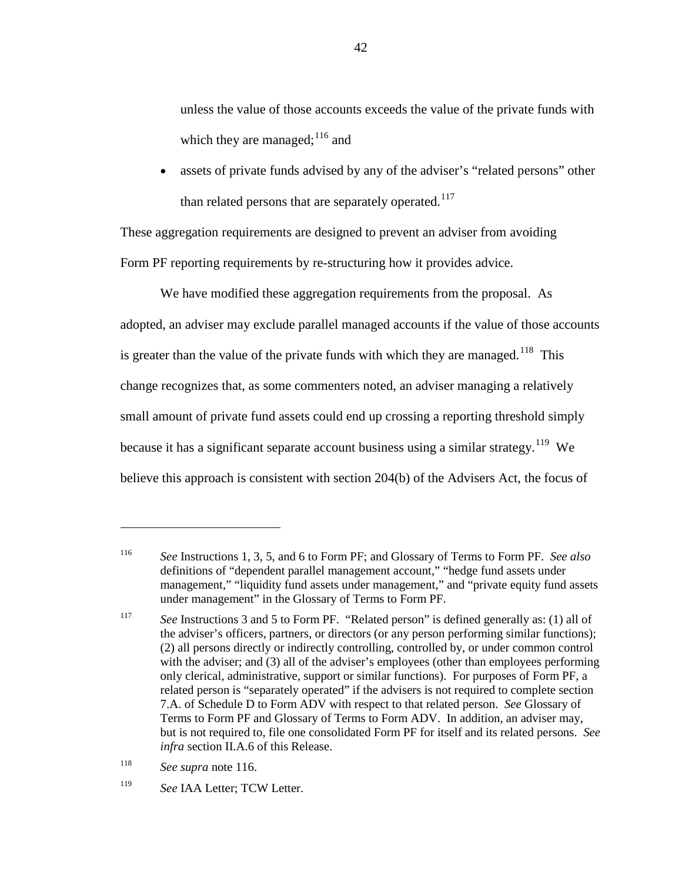<span id="page-41-5"></span><span id="page-41-0"></span>unless the value of those accounts exceeds the value of the private funds with which they are managed; <sup>[116](#page-41-1)</sup> and

assets of private funds advised by any of the adviser's "related persons" other than related persons that are separately operated.<sup>[117](#page-41-2)</sup>

These aggregation requirements are designed to prevent an adviser from avoiding Form PF reporting requirements by re-structuring how it provides advice.

We have modified these aggregation requirements from the proposal. As adopted, an adviser may exclude parallel managed accounts if the value of those accounts is greater than the value of the private funds with which they are managed.<sup>[118](#page-41-3)</sup> This change recognizes that, as some commenters noted, an adviser managing a relatively small amount of private fund assets could end up crossing a reporting threshold simply because it has a significant separate account business using a similar strategy.<sup>[119](#page-41-4)</sup> We believe this approach is consistent with section 204(b) of the Advisers Act, the focus of

<span id="page-41-3"></span><sup>118</sup> *See supra* note [116.](#page-41-0)

<span id="page-41-1"></span><sup>116</sup> *See* Instructions 1, 3, 5, and 6 to Form PF; and Glossary of Terms to Form PF. *See also*  definitions of "dependent parallel management account," "hedge fund assets under management," "liquidity fund assets under management," and "private equity fund assets under management" in the Glossary of Terms to Form PF.

<span id="page-41-2"></span><sup>117</sup> *See* Instructions 3 and 5 to Form PF. "Related person" is defined generally as: (1) all of the adviser's officers, partners, or directors (or any person performing similar functions); (2) all persons directly or indirectly controlling, controlled by, or under common control with the adviser; and (3) all of the adviser's employees (other than employees performing only clerical, administrative, support or similar functions). For purposes of Form PF, a related person is "separately operated" if the advisers is not required to complete section 7.A. of Schedule D to Form ADV with respect to that related person. *See* Glossary of Terms to Form PF and Glossary of Terms to Form ADV. In addition, an adviser may, but is not required to, file one consolidated Form PF for itself and its related persons. *See infra* section II.A.6 of this Release.

<span id="page-41-4"></span><sup>119</sup> *See* IAA Letter; TCW Letter.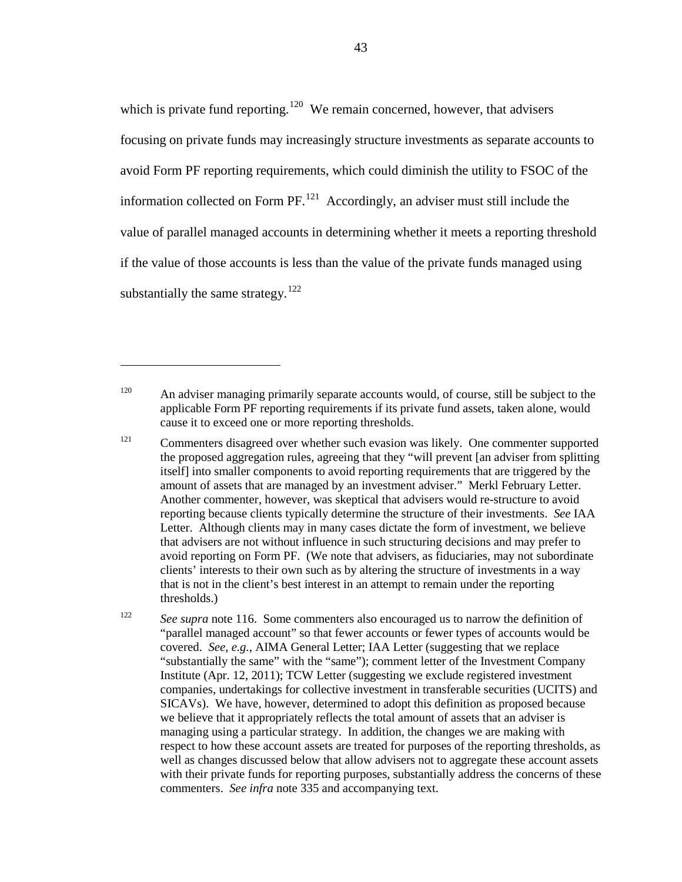which is private fund reporting.<sup>[120](#page-42-0)</sup> We remain concerned, however, that advisers focusing on private funds may increasingly structure investments as separate accounts to avoid Form PF reporting requirements, which could diminish the utility to FSOC of the information collected on Form  $PF$ .<sup>[121](#page-42-1)</sup> Accordingly, an adviser must still include the value of parallel managed accounts in determining whether it meets a reporting threshold if the value of those accounts is less than the value of the private funds managed using substantially the same strategy.<sup>[122](#page-42-2)</sup>

<span id="page-42-0"></span> $120$  An adviser managing primarily separate accounts would, of course, still be subject to the applicable Form PF reporting requirements if its private fund assets, taken alone, would cause it to exceed one or more reporting thresholds.

 $\overline{a}$ 

<span id="page-42-1"></span><sup>121</sup> Commenters disagreed over whether such evasion was likely. One commenter supported the proposed aggregation rules, agreeing that they "will prevent [an adviser from splitting itself] into smaller components to avoid reporting requirements that are triggered by the amount of assets that are managed by an investment adviser." Merkl February Letter. Another commenter, however, was skeptical that advisers would re-structure to avoid reporting because clients typically determine the structure of their investments. *See* IAA Letter. Although clients may in many cases dictate the form of investment, we believe that advisers are not without influence in such structuring decisions and may prefer to avoid reporting on Form PF. (We note that advisers, as fiduciaries, may not subordinate clients' interests to their own such as by altering the structure of investments in a way that is not in the client's best interest in an attempt to remain under the reporting thresholds.)

<span id="page-42-2"></span><sup>122</sup> *See supra* note [116.](#page-41-0) Some commenters also encouraged us to narrow the definition of "parallel managed account" so that fewer accounts or fewer types of accounts would be covered. *See*, *e.g.*, AIMA General Letter; IAA Letter (suggesting that we replace "substantially the same" with the "same"); comment letter of the Investment Company Institute (Apr. 12, 2011); TCW Letter (suggesting we exclude registered investment companies, undertakings for collective investment in transferable securities (UCITS) and SICAVs). We have, however, determined to adopt this definition as proposed because we believe that it appropriately reflects the total amount of assets that an adviser is managing using a particular strategy. In addition, the changes we are making with respect to how these account assets are treated for purposes of the reporting thresholds, as well as changes discussed below that allow advisers not to aggregate these account assets with their private funds for reporting purposes, substantially address the concerns of these commenters. *See infra* note [335](#page-110-0) and accompanying text.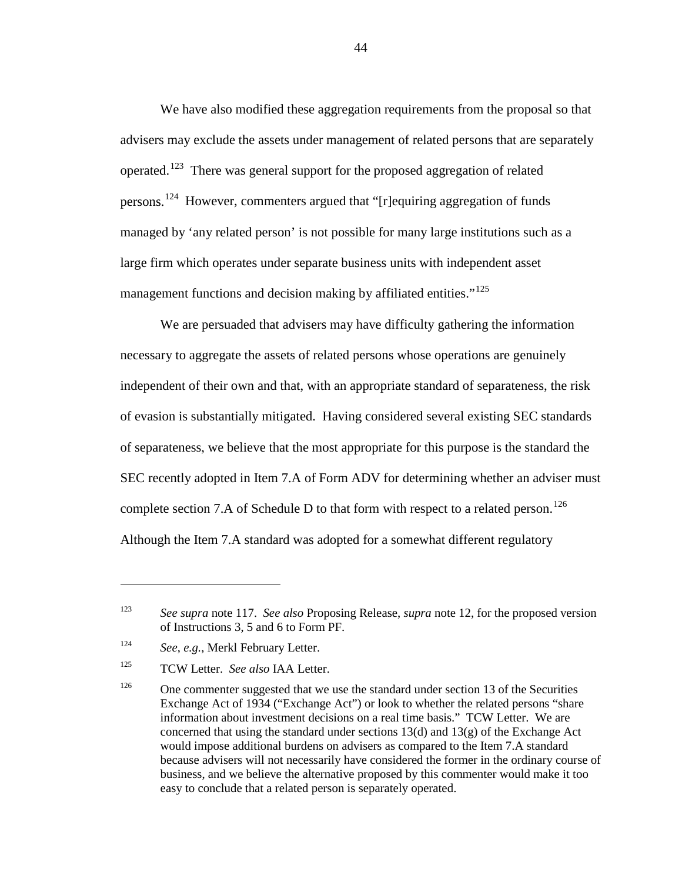We have also modified these aggregation requirements from the proposal so that advisers may exclude the assets under management of related persons that are separately operated.[123](#page-43-0) There was general support for the proposed aggregation of related persons.<sup>[124](#page-43-1)</sup> However, commenters argued that "[r]equiring aggregation of funds managed by 'any related person' is not possible for many large institutions such as a large firm which operates under separate business units with independent asset management functions and decision making by affiliated entities."<sup>[125](#page-43-2)</sup>

We are persuaded that advisers may have difficulty gathering the information necessary to aggregate the assets of related persons whose operations are genuinely independent of their own and that, with an appropriate standard of separateness, the risk of evasion is substantially mitigated. Having considered several existing SEC standards of separateness, we believe that the most appropriate for this purpose is the standard the SEC recently adopted in Item 7.A of Form ADV for determining whether an adviser must complete section 7.A of Schedule D to that form with respect to a related person.<sup>[126](#page-43-3)</sup> Although the Item 7.A standard was adopted for a somewhat different regulatory

<span id="page-43-0"></span><sup>123</sup> *See supra* note [117.](#page-41-5) *See also* Proposing Release, *supra* note [12,](#page-5-0) for the proposed version of Instructions 3, 5 and 6 to Form PF.

<span id="page-43-1"></span><sup>124</sup> *See*, *e.g.*, Merkl February Letter.

<span id="page-43-2"></span><sup>125</sup> TCW Letter. *See also* IAA Letter.

<span id="page-43-3"></span> $126$  One commenter suggested that we use the standard under section 13 of the Securities Exchange Act of 1934 ("Exchange Act") or look to whether the related persons "share information about investment decisions on a real time basis." TCW Letter. We are concerned that using the standard under sections  $13(d)$  and  $13(g)$  of the Exchange Act would impose additional burdens on advisers as compared to the Item 7.A standard because advisers will not necessarily have considered the former in the ordinary course of business, and we believe the alternative proposed by this commenter would make it too easy to conclude that a related person is separately operated.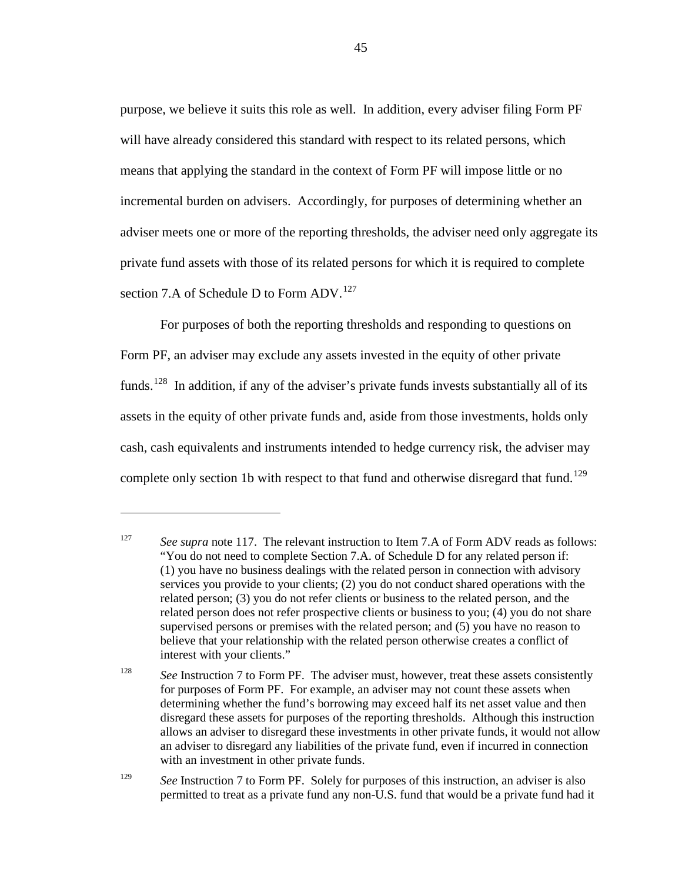purpose, we believe it suits this role as well. In addition, every adviser filing Form PF will have already considered this standard with respect to its related persons, which means that applying the standard in the context of Form PF will impose little or no incremental burden on advisers. Accordingly, for purposes of determining whether an adviser meets one or more of the reporting thresholds, the adviser need only aggregate its private fund assets with those of its related persons for which it is required to complete section 7.A of Schedule D to Form ADV.<sup>[127](#page-44-0)</sup>

<span id="page-44-3"></span>For purposes of both the reporting thresholds and responding to questions on Form PF, an adviser may exclude any assets invested in the equity of other private funds.<sup>[128](#page-44-1)</sup> In addition, if any of the adviser's private funds invests substantially all of its assets in the equity of other private funds and, aside from those investments, holds only cash, cash equivalents and instruments intended to hedge currency risk, the adviser may complete only section 1b with respect to that fund and otherwise disregard that fund.<sup>[129](#page-44-2)</sup>

<span id="page-44-0"></span><sup>&</sup>lt;sup>127</sup> *See supra* note [117.](#page-41-5) The relevant instruction to Item 7.A of Form ADV reads as follows: "You do not need to complete Section 7.A. of Schedule D for any related person if: (1) you have no business dealings with the related person in connection with advisory services you provide to your clients; (2) you do not conduct shared operations with the related person; (3) you do not refer clients or business to the related person, and the related person does not refer prospective clients or business to you; (4) you do not share supervised persons or premises with the related person; and (5) you have no reason to believe that your relationship with the related person otherwise creates a conflict of interest with your clients."

<span id="page-44-1"></span><sup>&</sup>lt;sup>128</sup> *See Instruction 7 to Form PF. The adviser must, however, treat these assets consistently* for purposes of Form PF. For example, an adviser may not count these assets when determining whether the fund's borrowing may exceed half its net asset value and then disregard these assets for purposes of the reporting thresholds. Although this instruction allows an adviser to disregard these investments in other private funds, it would not allow an adviser to disregard any liabilities of the private fund, even if incurred in connection with an investment in other private funds.

<span id="page-44-2"></span><sup>&</sup>lt;sup>129</sup> *See Instruction 7 to Form PF. Solely for purposes of this instruction, an adviser is also* permitted to treat as a private fund any non-U.S. fund that would be a private fund had it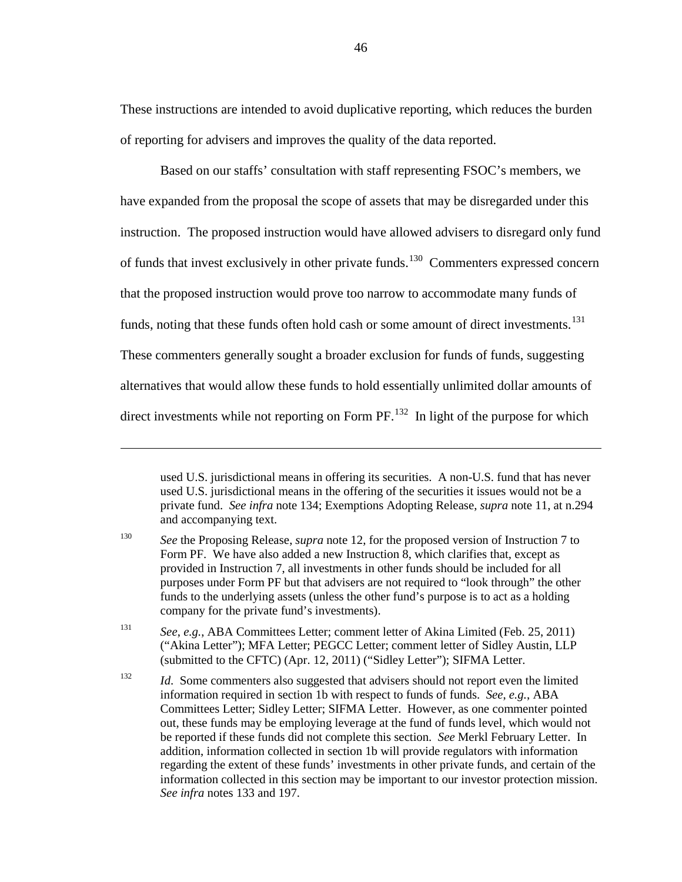These instructions are intended to avoid duplicative reporting, which reduces the burden of reporting for advisers and improves the quality of the data reported.

Based on our staffs' consultation with staff representing FSOC's members, we have expanded from the proposal the scope of assets that may be disregarded under this instruction. The proposed instruction would have allowed advisers to disregard only fund of funds that invest exclusively in other private funds.<sup>130</sup> Commenters expressed concern that the proposed instruction would prove too narrow to accommodate many funds of funds, noting that these funds often hold cash or some amount of direct investments.<sup>131</sup> These commenters generally sought a broader exclusion for funds of funds, suggesting alternatives that would allow these funds to hold essentially unlimited dollar amounts of direct investments while not reporting on Form  $PF$ .<sup>[132](#page-45-2)</sup> In light of the purpose for which

 $\overline{a}$ 

<span id="page-45-1"></span><sup>131</sup> *See*, *e.g.*, ABA Committees Letter; comment letter of Akina Limited (Feb. 25, 2011) ("Akina Letter"); MFA Letter; PEGCC Letter; comment letter of Sidley Austin, LLP (submitted to the CFTC) (Apr. 12, 2011) ("Sidley Letter"); SIFMA Letter.

<span id="page-45-3"></span>used U.S. jurisdictional means in offering its securities. A non-U.S. fund that has never used U.S. jurisdictional means in the offering of the securities it issues would not be a private fund. *See infra* note [134;](#page-46-0) Exemptions Adopting Release, *supra* note [11,](#page-5-1) at n.294 and accompanying text.

<span id="page-45-0"></span><sup>&</sup>lt;sup>130</sup> *See* the Proposing Release, *supra* note [12,](#page-5-0) for the proposed version of Instruction 7 to Form PF. We have also added a new Instruction 8, which clarifies that, except as provided in Instruction 7, all investments in other funds should be included for all purposes under Form PF but that advisers are not required to "look through" the other funds to the underlying assets (unless the other fund's purpose is to act as a holding company for the private fund's investments).

<span id="page-45-2"></span><sup>&</sup>lt;sup>132</sup> *Id.* Some commenters also suggested that advisers should not report even the limited information required in section 1b with respect to funds of funds. *See*, *e.g.*, ABA Committees Letter; Sidley Letter; SIFMA Letter. However, as one commenter pointed out, these funds may be employing leverage at the fund of funds level, which would not be reported if these funds did not complete this section. *See* Merkl February Letter. In addition, information collected in section 1b will provide regulators with information regarding the extent of these funds' investments in other private funds, and certain of the information collected in this section may be important to our investor protection mission. *See infra* notes [133](#page-46-1) and [197.](#page-65-0)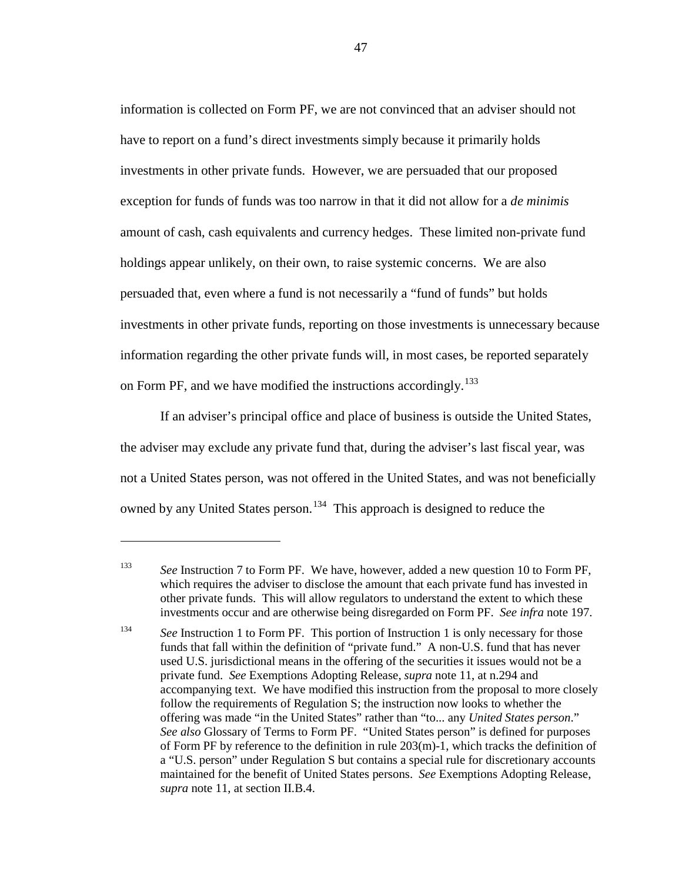information is collected on Form PF, we are not convinced that an adviser should not have to report on a fund's direct investments simply because it primarily holds investments in other private funds. However, we are persuaded that our proposed exception for funds of funds was too narrow in that it did not allow for a *de minimis* amount of cash, cash equivalents and currency hedges. These limited non-private fund holdings appear unlikely, on their own, to raise systemic concerns. We are also persuaded that, even where a fund is not necessarily a "fund of funds" but holds investments in other private funds, reporting on those investments is unnecessary because information regarding the other private funds will, in most cases, be reported separately on Form PF, and we have modified the instructions accordingly.<sup>[133](#page-46-2)</sup>

<span id="page-46-1"></span>If an adviser's principal office and place of business is outside the United States, the adviser may exclude any private fund that, during the adviser's last fiscal year, was not a United States person, was not offered in the United States, and was not beneficially owned by any United States person.<sup>[134](#page-46-3)</sup> This approach is designed to reduce the

<span id="page-46-2"></span><span id="page-46-0"></span><sup>133</sup> *See* Instruction 7 to Form PF. We have, however, added a new question 10 to Form PF, which requires the adviser to disclose the amount that each private fund has invested in other private funds. This will allow regulators to understand the extent to which these investments occur and are otherwise being disregarded on Form PF. *See infra* note [197.](#page-65-0)

<span id="page-46-3"></span><sup>&</sup>lt;sup>134</sup> See Instruction 1 to Form PF. This portion of Instruction 1 is only necessary for those funds that fall within the definition of "private fund." A non-U.S. fund that has never used U.S. jurisdictional means in the offering of the securities it issues would not be a private fund. *See* Exemptions Adopting Release, *supra* note [11,](#page-5-1) at n.294 and accompanying text. We have modified this instruction from the proposal to more closely follow the requirements of Regulation S; the instruction now looks to whether the offering was made "in the United States" rather than "to... any *United States person*." *See also* Glossary of Terms to Form PF. "United States person" is defined for purposes of Form PF by reference to the definition in rule  $203(m)-1$ , which tracks the definition of a "U.S. person" under Regulation S but contains a special rule for discretionary accounts maintained for the benefit of United States persons. *See* Exemptions Adopting Release, *supra* note [11,](#page-5-1) at section II.B.4.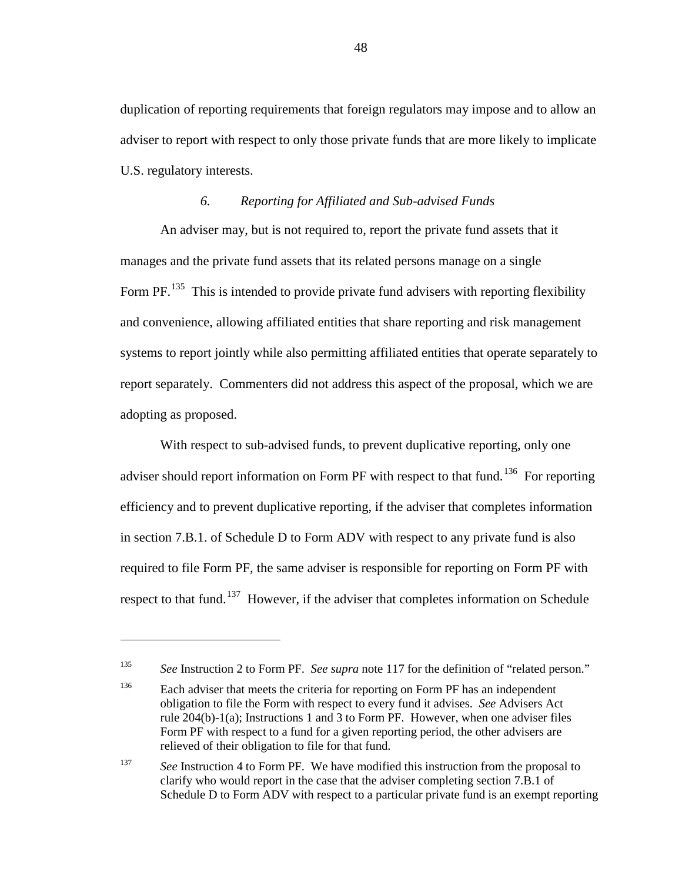duplication of reporting requirements that foreign regulators may impose and to allow an adviser to report with respect to only those private funds that are more likely to implicate U.S. regulatory interests.

### *6. Reporting for Affiliated and Sub-advised Funds*

An adviser may, but is not required to, report the private fund assets that it manages and the private fund assets that its related persons manage on a single Form PF.<sup>[135](#page-47-0)</sup> This is intended to provide private fund advisers with reporting flexibility and convenience, allowing affiliated entities that share reporting and risk management systems to report jointly while also permitting affiliated entities that operate separately to report separately. Commenters did not address this aspect of the proposal, which we are adopting as proposed.

With respect to sub-advised funds, to prevent duplicative reporting, only one adviser should report information on Form PF with respect to that fund.<sup>136</sup> For reporting efficiency and to prevent duplicative reporting, if the adviser that completes information in section 7.B.1. of Schedule D to Form ADV with respect to any private fund is also required to file Form PF, the same adviser is responsible for reporting on Form PF with respect to that fund.<sup>[137](#page-47-2)</sup> However, if the adviser that completes information on Schedule

<span id="page-47-0"></span><sup>135</sup> *See* Instruction 2 to Form PF. *See supra* note [117](#page-41-5) for the definition of "related person."

<span id="page-47-1"></span><sup>&</sup>lt;sup>136</sup> Each adviser that meets the criteria for reporting on Form PF has an independent obligation to file the Form with respect to every fund it advises. *See* Advisers Act rule 204(b)-1(a); Instructions 1 and 3 to Form PF. However, when one adviser files Form PF with respect to a fund for a given reporting period, the other advisers are relieved of their obligation to file for that fund.

<span id="page-47-2"></span><sup>&</sup>lt;sup>137</sup> *See Instruction 4 to Form PF. We have modified this instruction from the proposal to* clarify who would report in the case that the adviser completing section 7.B.1 of Schedule D to Form ADV with respect to a particular private fund is an exempt reporting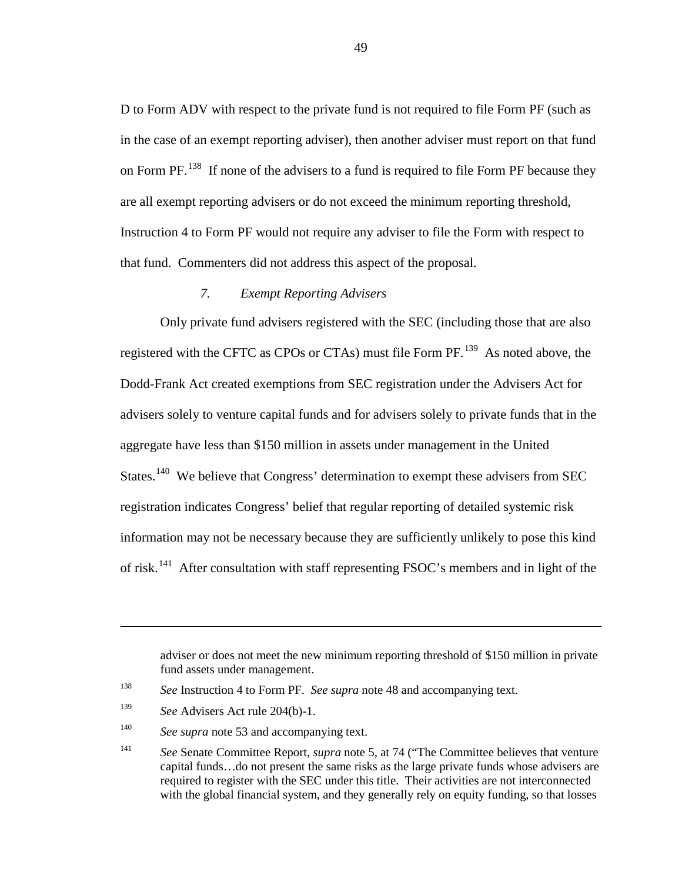D to Form ADV with respect to the private fund is not required to file Form PF (such as in the case of an exempt reporting adviser), then another adviser must report on that fund on Form  $PF$ . <sup>[138](#page-48-0)</sup> If none of the advisers to a fund is required to file Form  $PF$  because they are all exempt reporting advisers or do not exceed the minimum reporting threshold, Instruction 4 to Form PF would not require any adviser to file the Form with respect to that fund. Commenters did not address this aspect of the proposal.

# *7. Exempt Reporting Advisers*

Only private fund advisers registered with the SEC (including those that are also registered with the CFTC as CPOs or CTAs) must file Form PF.<sup>[139](#page-48-1)</sup> As noted above, the Dodd-Frank Act created exemptions from SEC registration under the Advisers Act for advisers solely to venture capital funds and for advisers solely to private funds that in the aggregate have less than \$150 million in assets under management in the United States.<sup>[140](#page-48-2)</sup> We believe that Congress' determination to exempt these advisers from SEC registration indicates Congress' belief that regular reporting of detailed systemic risk information may not be necessary because they are sufficiently unlikely to pose this kind of risk.<sup>[141](#page-48-3)</sup> After consultation with staff representing FSOC's members and in light of the

adviser or does not meet the new minimum reporting threshold of \$150 million in private fund assets under management.

<span id="page-48-2"></span><span id="page-48-1"></span><span id="page-48-0"></span><sup>138</sup> *See* Instruction 4 to Form PF. *See supra* note [48](#page-17-0) and accompanying text.

<sup>139</sup> *See* Advisers Act rule 204(b)-1.

<sup>&</sup>lt;sup>140</sup> *See supra* note [53](#page-18-0) and accompanying text.

<span id="page-48-3"></span><sup>141</sup> *See* Senate Committee Report, *supra* note [5,](#page-3-0) at 74 ("The Committee believes that venture capital funds…do not present the same risks as the large private funds whose advisers are required to register with the SEC under this title. Their activities are not interconnected with the global financial system, and they generally rely on equity funding, so that losses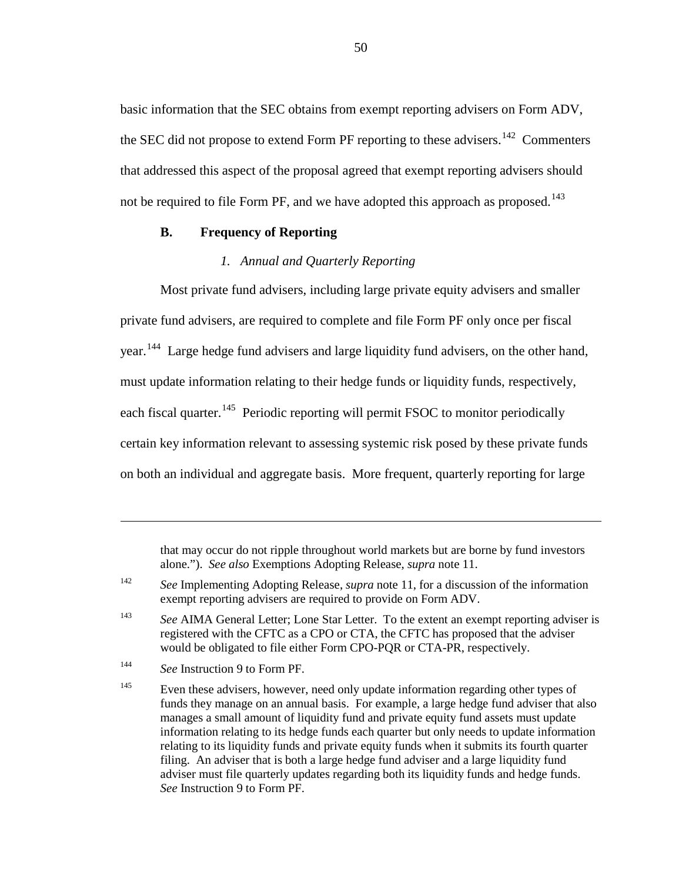basic information that the SEC obtains from exempt reporting advisers on Form ADV, the SEC did not propose to extend Form PF reporting to these advisers.<sup>[142](#page-49-0)</sup> Commenters that addressed this aspect of the proposal agreed that exempt reporting advisers should not be required to file Form PF, and we have adopted this approach as proposed.<sup>[143](#page-49-1)</sup>

# **B. Frequency of Reporting**

### *1. Annual and Quarterly Reporting*

Most private fund advisers, including large private equity advisers and smaller private fund advisers, are required to complete and file Form PF only once per fiscal year.<sup>[144](#page-49-2)</sup> Large hedge fund advisers and large liquidity fund advisers, on the other hand, must update information relating to their hedge funds or liquidity funds, respectively, each fiscal quarter.<sup>[145](#page-49-3)</sup> Periodic reporting will permit FSOC to monitor periodically certain key information relevant to assessing systemic risk posed by these private funds on both an individual and aggregate basis. More frequent, quarterly reporting for large

that may occur do not ripple throughout world markets but are borne by fund investors alone."). *See also* Exemptions Adopting Release, *supra* note [11.](#page-5-1)

<span id="page-49-0"></span><sup>142</sup> *See* Implementing Adopting Release, *supra* note [11,](#page-5-1) for a discussion of the information exempt reporting advisers are required to provide on Form ADV.

<span id="page-49-1"></span><sup>&</sup>lt;sup>143</sup> See AIMA General Letter; Lone Star Letter. To the extent an exempt reporting adviser is registered with the CFTC as a CPO or CTA, the CFTC has proposed that the adviser would be obligated to file either Form CPO-PQR or CTA-PR, respectively.

<span id="page-49-2"></span><sup>144</sup> *See* Instruction 9 to Form PF.

<span id="page-49-3"></span><sup>&</sup>lt;sup>145</sup> Even these advisers, however, need only update information regarding other types of funds they manage on an annual basis. For example, a large hedge fund adviser that also manages a small amount of liquidity fund and private equity fund assets must update information relating to its hedge funds each quarter but only needs to update information relating to its liquidity funds and private equity funds when it submits its fourth quarter filing. An adviser that is both a large hedge fund adviser and a large liquidity fund adviser must file quarterly updates regarding both its liquidity funds and hedge funds. *See* Instruction 9 to Form PF.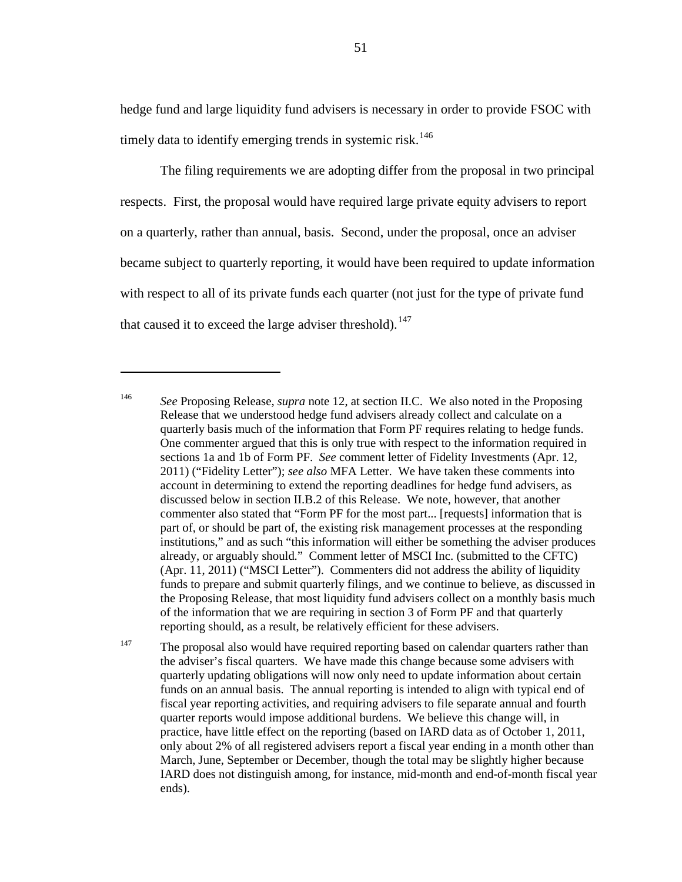hedge fund and large liquidity fund advisers is necessary in order to provide FSOC with timely data to identify emerging trends in systemic risk.<sup>[146](#page-50-0)</sup>

The filing requirements we are adopting differ from the proposal in two principal respects. First, the proposal would have required large private equity advisers to report on a quarterly, rather than annual, basis. Second, under the proposal, once an adviser became subject to quarterly reporting, it would have been required to update information with respect to all of its private funds each quarter (not just for the type of private fund that caused it to exceed the large adviser threshold).<sup>[147](#page-50-1)</sup>

<span id="page-50-0"></span><sup>146</sup> *See* Proposing Release, *supra* note [12,](#page-5-0) at section II.C. We also noted in the Proposing Release that we understood hedge fund advisers already collect and calculate on a quarterly basis much of the information that Form PF requires relating to hedge funds. One commenter argued that this is only true with respect to the information required in sections 1a and 1b of Form PF. *See* comment letter of Fidelity Investments (Apr. 12, 2011) ("Fidelity Letter"); *see also* MFA Letter. We have taken these comments into account in determining to extend the reporting deadlines for hedge fund advisers, as discussed below in section II.B.2 of this Release. We note, however, that another commenter also stated that "Form PF for the most part... [requests] information that is part of, or should be part of, the existing risk management processes at the responding institutions," and as such "this information will either be something the adviser produces already, or arguably should." Comment letter of MSCI Inc. (submitted to the CFTC) (Apr. 11, 2011) ("MSCI Letter"). Commenters did not address the ability of liquidity funds to prepare and submit quarterly filings, and we continue to believe, as discussed in the Proposing Release, that most liquidity fund advisers collect on a monthly basis much of the information that we are requiring in section 3 of Form PF and that quarterly reporting should, as a result, be relatively efficient for these advisers.

<span id="page-50-1"></span> $147$  The proposal also would have required reporting based on calendar quarters rather than the adviser's fiscal quarters. We have made this change because some advisers with quarterly updating obligations will now only need to update information about certain funds on an annual basis. The annual reporting is intended to align with typical end of fiscal year reporting activities, and requiring advisers to file separate annual and fourth quarter reports would impose additional burdens. We believe this change will, in practice, have little effect on the reporting (based on IARD data as of October 1, 2011, only about 2% of all registered advisers report a fiscal year ending in a month other than March, June, September or December, though the total may be slightly higher because IARD does not distinguish among, for instance, mid-month and end-of-month fiscal year ends).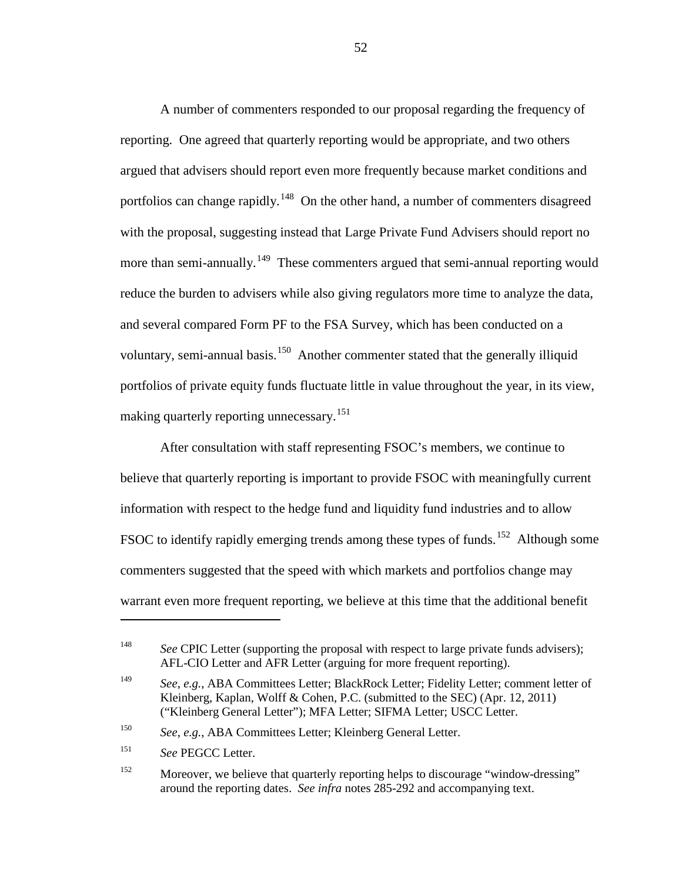<span id="page-51-5"></span>A number of commenters responded to our proposal regarding the frequency of reporting. One agreed that quarterly reporting would be appropriate, and two others argued that advisers should report even more frequently because market conditions and portfolios can change rapidly.<sup>[148](#page-51-0)</sup> On the other hand, a number of commenters disagreed with the proposal, suggesting instead that Large Private Fund Advisers should report no more than semi-annually.<sup>[149](#page-51-1)</sup> These commenters argued that semi-annual reporting would reduce the burden to advisers while also giving regulators more time to analyze the data, and several compared Form PF to the FSA Survey, which has been conducted on a voluntary, semi-annual basis.<sup>[150](#page-51-2)</sup> Another commenter stated that the generally illiquid portfolios of private equity funds fluctuate little in value throughout the year, in its view, making quarterly reporting unnecessary. [151](#page-51-3)

<span id="page-51-6"></span>After consultation with staff representing FSOC's members, we continue to believe that quarterly reporting is important to provide FSOC with meaningfully current information with respect to the hedge fund and liquidity fund industries and to allow FSOC to identify rapidly emerging trends among these types of funds.<sup>[152](#page-51-4)</sup> Although some commenters suggested that the speed with which markets and portfolios change may warrant even more frequent reporting, we believe at this time that the additional benefit

<span id="page-51-2"></span><sup>150</sup> *See*, *e.g.*, ABA Committees Letter; Kleinberg General Letter.

<span id="page-51-0"></span><sup>&</sup>lt;sup>148</sup> *See* CPIC Letter (supporting the proposal with respect to large private funds advisers); AFL-CIO Letter and AFR Letter (arguing for more frequent reporting).

<span id="page-51-1"></span><sup>149</sup> *See*, *e.g.*, ABA Committees Letter; BlackRock Letter; Fidelity Letter; comment letter of Kleinberg, Kaplan, Wolff & Cohen, P.C. (submitted to the SEC) (Apr. 12, 2011) ("Kleinberg General Letter"); MFA Letter; SIFMA Letter; USCC Letter.

<span id="page-51-3"></span><sup>151</sup> *See* PEGCC Letter.

<span id="page-51-4"></span><sup>&</sup>lt;sup>152</sup> Moreover, we believe that quarterly reporting helps to discourage "window-dressing" around the reporting dates. *See infra* note[s 285](#page-94-0)[-292](#page-95-0) and accompanying text.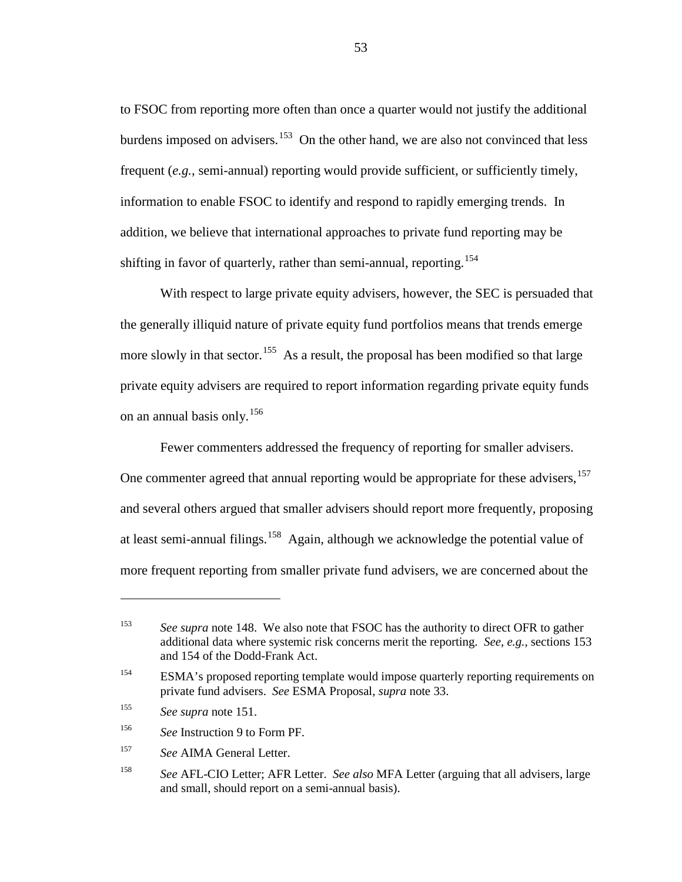to FSOC from reporting more often than once a quarter would not justify the additional burdens imposed on advisers.<sup>153</sup> On the other hand, we are also not convinced that less frequent (*e.g.*, semi-annual) reporting would provide sufficient, or sufficiently timely, information to enable FSOC to identify and respond to rapidly emerging trends. In addition, we believe that international approaches to private fund reporting may be shifting in favor of quarterly, rather than semi-annual, reporting.<sup>[154](#page-52-1)</sup>

With respect to large private equity advisers, however, the SEC is persuaded that the generally illiquid nature of private equity fund portfolios means that trends emerge more slowly in that sector.<sup>[155](#page-52-2)</sup> As a result, the proposal has been modified so that large private equity advisers are required to report information regarding private equity funds on an annual basis only.<sup>[156](#page-52-3)</sup>

<span id="page-52-6"></span>Fewer commenters addressed the frequency of reporting for smaller advisers. One commenter agreed that annual reporting would be appropriate for these advisers, <sup>[157](#page-52-4)</sup> and several others argued that smaller advisers should report more frequently, proposing at least semi-annual filings.<sup>[158](#page-52-5)</sup> Again, although we acknowledge the potential value of more frequent reporting from smaller private fund advisers, we are concerned about the

<span id="page-52-0"></span><sup>&</sup>lt;sup>153</sup> See supra note [148.](#page-51-5) We also note that FSOC has the authority to direct OFR to gather additional data where systemic risk concerns merit the reporting. *See*, *e.g.*, sections 153 and 154 of the Dodd-Frank Act.

<span id="page-52-1"></span><sup>154</sup> ESMA's proposed reporting template would impose quarterly reporting requirements on private fund advisers. *See* ESMA Proposal, *supra* note [33.](#page-12-0)

<span id="page-52-2"></span><sup>155</sup> *See supra* note [151.](#page-51-6)

<span id="page-52-3"></span><sup>156</sup> *See* Instruction 9 to Form PF.

<span id="page-52-4"></span><sup>157</sup> *See* AIMA General Letter.

<span id="page-52-5"></span><sup>158</sup> *See* AFL-CIO Letter; AFR Letter. *See also* MFA Letter (arguing that all advisers, large and small, should report on a semi-annual basis).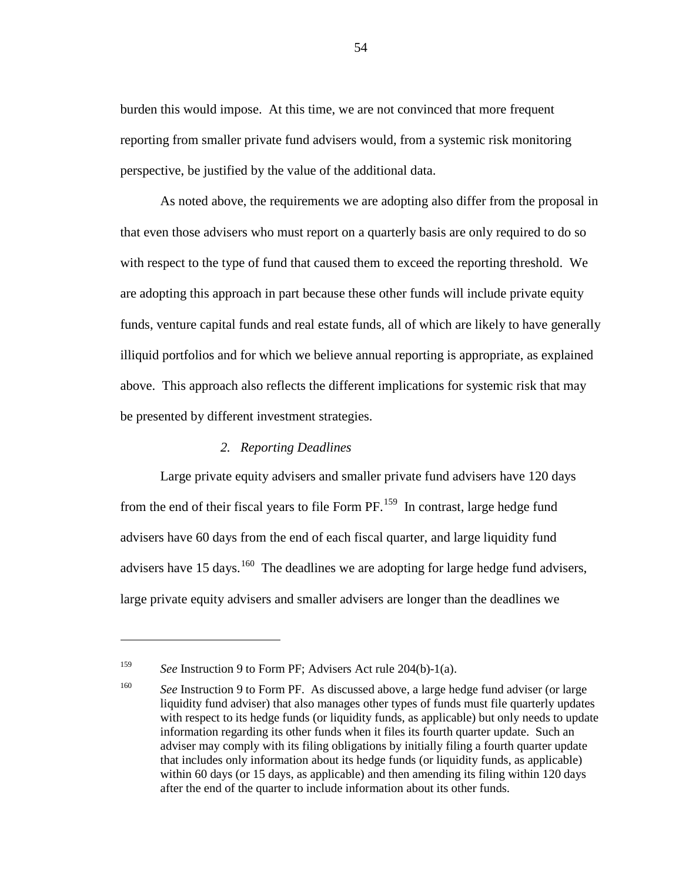burden this would impose. At this time, we are not convinced that more frequent reporting from smaller private fund advisers would, from a systemic risk monitoring perspective, be justified by the value of the additional data.

As noted above, the requirements we are adopting also differ from the proposal in that even those advisers who must report on a quarterly basis are only required to do so with respect to the type of fund that caused them to exceed the reporting threshold. We are adopting this approach in part because these other funds will include private equity funds, venture capital funds and real estate funds, all of which are likely to have generally illiquid portfolios and for which we believe annual reporting is appropriate, as explained above. This approach also reflects the different implications for systemic risk that may be presented by different investment strategies.

### *2. Reporting Deadlines*

Large private equity advisers and smaller private fund advisers have 120 days from the end of their fiscal years to file Form PF.<sup>[159](#page-53-0)</sup> In contrast, large hedge fund advisers have 60 days from the end of each fiscal quarter, and large liquidity fund advisers have 15 days.<sup>[160](#page-53-1)</sup> The deadlines we are adopting for large hedge fund advisers, large private equity advisers and smaller advisers are longer than the deadlines we

<span id="page-53-0"></span><sup>159</sup> *See* Instruction 9 to Form PF; Advisers Act rule 204(b)-1(a).

<span id="page-53-1"></span><sup>160</sup> *See* Instruction 9 to Form PF. As discussed above, a large hedge fund adviser (or large liquidity fund adviser) that also manages other types of funds must file quarterly updates with respect to its hedge funds (or liquidity funds, as applicable) but only needs to update information regarding its other funds when it files its fourth quarter update. Such an adviser may comply with its filing obligations by initially filing a fourth quarter update that includes only information about its hedge funds (or liquidity funds, as applicable) within 60 days (or 15 days, as applicable) and then amending its filing within 120 days after the end of the quarter to include information about its other funds.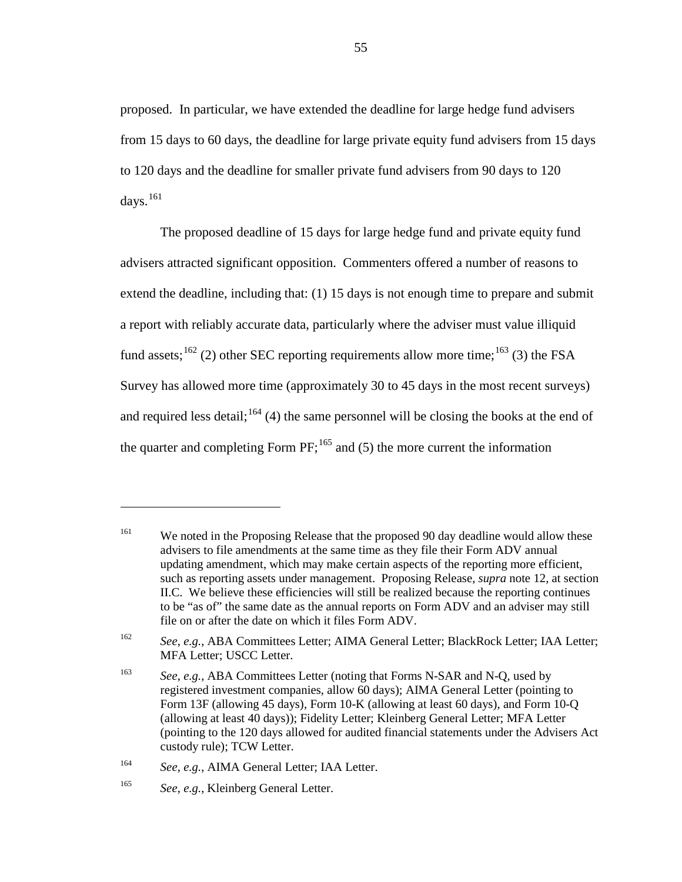proposed. In particular, we have extended the deadline for large hedge fund advisers from 15 days to 60 days, the deadline for large private equity fund advisers from 15 days to 120 days and the deadline for smaller private fund advisers from 90 days to 120 days. $^{161}$  $^{161}$  $^{161}$ 

The proposed deadline of 15 days for large hedge fund and private equity fund advisers attracted significant opposition. Commenters offered a number of reasons to extend the deadline, including that: (1) 15 days is not enough time to prepare and submit a report with reliably accurate data, particularly where the adviser must value illiquid fund assets;  $^{162}$  $^{162}$  $^{162}$  (2) other SEC reporting requirements allow more time;  $^{163}$  $^{163}$  $^{163}$  (3) the FSA Survey has allowed more time (approximately 30 to 45 days in the most recent surveys) and required less detail;  $164$  (4) the same personnel will be closing the books at the end of the quarter and completing Form  $PF$ ;  $^{165}$  $^{165}$  $^{165}$  and (5) the more current the information

<span id="page-54-0"></span><sup>&</sup>lt;sup>161</sup> We noted in the Proposing Release that the proposed 90 day deadline would allow these advisers to file amendments at the same time as they file their Form ADV annual updating amendment, which may make certain aspects of the reporting more efficient, such as reporting assets under management. Proposing Release, *supra* note [12,](#page-5-0) at section II.C. We believe these efficiencies will still be realized because the reporting continues to be "as of" the same date as the annual reports on Form ADV and an adviser may still file on or after the date on which it files Form ADV.

<span id="page-54-1"></span><sup>162</sup> *See*, *e.g.*, ABA Committees Letter; AIMA General Letter; BlackRock Letter; IAA Letter; MFA Letter; USCC Letter.

<span id="page-54-2"></span><sup>163</sup> *See*, *e.g.*, ABA Committees Letter (noting that Forms N-SAR and N-Q, used by registered investment companies, allow 60 days); AIMA General Letter (pointing to Form 13F (allowing 45 days), Form 10-K (allowing at least 60 days), and Form 10-Q (allowing at least 40 days)); Fidelity Letter; Kleinberg General Letter; MFA Letter (pointing to the 120 days allowed for audited financial statements under the Advisers Act custody rule); TCW Letter.

<span id="page-54-4"></span><span id="page-54-3"></span><sup>164</sup> *See*, *e.g.*, AIMA General Letter; IAA Letter.

<sup>165</sup> *See*, *e.g.*, Kleinberg General Letter.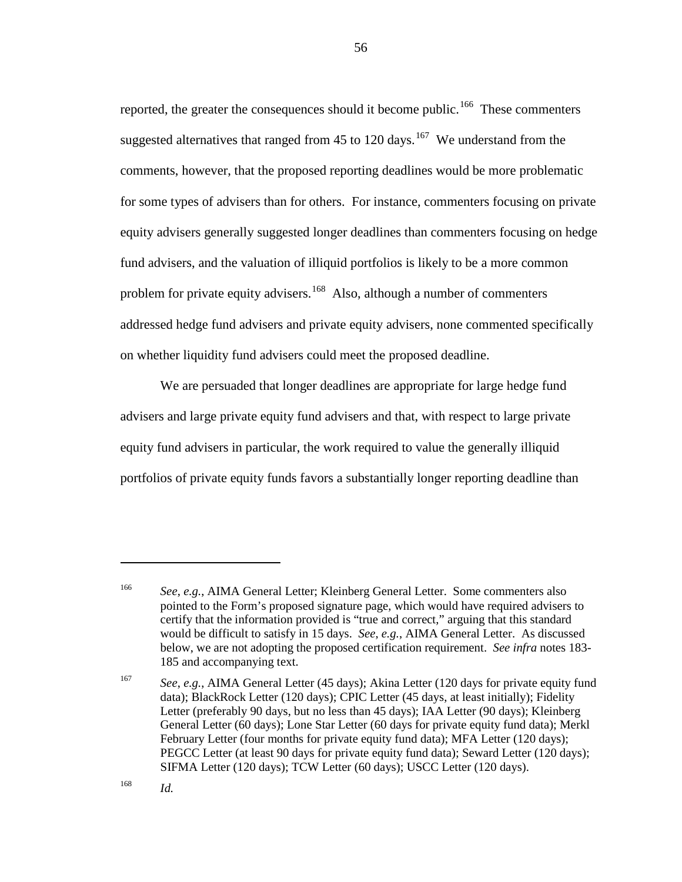<span id="page-55-3"></span>reported, the greater the consequences should it become public.<sup>[166](#page-55-0)</sup> These commenters suggested alternatives that ranged from 45 to 120 days.<sup>167</sup> We understand from the comments, however, that the proposed reporting deadlines would be more problematic for some types of advisers than for others. For instance, commenters focusing on private equity advisers generally suggested longer deadlines than commenters focusing on hedge fund advisers, and the valuation of illiquid portfolios is likely to be a more common problem for private equity advisers.<sup>[168](#page-55-2)</sup> Also, although a number of commenters addressed hedge fund advisers and private equity advisers, none commented specifically on whether liquidity fund advisers could meet the proposed deadline.

We are persuaded that longer deadlines are appropriate for large hedge fund advisers and large private equity fund advisers and that, with respect to large private equity fund advisers in particular, the work required to value the generally illiquid portfolios of private equity funds favors a substantially longer reporting deadline than

<span id="page-55-0"></span>

<sup>166</sup> *See*, *e.g.*, AIMA General Letter; Kleinberg General Letter. Some commenters also pointed to the Form's proposed signature page, which would have required advisers to certify that the information provided is "true and correct," arguing that this standard would be difficult to satisfy in 15 days. *See*, *e.g.*, AIMA General Letter. As discussed below, we are not adopting the proposed certification requirement. *See infra* notes [183-](#page-60-0) [185](#page-61-0) and accompanying text.

<span id="page-55-1"></span><sup>167</sup> *See*, *e.g.*, AIMA General Letter (45 days); Akina Letter (120 days for private equity fund data); BlackRock Letter (120 days); CPIC Letter (45 days, at least initially); Fidelity Letter (preferably 90 days, but no less than 45 days); IAA Letter (90 days); Kleinberg General Letter (60 days); Lone Star Letter (60 days for private equity fund data); Merkl February Letter (four months for private equity fund data); MFA Letter (120 days); PEGCC Letter (at least 90 days for private equity fund data); Seward Letter (120 days); SIFMA Letter (120 days); TCW Letter (60 days); USCC Letter (120 days).

<span id="page-55-2"></span><sup>168</sup> *Id.*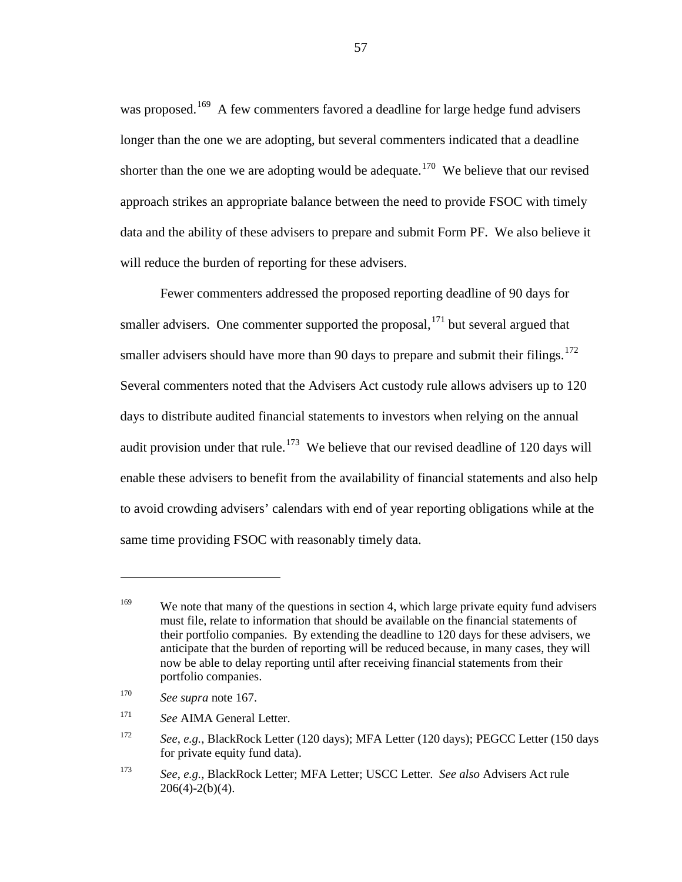was proposed.<sup>[169](#page-56-0)</sup> A few commenters favored a deadline for large hedge fund advisers longer than the one we are adopting, but several commenters indicated that a deadline shorter than the one we are adopting would be adequate.<sup>[170](#page-56-1)</sup> We believe that our revised approach strikes an appropriate balance between the need to provide FSOC with timely data and the ability of these advisers to prepare and submit Form PF. We also believe it will reduce the burden of reporting for these advisers.

Fewer commenters addressed the proposed reporting deadline of 90 days for smaller advisers. One commenter supported the proposal, <sup>[171](#page-56-2)</sup> but several argued that smaller advisers should have more than 90 days to prepare and submit their filings.<sup>[172](#page-56-3)</sup> Several commenters noted that the Advisers Act custody rule allows advisers up to 120 days to distribute audited financial statements to investors when relying on the annual audit provision under that rule.<sup>[173](#page-56-4)</sup> We believe that our revised deadline of 120 days will enable these advisers to benefit from the availability of financial statements and also help to avoid crowding advisers' calendars with end of year reporting obligations while at the same time providing FSOC with reasonably timely data.

<span id="page-56-0"></span><sup>&</sup>lt;sup>169</sup> We note that many of the questions in section 4, which large private equity fund advisers must file, relate to information that should be available on the financial statements of their portfolio companies. By extending the deadline to 120 days for these advisers, we anticipate that the burden of reporting will be reduced because, in many cases, they will now be able to delay reporting until after receiving financial statements from their portfolio companies.

<span id="page-56-1"></span><sup>170</sup> *See supra* note [167.](#page-55-3)

<span id="page-56-2"></span><sup>171</sup> *See* AIMA General Letter.

<span id="page-56-3"></span><sup>172</sup> *See*, *e.g.*, BlackRock Letter (120 days); MFA Letter (120 days); PEGCC Letter (150 days for private equity fund data).

<span id="page-56-4"></span><sup>173</sup> *See*, *e.g.*, BlackRock Letter; MFA Letter; USCC Letter. *See also* Advisers Act rule  $206(4)-2(b)(4)$ .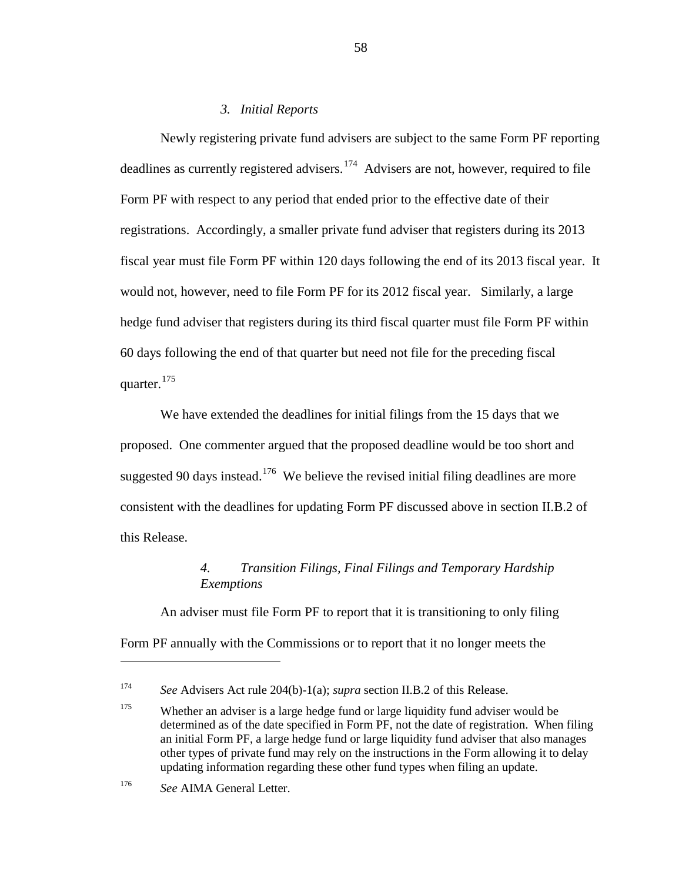## *3. Initial Reports*

Newly registering private fund advisers are subject to the same Form PF reporting deadlines as currently registered advisers.<sup>[174](#page-57-0)</sup> Advisers are not, however, required to file Form PF with respect to any period that ended prior to the effective date of their registrations. Accordingly, a smaller private fund adviser that registers during its 2013 fiscal year must file Form PF within 120 days following the end of its 2013 fiscal year. It would not, however, need to file Form PF for its 2012 fiscal year. Similarly, a large hedge fund adviser that registers during its third fiscal quarter must file Form PF within 60 days following the end of that quarter but need not file for the preceding fiscal quarter.<sup>[175](#page-57-1)</sup>

We have extended the deadlines for initial filings from the 15 days that we proposed. One commenter argued that the proposed deadline would be too short and suggested 90 days instead.<sup>[176](#page-57-2)</sup> We believe the revised initial filing deadlines are more consistent with the deadlines for updating Form PF discussed above in section II.B.2 of this Release.

# *4. Transition Filings, Final Filings and Temporary Hardship Exemptions*

An adviser must file Form PF to report that it is transitioning to only filing Form PF annually with the Commissions or to report that it no longer meets the

<span id="page-57-0"></span><sup>174</sup> *See* Advisers Act rule 204(b)-1(a); *supra* section II.B.2 of this Release.

<span id="page-57-1"></span><sup>&</sup>lt;sup>175</sup> Whether an adviser is a large hedge fund or large liquidity fund adviser would be determined as of the date specified in Form PF, not the date of registration. When filing an initial Form PF, a large hedge fund or large liquidity fund adviser that also manages other types of private fund may rely on the instructions in the Form allowing it to delay updating information regarding these other fund types when filing an update.

<span id="page-57-2"></span><sup>176</sup> *See* AIMA General Letter.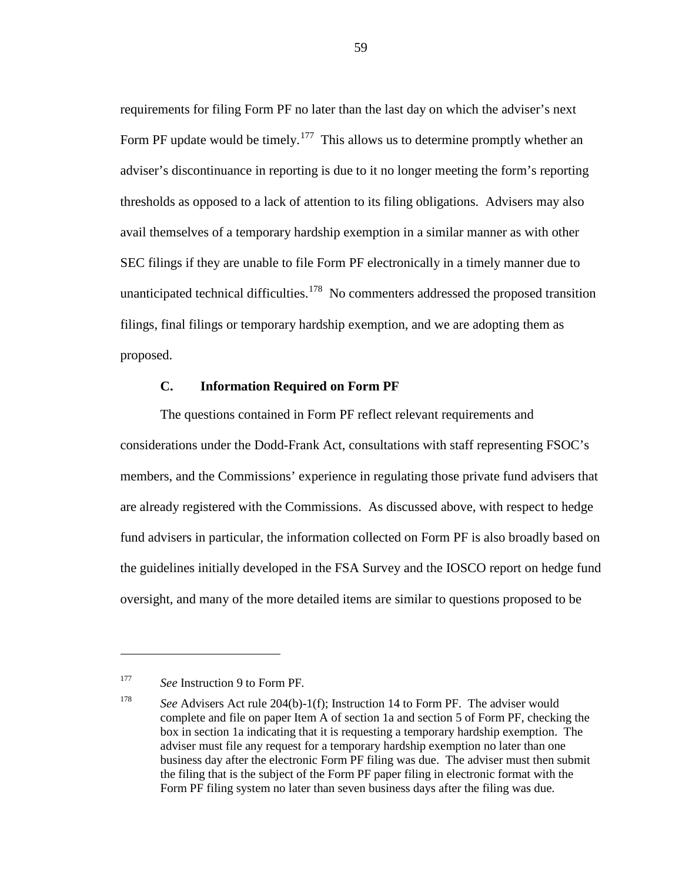requirements for filing Form PF no later than the last day on which the adviser's next Form PF update would be timely.<sup>[177](#page-58-0)</sup> This allows us to determine promptly whether an adviser's discontinuance in reporting is due to it no longer meeting the form's reporting thresholds as opposed to a lack of attention to its filing obligations. Advisers may also avail themselves of a temporary hardship exemption in a similar manner as with other SEC filings if they are unable to file Form PF electronically in a timely manner due to unanticipated technical difficulties.<sup>[178](#page-58-1)</sup> No commenters addressed the proposed transition filings, final filings or temporary hardship exemption, and we are adopting them as proposed.

# **C. Information Required on Form PF**

The questions contained in Form PF reflect relevant requirements and considerations under the Dodd-Frank Act, consultations with staff representing FSOC's members, and the Commissions' experience in regulating those private fund advisers that are already registered with the Commissions. As discussed above, with respect to hedge fund advisers in particular, the information collected on Form PF is also broadly based on the guidelines initially developed in the FSA Survey and the IOSCO report on hedge fund oversight, and many of the more detailed items are similar to questions proposed to be

 $\overline{a}$ 

<span id="page-58-0"></span><sup>177</sup> *See* Instruction 9 to Form PF*.*

<span id="page-58-1"></span><sup>178</sup> *See* Advisers Act rule 204(b)-1(f); Instruction 14 to Form PF. The adviser would complete and file on paper Item A of section 1a and section 5 of Form PF, checking the box in section 1a indicating that it is requesting a temporary hardship exemption. The adviser must file any request for a temporary hardship exemption no later than one business day after the electronic Form PF filing was due. The adviser must then submit the filing that is the subject of the Form PF paper filing in electronic format with the Form PF filing system no later than seven business days after the filing was due.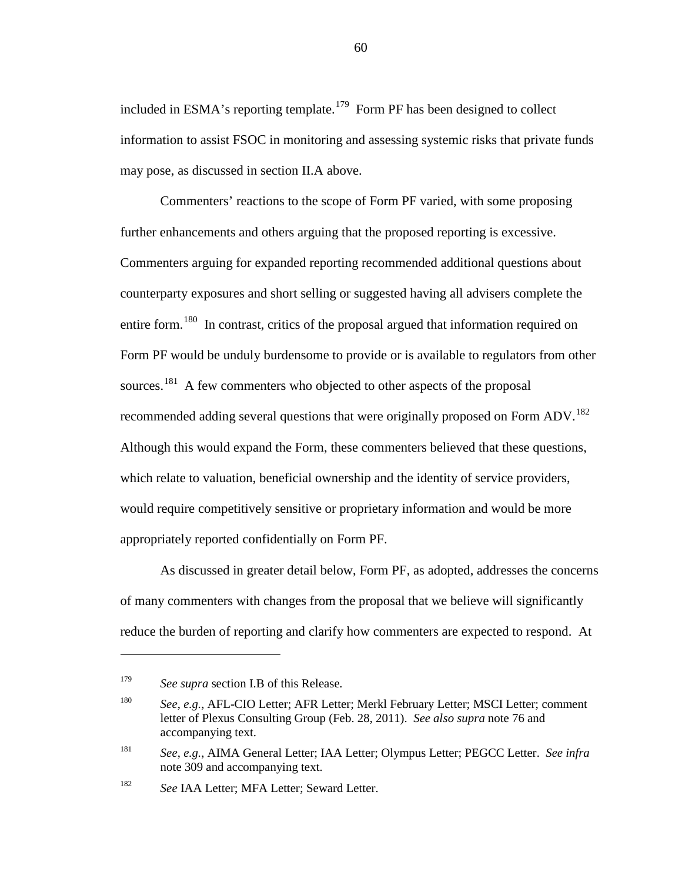included in ESMA's reporting template.<sup>[179](#page-59-0)</sup> Form PF has been designed to collect information to assist FSOC in monitoring and assessing systemic risks that private funds may pose, as discussed in section II.A above.

Commenters' reactions to the scope of Form PF varied, with some proposing further enhancements and others arguing that the proposed reporting is excessive. Commenters arguing for expanded reporting recommended additional questions about counterparty exposures and short selling or suggested having all advisers complete the entire form.<sup>[180](#page-59-1)</sup> In contrast, critics of the proposal argued that information required on Form PF would be unduly burdensome to provide or is available to regulators from other sources.<sup>181</sup> A few commenters who objected to other aspects of the proposal recommended adding several questions that were originally proposed on Form ADV.<sup>[182](#page-59-3)</sup> Although this would expand the Form, these commenters believed that these questions, which relate to valuation, beneficial ownership and the identity of service providers, would require competitively sensitive or proprietary information and would be more appropriately reported confidentially on Form PF.

As discussed in greater detail below, Form PF, as adopted, addresses the concerns of many commenters with changes from the proposal that we believe will significantly reduce the burden of reporting and clarify how commenters are expected to respond. At

<span id="page-59-0"></span><sup>179</sup> *See supra* section I.B of this Release*.*

<span id="page-59-1"></span><sup>180</sup> *See*, *e.g.*, AFL-CIO Letter; AFR Letter; Merkl February Letter; MSCI Letter; comment letter of Plexus Consulting Group (Feb. 28, 2011). *See also supra* note [76](#page-26-0) and accompanying text.

<span id="page-59-2"></span><sup>181</sup> *See*, *e.g.*, AIMA General Letter; IAA Letter; Olympus Letter; PEGCC Letter. *See infra* note [309](#page-100-0) and accompanying text.

<span id="page-59-3"></span><sup>182</sup> *See* IAA Letter; MFA Letter; Seward Letter.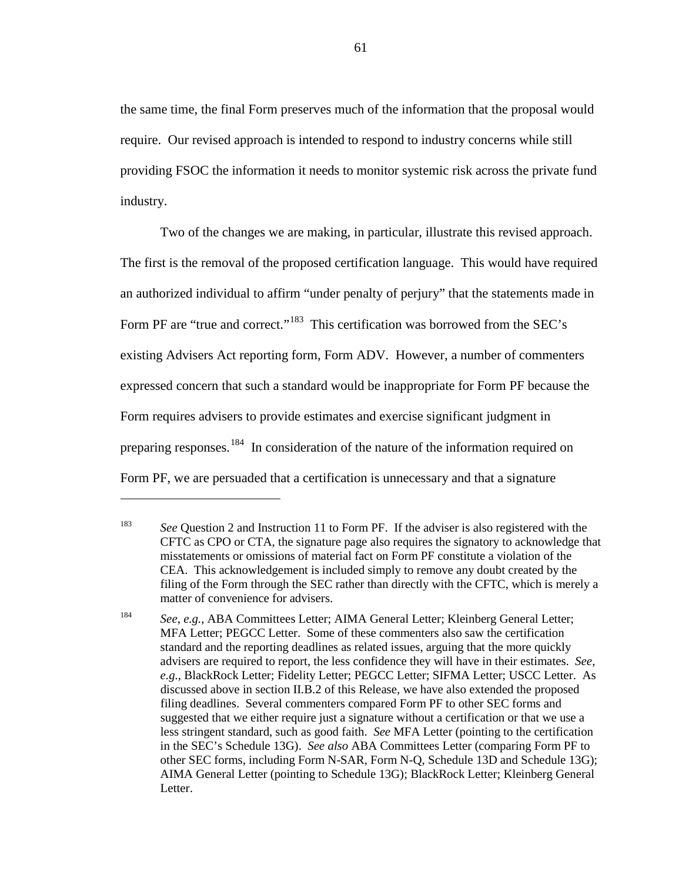the same time, the final Form preserves much of the information that the proposal would require. Our revised approach is intended to respond to industry concerns while still providing FSOC the information it needs to monitor systemic risk across the private fund industry.

<span id="page-60-0"></span>Two of the changes we are making, in particular, illustrate this revised approach. The first is the removal of the proposed certification language. This would have required an authorized individual to affirm "under penalty of perjury" that the statements made in Form PF are "true and correct."<sup>183</sup> This certification was borrowed from the SEC's existing Advisers Act reporting form, Form ADV. However, a number of commenters expressed concern that such a standard would be inappropriate for Form PF because the Form requires advisers to provide estimates and exercise significant judgment in preparing responses.<sup>[184](#page-60-2)</sup> In consideration of the nature of the information required on Form PF, we are persuaded that a certification is unnecessary and that a signature

<span id="page-60-1"></span><sup>183</sup> *See* Question 2 and Instruction 11 to Form PF. If the adviser is also registered with the CFTC as CPO or CTA, the signature page also requires the signatory to acknowledge that misstatements or omissions of material fact on Form PF constitute a violation of the CEA. This acknowledgement is included simply to remove any doubt created by the filing of the Form through the SEC rather than directly with the CFTC, which is merely a matter of convenience for advisers.

<span id="page-60-2"></span><sup>184</sup> *See*, *e.g.*, ABA Committees Letter; AIMA General Letter; Kleinberg General Letter; MFA Letter; PEGCC Letter. Some of these commenters also saw the certification standard and the reporting deadlines as related issues, arguing that the more quickly advisers are required to report, the less confidence they will have in their estimates. *See*, *e.g.*, BlackRock Letter; Fidelity Letter; PEGCC Letter; SIFMA Letter; USCC Letter. As discussed above in section II.B.2 of this Release, we have also extended the proposed filing deadlines. Several commenters compared Form PF to other SEC forms and suggested that we either require just a signature without a certification or that we use a less stringent standard, such as good faith. *See* MFA Letter (pointing to the certification in the SEC's Schedule 13G). *See also* ABA Committees Letter (comparing Form PF to other SEC forms, including Form N-SAR, Form N-Q, Schedule 13D and Schedule 13G); AIMA General Letter (pointing to Schedule 13G); BlackRock Letter; Kleinberg General Letter.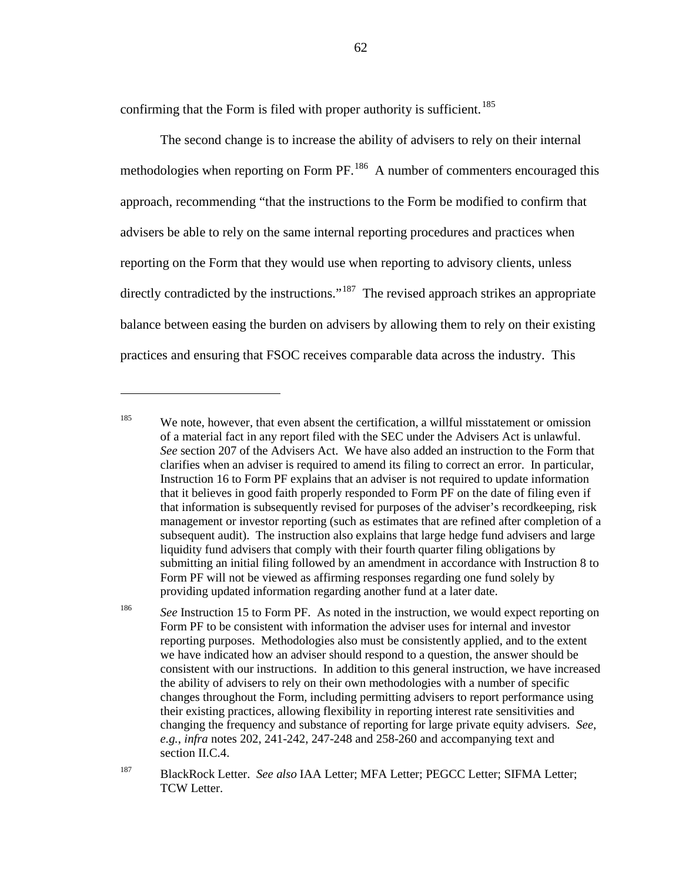<span id="page-61-0"></span>confirming that the Form is filed with proper authority is sufficient.<sup>[185](#page-61-1)</sup>

 $\overline{a}$ 

The second change is to increase the ability of advisers to rely on their internal methodologies when reporting on Form PF.<sup>186</sup> A number of commenters encouraged this approach, recommending "that the instructions to the Form be modified to confirm that advisers be able to rely on the same internal reporting procedures and practices when reporting on the Form that they would use when reporting to advisory clients, unless directly contradicted by the instructions."<sup>[187](#page-61-3)</sup> The revised approach strikes an appropriate balance between easing the burden on advisers by allowing them to rely on their existing practices and ensuring that FSOC receives comparable data across the industry. This

<span id="page-61-1"></span><sup>&</sup>lt;sup>185</sup> We note, however, that even absent the certification, a willful misstatement or omission of a material fact in any report filed with the SEC under the Advisers Act is unlawful. *See* section 207 of the Advisers Act. We have also added an instruction to the Form that clarifies when an adviser is required to amend its filing to correct an error. In particular, Instruction 16 to Form PF explains that an adviser is not required to update information that it believes in good faith properly responded to Form PF on the date of filing even if that information is subsequently revised for purposes of the adviser's recordkeeping, risk management or investor reporting (such as estimates that are refined after completion of a subsequent audit). The instruction also explains that large hedge fund advisers and large liquidity fund advisers that comply with their fourth quarter filing obligations by submitting an initial filing followed by an amendment in accordance with Instruction 8 to Form PF will not be viewed as affirming responses regarding one fund solely by providing updated information regarding another fund at a later date.

<span id="page-61-2"></span><sup>&</sup>lt;sup>186</sup> *See Instruction 15 to Form PF.* As noted in the instruction, we would expect reporting on Form PF to be consistent with information the adviser uses for internal and investor reporting purposes. Methodologies also must be consistently applied, and to the extent we have indicated how an adviser should respond to a question, the answer should be consistent with our instructions. In addition to this general instruction, we have increased the ability of advisers to rely on their own methodologies with a number of specific changes throughout the Form, including permitting advisers to report performance using their existing practices, allowing flexibility in reporting interest rate sensitivities and changing the frequency and substance of reporting for large private equity advisers. *See*, *e.g.*, *infra* notes [202,](#page-67-0) [241](#page-78-0)[-242,](#page-79-0) [247](#page-80-0)[-248](#page-80-1) an[d 258](#page-84-0)[-260](#page-84-1) and accompanying text and section II.C.4.

<span id="page-61-3"></span><sup>187</sup> BlackRock Letter. *See also* IAA Letter; MFA Letter; PEGCC Letter; SIFMA Letter; TCW Letter.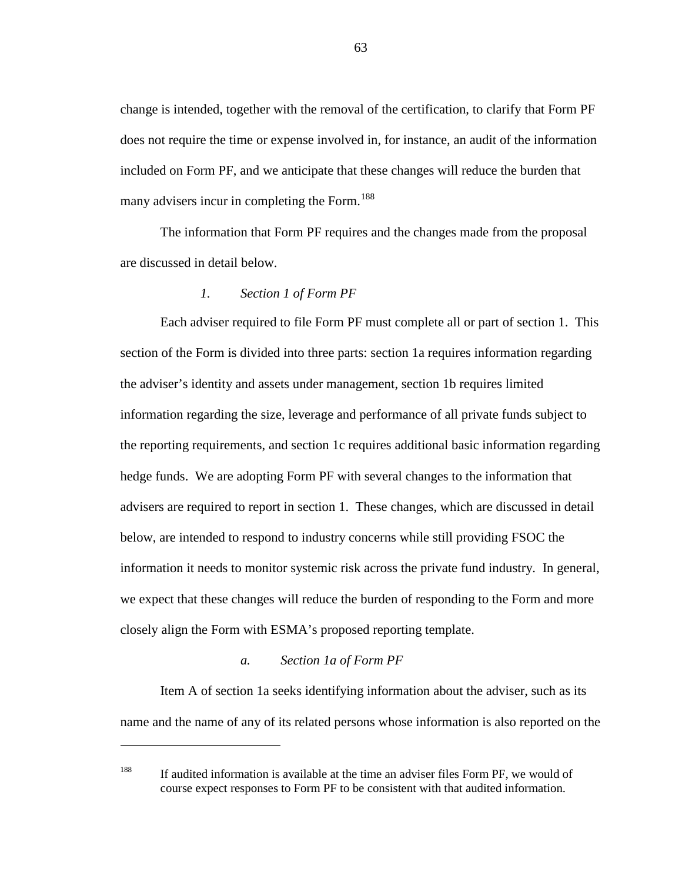change is intended, together with the removal of the certification, to clarify that Form PF does not require the time or expense involved in, for instance, an audit of the information included on Form PF, and we anticipate that these changes will reduce the burden that many advisers incur in completing the Form.<sup>[188](#page-62-0)</sup>

The information that Form PF requires and the changes made from the proposal are discussed in detail below.

# *1. Section 1 of Form PF*

Each adviser required to file Form PF must complete all or part of section 1. This section of the Form is divided into three parts: section 1a requires information regarding the adviser's identity and assets under management, section 1b requires limited information regarding the size, leverage and performance of all private funds subject to the reporting requirements, and section 1c requires additional basic information regarding hedge funds. We are adopting Form PF with several changes to the information that advisers are required to report in section 1. These changes, which are discussed in detail below, are intended to respond to industry concerns while still providing FSOC the information it needs to monitor systemic risk across the private fund industry. In general, we expect that these changes will reduce the burden of responding to the Form and more closely align the Form with ESMA's proposed reporting template.

## *a. Section 1a of Form PF*

 $\overline{a}$ 

Item A of section 1a seeks identifying information about the adviser, such as its name and the name of any of its related persons whose information is also reported on the

<span id="page-62-0"></span><sup>188</sup> If audited information is available at the time an adviser files Form PF, we would of course expect responses to Form PF to be consistent with that audited information.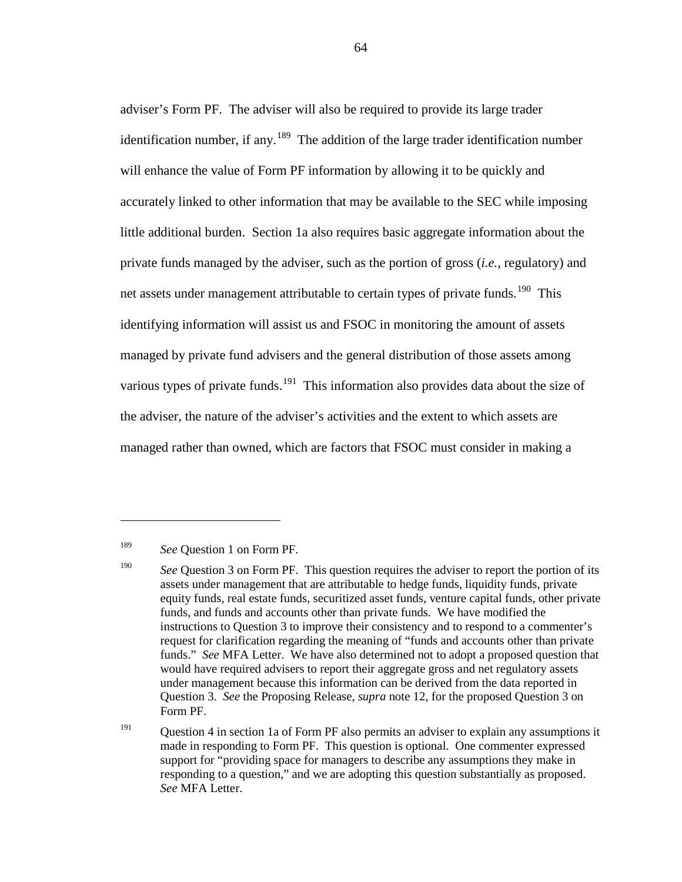adviser's Form PF. The adviser will also be required to provide its large trader identification number, if any.<sup>[189](#page-63-0)</sup> The addition of the large trader identification number will enhance the value of Form PF information by allowing it to be quickly and accurately linked to other information that may be available to the SEC while imposing little additional burden. Section 1a also requires basic aggregate information about the private funds managed by the adviser, such as the portion of gross (*i.e.*, regulatory) and net assets under management attributable to certain types of private funds.<sup>190</sup> This identifying information will assist us and FSOC in monitoring the amount of assets managed by private fund advisers and the general distribution of those assets among various types of private funds.<sup>[191](#page-63-2)</sup> This information also provides data about the size of the adviser, the nature of the adviser's activities and the extent to which assets are managed rather than owned, which are factors that FSOC must consider in making a

<span id="page-63-0"></span><sup>189</sup> *See* Question 1 on Form PF.

<span id="page-63-1"></span><sup>&</sup>lt;sup>190</sup> *See* Question 3 on Form PF. This question requires the adviser to report the portion of its assets under management that are attributable to hedge funds, liquidity funds, private equity funds, real estate funds, securitized asset funds, venture capital funds, other private funds, and funds and accounts other than private funds. We have modified the instructions to Question 3 to improve their consistency and to respond to a commenter's request for clarification regarding the meaning of "funds and accounts other than private funds." *See* MFA Letter. We have also determined not to adopt a proposed question that would have required advisers to report their aggregate gross and net regulatory assets under management because this information can be derived from the data reported in Question 3. *See* the Proposing Release, *supra* note [12,](#page-5-0) for the proposed Question 3 on Form PF.

<span id="page-63-2"></span><sup>&</sup>lt;sup>191</sup> Question 4 in section 1a of Form PF also permits an adviser to explain any assumptions it made in responding to Form PF. This question is optional. One commenter expressed support for "providing space for managers to describe any assumptions they make in responding to a question," and we are adopting this question substantially as proposed. *See* MFA Letter.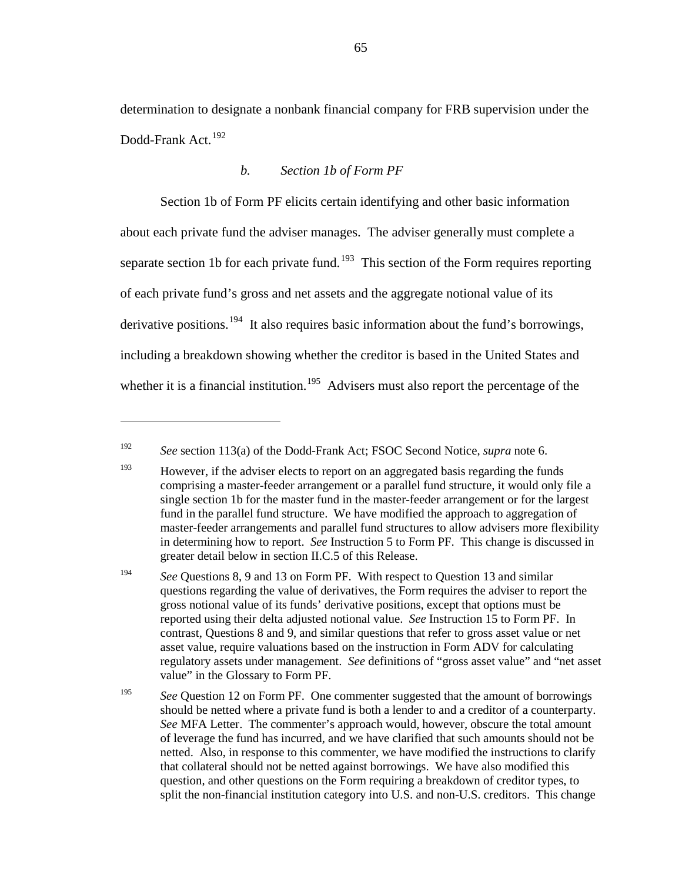determination to designate a nonbank financial company for FRB supervision under the Dodd-Frank Act.<sup>[192](#page-64-0)</sup>

## *b. Section 1b of Form PF*

Section 1b of Form PF elicits certain identifying and other basic information about each private fund the adviser manages. The adviser generally must complete a separate section 1b for each private fund.<sup>[193](#page-64-1)</sup> This section of the Form requires reporting of each private fund's gross and net assets and the aggregate notional value of its derivative positions.<sup>[194](#page-64-2)</sup> It also requires basic information about the fund's borrowings, including a breakdown showing whether the creditor is based in the United States and whether it is a financial institution.<sup>[195](#page-64-3)</sup> Advisers must also report the percentage of the

<span id="page-64-0"></span><sup>192</sup> *See* section 113(a) of the Dodd-Frank Act; FSOC Second Notice, *supra* note [6.](#page-4-0)

<span id="page-64-1"></span> $193$  However, if the adviser elects to report on an aggregated basis regarding the funds comprising a master-feeder arrangement or a parallel fund structure, it would only file a single section 1b for the master fund in the master-feeder arrangement or for the largest fund in the parallel fund structure. We have modified the approach to aggregation of master-feeder arrangements and parallel fund structures to allow advisers more flexibility in determining how to report. *See* Instruction 5 to Form PF. This change is discussed in greater detail below in section II.C.5 of this Release.

<span id="page-64-2"></span><sup>&</sup>lt;sup>194</sup> *See* Questions 8, 9 and 13 on Form PF. With respect to Question 13 and similar questions regarding the value of derivatives, the Form requires the adviser to report the gross notional value of its funds' derivative positions, except that options must be reported using their delta adjusted notional value. *See* Instruction 15 to Form PF. In contrast, Questions 8 and 9, and similar questions that refer to gross asset value or net asset value, require valuations based on the instruction in Form ADV for calculating regulatory assets under management. *See* definitions of "gross asset value" and "net asset value" in the Glossary to Form PF.

<span id="page-64-3"></span><sup>&</sup>lt;sup>195</sup> *See* Ouestion 12 on Form PF. One commenter suggested that the amount of borrowings should be netted where a private fund is both a lender to and a creditor of a counterparty. *See* MFA Letter. The commenter's approach would, however, obscure the total amount of leverage the fund has incurred, and we have clarified that such amounts should not be netted. Also, in response to this commenter, we have modified the instructions to clarify that collateral should not be netted against borrowings. We have also modified this question, and other questions on the Form requiring a breakdown of creditor types, to split the non-financial institution category into U.S. and non-U.S. creditors. This change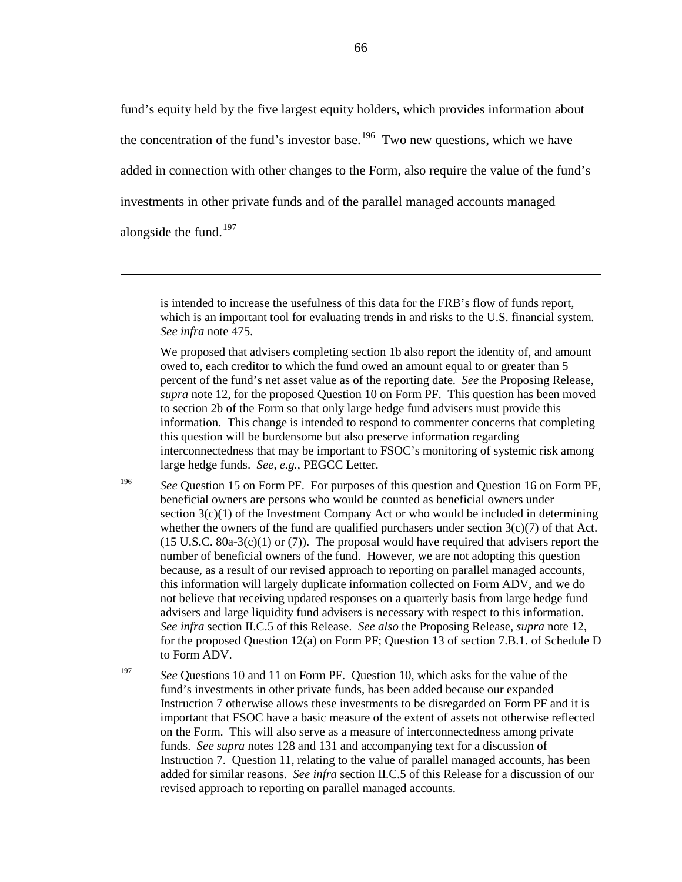fund's equity held by the five largest equity holders, which provides information about the concentration of the fund's investor base.<sup>196</sup> Two new questions, which we have added in connection with other changes to the Form, also require the value of the fund's investments in other private funds and of the parallel managed accounts managed alongside the fund.<sup>[197](#page-65-2)</sup>

 $\overline{a}$ 

<span id="page-65-0"></span>is intended to increase the usefulness of this data for the FRB's flow of funds report, which is an important tool for evaluating trends in and risks to the U.S. financial system. *See infra* note [475.](#page-149-0)

We proposed that advisers completing section 1b also report the identity of, and amount owed to, each creditor to which the fund owed an amount equal to or greater than 5 percent of the fund's net asset value as of the reporting date. *See* the Proposing Release, *supra* note [12,](#page-5-0) for the proposed Question 10 on Form PF. This question has been moved to section 2b of the Form so that only large hedge fund advisers must provide this information. This change is intended to respond to commenter concerns that completing this question will be burdensome but also preserve information regarding interconnectedness that may be important to FSOC's monitoring of systemic risk among large hedge funds. *See*, *e.g.*, PEGCC Letter.

<span id="page-65-1"></span><sup>196</sup> *See* Question 15 on Form PF. For purposes of this question and Question 16 on Form PF, beneficial owners are persons who would be counted as beneficial owners under section  $3(c)(1)$  of the Investment Company Act or who would be included in determining whether the owners of the fund are qualified purchasers under section  $3(c)(7)$  of that Act.  $(15 \text{ U.S.C. } 80a-3(c)(1) \text{ or } (7))$ . The proposal would have required that advisers report the number of beneficial owners of the fund. However, we are not adopting this question because, as a result of our revised approach to reporting on parallel managed accounts, this information will largely duplicate information collected on Form ADV, and we do not believe that receiving updated responses on a quarterly basis from large hedge fund advisers and large liquidity fund advisers is necessary with respect to this information. *See infra* section II.C.5 of this Release. *See also* the Proposing Release, *supra* note [12,](#page-5-0) for the proposed Question 12(a) on Form PF; Question 13 of section 7.B.1. of Schedule D to Form ADV.

<span id="page-65-2"></span><sup>197</sup> *See* Questions 10 and 11 on Form PF. Question 10, which asks for the value of the fund's investments in other private funds, has been added because our expanded Instruction 7 otherwise allows these investments to be disregarded on Form PF and it is important that FSOC have a basic measure of the extent of assets not otherwise reflected on the Form. This will also serve as a measure of interconnectedness among private funds. *See supra* notes [128](#page-44-3) and [131](#page-45-3) and accompanying text for a discussion of Instruction 7. Question 11, relating to the value of parallel managed accounts, has been added for similar reasons. *See infra* section II.C.5 of this Release for a discussion of our revised approach to reporting on parallel managed accounts.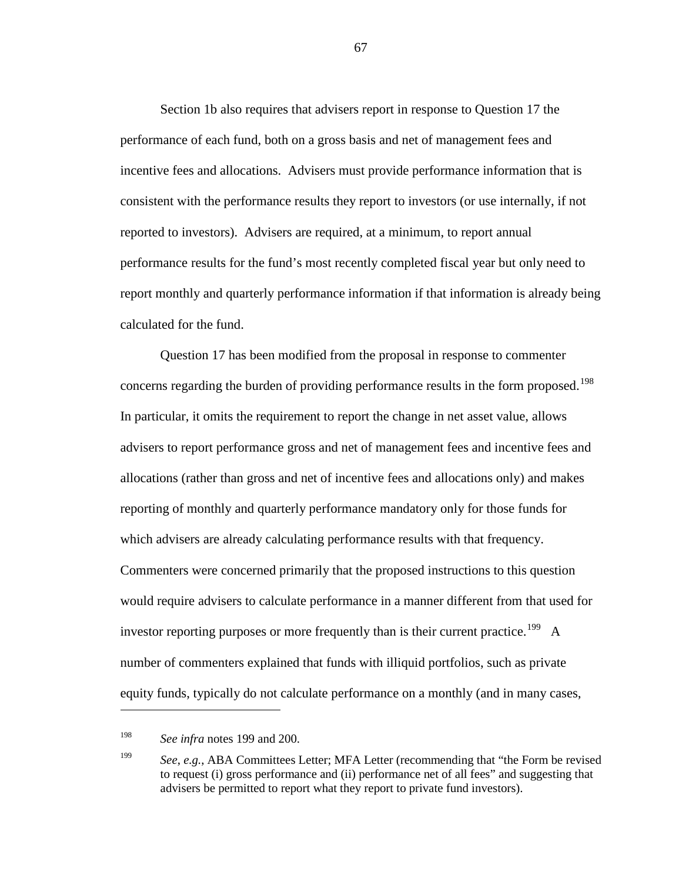Section 1b also requires that advisers report in response to Question 17 the performance of each fund, both on a gross basis and net of management fees and incentive fees and allocations. Advisers must provide performance information that is consistent with the performance results they report to investors (or use internally, if not reported to investors). Advisers are required, at a minimum, to report annual performance results for the fund's most recently completed fiscal year but only need to report monthly and quarterly performance information if that information is already being calculated for the fund.

Question 17 has been modified from the proposal in response to commenter concerns regarding the burden of providing performance results in the form proposed.<sup>[198](#page-66-1)</sup> In particular, it omits the requirement to report the change in net asset value, allows advisers to report performance gross and net of management fees and incentive fees and allocations (rather than gross and net of incentive fees and allocations only) and makes reporting of monthly and quarterly performance mandatory only for those funds for which advisers are already calculating performance results with that frequency. Commenters were concerned primarily that the proposed instructions to this question would require advisers to calculate performance in a manner different from that used for investor reporting purposes or more frequently than is their current practice.<sup>[199](#page-66-2)</sup> A number of commenters explained that funds with illiquid portfolios, such as private equity funds, typically do not calculate performance on a monthly (and in many cases,

<span id="page-66-0"></span> $\overline{a}$ 

<span id="page-66-1"></span><sup>198</sup> *See infra* notes [199](#page-66-0) and [200.](#page-67-1)

<span id="page-66-2"></span><sup>199</sup> *See*, *e.g.*, ABA Committees Letter; MFA Letter (recommending that "the Form be revised to request (i) gross performance and (ii) performance net of all fees" and suggesting that advisers be permitted to report what they report to private fund investors).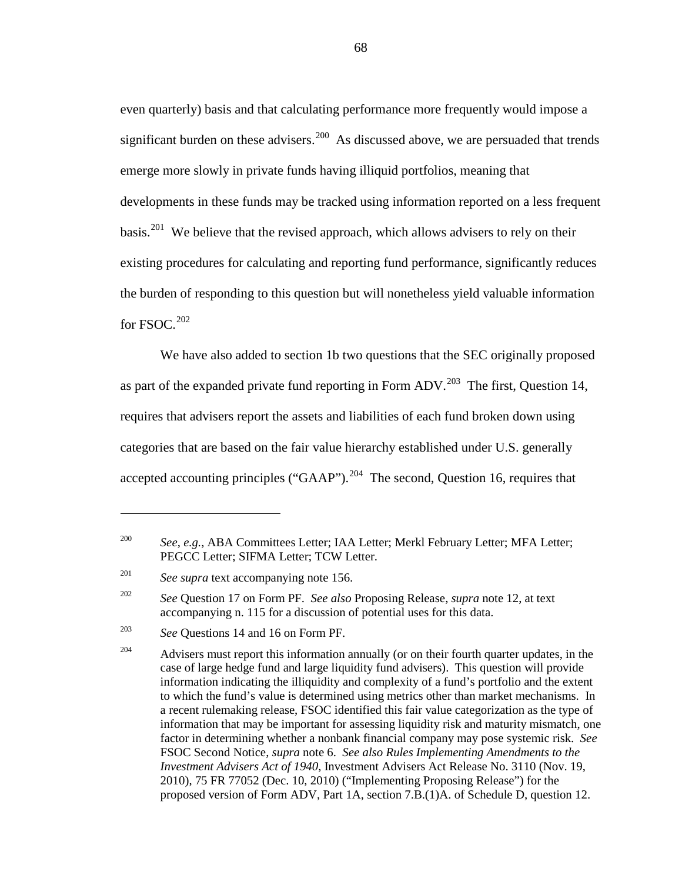<span id="page-67-1"></span>even quarterly) basis and that calculating performance more frequently would impose a significant burden on these advisers.<sup>200</sup> As discussed above, we are persuaded that trends emerge more slowly in private funds having illiquid portfolios, meaning that developments in these funds may be tracked using information reported on a less frequent basis.<sup>201</sup> We believe that the revised approach, which allows advisers to rely on their existing procedures for calculating and reporting fund performance, significantly reduces the burden of responding to this question but will nonetheless yield valuable information for FSOC. [202](#page-67-4)

<span id="page-67-0"></span>We have also added to section 1b two questions that the SEC originally proposed as part of the expanded private fund reporting in Form ADV.<sup>203</sup> The first, Question 14, requires that advisers report the assets and liabilities of each fund broken down using categories that are based on the fair value hierarchy established under U.S. generally accepted accounting principles ("GAAP").<sup>[204](#page-67-6)</sup> The second, Question 16, requires that

<span id="page-67-7"></span><span id="page-67-2"></span><sup>200</sup> *See*, *e.g.*, ABA Committees Letter; IAA Letter; Merkl February Letter; MFA Letter; PEGCC Letter; SIFMA Letter; TCW Letter.

<span id="page-67-3"></span><sup>&</sup>lt;sup>201</sup> *See supra* text accompanying note [156.](#page-52-6)

<span id="page-67-4"></span><sup>202</sup> *See* Question 17 on Form PF. *See also* Proposing Release, *supra* not[e 12,](#page-5-0) at text accompanying n. 115 for a discussion of potential uses for this data.

<span id="page-67-5"></span><sup>203</sup> *See* Questions 14 and 16 on Form PF.

<span id="page-67-6"></span> $204$  Advisers must report this information annually (or on their fourth quarter updates, in the case of large hedge fund and large liquidity fund advisers). This question will provide information indicating the illiquidity and complexity of a fund's portfolio and the extent to which the fund's value is determined using metrics other than market mechanisms. In a recent rulemaking release, FSOC identified this fair value categorization as the type of information that may be important for assessing liquidity risk and maturity mismatch, one factor in determining whether a nonbank financial company may pose systemic risk. *See* FSOC Second Notice, *supra* not[e 6.](#page-4-0) *See also Rules Implementing Amendments to the Investment Advisers Act of 1940*, Investment Advisers Act Release No. 3110 (Nov. 19, 2010), 75 FR 77052 (Dec. 10, 2010) ("Implementing Proposing Release") for the proposed version of Form ADV, Part 1A, section 7.B.(1)A. of Schedule D, question 12.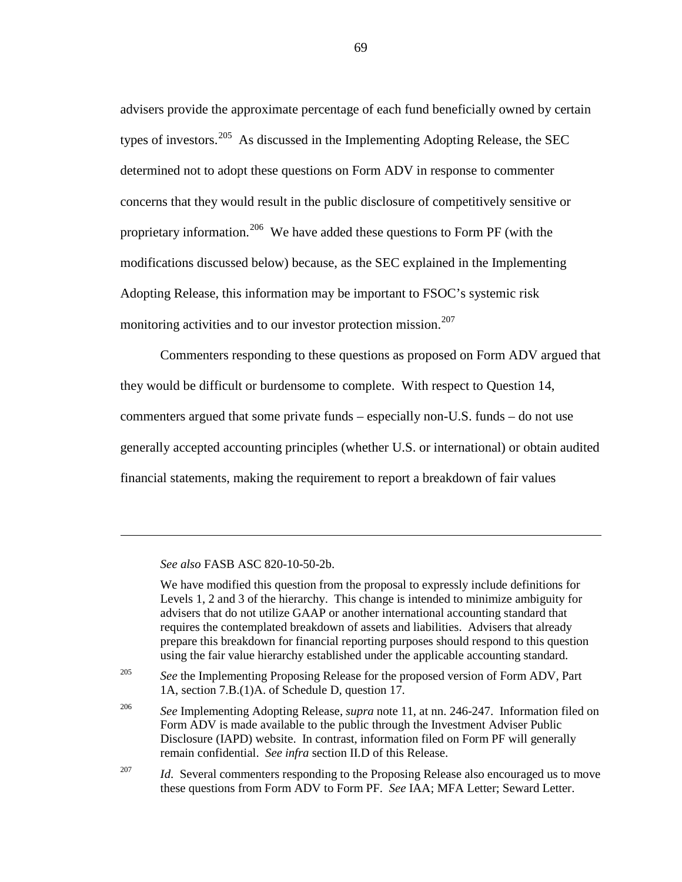advisers provide the approximate percentage of each fund beneficially owned by certain types of investors.<sup>[205](#page-68-0)</sup> As discussed in the Implementing Adopting Release, the SEC determined not to adopt these questions on Form ADV in response to commenter concerns that they would result in the public disclosure of competitively sensitive or proprietary information.<sup>206</sup> We have added these questions to Form PF (with the modifications discussed below) because, as the SEC explained in the Implementing Adopting Release, this information may be important to FSOC's systemic risk monitoring activities and to our investor protection mission. [207](#page-68-2)

Commenters responding to these questions as proposed on Form ADV argued that they would be difficult or burdensome to complete. With respect to Question 14, commenters argued that some private funds – especially non-U.S. funds – do not use generally accepted accounting principles (whether U.S. or international) or obtain audited financial statements, making the requirement to report a breakdown of fair values

*See also* FASB ASC 820-10-50-2b.

 $\overline{a}$ 

We have modified this question from the proposal to expressly include definitions for Levels 1, 2 and 3 of the hierarchy. This change is intended to minimize ambiguity for advisers that do not utilize GAAP or another international accounting standard that requires the contemplated breakdown of assets and liabilities. Advisers that already prepare this breakdown for financial reporting purposes should respond to this question using the fair value hierarchy established under the applicable accounting standard.

<span id="page-68-0"></span><sup>205</sup> *See* the Implementing Proposing Release for the proposed version of Form ADV, Part 1A, section 7.B.(1)A. of Schedule D, question 17.

<span id="page-68-1"></span><sup>206</sup> *See* Implementing Adopting Release, *supra* note [11,](#page-5-1) at nn. 246-247. Information filed on Form ADV is made available to the public through the Investment Adviser Public Disclosure (IAPD) website. In contrast, information filed on Form PF will generally remain confidential. *See infra* section II.D of this Release.

<span id="page-68-2"></span><sup>207</sup> *Id.* Several commenters responding to the Proposing Release also encouraged us to move these questions from Form ADV to Form PF. *See* IAA; MFA Letter; Seward Letter.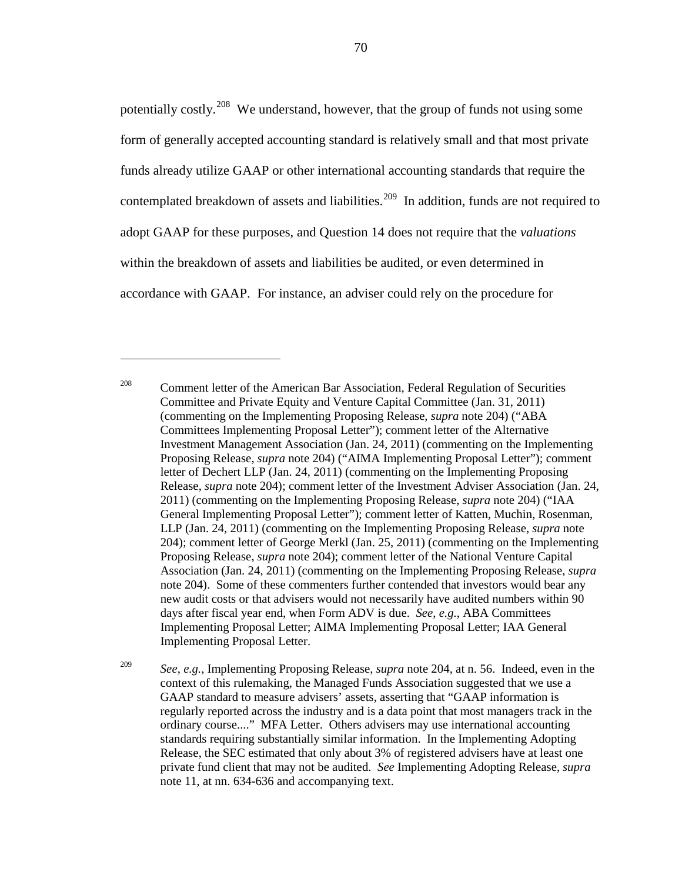potentially costly.[208](#page-69-0) We understand, however, that the group of funds not using some form of generally accepted accounting standard is relatively small and that most private funds already utilize GAAP or other international accounting standards that require the contemplated breakdown of assets and liabilities.<sup>[209](#page-69-1)</sup> In addition, funds are not required to adopt GAAP for these purposes, and Question 14 does not require that the *valuations* within the breakdown of assets and liabilities be audited, or even determined in accordance with GAAP. For instance, an adviser could rely on the procedure for

 $\overline{a}$ 

<span id="page-69-1"></span><sup>209</sup> *See*, *e.g.*, Implementing Proposing Release, *supra* note [204,](#page-67-7) at n. 56. Indeed, even in the context of this rulemaking, the Managed Funds Association suggested that we use a GAAP standard to measure advisers' assets, asserting that "GAAP information is regularly reported across the industry and is a data point that most managers track in the ordinary course...." MFA Letter. Others advisers may use international accounting standards requiring substantially similar information. In the Implementing Adopting Release, the SEC estimated that only about 3% of registered advisers have at least one private fund client that may not be audited. *See* Implementing Adopting Release, *supra* not[e 11,](#page-5-1) at nn. 634-636 and accompanying text.

<span id="page-69-0"></span><sup>&</sup>lt;sup>208</sup> Comment letter of the American Bar Association, Federal Regulation of Securities Committee and Private Equity and Venture Capital Committee (Jan. 31, 2011) (commenting on the Implementing Proposing Release, *supra* note [204\)](#page-67-7) ("ABA Committees Implementing Proposal Letter"); comment letter of the Alternative Investment Management Association (Jan. 24, 2011) (commenting on the Implementing Proposing Release, *supra* note [204\)](#page-67-7) ("AIMA Implementing Proposal Letter"); comment letter of Dechert LLP (Jan. 24, 2011) (commenting on the Implementing Proposing Release, *supra* note [204\)](#page-67-7); comment letter of the Investment Adviser Association (Jan. 24, 2011) (commenting on the Implementing Proposing Release, *supra* note [204\)](#page-67-7) ("IAA General Implementing Proposal Letter"); comment letter of Katten, Muchin, Rosenman, LLP (Jan. 24, 2011) (commenting on the Implementing Proposing Release, *supra* note [204\)](#page-67-7); comment letter of George Merkl (Jan. 25, 2011) (commenting on the Implementing Proposing Release, *supra* note [204\)](#page-67-7); comment letter of the National Venture Capital Association (Jan. 24, 2011) (commenting on the Implementing Proposing Release, *supra* not[e 204\)](#page-67-7). Some of these commenters further contended that investors would bear any new audit costs or that advisers would not necessarily have audited numbers within 90 days after fiscal year end, when Form ADV is due. *See*, *e.g.*, ABA Committees Implementing Proposal Letter; AIMA Implementing Proposal Letter; IAA General Implementing Proposal Letter.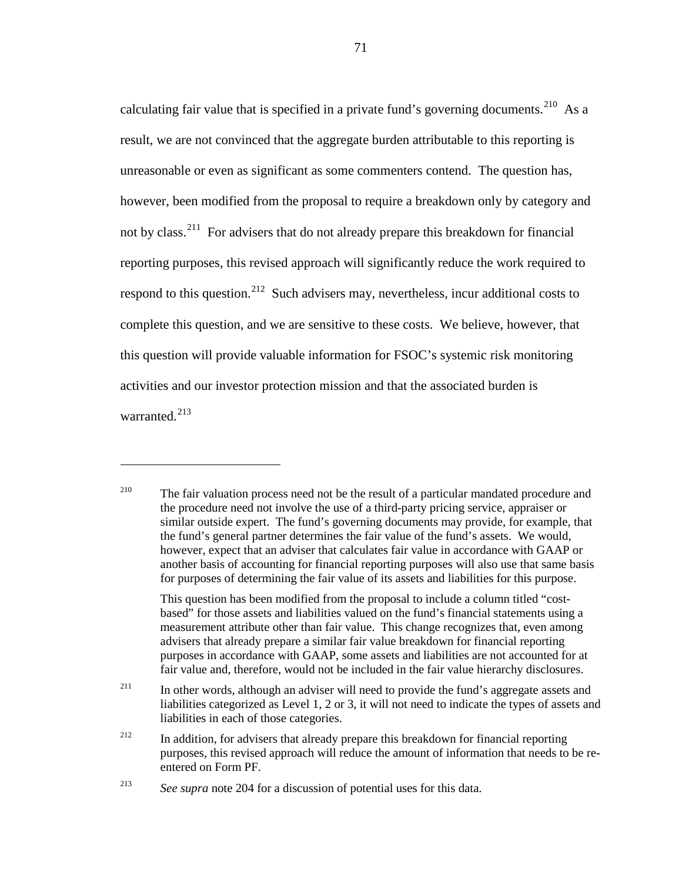calculating fair value that is specified in a private fund's governing documents.<sup>210</sup> As a result, we are not convinced that the aggregate burden attributable to this reporting is unreasonable or even as significant as some commenters contend. The question has, however, been modified from the proposal to require a breakdown only by category and not by class.<sup>[211](#page-70-1)</sup> For advisers that do not already prepare this breakdown for financial reporting purposes, this revised approach will significantly reduce the work required to respond to this question.<sup>[212](#page-70-2)</sup> Such advisers may, nevertheless, incur additional costs to complete this question, and we are sensitive to these costs. We believe, however, that this question will provide valuable information for FSOC's systemic risk monitoring activities and our investor protection mission and that the associated burden is warranted.<sup>[213](#page-70-3)</sup>

This question has been modified from the proposal to include a column titled "costbased" for those assets and liabilities valued on the fund's financial statements using a measurement attribute other than fair value. This change recognizes that, even among advisers that already prepare a similar fair value breakdown for financial reporting purposes in accordance with GAAP, some assets and liabilities are not accounted for at fair value and, therefore, would not be included in the fair value hierarchy disclosures.

<span id="page-70-1"></span> $211$  In other words, although an adviser will need to provide the fund's aggregate assets and liabilities categorized as Level 1, 2 or 3, it will not need to indicate the types of assets and liabilities in each of those categories.

<span id="page-70-2"></span><sup>212</sup> In addition, for advisers that already prepare this breakdown for financial reporting purposes, this revised approach will reduce the amount of information that needs to be reentered on Form PF.

<span id="page-70-0"></span><sup>&</sup>lt;sup>210</sup> The fair valuation process need not be the result of a particular mandated procedure and the procedure need not involve the use of a third-party pricing service, appraiser or similar outside expert. The fund's governing documents may provide, for example, that the fund's general partner determines the fair value of the fund's assets. We would, however, expect that an adviser that calculates fair value in accordance with GAAP or another basis of accounting for financial reporting purposes will also use that same basis for purposes of determining the fair value of its assets and liabilities for this purpose.

<span id="page-70-3"></span><sup>&</sup>lt;sup>213</sup> *See supra* note [204](#page-67-7) for a discussion of potential uses for this data.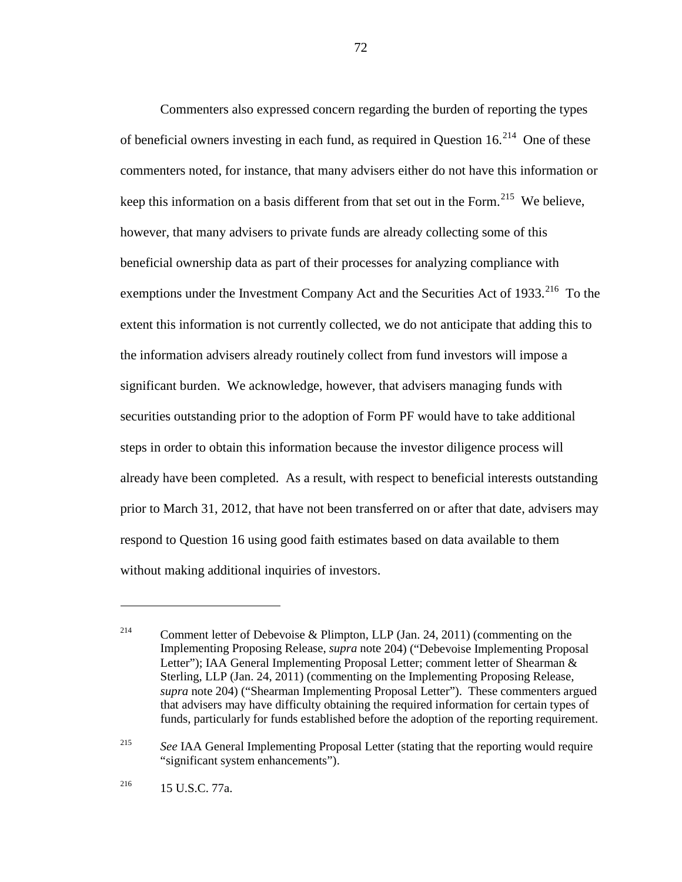Commenters also expressed concern regarding the burden of reporting the types of beneficial owners investing in each fund, as required in Question  $16.<sup>214</sup>$  One of these commenters noted, for instance, that many advisers either do not have this information or keep this information on a basis different from that set out in the Form.<sup>[215](#page-71-1)</sup> We believe, however, that many advisers to private funds are already collecting some of this beneficial ownership data as part of their processes for analyzing compliance with exemptions under the Investment Company Act and the Securities Act of 1933.<sup>[216](#page-71-2)</sup> To the extent this information is not currently collected, we do not anticipate that adding this to the information advisers already routinely collect from fund investors will impose a significant burden. We acknowledge, however, that advisers managing funds with securities outstanding prior to the adoption of Form PF would have to take additional steps in order to obtain this information because the investor diligence process will already have been completed. As a result, with respect to beneficial interests outstanding prior to March 31, 2012, that have not been transferred on or after that date, advisers may respond to Question 16 using good faith estimates based on data available to them without making additional inquiries of investors.

<span id="page-71-1"></span><sup>215</sup> *See* IAA General Implementing Proposal Letter (stating that the reporting would require "significant system enhancements").

<span id="page-71-2"></span> $^{216}$  15 U.S.C. 77a.

 $\overline{a}$ 

<span id="page-71-0"></span><sup>&</sup>lt;sup>214</sup> Comment letter of Debevoise & Plimpton, LLP (Jan. 24, 2011) (commenting on the Implementing Proposing Release, *supra* note [204\)](#page-67-7) ("Debevoise Implementing Proposal Letter"); IAA General Implementing Proposal Letter; comment letter of Shearman & Sterling, LLP (Jan. 24, 2011) (commenting on the Implementing Proposing Release, *supra* note [204\)](#page-67-7) ("Shearman Implementing Proposal Letter"). These commenters argued that advisers may have difficulty obtaining the required information for certain types of funds, particularly for funds established before the adoption of the reporting requirement.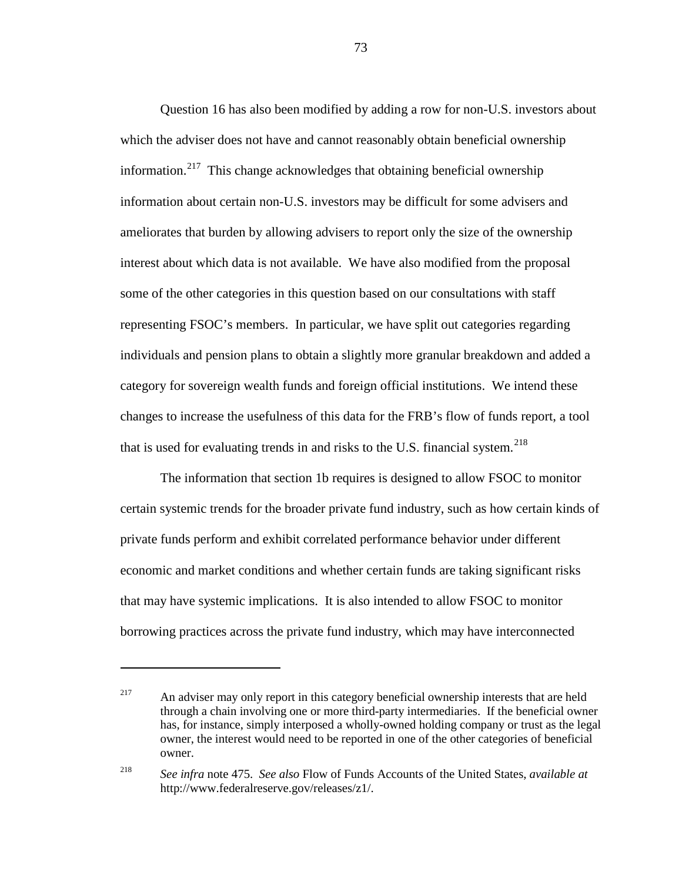Question 16 has also been modified by adding a row for non-U.S. investors about which the adviser does not have and cannot reasonably obtain beneficial ownership information.<sup>[217](#page-72-0)</sup> This change acknowledges that obtaining beneficial ownership information about certain non-U.S. investors may be difficult for some advisers and ameliorates that burden by allowing advisers to report only the size of the ownership interest about which data is not available. We have also modified from the proposal some of the other categories in this question based on our consultations with staff representing FSOC's members. In particular, we have split out categories regarding individuals and pension plans to obtain a slightly more granular breakdown and added a category for sovereign wealth funds and foreign official institutions. We intend these changes to increase the usefulness of this data for the FRB's flow of funds report, a tool that is used for evaluating trends in and risks to the U.S. financial system.<sup>[218](#page-72-1)</sup>

<span id="page-72-2"></span>The information that section 1b requires is designed to allow FSOC to monitor certain systemic trends for the broader private fund industry, such as how certain kinds of private funds perform and exhibit correlated performance behavior under different economic and market conditions and whether certain funds are taking significant risks that may have systemic implications. It is also intended to allow FSOC to monitor borrowing practices across the private fund industry, which may have interconnected

 $\overline{a}$ 

<span id="page-72-0"></span><sup>&</sup>lt;sup>217</sup> An adviser may only report in this category beneficial ownership interests that are held through a chain involving one or more third-party intermediaries. If the beneficial owner has, for instance, simply interposed a wholly-owned holding company or trust as the legal owner, the interest would need to be reported in one of the other categories of beneficial owner.

<span id="page-72-1"></span><sup>218</sup> *See infra* note [475.](#page-149-0) *See also* Flow of Funds Accounts of the United States, *available at* http://www.federalreserve.gov/releases/z1/.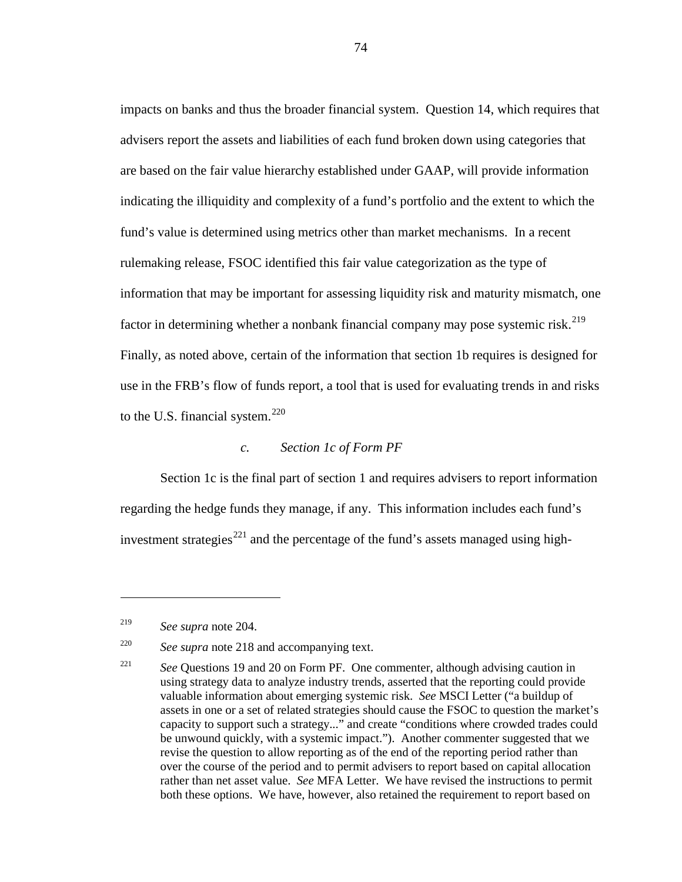impacts on banks and thus the broader financial system. Question 14, which requires that advisers report the assets and liabilities of each fund broken down using categories that are based on the fair value hierarchy established under GAAP, will provide information indicating the illiquidity and complexity of a fund's portfolio and the extent to which the fund's value is determined using metrics other than market mechanisms. In a recent rulemaking release, FSOC identified this fair value categorization as the type of information that may be important for assessing liquidity risk and maturity mismatch, one factor in determining whether a nonbank financial company may pose systemic risk.<sup>219</sup> Finally, as noted above, certain of the information that section 1b requires is designed for use in the FRB's flow of funds report, a tool that is used for evaluating trends in and risks to the U.S. financial system. $220$ 

# *c. Section 1c of Form PF*

Section 1c is the final part of section 1 and requires advisers to report information regarding the hedge funds they manage, if any. This information includes each fund's investment strategies<sup>[221](#page-73-2)</sup> and the percentage of the fund's assets managed using high-

<span id="page-73-0"></span><sup>219</sup> *See supra* note [204.](#page-67-0)

<span id="page-73-1"></span><sup>220</sup> *See supra* note [218](#page-72-2) and accompanying text.

<span id="page-73-2"></span><sup>&</sup>lt;sup>221</sup> *See* Questions 19 and 20 on Form PF. One commenter, although advising caution in using strategy data to analyze industry trends, asserted that the reporting could provide valuable information about emerging systemic risk. *See* MSCI Letter ("a buildup of assets in one or a set of related strategies should cause the FSOC to question the market's capacity to support such a strategy..." and create "conditions where crowded trades could be unwound quickly, with a systemic impact."). Another commenter suggested that we revise the question to allow reporting as of the end of the reporting period rather than over the course of the period and to permit advisers to report based on capital allocation rather than net asset value. *See* MFA Letter. We have revised the instructions to permit both these options. We have, however, also retained the requirement to report based on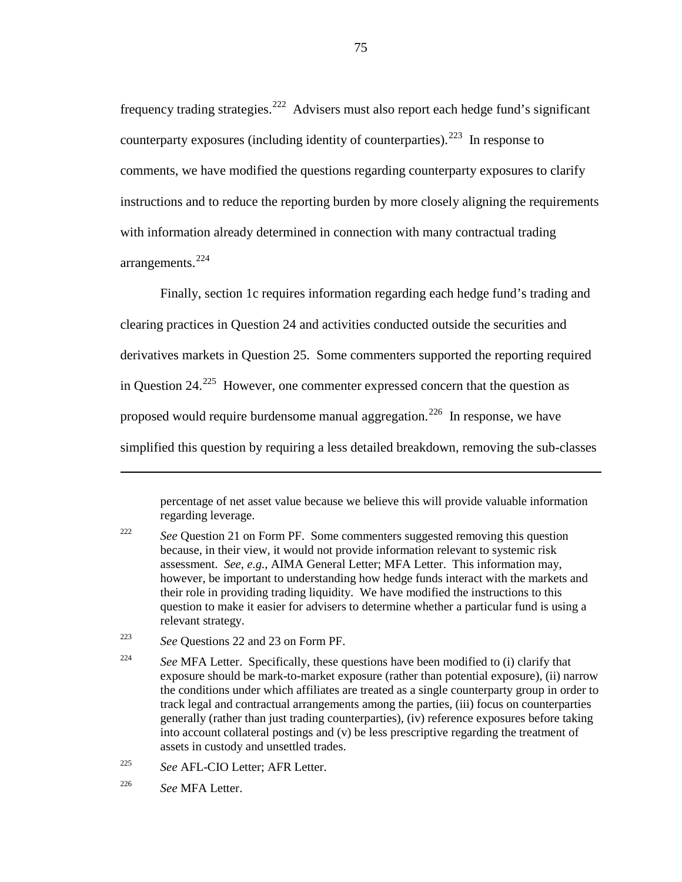frequency trading strategies.<sup>[222](#page-74-0)</sup> Advisers must also report each hedge fund's significant counterparty exposures (including identity of counterparties).<sup>[223](#page-74-1)</sup> In response to comments, we have modified the questions regarding counterparty exposures to clarify instructions and to reduce the reporting burden by more closely aligning the requirements with information already determined in connection with many contractual trading arrangements. [224](#page-74-2)

Finally, section 1c requires information regarding each hedge fund's trading and clearing practices in Question 24 and activities conducted outside the securities and derivatives markets in Question 25. Some commenters supported the reporting required in Question  $24.^{225}$  $24.^{225}$  $24.^{225}$  However, one commenter expressed concern that the question as proposed would require burdensome manual aggregation.<sup>[226](#page-74-4)</sup> In response, we have simplified this question by requiring a less detailed breakdown, removing the sub-classes

percentage of net asset value because we believe this will provide valuable information regarding leverage.

<span id="page-74-1"></span><sup>223</sup> *See* Questions 22 and 23 on Form PF.

<span id="page-74-3"></span><sup>225</sup> *See* AFL-CIO Letter; AFR Letter.

<span id="page-74-0"></span><sup>&</sup>lt;sup>222</sup> *See* Question 21 on Form PF. Some commenters suggested removing this question because, in their view, it would not provide information relevant to systemic risk assessment. *See*, *e.g.*, AIMA General Letter; MFA Letter. This information may, however, be important to understanding how hedge funds interact with the markets and their role in providing trading liquidity. We have modified the instructions to this question to make it easier for advisers to determine whether a particular fund is using a relevant strategy.

<span id="page-74-2"></span><sup>&</sup>lt;sup>224</sup> See MFA Letter. Specifically, these questions have been modified to (i) clarify that exposure should be mark-to-market exposure (rather than potential exposure), (ii) narrow the conditions under which affiliates are treated as a single counterparty group in order to track legal and contractual arrangements among the parties, (iii) focus on counterparties generally (rather than just trading counterparties), (iv) reference exposures before taking into account collateral postings and (v) be less prescriptive regarding the treatment of assets in custody and unsettled trades.

<span id="page-74-4"></span><sup>226</sup> *See* MFA Letter.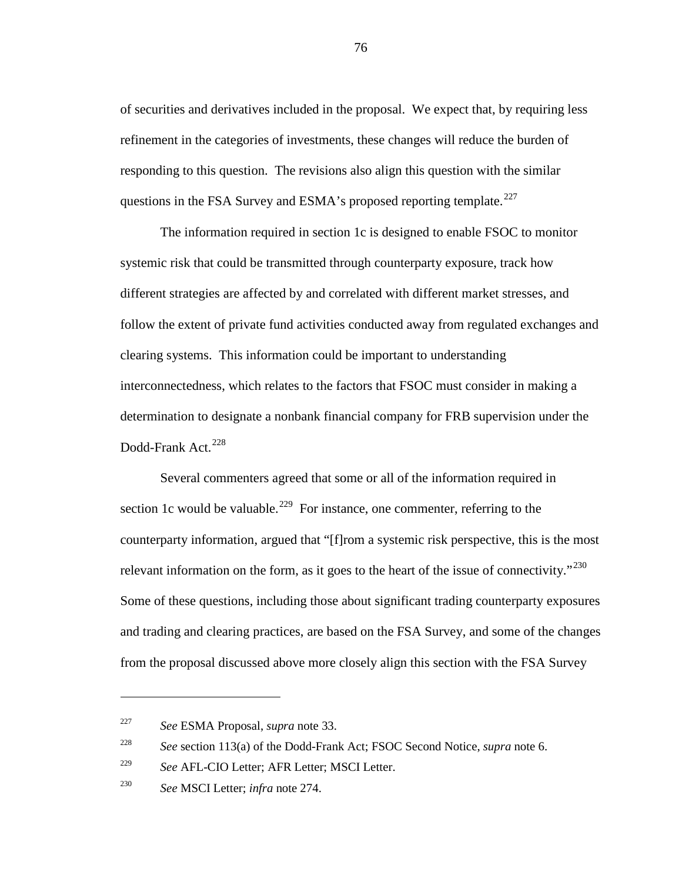of securities and derivatives included in the proposal. We expect that, by requiring less refinement in the categories of investments, these changes will reduce the burden of responding to this question. The revisions also align this question with the similar questions in the FSA Survey and ESMA's proposed reporting template.<sup>[227](#page-75-0)</sup>

The information required in section 1c is designed to enable FSOC to monitor systemic risk that could be transmitted through counterparty exposure, track how different strategies are affected by and correlated with different market stresses, and follow the extent of private fund activities conducted away from regulated exchanges and clearing systems. This information could be important to understanding interconnectedness, which relates to the factors that FSOC must consider in making a determination to designate a nonbank financial company for FRB supervision under the Dodd-Frank Act.<sup>[228](#page-75-1)</sup>

<span id="page-75-4"></span>Several commenters agreed that some or all of the information required in section 1c would be valuable.<sup>[229](#page-75-2)</sup> For instance, one commenter, referring to the counterparty information, argued that "[f]rom a systemic risk perspective, this is the most relevant information on the form, as it goes to the heart of the issue of connectivity."<sup>[230](#page-75-3)</sup> Some of these questions, including those about significant trading counterparty exposures and trading and clearing practices, are based on the FSA Survey, and some of the changes from the proposal discussed above more closely align this section with the FSA Survey

<span id="page-75-0"></span><sup>227</sup> *See* ESMA Proposal, *supra* note [33.](#page-12-0)

<span id="page-75-1"></span><sup>228</sup> *See* section 113(a) of the Dodd-Frank Act; FSOC Second Notice, *supra* note [6.](#page-4-0)

<span id="page-75-2"></span><sup>229</sup> *See* AFL-CIO Letter; AFR Letter; MSCI Letter.

<span id="page-75-3"></span><sup>230</sup> *See* MSCI Letter; *infra* note [274.](#page-90-0)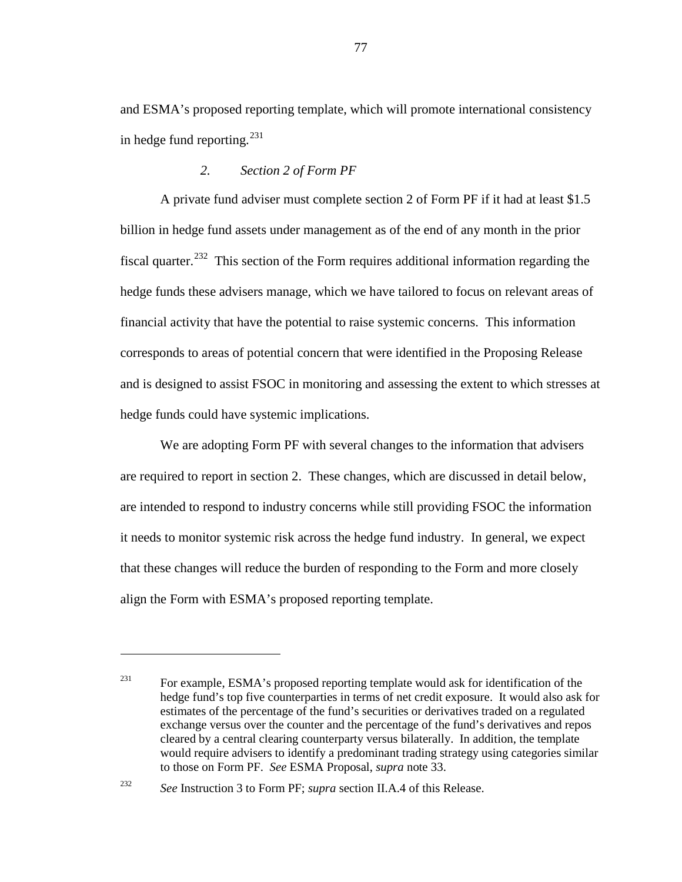and ESMA's proposed reporting template, which will promote international consistency in hedge fund reporting.<sup>[231](#page-76-0)</sup>

# *2. Section 2 of Form PF*

A private fund adviser must complete section 2 of Form PF if it had at least \$1.5 billion in hedge fund assets under management as of the end of any month in the prior fiscal quarter.<sup>[232](#page-76-1)</sup> This section of the Form requires additional information regarding the hedge funds these advisers manage, which we have tailored to focus on relevant areas of financial activity that have the potential to raise systemic concerns. This information corresponds to areas of potential concern that were identified in the Proposing Release and is designed to assist FSOC in monitoring and assessing the extent to which stresses at hedge funds could have systemic implications.

We are adopting Form PF with several changes to the information that advisers are required to report in section 2. These changes, which are discussed in detail below, are intended to respond to industry concerns while still providing FSOC the information it needs to monitor systemic risk across the hedge fund industry. In general, we expect that these changes will reduce the burden of responding to the Form and more closely align the Form with ESMA's proposed reporting template.

<span id="page-76-0"></span><sup>&</sup>lt;sup>231</sup> For example, ESMA's proposed reporting template would ask for identification of the hedge fund's top five counterparties in terms of net credit exposure. It would also ask for estimates of the percentage of the fund's securities or derivatives traded on a regulated exchange versus over the counter and the percentage of the fund's derivatives and repos cleared by a central clearing counterparty versus bilaterally. In addition, the template would require advisers to identify a predominant trading strategy using categories similar to those on Form PF. *See* ESMA Proposal, *supra* note [33.](#page-12-0)

<span id="page-76-1"></span><sup>232</sup> *See* Instruction 3 to Form PF; *supra* section II.A.4 of this Release.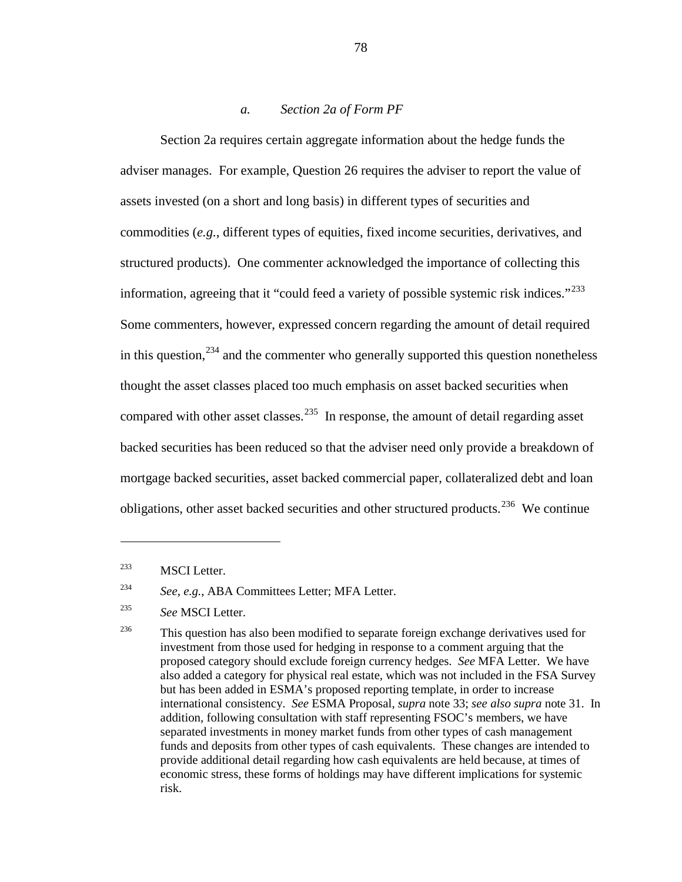### <span id="page-77-4"></span>*a. Section 2a of Form PF*

Section 2a requires certain aggregate information about the hedge funds the adviser manages. For example, Question 26 requires the adviser to report the value of assets invested (on a short and long basis) in different types of securities and commodities (*e.g.*, different types of equities, fixed income securities, derivatives, and structured products). One commenter acknowledged the importance of collecting this information, agreeing that it "could feed a variety of possible systemic risk indices." $233$ Some commenters, however, expressed concern regarding the amount of detail required in this question,  $234$  and the commenter who generally supported this question nonetheless thought the asset classes placed too much emphasis on asset backed securities when compared with other asset classes.<sup>235</sup> In response, the amount of detail regarding asset backed securities has been reduced so that the adviser need only provide a breakdown of mortgage backed securities, asset backed commercial paper, collateralized debt and loan obligations, other asset backed securities and other structured products.<sup>[236](#page-77-3)</sup> We continue

<span id="page-77-0"></span><sup>233</sup> MSCI Letter.

 $\overline{a}$ 

<span id="page-77-1"></span><sup>234</sup> *See*, *e.g.*, ABA Committees Letter; MFA Letter.

<span id="page-77-2"></span><sup>235</sup> *See* MSCI Letter.

<span id="page-77-3"></span> $236$  This question has also been modified to separate foreign exchange derivatives used for investment from those used for hedging in response to a comment arguing that the proposed category should exclude foreign currency hedges. *See* MFA Letter. We have also added a category for physical real estate, which was not included in the FSA Survey but has been added in ESMA's proposed reporting template, in order to increase international consistency. *See* ESMA Proposal, *supra* not[e 33;](#page-12-0) *see also supra* note [31.](#page-11-0) In addition, following consultation with staff representing FSOC's members, we have separated investments in money market funds from other types of cash management funds and deposits from other types of cash equivalents. These changes are intended to provide additional detail regarding how cash equivalents are held because, at times of economic stress, these forms of holdings may have different implications for systemic risk.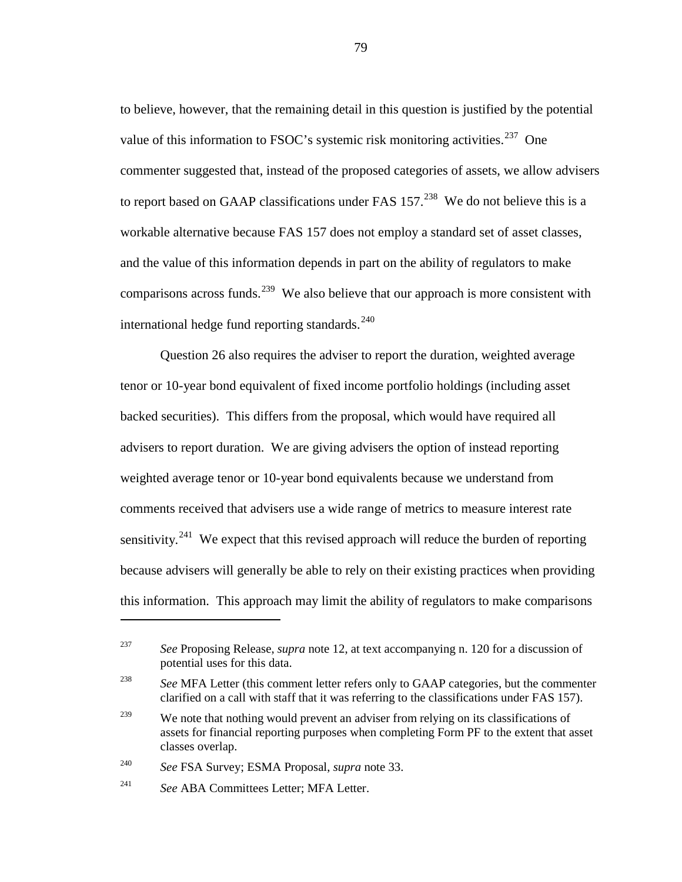to believe, however, that the remaining detail in this question is justified by the potential value of this information to FSOC's systemic risk monitoring activities.<sup>[237](#page-78-0)</sup> One commenter suggested that, instead of the proposed categories of assets, we allow advisers to report based on GAAP classifications under FAS  $157<sup>238</sup>$  $157<sup>238</sup>$  $157<sup>238</sup>$  We do not believe this is a workable alternative because FAS 157 does not employ a standard set of asset classes, and the value of this information depends in part on the ability of regulators to make comparisons across funds.<sup>[239](#page-78-2)</sup> We also believe that our approach is more consistent with international hedge fund reporting standards. $240$ 

Question 26 also requires the adviser to report the duration, weighted average tenor or 10-year bond equivalent of fixed income portfolio holdings (including asset backed securities). This differs from the proposal, which would have required all advisers to report duration. We are giving advisers the option of instead reporting weighted average tenor or 10-year bond equivalents because we understand from comments received that advisers use a wide range of metrics to measure interest rate sensitivity.<sup>[241](#page-78-4)</sup> We expect that this revised approach will reduce the burden of reporting because advisers will generally be able to rely on their existing practices when providing this information. This approach may limit the ability of regulators to make comparisons

<span id="page-78-3"></span><sup>240</sup> *See* FSA Survey; ESMA Proposal, *supra* not[e 33.](#page-12-0)

 $\overline{a}$ 

<span id="page-78-0"></span><sup>237</sup> *See* Proposing Release, *supra* note [12,](#page-5-0) at text accompanying n. 120 for a discussion of potential uses for this data.

<span id="page-78-1"></span><sup>238</sup> *See* MFA Letter (this comment letter refers only to GAAP categories, but the commenter clarified on a call with staff that it was referring to the classifications under FAS 157).

<span id="page-78-2"></span><sup>&</sup>lt;sup>239</sup> We note that nothing would prevent an adviser from relying on its classifications of assets for financial reporting purposes when completing Form PF to the extent that asset classes overlap.

<span id="page-78-4"></span><sup>241</sup> *See* ABA Committees Letter; MFA Letter.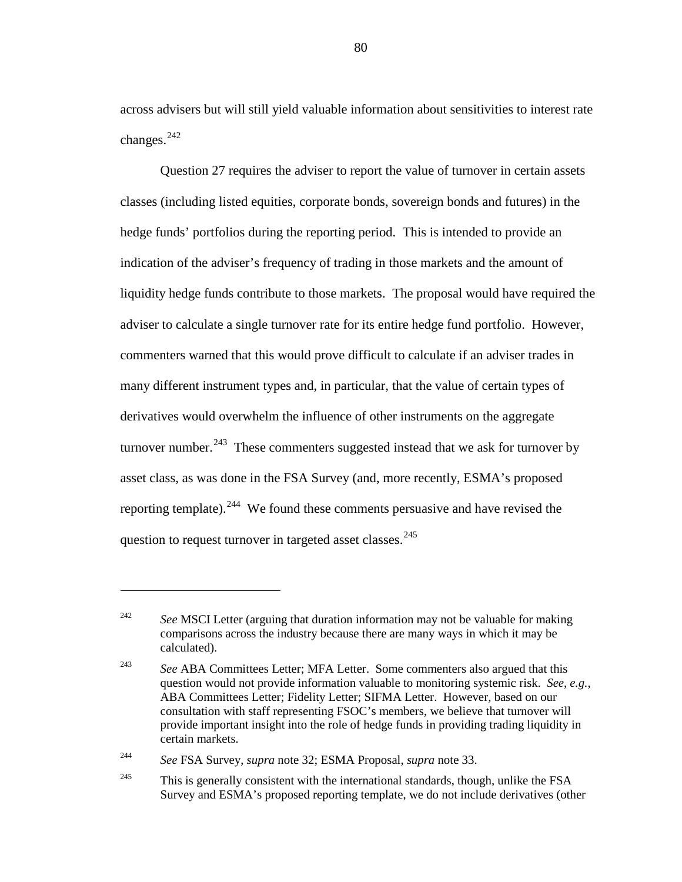<span id="page-79-4"></span>across advisers but will still yield valuable information about sensitivities to interest rate changes. [242](#page-79-0)

Question 27 requires the adviser to report the value of turnover in certain assets classes (including listed equities, corporate bonds, sovereign bonds and futures) in the hedge funds' portfolios during the reporting period. This is intended to provide an indication of the adviser's frequency of trading in those markets and the amount of liquidity hedge funds contribute to those markets. The proposal would have required the adviser to calculate a single turnover rate for its entire hedge fund portfolio. However, commenters warned that this would prove difficult to calculate if an adviser trades in many different instrument types and, in particular, that the value of certain types of derivatives would overwhelm the influence of other instruments on the aggregate turnover number.<sup>[243](#page-79-1)</sup> These commenters suggested instead that we ask for turnover by asset class, as was done in the FSA Survey (and, more recently, ESMA's proposed reporting template). <sup>[244](#page-79-2)</sup> We found these comments persuasive and have revised the question to request turnover in targeted asset classes.<sup>[245](#page-79-3)</sup>

<span id="page-79-0"></span><sup>&</sup>lt;sup>242</sup> *See* MSCI Letter (arguing that duration information may not be valuable for making comparisons across the industry because there are many ways in which it may be calculated).

<span id="page-79-1"></span><sup>&</sup>lt;sup>243</sup> *See* ABA Committees Letter; MFA Letter. Some commenters also argued that this question would not provide information valuable to monitoring systemic risk. *See*, *e.g.*, ABA Committees Letter; Fidelity Letter; SIFMA Letter. However, based on our consultation with staff representing FSOC's members, we believe that turnover will provide important insight into the role of hedge funds in providing trading liquidity in certain markets.

<span id="page-79-2"></span><sup>244</sup> *See* FSA Survey, *supra* note [32;](#page-12-1) ESMA Proposal, *supra* not[e 33.](#page-12-0)

<span id="page-79-3"></span> $245$  This is generally consistent with the international standards, though, unlike the FSA Survey and ESMA's proposed reporting template, we do not include derivatives (other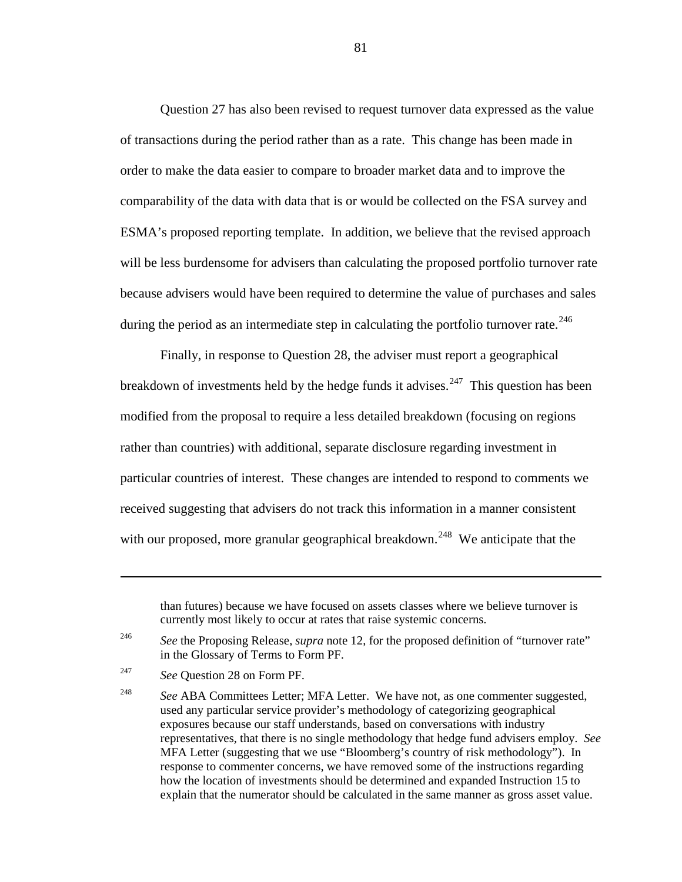Question 27 has also been revised to request turnover data expressed as the value of transactions during the period rather than as a rate. This change has been made in order to make the data easier to compare to broader market data and to improve the comparability of the data with data that is or would be collected on the FSA survey and ESMA's proposed reporting template. In addition, we believe that the revised approach will be less burdensome for advisers than calculating the proposed portfolio turnover rate because advisers would have been required to determine the value of purchases and sales during the period as an intermediate step in calculating the portfolio turnover rate.<sup>[246](#page-80-0)</sup>

<span id="page-80-3"></span>Finally, in response to Question 28, the adviser must report a geographical breakdown of investments held by the hedge funds it advises.<sup>247</sup> This question has been modified from the proposal to require a less detailed breakdown (focusing on regions rather than countries) with additional, separate disclosure regarding investment in particular countries of interest. These changes are intended to respond to comments we received suggesting that advisers do not track this information in a manner consistent with our proposed, more granular geographical breakdown.<sup>[248](#page-80-2)</sup> We anticipate that the

than futures) because we have focused on assets classes where we believe turnover is currently most likely to occur at rates that raise systemic concerns.

<span id="page-80-0"></span><sup>246</sup> *See* the Proposing Release, *supra* note [12,](#page-5-0) for the proposed definition of "turnover rate" in the Glossary of Terms to Form PF.

<span id="page-80-1"></span><sup>247</sup> *See* Question 28 on Form PF.

<span id="page-80-2"></span><sup>248</sup> *See* ABA Committees Letter; MFA Letter. We have not, as one commenter suggested, used any particular service provider's methodology of categorizing geographical exposures because our staff understands, based on conversations with industry representatives, that there is no single methodology that hedge fund advisers employ. *See* MFA Letter (suggesting that we use "Bloomberg's country of risk methodology"). In response to commenter concerns, we have removed some of the instructions regarding how the location of investments should be determined and expanded Instruction 15 to explain that the numerator should be calculated in the same manner as gross asset value.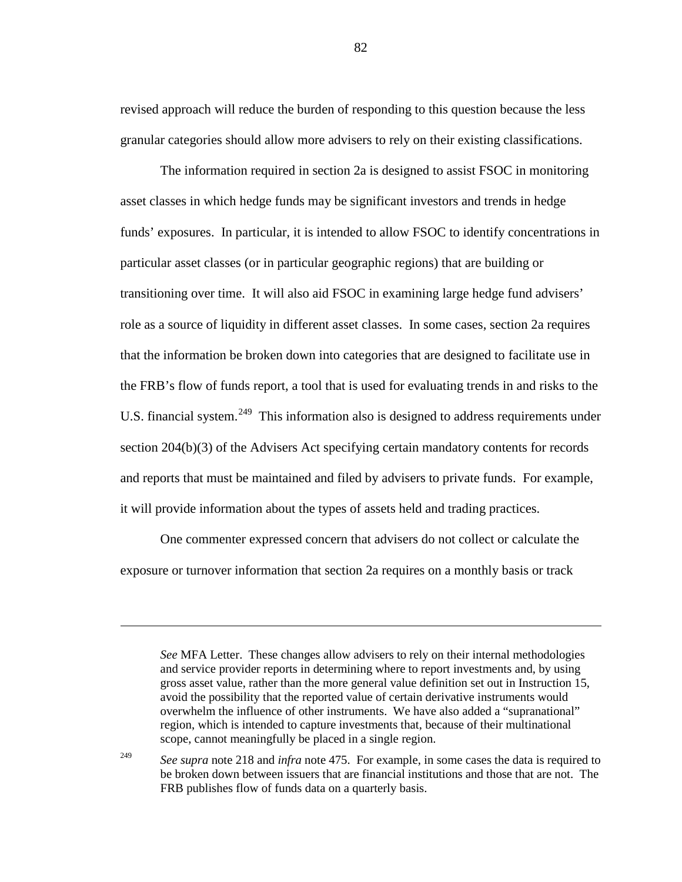revised approach will reduce the burden of responding to this question because the less granular categories should allow more advisers to rely on their existing classifications.

The information required in section 2a is designed to assist FSOC in monitoring asset classes in which hedge funds may be significant investors and trends in hedge funds' exposures. In particular, it is intended to allow FSOC to identify concentrations in particular asset classes (or in particular geographic regions) that are building or transitioning over time. It will also aid FSOC in examining large hedge fund advisers' role as a source of liquidity in different asset classes. In some cases, section 2a requires that the information be broken down into categories that are designed to facilitate use in the FRB's flow of funds report, a tool that is used for evaluating trends in and risks to the U.S. financial system.<sup>[249](#page-81-0)</sup> This information also is designed to address requirements under section 204(b)(3) of the Advisers Act specifying certain mandatory contents for records and reports that must be maintained and filed by advisers to private funds. For example, it will provide information about the types of assets held and trading practices.

One commenter expressed concern that advisers do not collect or calculate the exposure or turnover information that section 2a requires on a monthly basis or track

 $\overline{a}$ 

<span id="page-81-0"></span><sup>249</sup> *See supra* note [218](#page-72-2) and *infra* note [475.](#page-149-0) For example, in some cases the data is required to be broken down between issuers that are financial institutions and those that are not. The FRB publishes flow of funds data on a quarterly basis.

*See* MFA Letter. These changes allow advisers to rely on their internal methodologies and service provider reports in determining where to report investments and, by using gross asset value, rather than the more general value definition set out in Instruction 15, avoid the possibility that the reported value of certain derivative instruments would overwhelm the influence of other instruments. We have also added a "supranational" region, which is intended to capture investments that, because of their multinational scope, cannot meaningfully be placed in a single region.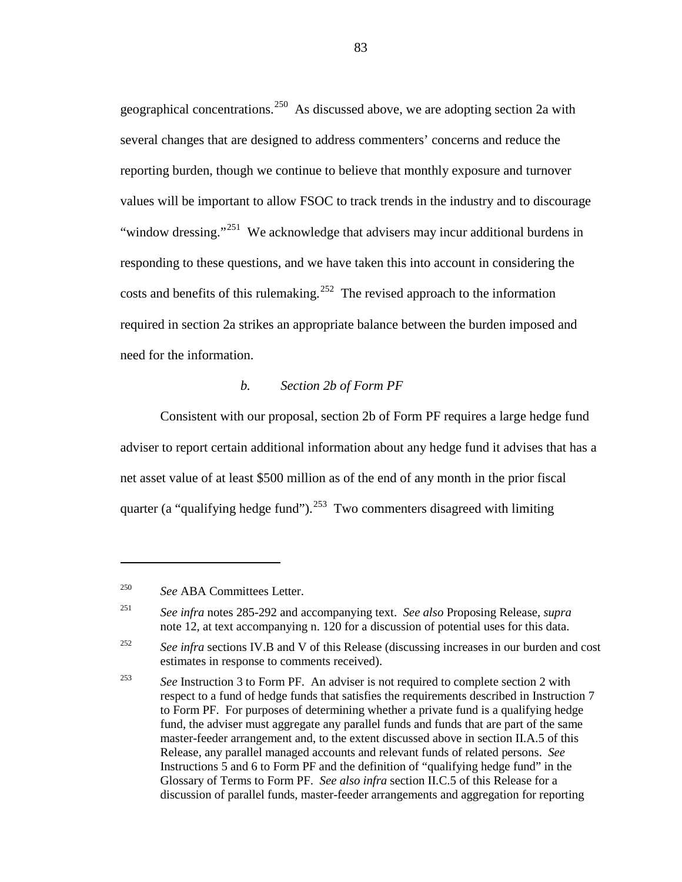geographical concentrations.<sup>250</sup> As discussed above, we are adopting section 2a with several changes that are designed to address commenters' concerns and reduce the reporting burden, though we continue to believe that monthly exposure and turnover values will be important to allow FSOC to track trends in the industry and to discourage "window dressing."<sup>[251](#page-82-1)</sup> We acknowledge that advisers may incur additional burdens in responding to these questions, and we have taken this into account in considering the costs and benefits of this rulemaking.<sup>[252](#page-82-2)</sup> The revised approach to the information required in section 2a strikes an appropriate balance between the burden imposed and need for the information.

### *b. Section 2b of Form PF*

Consistent with our proposal, section 2b of Form PF requires a large hedge fund adviser to report certain additional information about any hedge fund it advises that has a net asset value of at least \$500 million as of the end of any month in the prior fiscal quarter (a "qualifying hedge fund").<sup>[253](#page-82-3)</sup> Two commenters disagreed with limiting

<span id="page-82-0"></span><sup>250</sup> *See* ABA Committees Letter.

<span id="page-82-1"></span><sup>251</sup> *See infra* notes [285](#page-94-0)[-292](#page-95-0) and accompanying text. *See also* Proposing Release, *supra* note [12,](#page-5-0) at text accompanying n. 120 for a discussion of potential uses for this data.

<span id="page-82-2"></span><sup>&</sup>lt;sup>252</sup> *See infra* sections IV.B and V of this Release (discussing increases in our burden and cost estimates in response to comments received).

<span id="page-82-3"></span><sup>253</sup> *See* Instruction 3 to Form PF. An adviser is not required to complete section 2 with respect to a fund of hedge funds that satisfies the requirements described in Instruction 7 to Form PF. For purposes of determining whether a private fund is a qualifying hedge fund, the adviser must aggregate any parallel funds and funds that are part of the same master-feeder arrangement and, to the extent discussed above in section II.A.5 of this Release, any parallel managed accounts and relevant funds of related persons. *See* Instructions 5 and 6 to Form PF and the definition of "qualifying hedge fund" in the Glossary of Terms to Form PF. *See also infra* section II.C.5 of this Release for a discussion of parallel funds, master-feeder arrangements and aggregation for reporting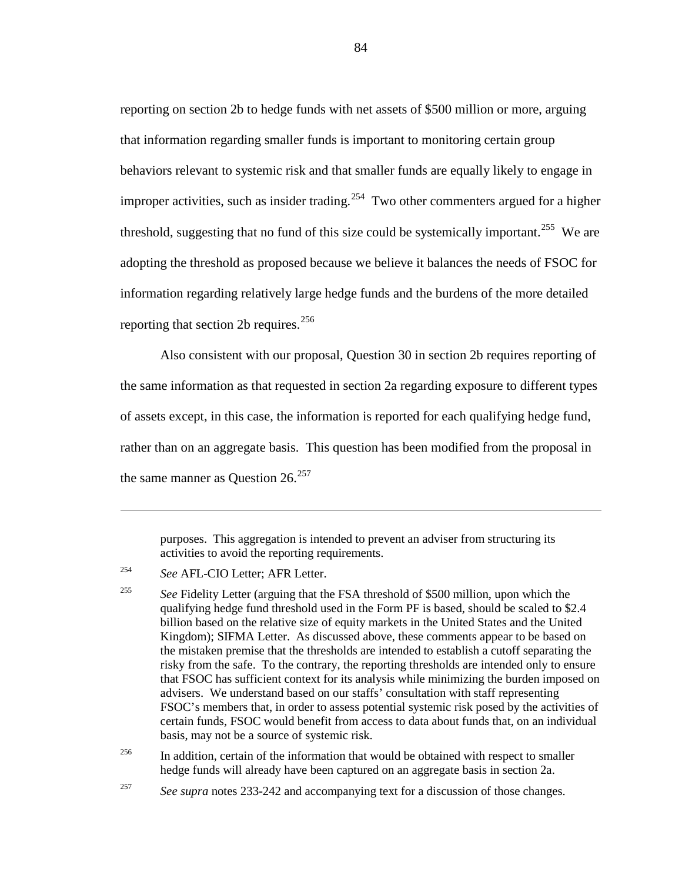reporting on section 2b to hedge funds with net assets of \$500 million or more, arguing that information regarding smaller funds is important to monitoring certain group behaviors relevant to systemic risk and that smaller funds are equally likely to engage in improper activities, such as insider trading.<sup>254</sup> Two other commenters argued for a higher threshold, suggesting that no fund of this size could be systemically important.<sup>[255](#page-83-1)</sup> We are adopting the threshold as proposed because we believe it balances the needs of FSOC for information regarding relatively large hedge funds and the burdens of the more detailed reporting that section 2b requires. $256$ 

Also consistent with our proposal, Question 30 in section 2b requires reporting of the same information as that requested in section 2a regarding exposure to different types of assets except, in this case, the information is reported for each qualifying hedge fund, rather than on an aggregate basis. This question has been modified from the proposal in the same manner as Question  $26.^{257}$  $26.^{257}$  $26.^{257}$ 

purposes. This aggregation is intended to prevent an adviser from structuring its activities to avoid the reporting requirements.

<span id="page-83-1"></span><sup>255</sup> See Fidelity Letter (arguing that the FSA threshold of \$500 million, upon which the qualifying hedge fund threshold used in the Form PF is based, should be scaled to \$2.4 billion based on the relative size of equity markets in the United States and the United Kingdom); SIFMA Letter. As discussed above, these comments appear to be based on the mistaken premise that the thresholds are intended to establish a cutoff separating the risky from the safe. To the contrary, the reporting thresholds are intended only to ensure that FSOC has sufficient context for its analysis while minimizing the burden imposed on advisers. We understand based on our staffs' consultation with staff representing FSOC's members that, in order to assess potential systemic risk posed by the activities of certain funds, FSOC would benefit from access to data about funds that, on an individual basis, may not be a source of systemic risk.

<span id="page-83-2"></span><sup>256</sup> In addition, certain of the information that would be obtained with respect to smaller hedge funds will already have been captured on an aggregate basis in section 2a.

<span id="page-83-0"></span><sup>254</sup> *See* AFL-CIO Letter; AFR Letter.

<span id="page-83-3"></span><sup>257</sup> *See supra* notes [233-](#page-77-4)[242](#page-79-4) and accompanying text for a discussion of those changes.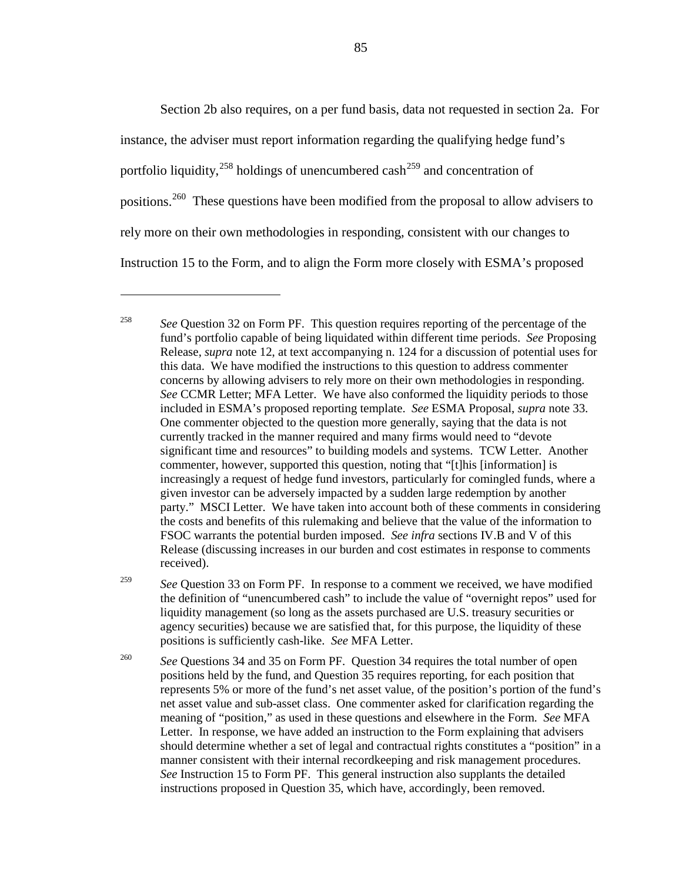Section 2b also requires, on a per fund basis, data not requested in section 2a. For instance, the adviser must report information regarding the qualifying hedge fund's portfolio liquidity,<sup>[258](#page-84-0)</sup> holdings of unencumbered cash<sup>[259](#page-84-1)</sup> and concentration of positions.<sup>[260](#page-84-2)</sup> These questions have been modified from the proposal to allow advisers to rely more on their own methodologies in responding, consistent with our changes to Instruction 15 to the Form, and to align the Form more closely with ESMA's proposed

 $\overline{a}$ 

<span id="page-84-1"></span><sup>259</sup> *See* Question 33 on Form PF. In response to a comment we received, we have modified the definition of "unencumbered cash" to include the value of "overnight repos" used for liquidity management (so long as the assets purchased are U.S. treasury securities or agency securities) because we are satisfied that, for this purpose, the liquidity of these positions is sufficiently cash-like. *See* MFA Letter.

<span id="page-84-2"></span><sup>260</sup> *See* Questions 34 and 35 on Form PF. Question 34 requires the total number of open positions held by the fund, and Question 35 requires reporting, for each position that represents 5% or more of the fund's net asset value, of the position's portion of the fund's net asset value and sub-asset class. One commenter asked for clarification regarding the meaning of "position," as used in these questions and elsewhere in the Form. *See* MFA Letter. In response, we have added an instruction to the Form explaining that advisers should determine whether a set of legal and contractual rights constitutes a "position" in a manner consistent with their internal recordkeeping and risk management procedures. *See* Instruction 15 to Form PF. This general instruction also supplants the detailed instructions proposed in Question 35, which have, accordingly, been removed.

<span id="page-84-0"></span><sup>&</sup>lt;sup>258</sup> *See* Question 32 on Form PF. This question requires reporting of the percentage of the fund's portfolio capable of being liquidated within different time periods. *See* Proposing Release, *supra* note [12,](#page-5-0) at text accompanying n. 124 for a discussion of potential uses for this data. We have modified the instructions to this question to address commenter concerns by allowing advisers to rely more on their own methodologies in responding. *See* CCMR Letter; MFA Letter. We have also conformed the liquidity periods to those included in ESMA's proposed reporting template. *See* ESMA Proposal, *supra* note [33.](#page-12-0) One commenter objected to the question more generally, saying that the data is not currently tracked in the manner required and many firms would need to "devote significant time and resources" to building models and systems. TCW Letter. Another commenter, however, supported this question, noting that "[t]his [information] is increasingly a request of hedge fund investors, particularly for comingled funds, where a given investor can be adversely impacted by a sudden large redemption by another party." MSCI Letter. We have taken into account both of these comments in considering the costs and benefits of this rulemaking and believe that the value of the information to FSOC warrants the potential burden imposed. *See infra* sections IV.B and V of this Release (discussing increases in our burden and cost estimates in response to comments received).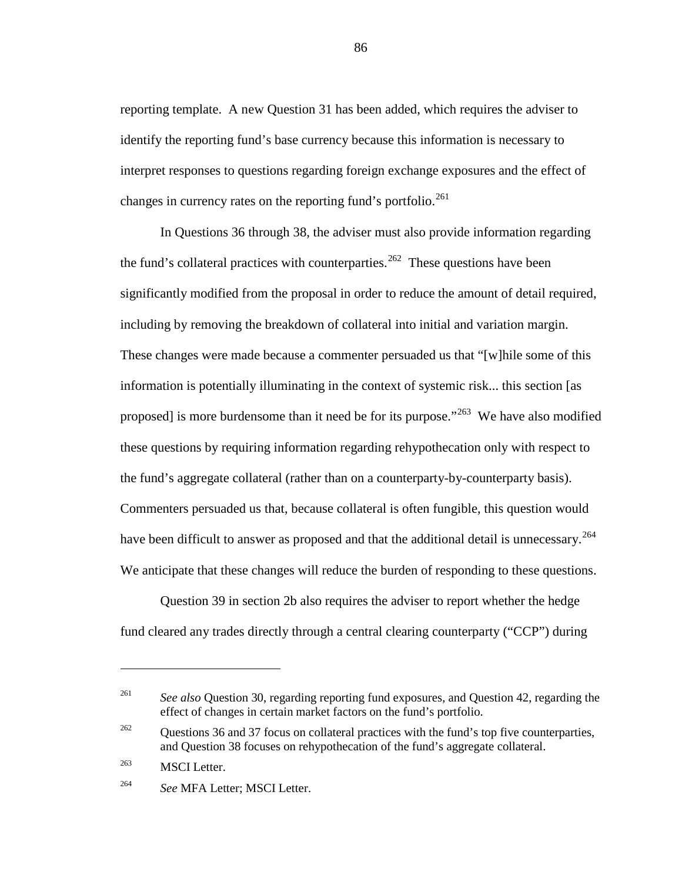reporting template. A new Question 31 has been added, which requires the adviser to identify the reporting fund's base currency because this information is necessary to interpret responses to questions regarding foreign exchange exposures and the effect of changes in currency rates on the reporting fund's portfolio. $^{261}$  $^{261}$  $^{261}$ 

<span id="page-85-5"></span>In Questions 36 through 38, the adviser must also provide information regarding the fund's collateral practices with counterparties.<sup>[262](#page-85-1)</sup> These questions have been significantly modified from the proposal in order to reduce the amount of detail required, including by removing the breakdown of collateral into initial and variation margin. These changes were made because a commenter persuaded us that "[w]hile some of this information is potentially illuminating in the context of systemic risk... this section [as proposed] is more burdensome than it need be for its purpose.<sup> $263$ </sup> We have also modified these questions by requiring information regarding rehypothecation only with respect to the fund's aggregate collateral (rather than on a counterparty-by-counterparty basis). Commenters persuaded us that, because collateral is often fungible, this question would have been difficult to answer as proposed and that the additional detail is unnecessary.<sup>[264](#page-85-3)</sup> We anticipate that these changes will reduce the burden of responding to these questions.

<span id="page-85-4"></span>Question 39 in section 2b also requires the adviser to report whether the hedge fund cleared any trades directly through a central clearing counterparty ("CCP") during

<span id="page-85-0"></span><sup>&</sup>lt;sup>261</sup> *See also* Question 30, regarding reporting fund exposures, and Question 42, regarding the effect of changes in certain market factors on the fund's portfolio.

<span id="page-85-1"></span><sup>&</sup>lt;sup>262</sup> Questions 36 and 37 focus on collateral practices with the fund's top five counterparties, and Question 38 focuses on rehypothecation of the fund's aggregate collateral.

<span id="page-85-2"></span><sup>&</sup>lt;sup>263</sup> MSCI Letter.

<span id="page-85-3"></span><sup>264</sup> *See* MFA Letter; MSCI Letter.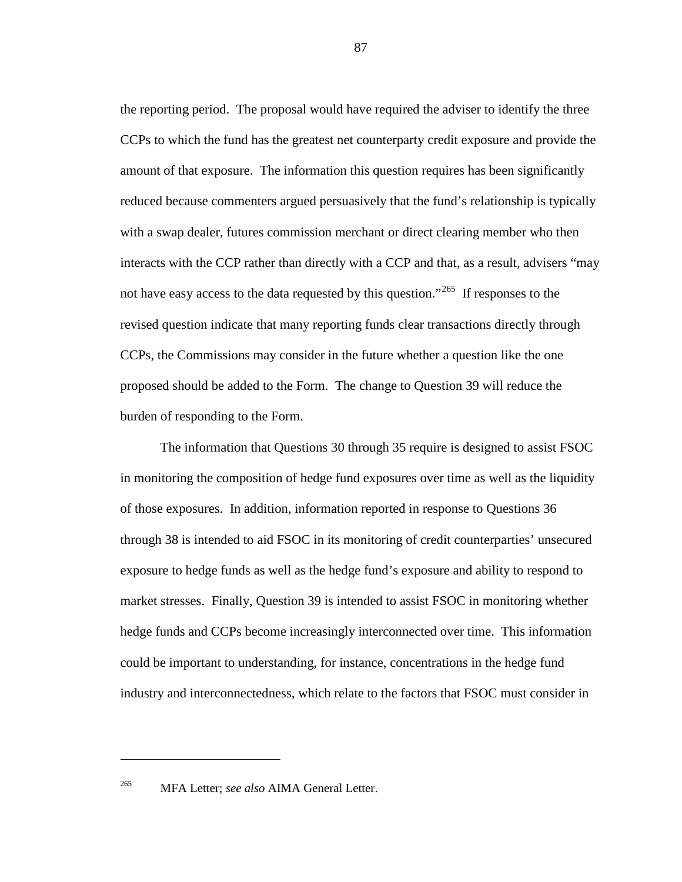the reporting period. The proposal would have required the adviser to identify the three CCPs to which the fund has the greatest net counterparty credit exposure and provide the amount of that exposure. The information this question requires has been significantly reduced because commenters argued persuasively that the fund's relationship is typically with a swap dealer, futures commission merchant or direct clearing member who then interacts with the CCP rather than directly with a CCP and that, as a result, advisers "may not have easy access to the data requested by this question."<sup>[265](#page-86-0)</sup> If responses to the revised question indicate that many reporting funds clear transactions directly through CCPs, the Commissions may consider in the future whether a question like the one proposed should be added to the Form. The change to Question 39 will reduce the burden of responding to the Form.

The information that Questions 30 through 35 require is designed to assist FSOC in monitoring the composition of hedge fund exposures over time as well as the liquidity of those exposures. In addition, information reported in response to Questions 36 through 38 is intended to aid FSOC in its monitoring of credit counterparties' unsecured exposure to hedge funds as well as the hedge fund's exposure and ability to respond to market stresses. Finally, Question 39 is intended to assist FSOC in monitoring whether hedge funds and CCPs become increasingly interconnected over time. This information could be important to understanding, for instance, concentrations in the hedge fund industry and interconnectedness, which relate to the factors that FSOC must consider in

<span id="page-86-0"></span><sup>265</sup> MFA Letter; *see also* AIMA General Letter.

 $\overline{a}$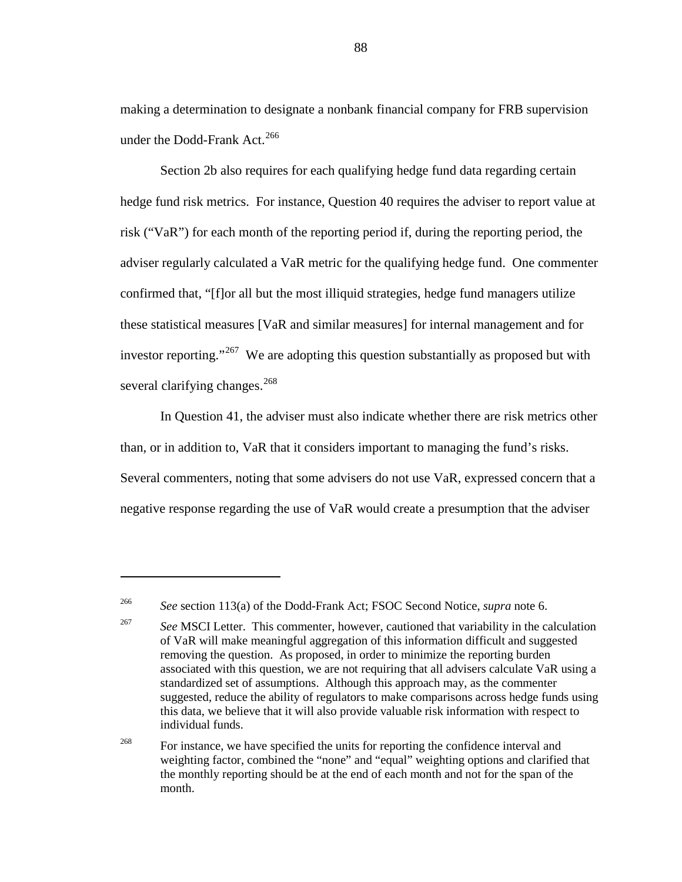making a determination to designate a nonbank financial company for FRB supervision under the Dodd-Frank Act.<sup>[266](#page-87-0)</sup>

Section 2b also requires for each qualifying hedge fund data regarding certain hedge fund risk metrics. For instance, Question 40 requires the adviser to report value at risk ("VaR") for each month of the reporting period if, during the reporting period, the adviser regularly calculated a VaR metric for the qualifying hedge fund. One commenter confirmed that, "[f]or all but the most illiquid strategies, hedge fund managers utilize these statistical measures [VaR and similar measures] for internal management and for investor reporting."<sup>267</sup> We are adopting this question substantially as proposed but with several clarifying changes.<sup>[268](#page-87-2)</sup>

In Question 41, the adviser must also indicate whether there are risk metrics other than, or in addition to, VaR that it considers important to managing the fund's risks. Several commenters, noting that some advisers do not use VaR, expressed concern that a negative response regarding the use of VaR would create a presumption that the adviser

<span id="page-87-0"></span><sup>266</sup> *See* section 113(a) of the Dodd-Frank Act; FSOC Second Notice, *supra* note [6.](#page-4-0)

<span id="page-87-1"></span><sup>&</sup>lt;sup>267</sup> *See* MSCI Letter. This commenter, however, cautioned that variability in the calculation of VaR will make meaningful aggregation of this information difficult and suggested removing the question. As proposed, in order to minimize the reporting burden associated with this question, we are not requiring that all advisers calculate VaR using a standardized set of assumptions. Although this approach may, as the commenter suggested, reduce the ability of regulators to make comparisons across hedge funds using this data, we believe that it will also provide valuable risk information with respect to individual funds.

<span id="page-87-2"></span><sup>&</sup>lt;sup>268</sup> For instance, we have specified the units for reporting the confidence interval and weighting factor, combined the "none" and "equal" weighting options and clarified that the monthly reporting should be at the end of each month and not for the span of the month.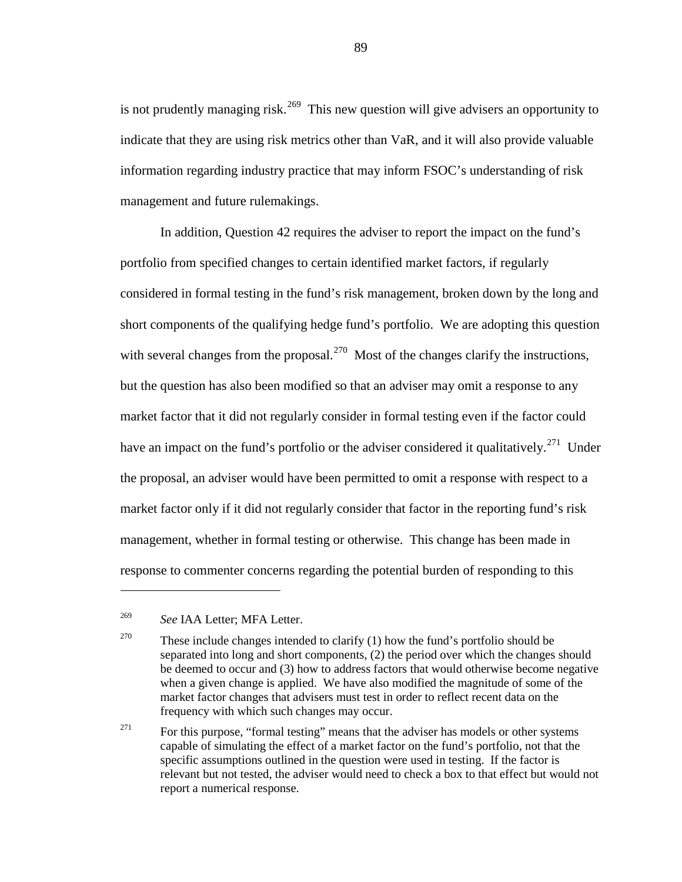is not prudently managing risk.<sup>[269](#page-88-0)</sup> This new question will give advisers an opportunity to indicate that they are using risk metrics other than VaR, and it will also provide valuable information regarding industry practice that may inform FSOC's understanding of risk management and future rulemakings.

In addition, Question 42 requires the adviser to report the impact on the fund's portfolio from specified changes to certain identified market factors, if regularly considered in formal testing in the fund's risk management, broken down by the long and short components of the qualifying hedge fund's portfolio. We are adopting this question with several changes from the proposal.<sup>[270](#page-88-1)</sup> Most of the changes clarify the instructions, but the question has also been modified so that an adviser may omit a response to any market factor that it did not regularly consider in formal testing even if the factor could have an impact on the fund's portfolio or the adviser considered it qualitatively.<sup>[271](#page-88-2)</sup> Under the proposal, an adviser would have been permitted to omit a response with respect to a market factor only if it did not regularly consider that factor in the reporting fund's risk management, whether in formal testing or otherwise. This change has been made in response to commenter concerns regarding the potential burden of responding to this

<span id="page-88-0"></span><sup>269</sup> *See* IAA Letter; MFA Letter.

<span id="page-88-1"></span><sup>&</sup>lt;sup>270</sup> These include changes intended to clarify (1) how the fund's portfolio should be separated into long and short components, (2) the period over which the changes should be deemed to occur and (3) how to address factors that would otherwise become negative when a given change is applied. We have also modified the magnitude of some of the market factor changes that advisers must test in order to reflect recent data on the frequency with which such changes may occur.

<span id="page-88-2"></span><sup>&</sup>lt;sup>271</sup> For this purpose, "formal testing" means that the adviser has models or other systems capable of simulating the effect of a market factor on the fund's portfolio, not that the specific assumptions outlined in the question were used in testing. If the factor is relevant but not tested, the adviser would need to check a box to that effect but would not report a numerical response.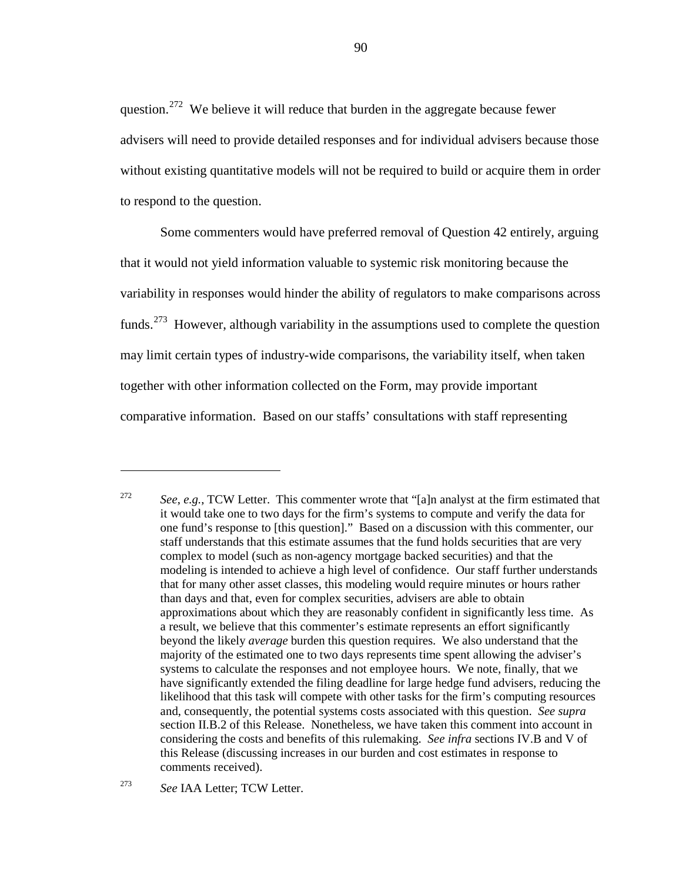question.<sup>[272](#page-89-0)</sup> We believe it will reduce that burden in the aggregate because fewer advisers will need to provide detailed responses and for individual advisers because those without existing quantitative models will not be required to build or acquire them in order to respond to the question.

Some commenters would have preferred removal of Question 42 entirely, arguing that it would not yield information valuable to systemic risk monitoring because the variability in responses would hinder the ability of regulators to make comparisons across funds.<sup>[273](#page-89-1)</sup> However, although variability in the assumptions used to complete the question may limit certain types of industry-wide comparisons, the variability itself, when taken together with other information collected on the Form, may provide important comparative information. Based on our staffs' consultations with staff representing

<span id="page-89-0"></span><sup>272</sup> *See*, *e.g.*, TCW Letter. This commenter wrote that "[a]n analyst at the firm estimated that it would take one to two days for the firm's systems to compute and verify the data for one fund's response to [this question]." Based on a discussion with this commenter, our staff understands that this estimate assumes that the fund holds securities that are very complex to model (such as non-agency mortgage backed securities) and that the modeling is intended to achieve a high level of confidence. Our staff further understands that for many other asset classes, this modeling would require minutes or hours rather than days and that, even for complex securities, advisers are able to obtain approximations about which they are reasonably confident in significantly less time. As a result, we believe that this commenter's estimate represents an effort significantly beyond the likely *average* burden this question requires. We also understand that the majority of the estimated one to two days represents time spent allowing the adviser's systems to calculate the responses and not employee hours. We note, finally, that we have significantly extended the filing deadline for large hedge fund advisers, reducing the likelihood that this task will compete with other tasks for the firm's computing resources and, consequently, the potential systems costs associated with this question. *See supra* section II.B.2 of this Release. Nonetheless, we have taken this comment into account in considering the costs and benefits of this rulemaking. *See infra* sections IV.B and V of this Release (discussing increases in our burden and cost estimates in response to comments received).

<span id="page-89-1"></span><sup>273</sup> *See* IAA Letter; TCW Letter.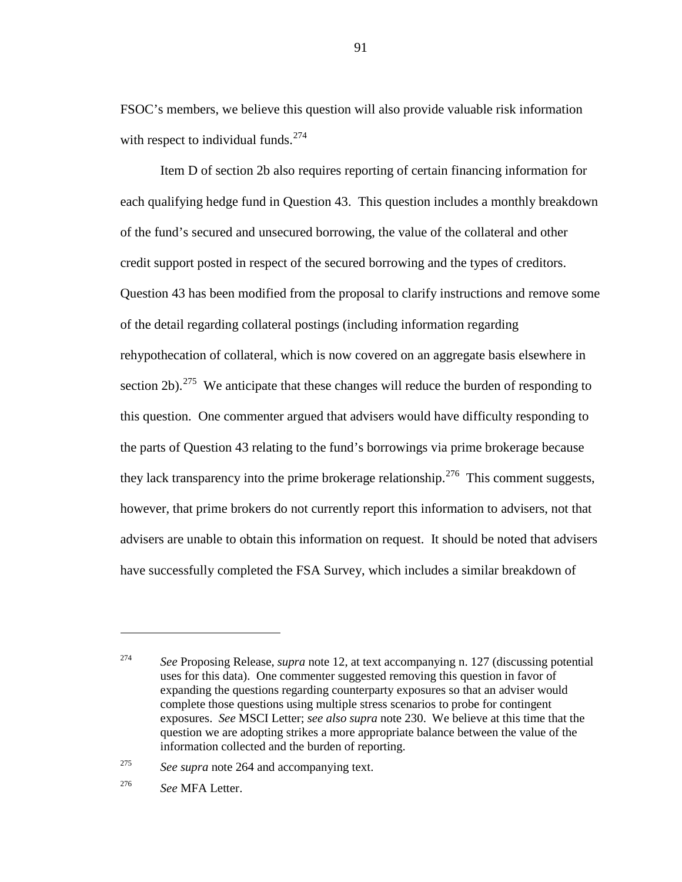<span id="page-90-0"></span>FSOC's members, we believe this question will also provide valuable risk information with respect to individual funds.<sup>[274](#page-90-1)</sup>

Item D of section 2b also requires reporting of certain financing information for each qualifying hedge fund in Question 43. This question includes a monthly breakdown of the fund's secured and unsecured borrowing, the value of the collateral and other credit support posted in respect of the secured borrowing and the types of creditors. Question 43 has been modified from the proposal to clarify instructions and remove some of the detail regarding collateral postings (including information regarding rehypothecation of collateral, which is now covered on an aggregate basis elsewhere in section 2b).<sup>275</sup> We anticipate that these changes will reduce the burden of responding to this question. One commenter argued that advisers would have difficulty responding to the parts of Question 43 relating to the fund's borrowings via prime brokerage because they lack transparency into the prime brokerage relationship.<sup>[276](#page-90-3)</sup> This comment suggests, however, that prime brokers do not currently report this information to advisers, not that advisers are unable to obtain this information on request. It should be noted that advisers have successfully completed the FSA Survey, which includes a similar breakdown of

<span id="page-90-1"></span><sup>274</sup> *See* Proposing Release, *supra* note [12,](#page-5-0) at text accompanying n. 127 (discussing potential uses for this data). One commenter suggested removing this question in favor of expanding the questions regarding counterparty exposures so that an adviser would complete those questions using multiple stress scenarios to probe for contingent exposures. *See* MSCI Letter; *see also supra* note [230.](#page-75-4) We believe at this time that the question we are adopting strikes a more appropriate balance between the value of the information collected and the burden of reporting.

<span id="page-90-2"></span><sup>275</sup> *See supra* note [264](#page-85-4) and accompanying text.

<span id="page-90-3"></span><sup>276</sup> *See* MFA Letter.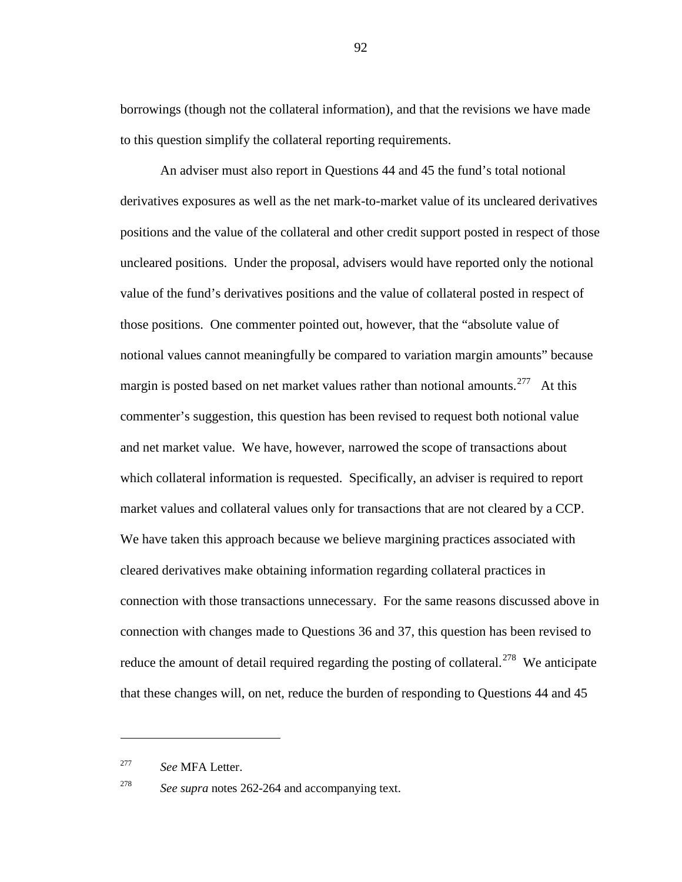borrowings (though not the collateral information), and that the revisions we have made to this question simplify the collateral reporting requirements.

An adviser must also report in Questions 44 and 45 the fund's total notional derivatives exposures as well as the net mark-to-market value of its uncleared derivatives positions and the value of the collateral and other credit support posted in respect of those uncleared positions. Under the proposal, advisers would have reported only the notional value of the fund's derivatives positions and the value of collateral posted in respect of those positions. One commenter pointed out, however, that the "absolute value of notional values cannot meaningfully be compared to variation margin amounts" because margin is posted based on net market values rather than notional amounts.<sup>277</sup> At this commenter's suggestion, this question has been revised to request both notional value and net market value. We have, however, narrowed the scope of transactions about which collateral information is requested. Specifically, an adviser is required to report market values and collateral values only for transactions that are not cleared by a CCP. We have taken this approach because we believe margining practices associated with cleared derivatives make obtaining information regarding collateral practices in connection with those transactions unnecessary. For the same reasons discussed above in connection with changes made to Questions 36 and 37, this question has been revised to reduce the amount of detail required regarding the posting of collateral.<sup>[278](#page-91-1)</sup> We anticipate that these changes will, on net, reduce the burden of responding to Questions 44 and 45

 $\overline{a}$ 

<span id="page-91-0"></span><sup>277</sup> *See* MFA Letter.

<span id="page-91-1"></span><sup>278</sup> *See supra* notes [262-](#page-85-5)[264](#page-85-4) and accompanying text.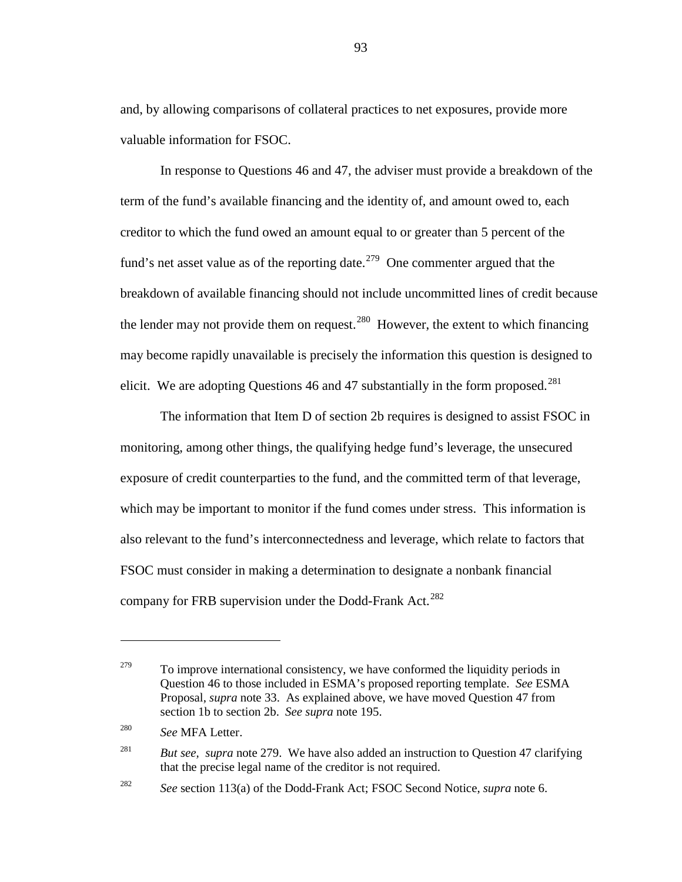and, by allowing comparisons of collateral practices to net exposures, provide more valuable information for FSOC.

<span id="page-92-0"></span>In response to Questions 46 and 47, the adviser must provide a breakdown of the term of the fund's available financing and the identity of, and amount owed to, each creditor to which the fund owed an amount equal to or greater than 5 percent of the fund's net asset value as of the reporting date.<sup>[279](#page-92-1)</sup> One commenter argued that the breakdown of available financing should not include uncommitted lines of credit because the lender may not provide them on request.<sup>280</sup> However, the extent to which financing may become rapidly unavailable is precisely the information this question is designed to elicit. We are adopting Questions 46 and 47 substantially in the form proposed.<sup>[281](#page-92-3)</sup>

The information that Item D of section 2b requires is designed to assist FSOC in monitoring, among other things, the qualifying hedge fund's leverage, the unsecured exposure of credit counterparties to the fund, and the committed term of that leverage, which may be important to monitor if the fund comes under stress. This information is also relevant to the fund's interconnectedness and leverage, which relate to factors that FSOC must consider in making a determination to designate a nonbank financial company for FRB supervision under the Dodd-Frank Act.<sup>[282](#page-92-4)</sup>

<span id="page-92-1"></span> $279$  To improve international consistency, we have conformed the liquidity periods in Question 46 to those included in ESMA's proposed reporting template. *See* ESMA Proposal, *supra* note [33.](#page-12-0) As explained above, we have moved Question 47 from section 1b to section 2b. *See supra* note [195.](#page-64-0)

<span id="page-92-2"></span><sup>280</sup> *See* MFA Letter.

<span id="page-92-3"></span><sup>&</sup>lt;sup>281</sup> *But see, supra* note [279.](#page-92-0) We have also added an instruction to Question 47 clarifying that the precise legal name of the creditor is not required.

<span id="page-92-4"></span><sup>282</sup> *See* section 113(a) of the Dodd-Frank Act; FSOC Second Notice, *supra* note [6.](#page-4-0)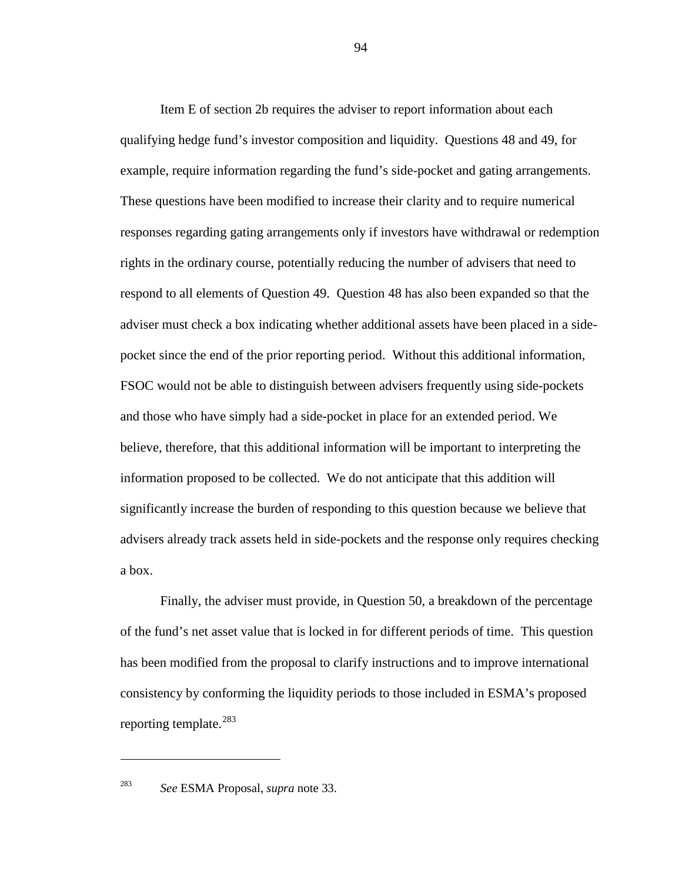Item E of section 2b requires the adviser to report information about each qualifying hedge fund's investor composition and liquidity. Questions 48 and 49, for example, require information regarding the fund's side-pocket and gating arrangements. These questions have been modified to increase their clarity and to require numerical responses regarding gating arrangements only if investors have withdrawal or redemption rights in the ordinary course, potentially reducing the number of advisers that need to respond to all elements of Question 49. Question 48 has also been expanded so that the adviser must check a box indicating whether additional assets have been placed in a sidepocket since the end of the prior reporting period. Without this additional information, FSOC would not be able to distinguish between advisers frequently using side-pockets and those who have simply had a side-pocket in place for an extended period. We believe, therefore, that this additional information will be important to interpreting the information proposed to be collected. We do not anticipate that this addition will significantly increase the burden of responding to this question because we believe that advisers already track assets held in side-pockets and the response only requires checking a box.

Finally, the adviser must provide, in Question 50, a breakdown of the percentage of the fund's net asset value that is locked in for different periods of time. This question has been modified from the proposal to clarify instructions and to improve international consistency by conforming the liquidity periods to those included in ESMA's proposed reporting template.<sup>[283](#page-93-0)</sup>

<span id="page-93-0"></span>

<sup>283</sup> *See* ESMA Proposal, *supra* note [33.](#page-12-0)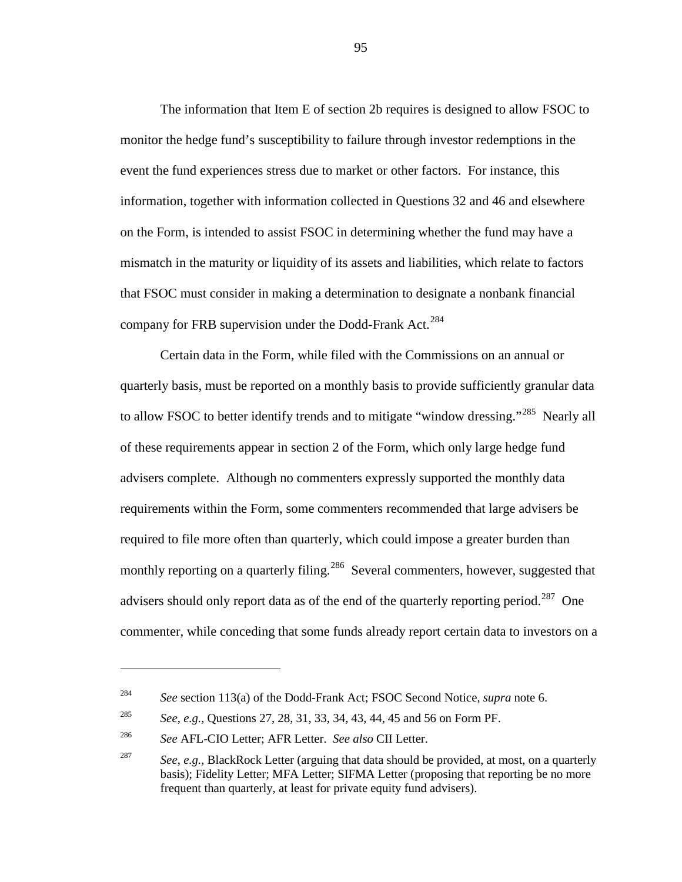The information that Item E of section 2b requires is designed to allow FSOC to monitor the hedge fund's susceptibility to failure through investor redemptions in the event the fund experiences stress due to market or other factors. For instance, this information, together with information collected in Questions 32 and 46 and elsewhere on the Form, is intended to assist FSOC in determining whether the fund may have a mismatch in the maturity or liquidity of its assets and liabilities, which relate to factors that FSOC must consider in making a determination to designate a nonbank financial company for FRB supervision under the Dodd-Frank Act.<sup>[284](#page-94-1)</sup>

<span id="page-94-0"></span>Certain data in the Form, while filed with the Commissions on an annual or quarterly basis, must be reported on a monthly basis to provide sufficiently granular data to allow FSOC to better identify trends and to mitigate "window dressing."<sup>[285](#page-94-2)</sup> Nearly all of these requirements appear in section 2 of the Form, which only large hedge fund advisers complete. Although no commenters expressly supported the monthly data requirements within the Form, some commenters recommended that large advisers be required to file more often than quarterly, which could impose a greater burden than monthly reporting on a quarterly filing.<sup>[286](#page-94-3)</sup> Several commenters, however, suggested that advisers should only report data as of the end of the quarterly reporting period.<sup>[287](#page-94-4)</sup> One commenter, while conceding that some funds already report certain data to investors on a

 $\overline{a}$ 

<span id="page-94-1"></span><sup>284</sup> *See* section 113(a) of the Dodd-Frank Act; FSOC Second Notice, *supra* note [6.](#page-4-0)

<span id="page-94-2"></span><sup>285</sup> *See*, *e.g.*, Questions 27, 28, 31, 33, 34, 43, 44, 45 and 56 on Form PF.

<span id="page-94-3"></span><sup>286</sup> *See* AFL-CIO Letter; AFR Letter. *See also* CII Letter.

<span id="page-94-4"></span><sup>287</sup> *See*, *e.g.*, BlackRock Letter (arguing that data should be provided, at most, on a quarterly basis); Fidelity Letter; MFA Letter; SIFMA Letter (proposing that reporting be no more frequent than quarterly, at least for private equity fund advisers).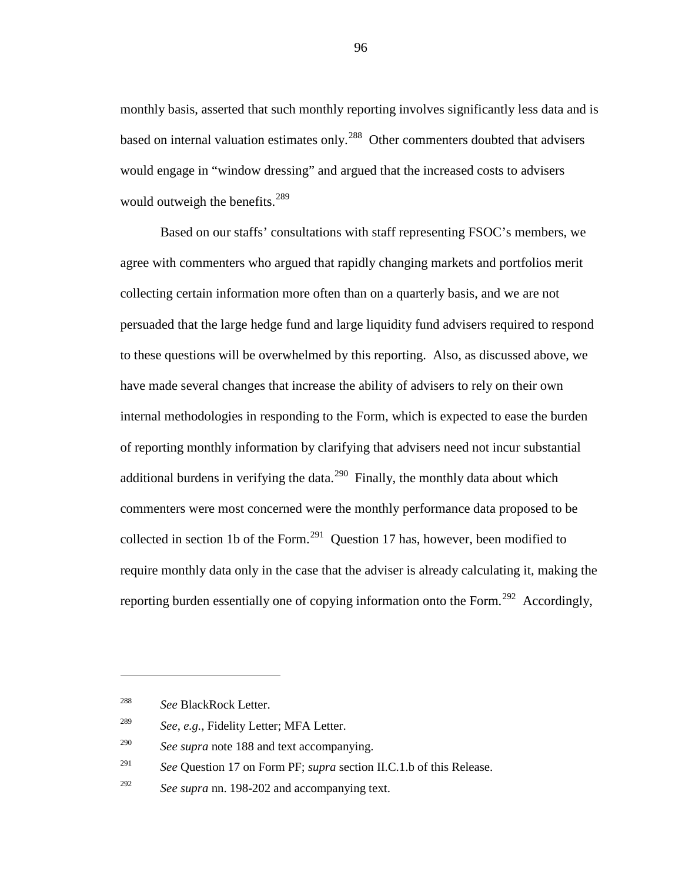monthly basis, asserted that such monthly reporting involves significantly less data and is based on internal valuation estimates only.<sup>[288](#page-95-1)</sup> Other commenters doubted that advisers would engage in "window dressing" and argued that the increased costs to advisers would outweigh the benefits. $289$ 

Based on our staffs' consultations with staff representing FSOC's members, we agree with commenters who argued that rapidly changing markets and portfolios merit collecting certain information more often than on a quarterly basis, and we are not persuaded that the large hedge fund and large liquidity fund advisers required to respond to these questions will be overwhelmed by this reporting. Also, as discussed above, we have made several changes that increase the ability of advisers to rely on their own internal methodologies in responding to the Form, which is expected to ease the burden of reporting monthly information by clarifying that advisers need not incur substantial additional burdens in verifying the data.<sup>290</sup> Finally, the monthly data about which commenters were most concerned were the monthly performance data proposed to be collected in section 1b of the Form.<sup>[291](#page-95-4)</sup> Question 17 has, however, been modified to require monthly data only in the case that the adviser is already calculating it, making the reporting burden essentially one of copying information onto the Form.<sup>[292](#page-95-5)</sup> Accordingly,

<span id="page-95-0"></span> $\overline{a}$ 

<span id="page-95-4"></span><sup>291</sup> *See* Question 17 on Form PF; *supra* section II.C.1.b of this Release.

<span id="page-95-1"></span><sup>288</sup> *See* BlackRock Letter.

<span id="page-95-2"></span><sup>289</sup> *See*, *e.g.*, Fidelity Letter; MFA Letter.

<span id="page-95-3"></span><sup>290</sup> *See supra* note [188](#page-62-0) and text accompanying.

<span id="page-95-5"></span><sup>292</sup> *See supra* nn. [198](#page-66-0)[-202](#page-67-1) and accompanying text.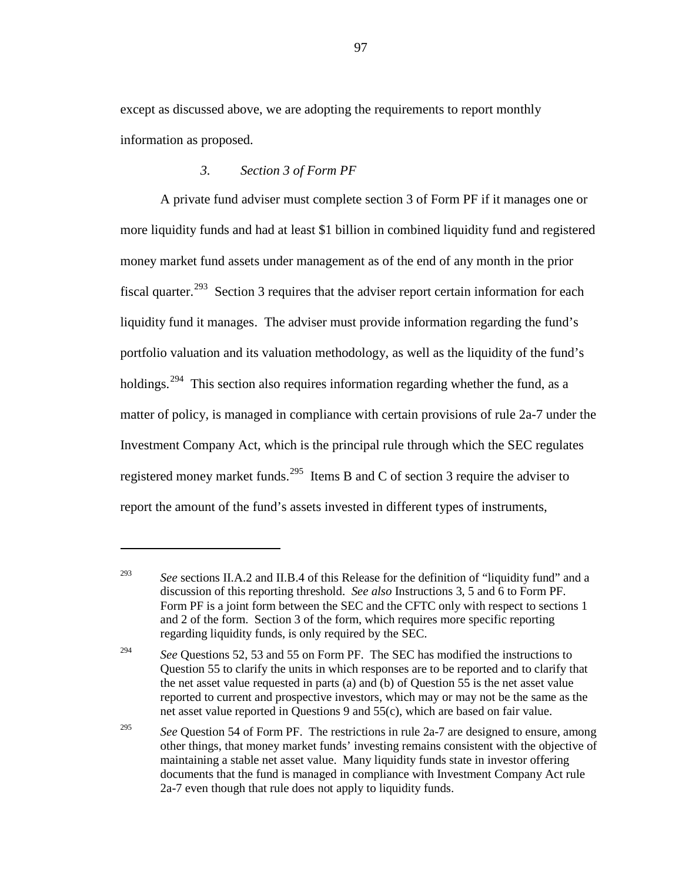except as discussed above, we are adopting the requirements to report monthly information as proposed.

### *3. Section 3 of Form PF*

 $\overline{a}$ 

A private fund adviser must complete section 3 of Form PF if it manages one or more liquidity funds and had at least \$1 billion in combined liquidity fund and registered money market fund assets under management as of the end of any month in the prior fiscal quarter.<sup>293</sup> Section 3 requires that the adviser report certain information for each liquidity fund it manages. The adviser must provide information regarding the fund's portfolio valuation and its valuation methodology, as well as the liquidity of the fund's holdings.<sup>[294](#page-96-1)</sup> This section also requires information regarding whether the fund, as a matter of policy, is managed in compliance with certain provisions of rule 2a-7 under the Investment Company Act, which is the principal rule through which the SEC regulates registered money market funds.<sup>[295](#page-96-2)</sup> Items B and C of section 3 require the adviser to report the amount of the fund's assets invested in different types of instruments,

<span id="page-96-0"></span><sup>&</sup>lt;sup>293</sup> *See* sections II.A.2 and II.B.4 of this Release for the definition of "liquidity fund" and a discussion of this reporting threshold. *See also* Instructions 3, 5 and 6 to Form PF. Form PF is a joint form between the SEC and the CFTC only with respect to sections 1 and 2 of the form. Section 3 of the form, which requires more specific reporting regarding liquidity funds, is only required by the SEC.

<span id="page-96-1"></span><sup>&</sup>lt;sup>294</sup> *See* Questions 52, 53 and 55 on Form PF. The SEC has modified the instructions to Question 55 to clarify the units in which responses are to be reported and to clarify that the net asset value requested in parts (a) and (b) of Question 55 is the net asset value reported to current and prospective investors, which may or may not be the same as the net asset value reported in Questions 9 and 55(c), which are based on fair value.

<span id="page-96-2"></span><sup>&</sup>lt;sup>295</sup> *See* Question 54 of Form PF. The restrictions in rule 2a-7 are designed to ensure, among other things, that money market funds' investing remains consistent with the objective of maintaining a stable net asset value. Many liquidity funds state in investor offering documents that the fund is managed in compliance with Investment Company Act rule 2a-7 even though that rule does not apply to liquidity funds.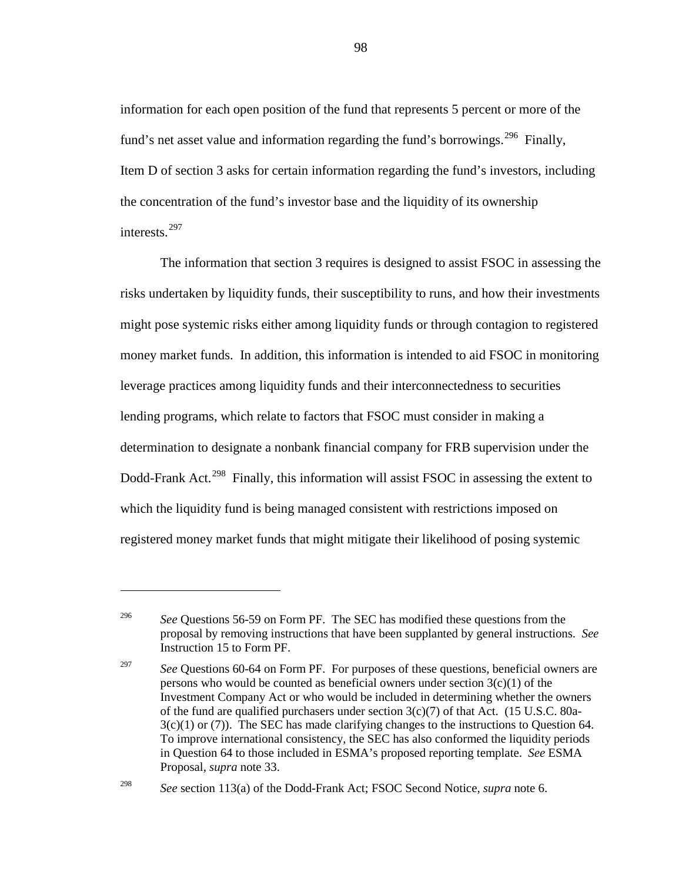information for each open position of the fund that represents 5 percent or more of the fund's net asset value and information regarding the fund's borrowings.<sup>[296](#page-97-0)</sup> Finally, Item D of section 3 asks for certain information regarding the fund's investors, including the concentration of the fund's investor base and the liquidity of its ownership interests. [297](#page-97-1)

<span id="page-97-3"></span>The information that section 3 requires is designed to assist FSOC in assessing the risks undertaken by liquidity funds, their susceptibility to runs, and how their investments might pose systemic risks either among liquidity funds or through contagion to registered money market funds. In addition, this information is intended to aid FSOC in monitoring leverage practices among liquidity funds and their interconnectedness to securities lending programs, which relate to factors that FSOC must consider in making a determination to designate a nonbank financial company for FRB supervision under the Dodd-Frank Act.<sup>[298](#page-97-2)</sup> Finally, this information will assist FSOC in assessing the extent to which the liquidity fund is being managed consistent with restrictions imposed on registered money market funds that might mitigate their likelihood of posing systemic

<span id="page-97-0"></span><sup>&</sup>lt;sup>296</sup> *See* Questions 56-59 on Form PF. The SEC has modified these questions from the proposal by removing instructions that have been supplanted by general instructions. *See* Instruction 15 to Form PF.

<span id="page-97-1"></span><sup>&</sup>lt;sup>297</sup> *See* Ouestions 60-64 on Form PF. For purposes of these questions, beneficial owners are persons who would be counted as beneficial owners under section  $3(c)(1)$  of the Investment Company Act or who would be included in determining whether the owners of the fund are qualified purchasers under section  $3(c)(7)$  of that Act. (15 U.S.C. 80a- $3(c)(1)$  or (7)). The SEC has made clarifying changes to the instructions to Question 64. To improve international consistency, the SEC has also conformed the liquidity periods in Question 64 to those included in ESMA's proposed reporting template. *See* ESMA Proposal, *supra* note [33.](#page-12-0)

<span id="page-97-2"></span><sup>298</sup> *See* section 113(a) of the Dodd-Frank Act; FSOC Second Notice, *supra* note [6.](#page-4-0)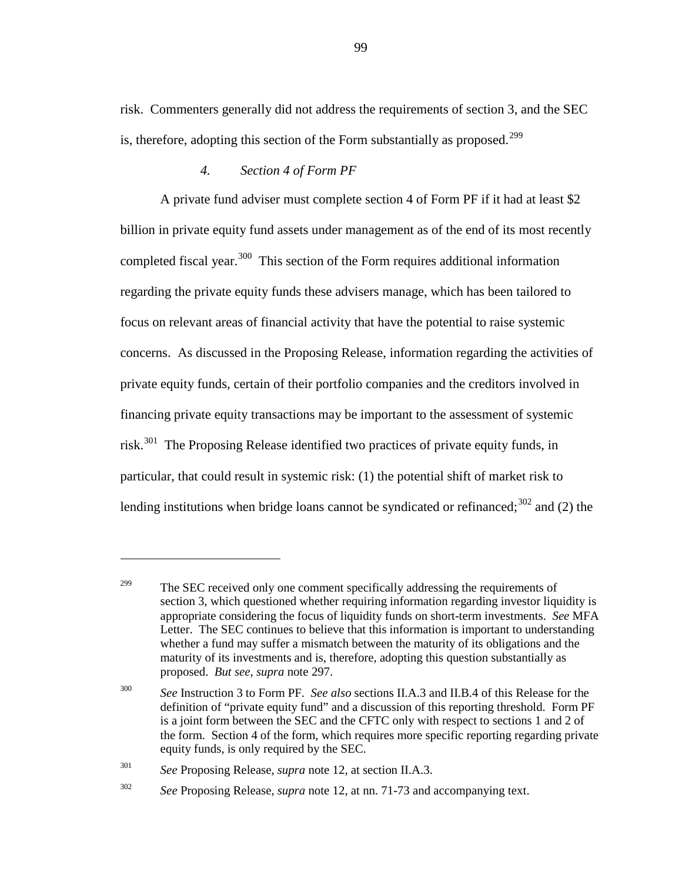risk. Commenters generally did not address the requirements of section 3, and the SEC is, therefore, adopting this section of the Form substantially as proposed.<sup>[299](#page-98-0)</sup>

# *4. Section 4 of Form PF*

A private fund adviser must complete section 4 of Form PF if it had at least \$2 billion in private equity fund assets under management as of the end of its most recently completed fiscal year.<sup>[300](#page-98-1)</sup> This section of the Form requires additional information regarding the private equity funds these advisers manage, which has been tailored to focus on relevant areas of financial activity that have the potential to raise systemic concerns. As discussed in the Proposing Release, information regarding the activities of private equity funds, certain of their portfolio companies and the creditors involved in financing private equity transactions may be important to the assessment of systemic risk.<sup>301</sup> The Proposing Release identified two practices of private equity funds, in particular, that could result in systemic risk: (1) the potential shift of market risk to lending institutions when bridge loans cannot be syndicated or refinanced;<sup>[302](#page-98-3)</sup> and (2) the

<span id="page-98-0"></span><sup>&</sup>lt;sup>299</sup> The SEC received only one comment specifically addressing the requirements of section 3, which questioned whether requiring information regarding investor liquidity is appropriate considering the focus of liquidity funds on short-term investments. *See* MFA Letter. The SEC continues to believe that this information is important to understanding whether a fund may suffer a mismatch between the maturity of its obligations and the maturity of its investments and is, therefore, adopting this question substantially as proposed. *But see, supra* note [297.](#page-97-3)

<span id="page-98-1"></span><sup>300</sup> *See* Instruction 3 to Form PF. *See also* sections II.A.3 and II.B.4 of this Release for the definition of "private equity fund" and a discussion of this reporting threshold. Form PF is a joint form between the SEC and the CFTC only with respect to sections 1 and 2 of the form. Section 4 of the form, which requires more specific reporting regarding private equity funds, is only required by the SEC.

<span id="page-98-2"></span><sup>301</sup> *See* Proposing Release, *supra* note [12,](#page-5-0) at section II.A.3.

<span id="page-98-3"></span><sup>302</sup> *See* Proposing Release, *supra* note [12,](#page-5-0) at nn. 71-73 and accompanying text.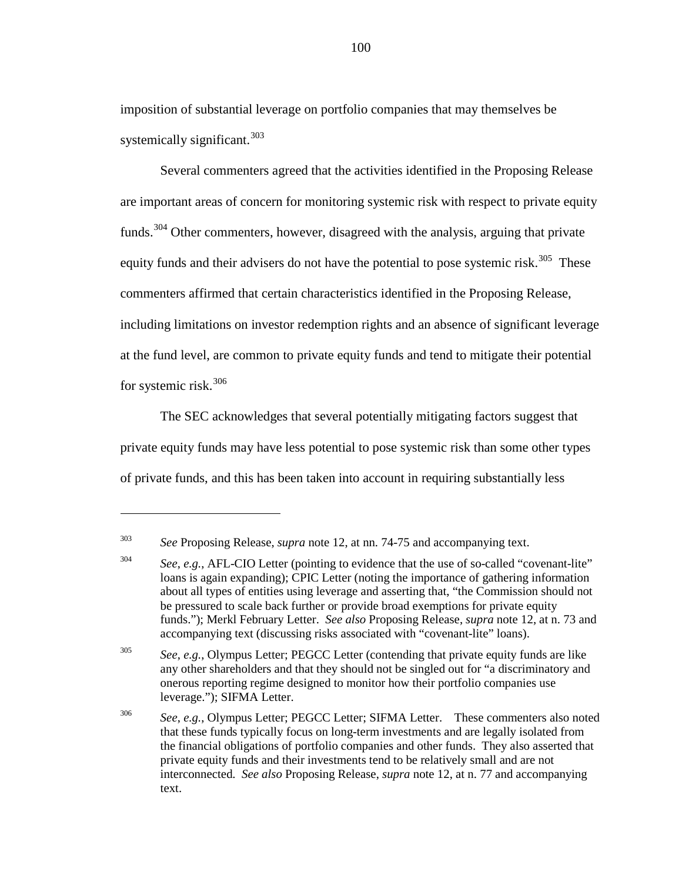imposition of substantial leverage on portfolio companies that may themselves be systemically significant.  $303$ 

Several commenters agreed that the activities identified in the Proposing Release are important areas of concern for monitoring systemic risk with respect to private equity funds.<sup>[304](#page-99-1)</sup> Other commenters, however, disagreed with the analysis, arguing that private equity funds and their advisers do not have the potential to pose systemic risk.<sup>305</sup> These commenters affirmed that certain characteristics identified in the Proposing Release, including limitations on investor redemption rights and an absence of significant leverage at the fund level, are common to private equity funds and tend to mitigate their potential for systemic risk.[306](#page-99-3)

The SEC acknowledges that several potentially mitigating factors suggest that private equity funds may have less potential to pose systemic risk than some other types of private funds, and this has been taken into account in requiring substantially less

 $\overline{a}$ 

<span id="page-99-2"></span><sup>305</sup> *See*, *e.g.*, Olympus Letter; PEGCC Letter (contending that private equity funds are like any other shareholders and that they should not be singled out for "a discriminatory and onerous reporting regime designed to monitor how their portfolio companies use leverage."); SIFMA Letter.

<span id="page-99-3"></span><sup>306</sup> *See*, *e.g.*, Olympus Letter; PEGCC Letter; SIFMA Letter. These commenters also noted that these funds typically focus on long-term investments and are legally isolated from the financial obligations of portfolio companies and other funds. They also asserted that private equity funds and their investments tend to be relatively small and are not interconnected. *See also* Proposing Release, *supra* note [12,](#page-5-0) at n. 77 and accompanying text.

<span id="page-99-0"></span><sup>303</sup> *See* Proposing Release, *supra* note [12,](#page-5-0) at nn. 74-75 and accompanying text.

<span id="page-99-1"></span><sup>304</sup> *See*, *e.g.*, AFL-CIO Letter (pointing to evidence that the use of so-called "covenant-lite" loans is again expanding); CPIC Letter (noting the importance of gathering information about all types of entities using leverage and asserting that, "the Commission should not be pressured to scale back further or provide broad exemptions for private equity funds."); Merkl February Letter. *See also* Proposing Release, *supra* note [12,](#page-5-0) at n. 73 and accompanying text (discussing risks associated with "covenant-lite" loans).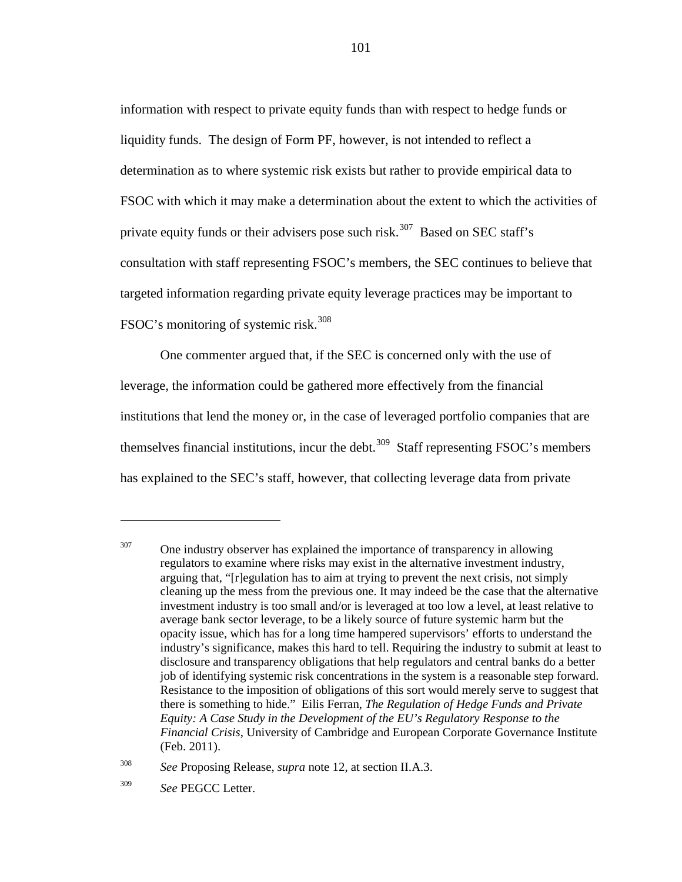information with respect to private equity funds than with respect to hedge funds or liquidity funds. The design of Form PF, however, is not intended to reflect a determination as to where systemic risk exists but rather to provide empirical data to FSOC with which it may make a determination about the extent to which the activities of private equity funds or their advisers pose such risk.<sup>[307](#page-100-0)</sup> Based on SEC staff's consultation with staff representing FSOC's members, the SEC continues to believe that targeted information regarding private equity leverage practices may be important to FSOC's monitoring of systemic risk.<sup>[308](#page-100-1)</sup>

One commenter argued that, if the SEC is concerned only with the use of leverage, the information could be gathered more effectively from the financial institutions that lend the money or, in the case of leveraged portfolio companies that are themselves financial institutions, incur the debt.<sup>[309](#page-100-2)</sup> Staff representing FSOC's members has explained to the SEC's staff, however, that collecting leverage data from private

<span id="page-100-0"></span> $307$  One industry observer has explained the importance of transparency in allowing regulators to examine where risks may exist in the alternative investment industry, arguing that, "[r]egulation has to aim at trying to prevent the next crisis, not simply cleaning up the mess from the previous one. It may indeed be the case that the alternative investment industry is too small and/or is leveraged at too low a level, at least relative to average bank sector leverage, to be a likely source of future systemic harm but the opacity issue, which has for a long time hampered supervisors' efforts to understand the industry's significance, makes this hard to tell. Requiring the industry to submit at least to disclosure and transparency obligations that help regulators and central banks do a better job of identifying systemic risk concentrations in the system is a reasonable step forward. Resistance to the imposition of obligations of this sort would merely serve to suggest that there is something to hide." Eilis Ferran, *The Regulation of Hedge Funds and Private Equity: A Case Study in the Development of the EU's Regulatory Response to the Financial Crisis*, University of Cambridge and European Corporate Governance Institute (Feb. 2011).

<span id="page-100-1"></span><sup>308</sup> *See* Proposing Release, *supra* note [12,](#page-5-0) at section II.A.3.

<span id="page-100-2"></span><sup>309</sup> *See* PEGCC Letter.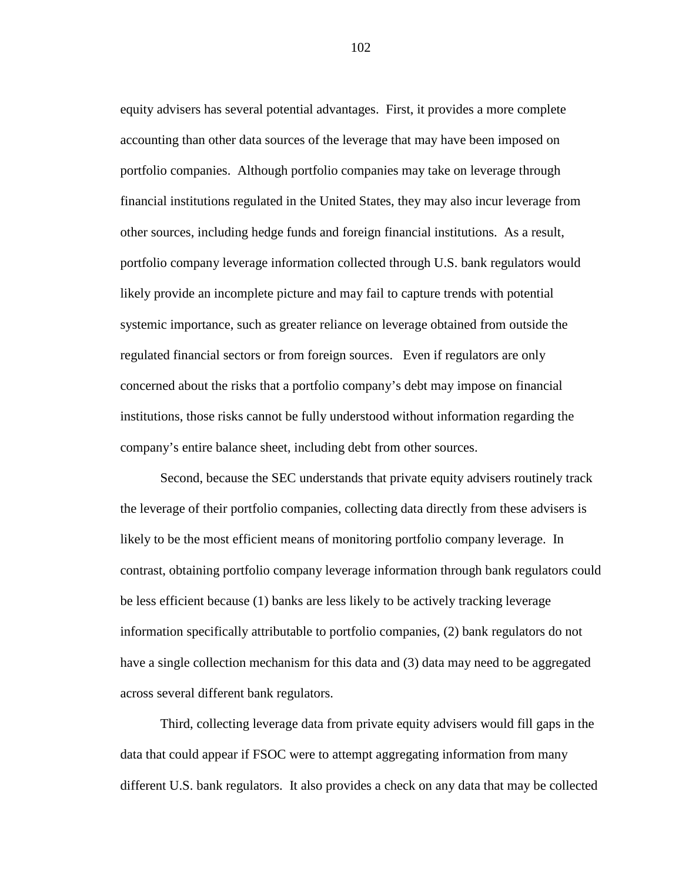equity advisers has several potential advantages. First, it provides a more complete accounting than other data sources of the leverage that may have been imposed on portfolio companies. Although portfolio companies may take on leverage through financial institutions regulated in the United States, they may also incur leverage from other sources, including hedge funds and foreign financial institutions. As a result, portfolio company leverage information collected through U.S. bank regulators would likely provide an incomplete picture and may fail to capture trends with potential systemic importance, such as greater reliance on leverage obtained from outside the regulated financial sectors or from foreign sources. Even if regulators are only concerned about the risks that a portfolio company's debt may impose on financial institutions, those risks cannot be fully understood without information regarding the company's entire balance sheet, including debt from other sources.

Second, because the SEC understands that private equity advisers routinely track the leverage of their portfolio companies, collecting data directly from these advisers is likely to be the most efficient means of monitoring portfolio company leverage. In contrast, obtaining portfolio company leverage information through bank regulators could be less efficient because (1) banks are less likely to be actively tracking leverage information specifically attributable to portfolio companies, (2) bank regulators do not have a single collection mechanism for this data and (3) data may need to be aggregated across several different bank regulators.

Third, collecting leverage data from private equity advisers would fill gaps in the data that could appear if FSOC were to attempt aggregating information from many different U.S. bank regulators. It also provides a check on any data that may be collected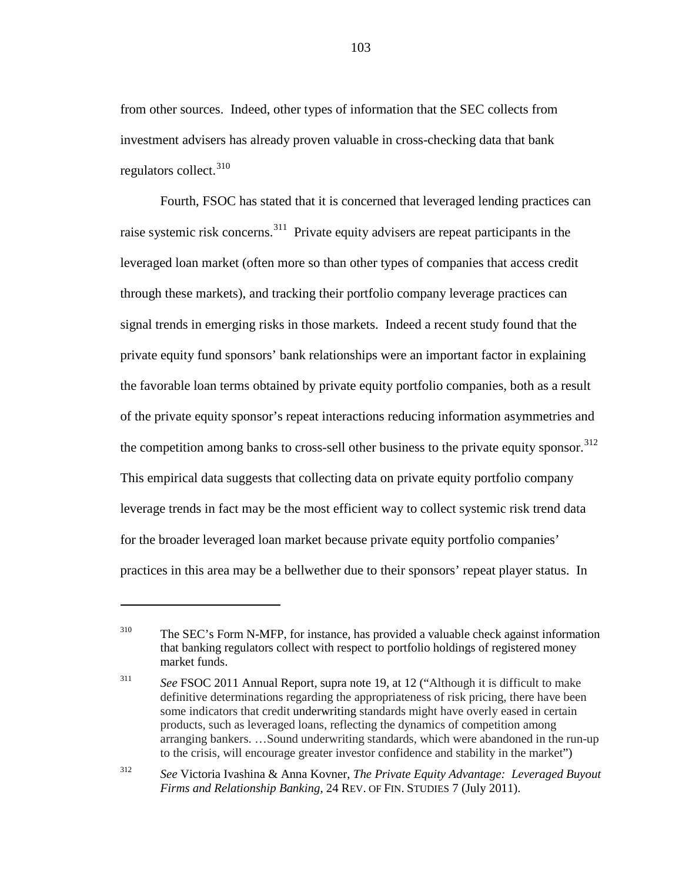from other sources. Indeed, other types of information that the SEC collects from investment advisers has already proven valuable in cross-checking data that bank regulators collect.<sup>[310](#page-102-0)</sup>

Fourth, FSOC has stated that it is concerned that leveraged lending practices can raise systemic risk concerns.<sup>[311](#page-102-1)</sup> Private equity advisers are repeat participants in the leveraged loan market (often more so than other types of companies that access credit through these markets), and tracking their portfolio company leverage practices can signal trends in emerging risks in those markets. Indeed a recent study found that the private equity fund sponsors' bank relationships were an important factor in explaining the favorable loan terms obtained by private equity portfolio companies, both as a result of the private equity sponsor's repeat interactions reducing information asymmetries and the competition among banks to cross-sell other business to the private equity sponsor.<sup>[312](#page-102-2)</sup> This empirical data suggests that collecting data on private equity portfolio company leverage trends in fact may be the most efficient way to collect systemic risk trend data for the broader leveraged loan market because private equity portfolio companies' practices in this area may be a bellwether due to their sponsors' repeat player status. In

<span id="page-102-0"></span><sup>310</sup> The SEC's Form N-MFP, for instance, has provided a valuable check against information that banking regulators collect with respect to portfolio holdings of registered money market funds.

<span id="page-102-1"></span><sup>311</sup> *See* FSOC 2011 Annual Report, supra note [19,](#page-8-0) at 12 ("Although it is difficult to make definitive determinations regarding the appropriateness of risk pricing, there have been some indicators that credit underwriting standards might have overly eased in certain products, such as leveraged loans, reflecting the dynamics of competition among arranging bankers. …Sound underwriting standards, which were abandoned in the run-up to the crisis, will encourage greater investor confidence and stability in the market")

<span id="page-102-2"></span><sup>312</sup> *See* Victoria Ivashina & Anna Kovner, *The Private Equity Advantage: Leveraged Buyout Firms and Relationship Banking*, 24 REV. OF FIN. STUDIES 7 (July 2011).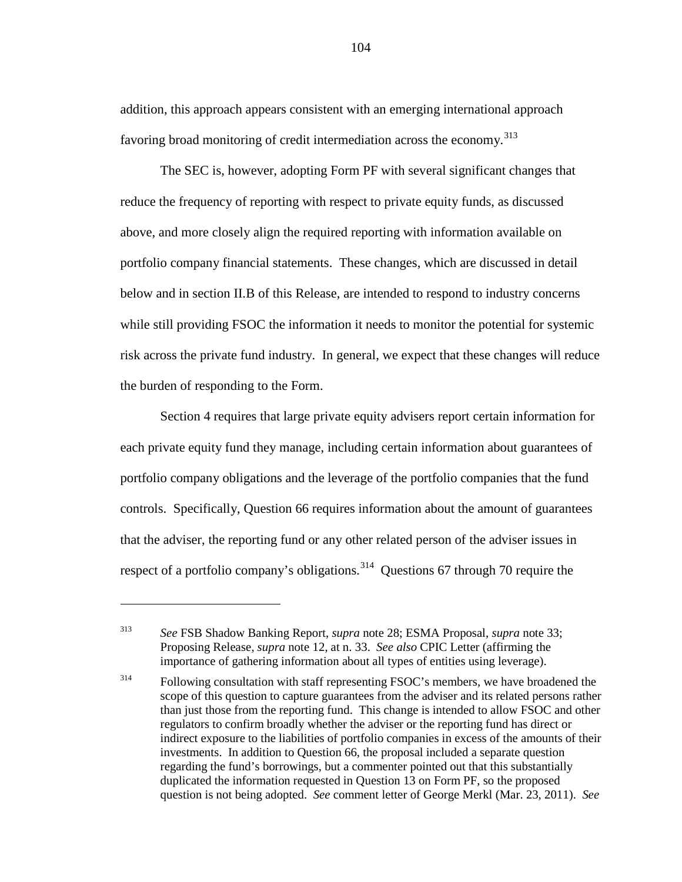addition, this approach appears consistent with an emerging international approach favoring broad monitoring of credit intermediation across the economy.<sup>[313](#page-103-0)</sup>

The SEC is, however, adopting Form PF with several significant changes that reduce the frequency of reporting with respect to private equity funds, as discussed above, and more closely align the required reporting with information available on portfolio company financial statements. These changes, which are discussed in detail below and in section II.B of this Release, are intended to respond to industry concerns while still providing FSOC the information it needs to monitor the potential for systemic risk across the private fund industry. In general, we expect that these changes will reduce the burden of responding to the Form.

Section 4 requires that large private equity advisers report certain information for each private equity fund they manage, including certain information about guarantees of portfolio company obligations and the leverage of the portfolio companies that the fund controls. Specifically, Question 66 requires information about the amount of guarantees that the adviser, the reporting fund or any other related person of the adviser issues in respect of a portfolio company's obligations.<sup>[314](#page-103-1)</sup> Questions 67 through 70 require the

<span id="page-103-0"></span><sup>313</sup> *See* FSB Shadow Banking Report, *supra* note [28;](#page-11-1) ESMA Proposal, *supra* note [33;](#page-12-0) Proposing Release, *supra* note [12,](#page-5-0) at n. 33. *See also* CPIC Letter (affirming the importance of gathering information about all types of entities using leverage).

<span id="page-103-1"></span><sup>&</sup>lt;sup>314</sup> Following consultation with staff representing FSOC's members, we have broadened the scope of this question to capture guarantees from the adviser and its related persons rather than just those from the reporting fund. This change is intended to allow FSOC and other regulators to confirm broadly whether the adviser or the reporting fund has direct or indirect exposure to the liabilities of portfolio companies in excess of the amounts of their investments. In addition to Question 66, the proposal included a separate question regarding the fund's borrowings, but a commenter pointed out that this substantially duplicated the information requested in Question 13 on Form PF, so the proposed question is not being adopted. *See* comment letter of George Merkl (Mar. 23, 2011). *See*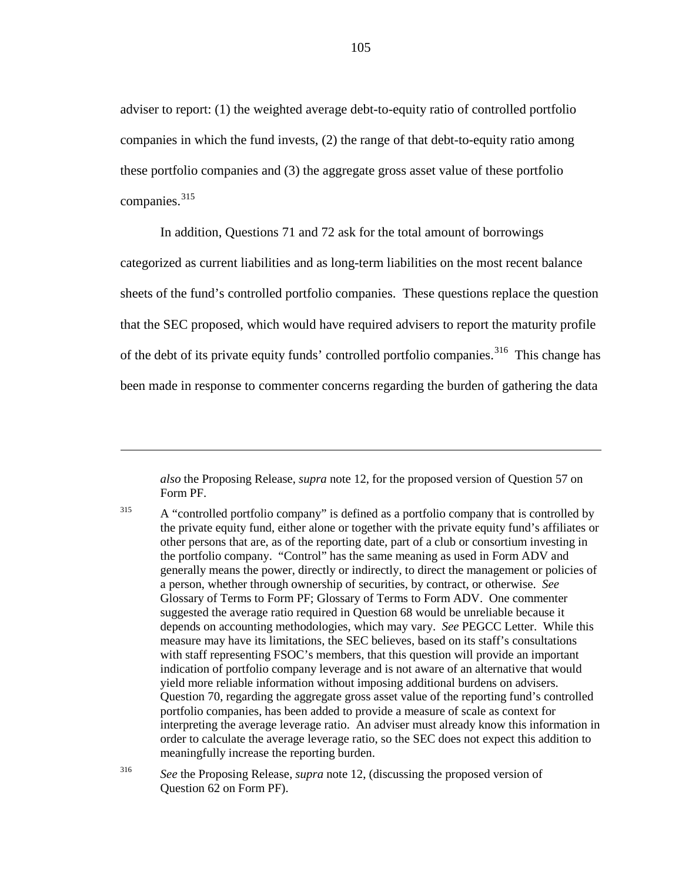adviser to report: (1) the weighted average debt-to-equity ratio of controlled portfolio companies in which the fund invests, (2) the range of that debt-to-equity ratio among these portfolio companies and (3) the aggregate gross asset value of these portfolio companies. [315](#page-104-0)

<span id="page-104-2"></span>In addition, Questions 71 and 72 ask for the total amount of borrowings categorized as current liabilities and as long-term liabilities on the most recent balance sheets of the fund's controlled portfolio companies. These questions replace the question that the SEC proposed, which would have required advisers to report the maturity profile of the debt of its private equity funds' controlled portfolio companies.<sup>[316](#page-104-1)</sup> This change has been made in response to commenter concerns regarding the burden of gathering the data

*also* the Proposing Release, *supra* note [12,](#page-5-0) for the proposed version of Question 57 on Form PF.

 $\overline{a}$ 

<span id="page-104-0"></span><sup>315</sup> A "controlled portfolio company" is defined as a portfolio company that is controlled by the private equity fund, either alone or together with the private equity fund's affiliates or other persons that are, as of the reporting date, part of a club or consortium investing in the portfolio company. "Control" has the same meaning as used in Form ADV and generally means the power, directly or indirectly, to direct the management or policies of a person, whether through ownership of securities, by contract, or otherwise. *See*  Glossary of Terms to Form PF; Glossary of Terms to Form ADV. One commenter suggested the average ratio required in Question 68 would be unreliable because it depends on accounting methodologies, which may vary. *See* PEGCC Letter. While this measure may have its limitations, the SEC believes, based on its staff's consultations with staff representing FSOC's members, that this question will provide an important indication of portfolio company leverage and is not aware of an alternative that would yield more reliable information without imposing additional burdens on advisers. Question 70, regarding the aggregate gross asset value of the reporting fund's controlled portfolio companies, has been added to provide a measure of scale as context for interpreting the average leverage ratio. An adviser must already know this information in order to calculate the average leverage ratio, so the SEC does not expect this addition to meaningfully increase the reporting burden.

<span id="page-104-1"></span><sup>316</sup> *See* the Proposing Release, *supra* note [12,](#page-5-0) (discussing the proposed version of Question 62 on Form PF).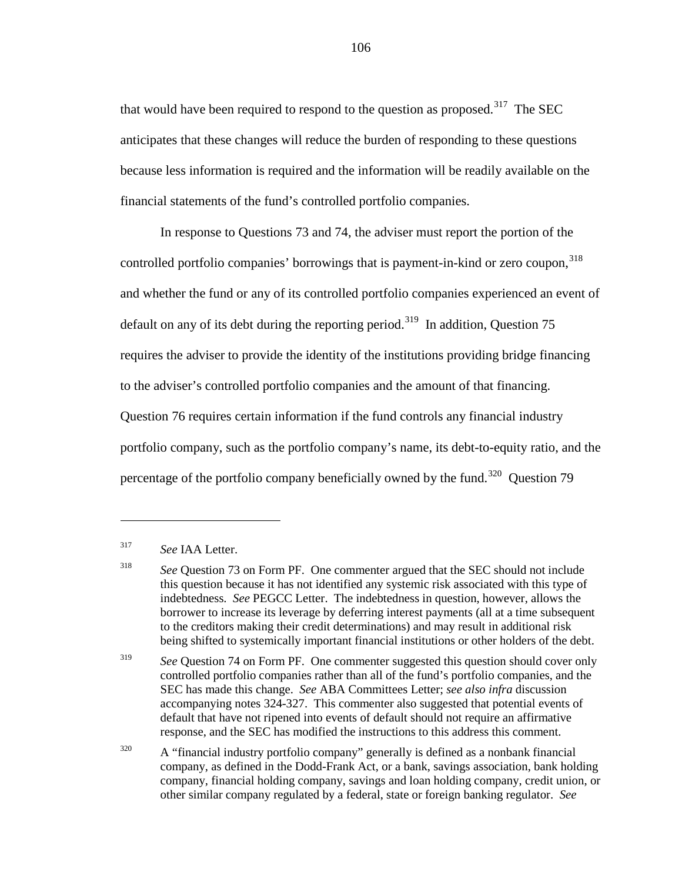that would have been required to respond to the question as proposed.<sup>[317](#page-105-0)</sup> The SEC anticipates that these changes will reduce the burden of responding to these questions because less information is required and the information will be readily available on the financial statements of the fund's controlled portfolio companies.

In response to Questions 73 and 74, the adviser must report the portion of the controlled portfolio companies' borrowings that is payment-in-kind or zero coupon, [318](#page-105-1) and whether the fund or any of its controlled portfolio companies experienced an event of default on any of its debt during the reporting period.<sup>319</sup> In addition, Question 75 requires the adviser to provide the identity of the institutions providing bridge financing to the adviser's controlled portfolio companies and the amount of that financing. Question 76 requires certain information if the fund controls any financial industry portfolio company, such as the portfolio company's name, its debt-to-equity ratio, and the percentage of the portfolio company beneficially owned by the fund.<sup>[320](#page-105-3)</sup> Question 79

 $\overline{a}$ 

<span id="page-105-2"></span><sup>319</sup> *See* Question 74 on Form PF. One commenter suggested this question should cover only controlled portfolio companies rather than all of the fund's portfolio companies, and the SEC has made this change. *See* ABA Committees Letter; *see also infra* discussion accompanying notes [324-](#page-107-0)[327.](#page-108-0) This commenter also suggested that potential events of default that have not ripened into events of default should not require an affirmative response, and the SEC has modified the instructions to this address this comment.

<span id="page-105-3"></span><sup>320</sup> A "financial industry portfolio company" generally is defined as a nonbank financial company, as defined in the Dodd-Frank Act, or a bank, savings association, bank holding company, financial holding company, savings and loan holding company, credit union, or other similar company regulated by a federal, state or foreign banking regulator. *See* 

<span id="page-105-0"></span><sup>317</sup> *See* IAA Letter.

<span id="page-105-1"></span><sup>318</sup> *See* Question 73 on Form PF. One commenter argued that the SEC should not include this question because it has not identified any systemic risk associated with this type of indebtedness. *See* PEGCC Letter. The indebtedness in question, however, allows the borrower to increase its leverage by deferring interest payments (all at a time subsequent to the creditors making their credit determinations) and may result in additional risk being shifted to systemically important financial institutions or other holders of the debt.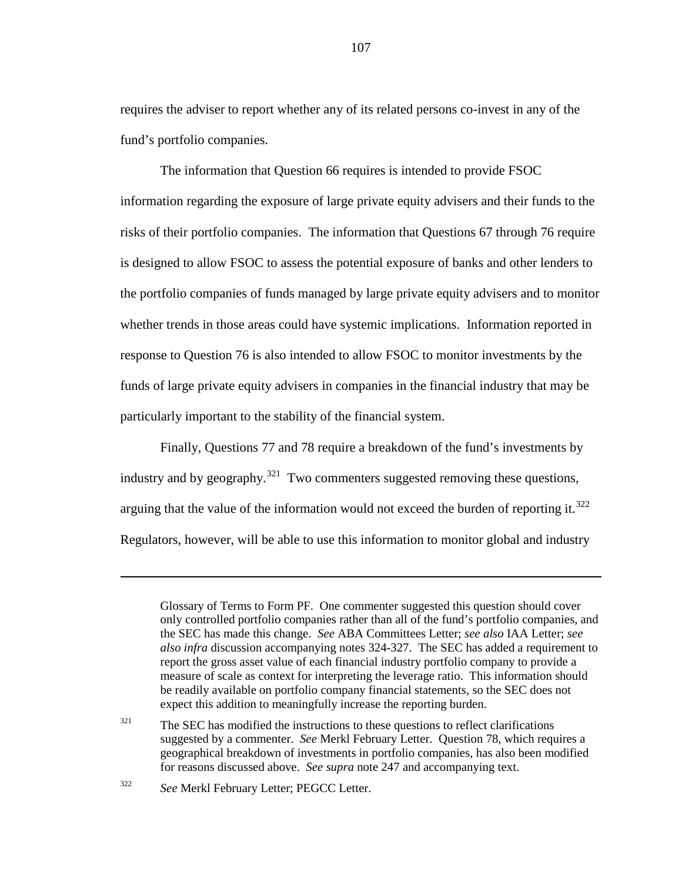requires the adviser to report whether any of its related persons co-invest in any of the fund's portfolio companies.

The information that Question 66 requires is intended to provide FSOC information regarding the exposure of large private equity advisers and their funds to the risks of their portfolio companies. The information that Questions 67 through 76 require is designed to allow FSOC to assess the potential exposure of banks and other lenders to the portfolio companies of funds managed by large private equity advisers and to monitor whether trends in those areas could have systemic implications. Information reported in response to Question 76 is also intended to allow FSOC to monitor investments by the funds of large private equity advisers in companies in the financial industry that may be particularly important to the stability of the financial system.

Finally, Questions 77 and 78 require a breakdown of the fund's investments by industry and by geography.<sup>[321](#page-106-0)</sup> Two commenters suggested removing these questions, arguing that the value of the information would not exceed the burden of reporting it.<sup>[322](#page-106-1)</sup> Regulators, however, will be able to use this information to monitor global and industry

<span id="page-106-1"></span><sup>322</sup> *See* Merkl February Letter; PEGCC Letter.

Glossary of Terms to Form PF. One commenter suggested this question should cover only controlled portfolio companies rather than all of the fund's portfolio companies, and the SEC has made this change. *See* ABA Committees Letter; *see also* IAA Letter; *see also infra* discussion accompanying notes [324](#page-107-0)[-327.](#page-108-0) The SEC has added a requirement to report the gross asset value of each financial industry portfolio company to provide a measure of scale as context for interpreting the leverage ratio. This information should be readily available on portfolio company financial statements, so the SEC does not expect this addition to meaningfully increase the reporting burden.

<span id="page-106-0"></span> $321$  The SEC has modified the instructions to these questions to reflect clarifications suggested by a commenter. *See* Merkl February Letter. Question 78, which requires a geographical breakdown of investments in portfolio companies, has also been modified for reasons discussed above. *See supra* note [247](#page-80-3) and accompanying text.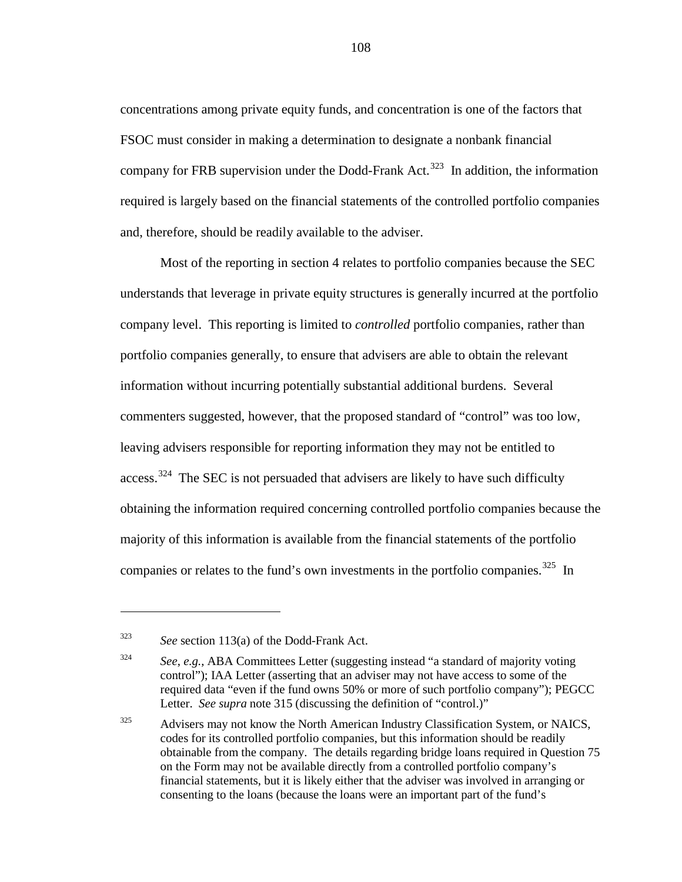concentrations among private equity funds, and concentration is one of the factors that FSOC must consider in making a determination to designate a nonbank financial company for FRB supervision under the Dodd-Frank Act.<sup>[323](#page-107-1)</sup> In addition, the information required is largely based on the financial statements of the controlled portfolio companies and, therefore, should be readily available to the adviser.

Most of the reporting in section 4 relates to portfolio companies because the SEC understands that leverage in private equity structures is generally incurred at the portfolio company level. This reporting is limited to *controlled* portfolio companies, rather than portfolio companies generally, to ensure that advisers are able to obtain the relevant information without incurring potentially substantial additional burdens. Several commenters suggested, however, that the proposed standard of "control" was too low, leaving advisers responsible for reporting information they may not be entitled to access.<sup>[324](#page-107-2)</sup> The SEC is not persuaded that advisers are likely to have such difficulty obtaining the information required concerning controlled portfolio companies because the majority of this information is available from the financial statements of the portfolio companies or relates to the fund's own investments in the portfolio companies.<sup>[325](#page-107-3)</sup> In

<span id="page-107-1"></span><span id="page-107-0"></span><sup>323</sup> *See* section 113(a) of the Dodd-Frank Act.

<span id="page-107-2"></span><sup>324</sup> *See*, *e.g.*, ABA Committees Letter (suggesting instead "a standard of majority voting control"); IAA Letter (asserting that an adviser may not have access to some of the required data "even if the fund owns 50% or more of such portfolio company"); PEGCC Letter. *See supra* note [315](#page-104-2) (discussing the definition of "control.)"

<span id="page-107-3"></span><sup>&</sup>lt;sup>325</sup> Advisers may not know the North American Industry Classification System, or NAICS, codes for its controlled portfolio companies, but this information should be readily obtainable from the company. The details regarding bridge loans required in Question 75 on the Form may not be available directly from a controlled portfolio company's financial statements, but it is likely either that the adviser was involved in arranging or consenting to the loans (because the loans were an important part of the fund's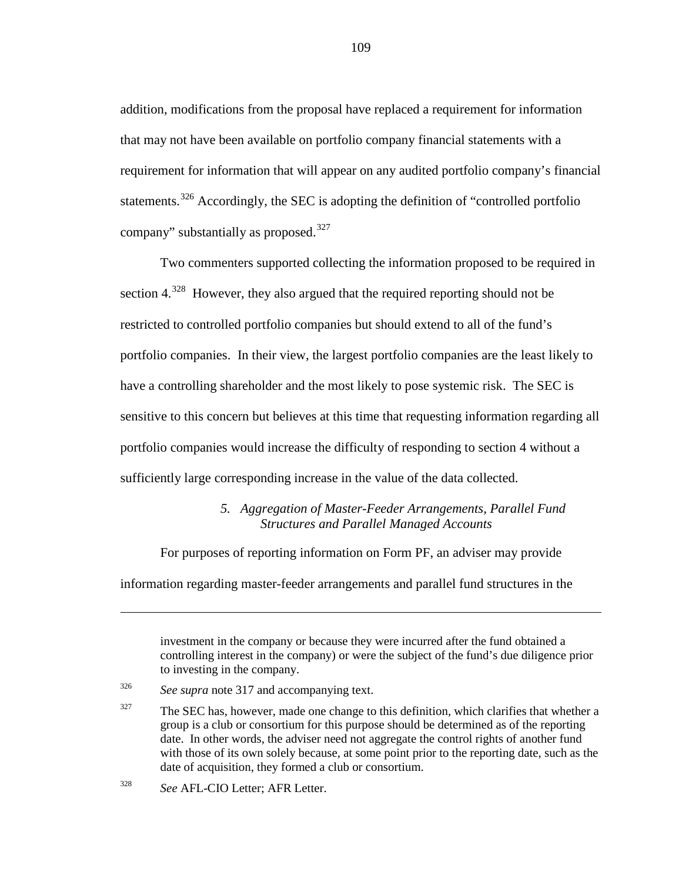addition, modifications from the proposal have replaced a requirement for information that may not have been available on portfolio company financial statements with a requirement for information that will appear on any audited portfolio company's financial statements.<sup>[326](#page-108-0)</sup> Accordingly, the SEC is adopting the definition of "controlled portfolio" company" substantially as proposed.<sup>[327](#page-108-1)</sup>

Two commenters supported collecting the information proposed to be required in section  $4^{328}$  $4^{328}$  $4^{328}$  However, they also argued that the required reporting should not be restricted to controlled portfolio companies but should extend to all of the fund's portfolio companies. In their view, the largest portfolio companies are the least likely to have a controlling shareholder and the most likely to pose systemic risk. The SEC is sensitive to this concern but believes at this time that requesting information regarding all portfolio companies would increase the difficulty of responding to section 4 without a sufficiently large corresponding increase in the value of the data collected.

### *5. Aggregation of Master-Feeder Arrangements, Parallel Fund Structures and Parallel Managed Accounts*

For purposes of reporting information on Form PF, an adviser may provide

information regarding master-feeder arrangements and parallel fund structures in the

investment in the company or because they were incurred after the fund obtained a controlling interest in the company) or were the subject of the fund's due diligence prior to investing in the company.

<span id="page-108-0"></span><sup>326</sup> *See supra* note [317](#page-105-0) and accompanying text.

<span id="page-108-1"></span> $327$  The SEC has, however, made one change to this definition, which clarifies that whether a group is a club or consortium for this purpose should be determined as of the reporting date. In other words, the adviser need not aggregate the control rights of another fund with those of its own solely because, at some point prior to the reporting date, such as the date of acquisition, they formed a club or consortium.

<span id="page-108-2"></span><sup>328</sup> *See* AFL-CIO Letter; AFR Letter.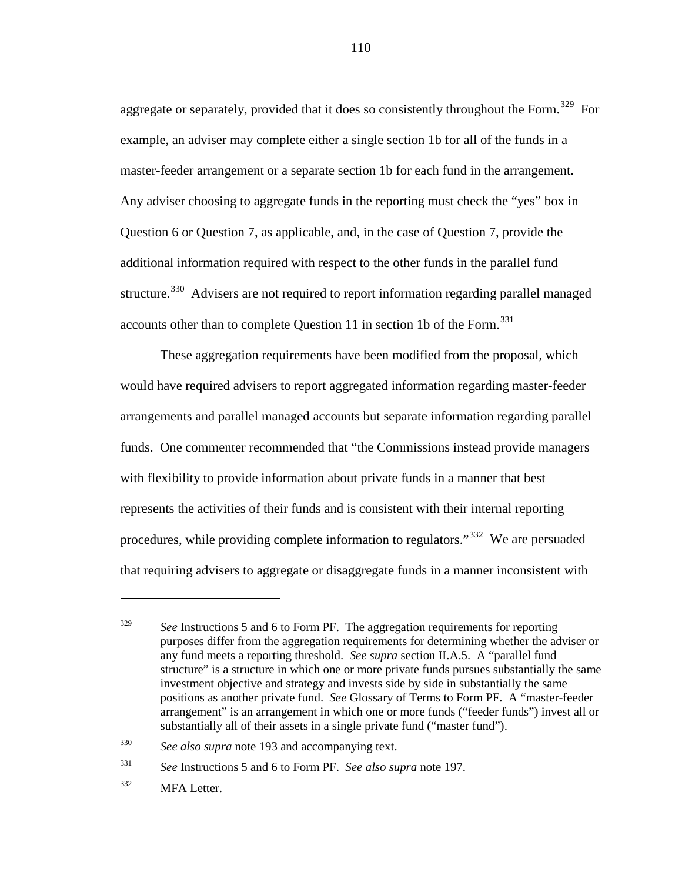aggregate or separately, provided that it does so consistently throughout the Form.<sup>329</sup> For example, an adviser may complete either a single section 1b for all of the funds in a master-feeder arrangement or a separate section 1b for each fund in the arrangement. Any adviser choosing to aggregate funds in the reporting must check the "yes" box in Question 6 or Question 7, as applicable, and, in the case of Question 7, provide the additional information required with respect to the other funds in the parallel fund structure.<sup>330</sup> Advisers are not required to report information regarding parallel managed accounts other than to complete Question 11 in section 1b of the Form.<sup>[331](#page-109-2)</sup>

These aggregation requirements have been modified from the proposal, which would have required advisers to report aggregated information regarding master-feeder arrangements and parallel managed accounts but separate information regarding parallel funds. One commenter recommended that "the Commissions instead provide managers with flexibility to provide information about private funds in a manner that best represents the activities of their funds and is consistent with their internal reporting procedures, while providing complete information to regulators."<sup>[332](#page-109-3)</sup> We are persuaded that requiring advisers to aggregate or disaggregate funds in a manner inconsistent with

<span id="page-109-0"></span><sup>&</sup>lt;sup>329</sup> *See* Instructions 5 and 6 to Form PF. The aggregation requirements for reporting purposes differ from the aggregation requirements for determining whether the adviser or any fund meets a reporting threshold. *See supra* section II.A.5. A "parallel fund structure" is a structure in which one or more private funds pursues substantially the same investment objective and strategy and invests side by side in substantially the same positions as another private fund. *See* Glossary of Terms to Form PF. A "master-feeder arrangement" is an arrangement in which one or more funds ("feeder funds") invest all or substantially all of their assets in a single private fund ("master fund").

<span id="page-109-1"></span><sup>330</sup> *See also supra* note [193](#page-64-0) and accompanying text.

<span id="page-109-2"></span><sup>331</sup> *See* Instructions 5 and 6 to Form PF. *See also supra* note [197.](#page-65-0)

<span id="page-109-3"></span><sup>332</sup> MFA Letter.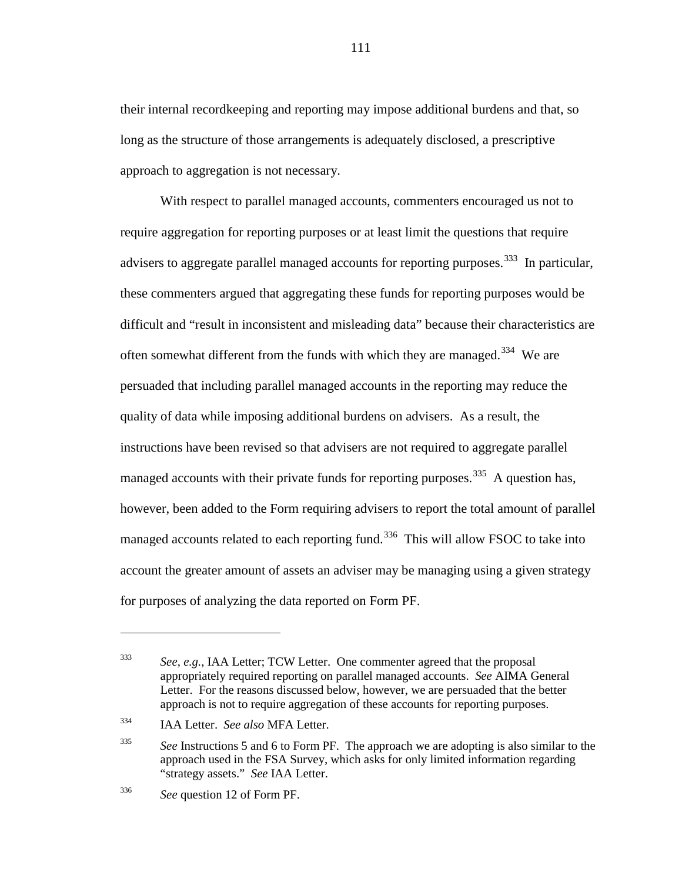their internal recordkeeping and reporting may impose additional burdens and that, so long as the structure of those arrangements is adequately disclosed, a prescriptive approach to aggregation is not necessary.

With respect to parallel managed accounts, commenters encouraged us not to require aggregation for reporting purposes or at least limit the questions that require advisers to aggregate parallel managed accounts for reporting purposes.<sup>[333](#page-110-0)</sup> In particular, these commenters argued that aggregating these funds for reporting purposes would be difficult and "result in inconsistent and misleading data" because their characteristics are often somewhat different from the funds with which they are managed.<sup>[334](#page-110-1)</sup> We are persuaded that including parallel managed accounts in the reporting may reduce the quality of data while imposing additional burdens on advisers. As a result, the instructions have been revised so that advisers are not required to aggregate parallel managed accounts with their private funds for reporting purposes.<sup>[335](#page-110-2)</sup> A question has, however, been added to the Form requiring advisers to report the total amount of parallel managed accounts related to each reporting fund.<sup>[336](#page-110-3)</sup> This will allow FSOC to take into account the greater amount of assets an adviser may be managing using a given strategy for purposes of analyzing the data reported on Form PF.

 $\overline{a}$ 

<span id="page-110-0"></span><sup>333</sup> *See*, *e.g.*, IAA Letter; TCW Letter. One commenter agreed that the proposal appropriately required reporting on parallel managed accounts. *See* AIMA General Letter. For the reasons discussed below, however, we are persuaded that the better approach is not to require aggregation of these accounts for reporting purposes.

<span id="page-110-1"></span><sup>334</sup> IAA Letter. *See also* MFA Letter.

<span id="page-110-2"></span><sup>&</sup>lt;sup>335</sup> See Instructions 5 and 6 to Form PF. The approach we are adopting is also similar to the approach used in the FSA Survey, which asks for only limited information regarding "strategy assets." *See* IAA Letter.

<span id="page-110-3"></span><sup>336</sup> *See* question 12 of Form PF.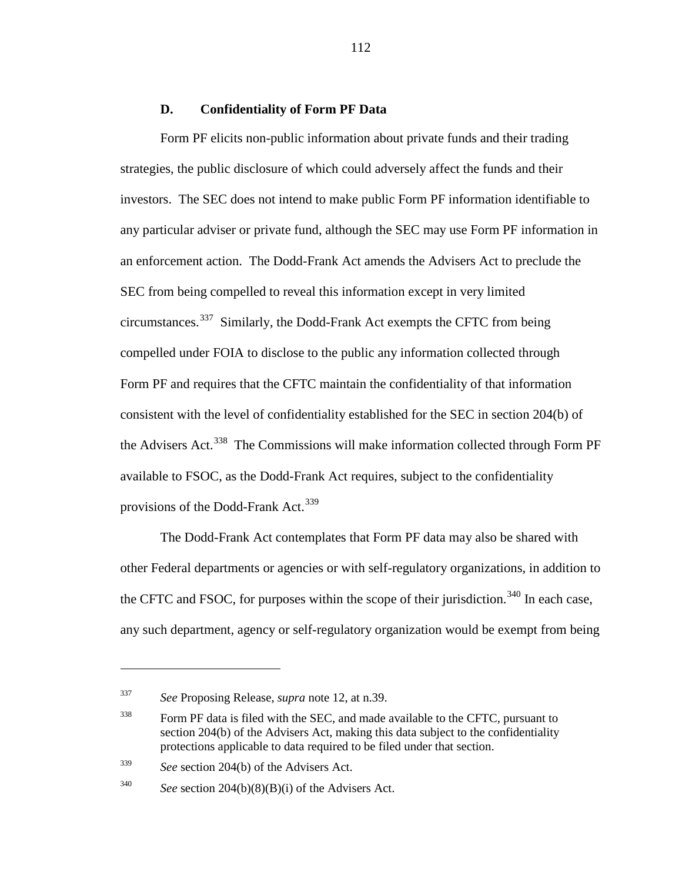#### **D. Confidentiality of Form PF Data**

Form PF elicits non-public information about private funds and their trading strategies, the public disclosure of which could adversely affect the funds and their investors. The SEC does not intend to make public Form PF information identifiable to any particular adviser or private fund, although the SEC may use Form PF information in an enforcement action. The Dodd-Frank Act amends the Advisers Act to preclude the SEC from being compelled to reveal this information except in very limited circumstances.[337](#page-111-0) Similarly, the Dodd-Frank Act exempts the CFTC from being compelled under FOIA to disclose to the public any information collected through Form PF and requires that the CFTC maintain the confidentiality of that information consistent with the level of confidentiality established for the SEC in section 204(b) of the Advisers Act.<sup>[338](#page-111-1)</sup> The Commissions will make information collected through Form PF available to FSOC, as the Dodd-Frank Act requires, subject to the confidentiality provisions of the Dodd-Frank Act.<sup>[339](#page-111-2)</sup>

The Dodd-Frank Act contemplates that Form PF data may also be shared with other Federal departments or agencies or with self-regulatory organizations, in addition to the CFTC and FSOC, for purposes within the scope of their jurisdiction.<sup>[340](#page-111-3)</sup> In each case, any such department, agency or self-regulatory organization would be exempt from being

 $\overline{a}$ 

<span id="page-111-0"></span><sup>337</sup> *See* Proposing Release, *supra* note [12,](#page-5-0) at n.39.

<span id="page-111-1"></span><sup>&</sup>lt;sup>338</sup> Form PF data is filed with the SEC, and made available to the CFTC, pursuant to section 204(b) of the Advisers Act, making this data subject to the confidentiality protections applicable to data required to be filed under that section.

<span id="page-111-2"></span><sup>339</sup> *See* section 204(b) of the Advisers Act.

<span id="page-111-3"></span><sup>340</sup> *See* section 204(b)(8)(B)(i) of the Advisers Act.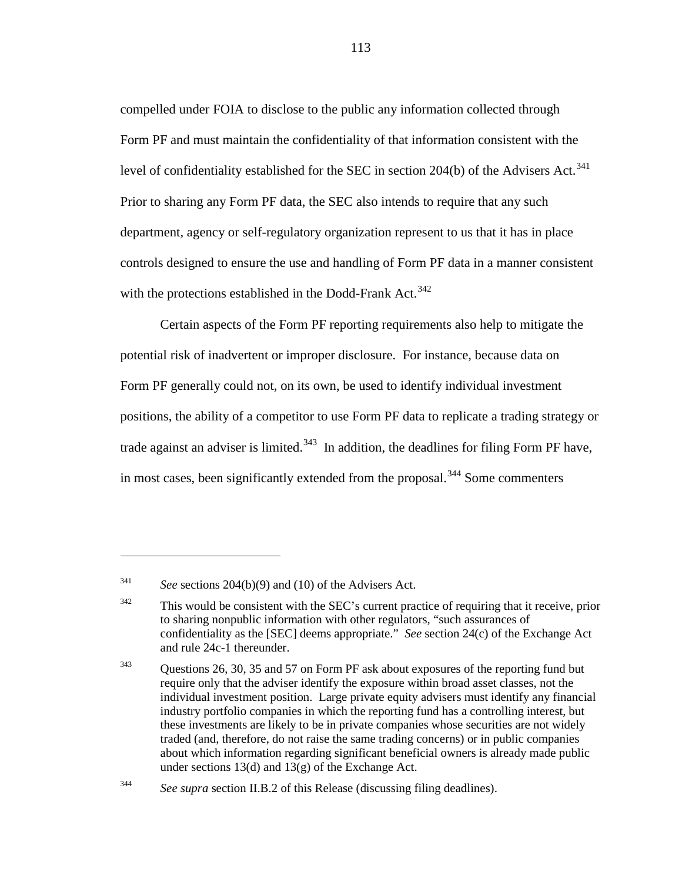compelled under FOIA to disclose to the public any information collected through Form PF and must maintain the confidentiality of that information consistent with the level of confidentiality established for the SEC in section 204(b) of the Advisers Act.<sup>[341](#page-112-0)</sup> Prior to sharing any Form PF data, the SEC also intends to require that any such department, agency or self-regulatory organization represent to us that it has in place controls designed to ensure the use and handling of Form PF data in a manner consistent with the protections established in the Dodd-Frank Act.<sup>[342](#page-112-1)</sup>

Certain aspects of the Form PF reporting requirements also help to mitigate the potential risk of inadvertent or improper disclosure. For instance, because data on Form PF generally could not, on its own, be used to identify individual investment positions, the ability of a competitor to use Form PF data to replicate a trading strategy or trade against an adviser is limited.<sup>343</sup> In addition, the deadlines for filing Form PF have, in most cases, been significantly extended from the proposal.<sup>[344](#page-112-3)</sup> Some commenters

<span id="page-112-4"></span><span id="page-112-0"></span><sup>341</sup> *See* sections 204(b)(9) and (10) of the Advisers Act.

<span id="page-112-1"></span><sup>&</sup>lt;sup>342</sup> This would be consistent with the SEC's current practice of requiring that it receive, prior to sharing nonpublic information with other regulators, "such assurances of confidentiality as the [SEC] deems appropriate." *See* section 24(c) of the Exchange Act and rule 24c-1 thereunder.

<span id="page-112-2"></span><sup>&</sup>lt;sup>343</sup> Ouestions 26, 30, 35 and 57 on Form PF ask about exposures of the reporting fund but require only that the adviser identify the exposure within broad asset classes, not the individual investment position. Large private equity advisers must identify any financial industry portfolio companies in which the reporting fund has a controlling interest, but these investments are likely to be in private companies whose securities are not widely traded (and, therefore, do not raise the same trading concerns) or in public companies about which information regarding significant beneficial owners is already made public under sections 13(d) and 13(g) of the Exchange Act.

<span id="page-112-3"></span><sup>344</sup> *See supra* section II.B.2 of this Release (discussing filing deadlines).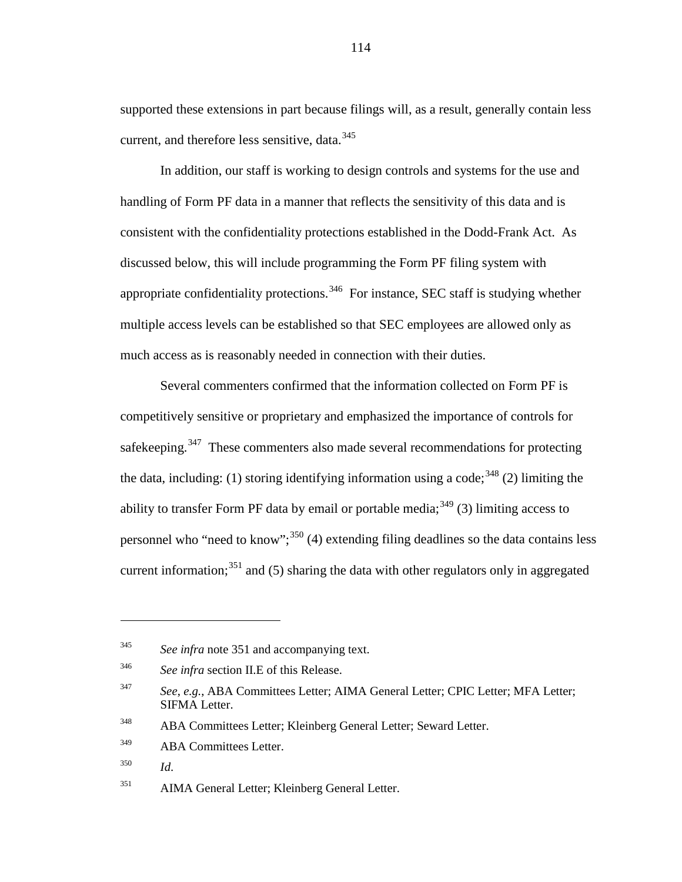<span id="page-113-8"></span>supported these extensions in part because filings will, as a result, generally contain less current, and therefore less sensitive, data.<sup>[345](#page-113-1)</sup>

In addition, our staff is working to design controls and systems for the use and handling of Form PF data in a manner that reflects the sensitivity of this data and is consistent with the confidentiality protections established in the Dodd-Frank Act. As discussed below, this will include programming the Form PF filing system with appropriate confidentiality protections.<sup>[346](#page-113-2)</sup> For instance, SEC staff is studying whether multiple access levels can be established so that SEC employees are allowed only as much access as is reasonably needed in connection with their duties.

Several commenters confirmed that the information collected on Form PF is competitively sensitive or proprietary and emphasized the importance of controls for safekeeping.<sup>[347](#page-113-3)</sup> These commenters also made several recommendations for protecting the data, including: (1) storing identifying information using a code;<sup>[348](#page-113-4)</sup> (2) limiting the ability to transfer Form PF data by email or portable media;  $349$  (3) limiting access to personnel who "need to know";  $350$  (4) extending filing deadlines so the data contains less current information;<sup>[351](#page-113-7)</sup> and (5) sharing the data with other regulators only in aggregated

<span id="page-113-1"></span><span id="page-113-0"></span><sup>345</sup> *See infra* note [351](#page-113-0) and accompanying text.

<span id="page-113-2"></span><sup>346</sup> *See infra* section II.E of this Release.

<span id="page-113-3"></span><sup>347</sup> *See*, *e.g.*, ABA Committees Letter; AIMA General Letter; CPIC Letter; MFA Letter; SIFMA Letter.

<span id="page-113-4"></span><sup>348</sup> ABA Committees Letter; Kleinberg General Letter; Seward Letter.

<span id="page-113-5"></span><sup>&</sup>lt;sup>349</sup> ABA Committees Letter.

<span id="page-113-6"></span><sup>350</sup> *Id*.

<span id="page-113-7"></span><sup>351</sup> AIMA General Letter; Kleinberg General Letter.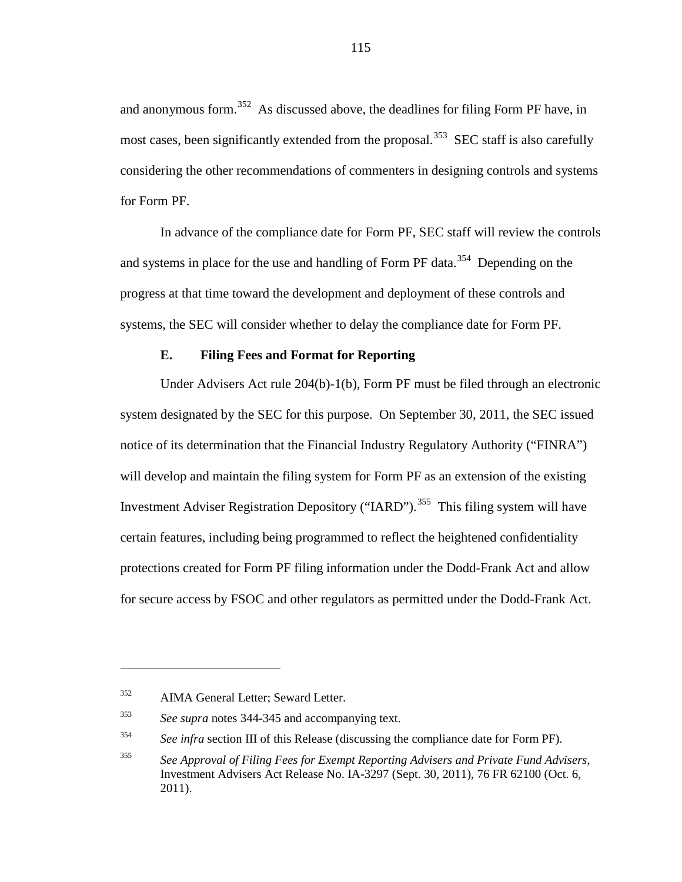and anonymous form.<sup>352</sup> As discussed above, the deadlines for filing Form PF have, in most cases, been significantly extended from the proposal.<sup>[353](#page-114-1)</sup> SEC staff is also carefully considering the other recommendations of commenters in designing controls and systems for Form PF.

In advance of the compliance date for Form PF, SEC staff will review the controls and systems in place for the use and handling of Form PF data.<sup>[354](#page-114-2)</sup> Depending on the progress at that time toward the development and deployment of these controls and systems, the SEC will consider whether to delay the compliance date for Form PF.

### **E. Filing Fees and Format for Reporting**

Under Advisers Act rule 204(b)-1(b), Form PF must be filed through an electronic system designated by the SEC for this purpose. On September 30, 2011, the SEC issued notice of its determination that the Financial Industry Regulatory Authority ("FINRA") will develop and maintain the filing system for Form PF as an extension of the existing Investment Adviser Registration Depository ("IARD").<sup>[355](#page-114-3)</sup> This filing system will have certain features, including being programmed to reflect the heightened confidentiality protections created for Form PF filing information under the Dodd-Frank Act and allow for secure access by FSOC and other regulators as permitted under the Dodd-Frank Act.

<span id="page-114-0"></span><sup>352</sup> AIMA General Letter; Seward Letter.

<span id="page-114-1"></span><sup>353</sup> *See supra* notes [344-](#page-112-4)[345](#page-113-8) and accompanying text.

<span id="page-114-2"></span><sup>&</sup>lt;sup>354</sup> *See infra* section III of this Release (discussing the compliance date for Form PF).

<span id="page-114-3"></span><sup>355</sup> *See Approval of Filing Fees for Exempt Reporting Advisers and Private Fund Advisers*, Investment Advisers Act Release No. IA-3297 (Sept. 30, 2011), 76 FR 62100 (Oct. 6, 2011).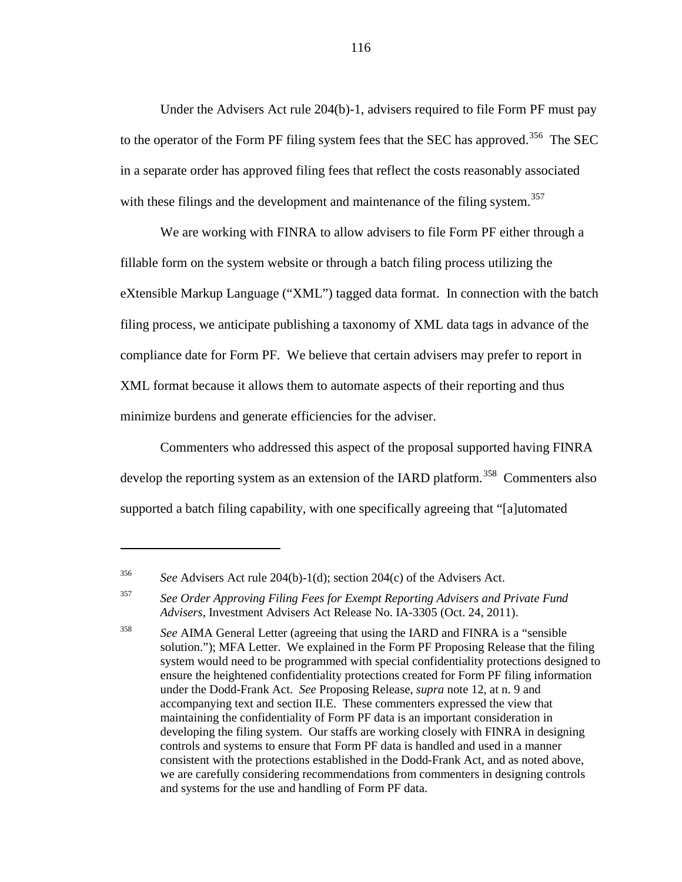Under the Advisers Act rule 204(b)-1, advisers required to file Form PF must pay to the operator of the Form PF filing system fees that the SEC has approved.<sup>356</sup> The SEC in a separate order has approved filing fees that reflect the costs reasonably associated with these filings and the development and maintenance of the filing system.<sup>[357](#page-115-1)</sup>

We are working with FINRA to allow advisers to file Form PF either through a fillable form on the system website or through a batch filing process utilizing the eXtensible Markup Language ("XML") tagged data format. In connection with the batch filing process, we anticipate publishing a taxonomy of XML data tags in advance of the compliance date for Form PF. We believe that certain advisers may prefer to report in XML format because it allows them to automate aspects of their reporting and thus minimize burdens and generate efficiencies for the adviser.

Commenters who addressed this aspect of the proposal supported having FINRA develop the reporting system as an extension of the IARD platform.<sup>[358](#page-115-2)</sup> Commenters also supported a batch filing capability, with one specifically agreeing that "[a]utomated

<span id="page-115-0"></span><sup>356</sup> *See* Advisers Act rule 204(b)-1(d); section 204(c) of the Advisers Act.

<span id="page-115-1"></span><sup>357</sup> *See Order Approving Filing Fees for Exempt Reporting Advisers and Private Fund Advisers*, Investment Advisers Act Release No. IA-3305 (Oct. 24, 2011).

<span id="page-115-2"></span><sup>358</sup> *See* AIMA General Letter (agreeing that using the IARD and FINRA is a "sensible solution."); MFA Letter. We explained in the Form PF Proposing Release that the filing system would need to be programmed with special confidentiality protections designed to ensure the heightened confidentiality protections created for Form PF filing information under the Dodd-Frank Act. *See* Proposing Release, *supra* note [12,](#page-5-0) at n. 9 and accompanying text and section II.E. These commenters expressed the view that maintaining the confidentiality of Form PF data is an important consideration in developing the filing system. Our staffs are working closely with FINRA in designing controls and systems to ensure that Form PF data is handled and used in a manner consistent with the protections established in the Dodd-Frank Act, and as noted above, we are carefully considering recommendations from commenters in designing controls and systems for the use and handling of Form PF data.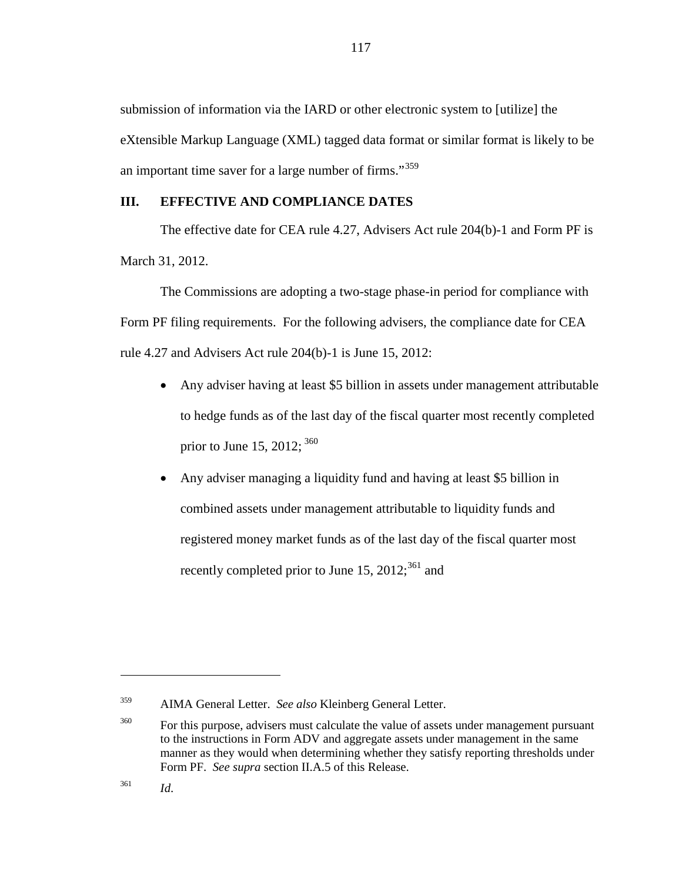submission of information via the IARD or other electronic system to [utilize] the eXtensible Markup Language (XML) tagged data format or similar format is likely to be an important time saver for a large number of firms."<sup>[359](#page-116-0)</sup>

### **III. EFFECTIVE AND COMPLIANCE DATES**

The effective date for CEA rule 4.27, Advisers Act rule 204(b)-1 and Form PF is March 31, 2012.

The Commissions are adopting a two-stage phase-in period for compliance with Form PF filing requirements. For the following advisers, the compliance date for CEA rule 4.27 and Advisers Act rule 204(b)-1 is June 15, 2012:

- Any adviser having at least \$5 billion in assets under management attributable to hedge funds as of the last day of the fiscal quarter most recently completed prior to June 15, 2012;  $360$
- Any adviser managing a liquidity fund and having at least \$5 billion in combined assets under management attributable to liquidity funds and registered money market funds as of the last day of the fiscal quarter most recently completed prior to June 15,  $2012$ ;<sup>[361](#page-116-2)</sup> and

<span id="page-116-0"></span><sup>359</sup> AIMA General Letter. *See also* Kleinberg General Letter.

<span id="page-116-1"></span><sup>&</sup>lt;sup>360</sup> For this purpose, advisers must calculate the value of assets under management pursuant to the instructions in Form ADV and aggregate assets under management in the same manner as they would when determining whether they satisfy reporting thresholds under Form PF. *See supra* section II.A.5 of this Release.

<span id="page-116-2"></span><sup>361</sup> *Id*.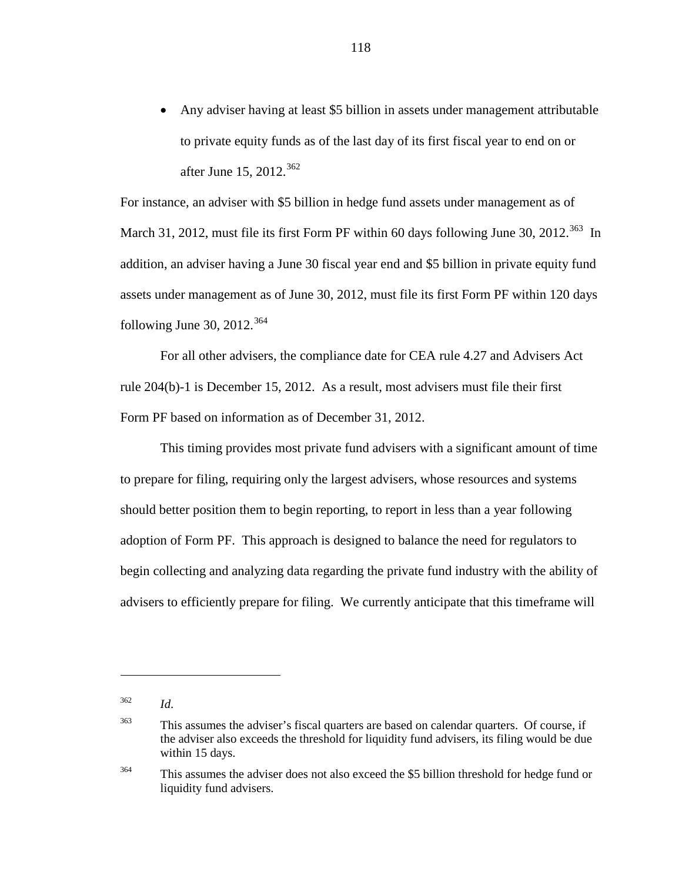• Any adviser having at least \$5 billion in assets under management attributable to private equity funds as of the last day of its first fiscal year to end on or after June 15, 2012. [362](#page-117-0)

For instance, an adviser with \$5 billion in hedge fund assets under management as of March 31, 2012, must file its first Form PF within 60 days following June 30, 2012.<sup>363</sup> In addition, an adviser having a June 30 fiscal year end and \$5 billion in private equity fund assets under management as of June 30, 2012, must file its first Form PF within 120 days following June 30, 2012.<sup>[364](#page-117-2)</sup>

For all other advisers, the compliance date for CEA rule 4.27 and Advisers Act rule 204(b)-1 is December 15, 2012. As a result, most advisers must file their first Form PF based on information as of December 31, 2012.

This timing provides most private fund advisers with a significant amount of time to prepare for filing, requiring only the largest advisers, whose resources and systems should better position them to begin reporting, to report in less than a year following adoption of Form PF. This approach is designed to balance the need for regulators to begin collecting and analyzing data regarding the private fund industry with the ability of advisers to efficiently prepare for filing. We currently anticipate that this timeframe will

 $\overline{a}$ 

<span id="page-117-2"></span><sup>364</sup> This assumes the adviser does not also exceed the \$5 billion threshold for hedge fund or liquidity fund advisers.

<span id="page-117-0"></span><sup>362</sup> *Id*.

<span id="page-117-1"></span><sup>&</sup>lt;sup>363</sup> This assumes the adviser's fiscal quarters are based on calendar quarters. Of course, if the adviser also exceeds the threshold for liquidity fund advisers, its filing would be due within 15 days.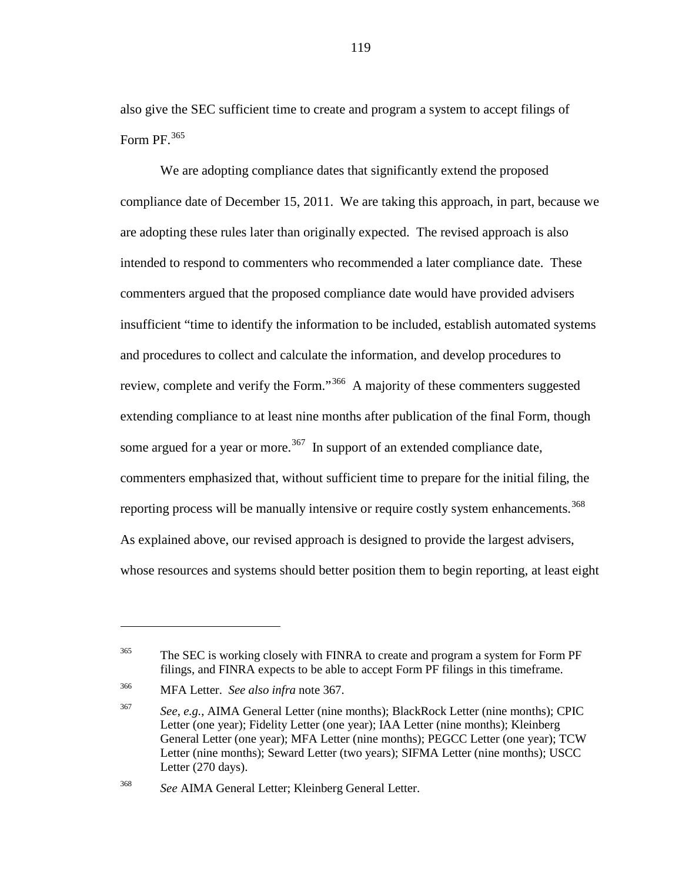also give the SEC sufficient time to create and program a system to accept filings of Form PF. [365](#page-118-1)

We are adopting compliance dates that significantly extend the proposed compliance date of December 15, 2011. We are taking this approach, in part, because we are adopting these rules later than originally expected. The revised approach is also intended to respond to commenters who recommended a later compliance date. These commenters argued that the proposed compliance date would have provided advisers insufficient "time to identify the information to be included, establish automated systems and procedures to collect and calculate the information, and develop procedures to review, complete and verify the Form."[366](#page-118-2) A majority of these commenters suggested extending compliance to at least nine months after publication of the final Form, though some argued for a year or more.<sup>[367](#page-118-3)</sup> In support of an extended compliance date, commenters emphasized that, without sufficient time to prepare for the initial filing, the reporting process will be manually intensive or require costly system enhancements.<sup>[368](#page-118-4)</sup> As explained above, our revised approach is designed to provide the largest advisers, whose resources and systems should better position them to begin reporting, at least eight

<span id="page-118-0"></span> $\overline{a}$ 

<span id="page-118-1"></span><sup>&</sup>lt;sup>365</sup> The SEC is working closely with FINRA to create and program a system for Form PF filings, and FINRA expects to be able to accept Form PF filings in this timeframe.

<span id="page-118-2"></span><sup>366</sup> MFA Letter. *See also infra* note [367.](#page-118-0)

<span id="page-118-3"></span><sup>367</sup> *See*, *e.g.*, AIMA General Letter (nine months); BlackRock Letter (nine months); CPIC Letter (one year); Fidelity Letter (one year); IAA Letter (nine months); Kleinberg General Letter (one year); MFA Letter (nine months); PEGCC Letter (one year); TCW Letter (nine months); Seward Letter (two years); SIFMA Letter (nine months); USCC Letter (270 days).

<span id="page-118-4"></span><sup>368</sup> *See* AIMA General Letter; Kleinberg General Letter.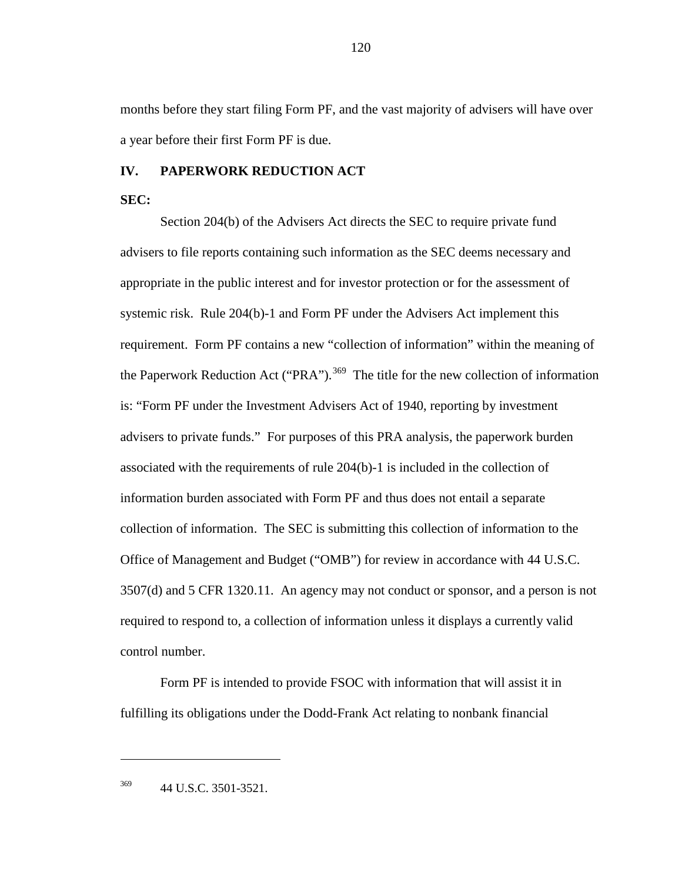months before they start filing Form PF, and the vast majority of advisers will have over a year before their first Form PF is due.

#### **IV. PAPERWORK REDUCTION ACT**

**SEC:**

Section 204(b) of the Advisers Act directs the SEC to require private fund advisers to file reports containing such information as the SEC deems necessary and appropriate in the public interest and for investor protection or for the assessment of systemic risk. Rule 204(b)-1 and Form PF under the Advisers Act implement this requirement. Form PF contains a new "collection of information" within the meaning of the Paperwork Reduction Act ("PRA").<sup>[369](#page-119-0)</sup> The title for the new collection of information is: "Form PF under the Investment Advisers Act of 1940, reporting by investment advisers to private funds." For purposes of this PRA analysis, the paperwork burden associated with the requirements of rule 204(b)-1 is included in the collection of information burden associated with Form PF and thus does not entail a separate collection of information. The SEC is submitting this collection of information to the Office of Management and Budget ("OMB") for review in accordance with 44 U.S.C. 3507(d) and 5 CFR 1320.11. An agency may not conduct or sponsor, and a person is not required to respond to, a collection of information unless it displays a currently valid control number.

Form PF is intended to provide FSOC with information that will assist it in fulfilling its obligations under the Dodd-Frank Act relating to nonbank financial

<span id="page-119-0"></span><sup>369</sup> 44 U.S.C. 3501-3521.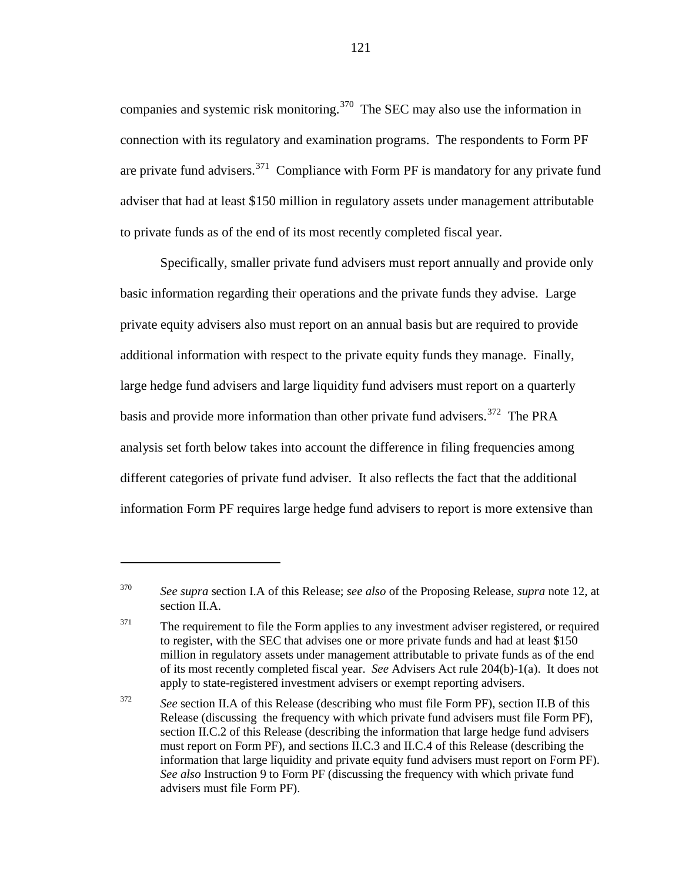companies and systemic risk monitoring.<sup>370</sup> The SEC may also use the information in connection with its regulatory and examination programs. The respondents to Form PF are private fund advisers.<sup>[371](#page-120-1)</sup> Compliance with Form PF is mandatory for any private fund adviser that had at least \$150 million in regulatory assets under management attributable to private funds as of the end of its most recently completed fiscal year.

Specifically, smaller private fund advisers must report annually and provide only basic information regarding their operations and the private funds they advise. Large private equity advisers also must report on an annual basis but are required to provide additional information with respect to the private equity funds they manage. Finally, large hedge fund advisers and large liquidity fund advisers must report on a quarterly basis and provide more information than other private fund advisers.<sup>[372](#page-120-2)</sup> The PRA analysis set forth below takes into account the difference in filing frequencies among different categories of private fund adviser. It also reflects the fact that the additional information Form PF requires large hedge fund advisers to report is more extensive than

 $\overline{a}$ 

<span id="page-120-0"></span><sup>370</sup> *See supra* section I.A of this Release; *see also* of the Proposing Release, *supra* note 12, at section II.A.

<span id="page-120-1"></span> $371$  The requirement to file the Form applies to any investment adviser registered, or required to register, with the SEC that advises one or more private funds and had at least \$150 million in regulatory assets under management attributable to private funds as of the end of its most recently completed fiscal year. *See* Advisers Act rule 204(b)-1(a). It does not apply to state-registered investment advisers or exempt reporting advisers.

<span id="page-120-2"></span><sup>372</sup> *See* section II.A of this Release (describing who must file Form PF), section II.B of this Release (discussing the frequency with which private fund advisers must file Form PF), section II.C.2 of this Release (describing the information that large hedge fund advisers must report on Form PF), and sections II.C.3 and II.C.4 of this Release (describing the information that large liquidity and private equity fund advisers must report on Form PF). *See also* Instruction 9 to Form PF (discussing the frequency with which private fund advisers must file Form PF).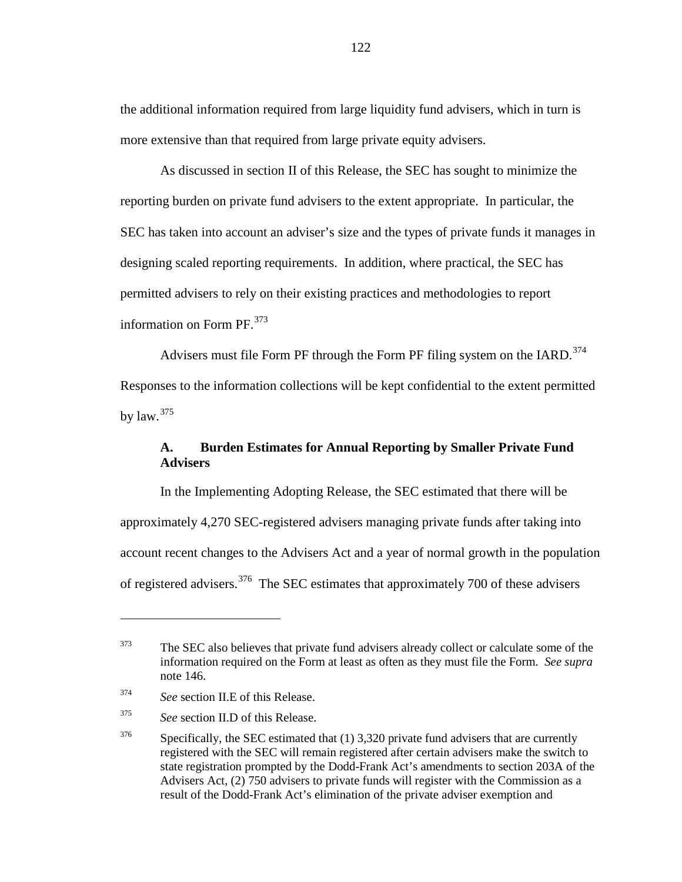the additional information required from large liquidity fund advisers, which in turn is more extensive than that required from large private equity advisers.

As discussed in section II of this Release, the SEC has sought to minimize the reporting burden on private fund advisers to the extent appropriate. In particular, the SEC has taken into account an adviser's size and the types of private funds it manages in designing scaled reporting requirements. In addition, where practical, the SEC has permitted advisers to rely on their existing practices and methodologies to report information on Form PF.<sup>[373](#page-121-0)</sup>

Advisers must file Form PF through the Form PF filing system on the IARD.<sup>374</sup>

Responses to the information collections will be kept confidential to the extent permitted by law.  $375$ 

## **A. Burden Estimates for Annual Reporting by Smaller Private Fund Advisers**

In the Implementing Adopting Release, the SEC estimated that there will be approximately 4,270 SEC-registered advisers managing private funds after taking into account recent changes to the Advisers Act and a year of normal growth in the population of registered advisers.<sup>[376](#page-121-3)</sup> The SEC estimates that approximately 700 of these advisers

<span id="page-121-0"></span><sup>&</sup>lt;sup>373</sup> The SEC also believes that private fund advisers already collect or calculate some of the information required on the Form at least as often as they must file the Form. *See supra* note [146.](#page-50-0)

<span id="page-121-1"></span><sup>374</sup> *See* section II.E of this Release.

<span id="page-121-2"></span><sup>375</sup> *See* section II.D of this Release.

<span id="page-121-3"></span> $376$  Specifically, the SEC estimated that (1) 3,320 private fund advisers that are currently registered with the SEC will remain registered after certain advisers make the switch to state registration prompted by the Dodd-Frank Act's amendments to section 203A of the Advisers Act, (2) 750 advisers to private funds will register with the Commission as a result of the Dodd-Frank Act's elimination of the private adviser exemption and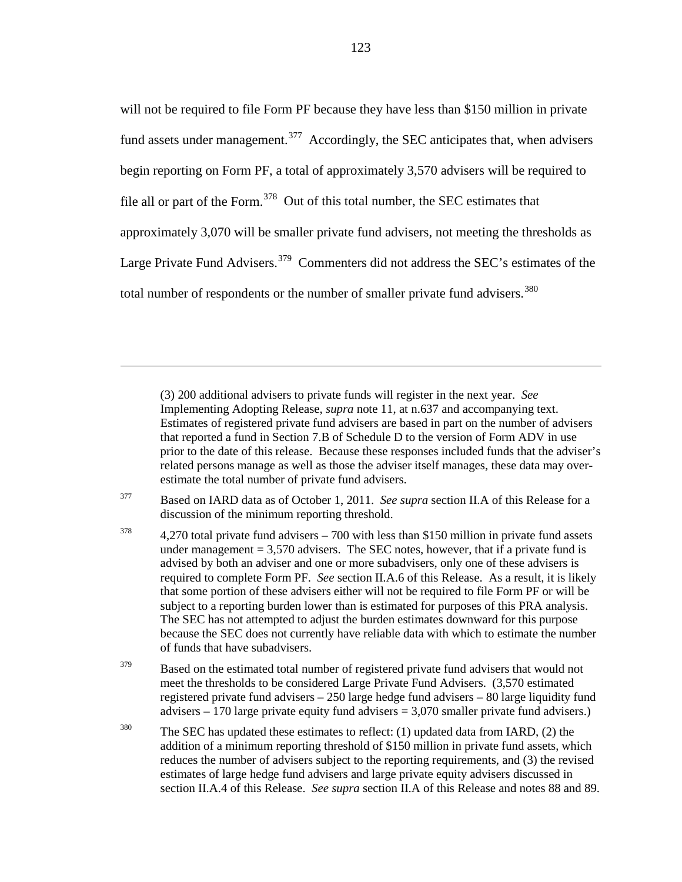will not be required to file Form PF because they have less than \$150 million in private fund assets under management.<sup>[377](#page-122-0)</sup> Accordingly, the SEC anticipates that, when advisers begin reporting on Form PF, a total of approximately 3,570 advisers will be required to file all or part of the Form.<sup>[378](#page-122-1)</sup> Out of this total number, the SEC estimates that approximately 3,070 will be smaller private fund advisers, not meeting the thresholds as Large Private Fund Advisers.<sup>[379](#page-122-2)</sup> Commenters did not address the SEC's estimates of the total number of respondents or the number of smaller private fund advisers.<sup>[380](#page-122-3)</sup>

(3) 200 additional advisers to private funds will register in the next year. *See* Implementing Adopting Release, *supra* note [11,](#page-5-1) at n.637 and accompanying text. Estimates of registered private fund advisers are based in part on the number of advisers that reported a fund in Section 7.B of Schedule D to the version of Form ADV in use prior to the date of this release. Because these responses included funds that the adviser's related persons manage as well as those the adviser itself manages, these data may overestimate the total number of private fund advisers.

<span id="page-122-0"></span><sup>377</sup> Based on IARD data as of October 1, 2011. *See supra* section II.A of this Release for a discussion of the minimum reporting threshold.

 $\overline{a}$ 

<span id="page-122-1"></span> $378$  4,270 total private fund advisers – 700 with less than \$150 million in private fund assets under management  $= 3,570$  advisers. The SEC notes, however, that if a private fund is advised by both an adviser and one or more subadvisers, only one of these advisers is required to complete Form PF. *See* section II.A.6 of this Release. As a result, it is likely that some portion of these advisers either will not be required to file Form PF or will be subject to a reporting burden lower than is estimated for purposes of this PRA analysis. The SEC has not attempted to adjust the burden estimates downward for this purpose because the SEC does not currently have reliable data with which to estimate the number of funds that have subadvisers.

<span id="page-122-2"></span> $379$  Based on the estimated total number of registered private fund advisers that would not meet the thresholds to be considered Large Private Fund Advisers. (3,570 estimated registered private fund advisers – 250 large hedge fund advisers – 80 large liquidity fund advisers – 170 large private equity fund advisers = 3,070 smaller private fund advisers.)

<span id="page-122-3"></span><sup>380</sup> The SEC has updated these estimates to reflect: (1) updated data from IARD, (2) the addition of a minimum reporting threshold of \$150 million in private fund assets, which reduces the number of advisers subject to the reporting requirements, and (3) the revised estimates of large hedge fund advisers and large private equity advisers discussed in section II.A.4 of this Release. *See supra* section II.A of this Release and notes [88](#page-30-0) and [89.](#page-31-0)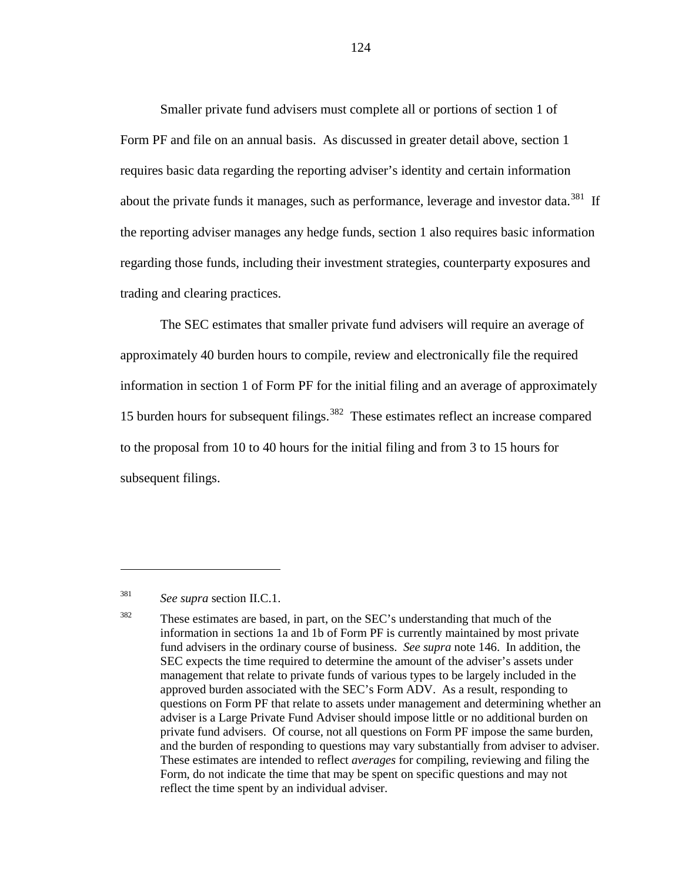Smaller private fund advisers must complete all or portions of section 1 of Form PF and file on an annual basis. As discussed in greater detail above, section 1 requires basic data regarding the reporting adviser's identity and certain information about the private funds it manages, such as performance, leverage and investor data.<sup>[381](#page-123-0)</sup> If the reporting adviser manages any hedge funds, section 1 also requires basic information regarding those funds, including their investment strategies, counterparty exposures and trading and clearing practices.

<span id="page-123-2"></span>The SEC estimates that smaller private fund advisers will require an average of approximately 40 burden hours to compile, review and electronically file the required information in section 1 of Form PF for the initial filing and an average of approximately 15 burden hours for subsequent filings. [382](#page-123-1) These estimates reflect an increase compared to the proposal from 10 to 40 hours for the initial filing and from 3 to 15 hours for subsequent filings.

<span id="page-123-0"></span><sup>381</sup> *See supra* section II.C.1.

<span id="page-123-1"></span><sup>382</sup> These estimates are based, in part, on the SEC's understanding that much of the information in sections 1a and 1b of Form PF is currently maintained by most private fund advisers in the ordinary course of business. *See supra* note [146.](#page-50-0) In addition, the SEC expects the time required to determine the amount of the adviser's assets under management that relate to private funds of various types to be largely included in the approved burden associated with the SEC's Form ADV. As a result, responding to questions on Form PF that relate to assets under management and determining whether an adviser is a Large Private Fund Adviser should impose little or no additional burden on private fund advisers. Of course, not all questions on Form PF impose the same burden, and the burden of responding to questions may vary substantially from adviser to adviser. These estimates are intended to reflect *averages* for compiling, reviewing and filing the Form, do not indicate the time that may be spent on specific questions and may not reflect the time spent by an individual adviser.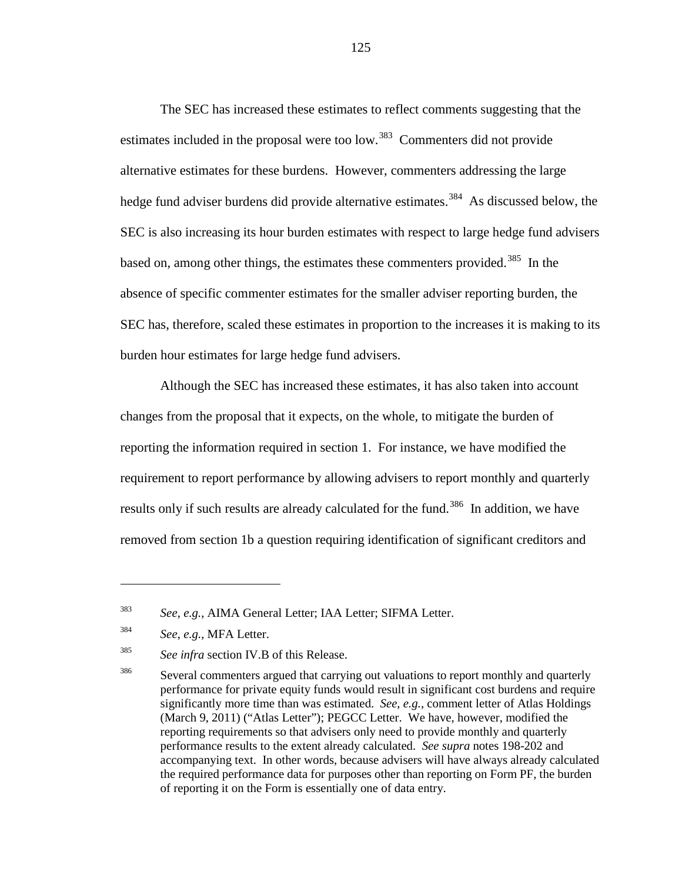The SEC has increased these estimates to reflect comments suggesting that the estimates included in the proposal were too low.<sup>383</sup> Commenters did not provide alternative estimates for these burdens. However, commenters addressing the large hedge fund adviser burdens did provide alternative estimates.<sup>[384](#page-124-1)</sup> As discussed below, the SEC is also increasing its hour burden estimates with respect to large hedge fund advisers based on, among other things, the estimates these commenters provided.<sup>[385](#page-124-2)</sup> In the absence of specific commenter estimates for the smaller adviser reporting burden, the SEC has, therefore, scaled these estimates in proportion to the increases it is making to its burden hour estimates for large hedge fund advisers.

Although the SEC has increased these estimates, it has also taken into account changes from the proposal that it expects, on the whole, to mitigate the burden of reporting the information required in section 1. For instance, we have modified the requirement to report performance by allowing advisers to report monthly and quarterly results only if such results are already calculated for the fund.<sup>[386](#page-124-3)</sup> In addition, we have removed from section 1b a question requiring identification of significant creditors and

<span id="page-124-4"></span><span id="page-124-0"></span><sup>383</sup> *See*, *e.g.*, AIMA General Letter; IAA Letter; SIFMA Letter.

<span id="page-124-1"></span><sup>384</sup> *See*, *e.g.*, MFA Letter.

<span id="page-124-2"></span><sup>385</sup> *See infra* section IV.B of this Release.

<span id="page-124-3"></span><sup>&</sup>lt;sup>386</sup> Several commenters argued that carrying out valuations to report monthly and quarterly performance for private equity funds would result in significant cost burdens and require significantly more time than was estimated. *See*, *e.g.*, comment letter of Atlas Holdings (March 9, 2011) ("Atlas Letter"); PEGCC Letter. We have, however, modified the reporting requirements so that advisers only need to provide monthly and quarterly performance results to the extent already calculated. *See supra* note[s 198](#page-66-0)[-202](#page-67-0) and accompanying text. In other words, because advisers will have always already calculated the required performance data for purposes other than reporting on Form PF, the burden of reporting it on the Form is essentially one of data entry.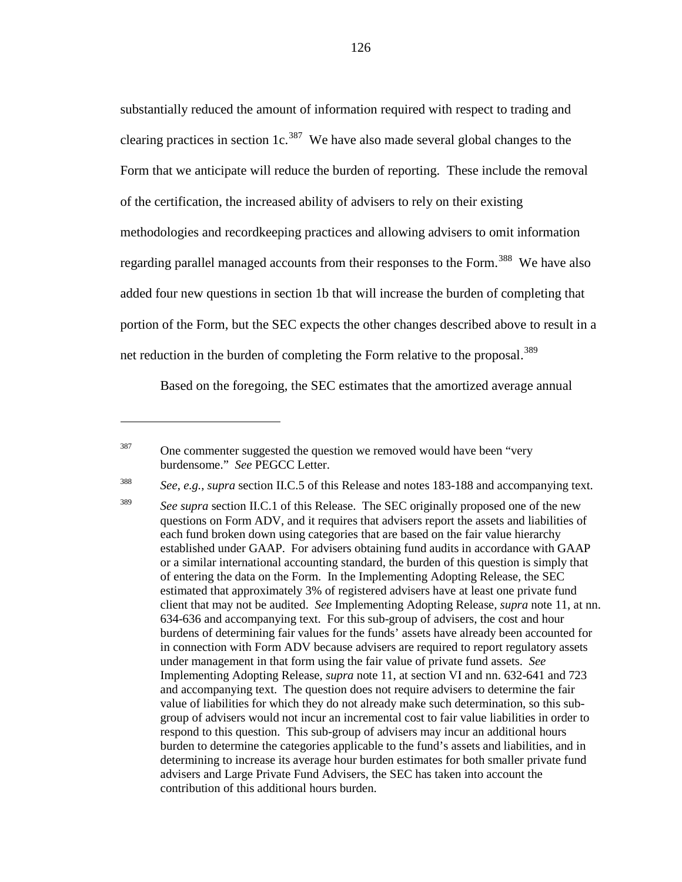substantially reduced the amount of information required with respect to trading and clearing practices in section 1c.<sup>387</sup> We have also made several global changes to the Form that we anticipate will reduce the burden of reporting. These include the removal of the certification, the increased ability of advisers to rely on their existing methodologies and recordkeeping practices and allowing advisers to omit information regarding parallel managed accounts from their responses to the Form.<sup>[388](#page-125-1)</sup> We have also added four new questions in section 1b that will increase the burden of completing that portion of the Form, but the SEC expects the other changes described above to result in a net reduction in the burden of completing the Form relative to the proposal.<sup>[389](#page-125-2)</sup>

Based on the foregoing, the SEC estimates that the amortized average annual

<span id="page-125-0"></span> $387$  One commenter suggested the question we removed would have been "very" burdensome." *See* PEGCC Letter.

<sup>388</sup> *See*, *e.g.*, *supra* section II.C.5 of this Release and notes [183](#page-60-0)[-188](#page-62-0) and accompanying text.

<span id="page-125-2"></span><span id="page-125-1"></span>

<sup>&</sup>lt;sup>389</sup> *See supra* section II.C.1 of this Release. The SEC originally proposed one of the new questions on Form ADV, and it requires that advisers report the assets and liabilities of each fund broken down using categories that are based on the fair value hierarchy established under GAAP. For advisers obtaining fund audits in accordance with GAAP or a similar international accounting standard, the burden of this question is simply that of entering the data on the Form. In the Implementing Adopting Release, the SEC estimated that approximately 3% of registered advisers have at least one private fund client that may not be audited. *See* Implementing Adopting Release, *supra* note [11,](#page-5-1) at nn. 634-636 and accompanying text. For this sub-group of advisers, the cost and hour burdens of determining fair values for the funds' assets have already been accounted for in connection with Form ADV because advisers are required to report regulatory assets under management in that form using the fair value of private fund assets. *See* Implementing Adopting Release, *supra* note [11,](#page-5-1) at section VI and nn. 632-641 and 723 and accompanying text. The question does not require advisers to determine the fair value of liabilities for which they do not already make such determination, so this subgroup of advisers would not incur an incremental cost to fair value liabilities in order to respond to this question. This sub-group of advisers may incur an additional hours burden to determine the categories applicable to the fund's assets and liabilities, and in determining to increase its average hour burden estimates for both smaller private fund advisers and Large Private Fund Advisers, the SEC has taken into account the contribution of this additional hours burden.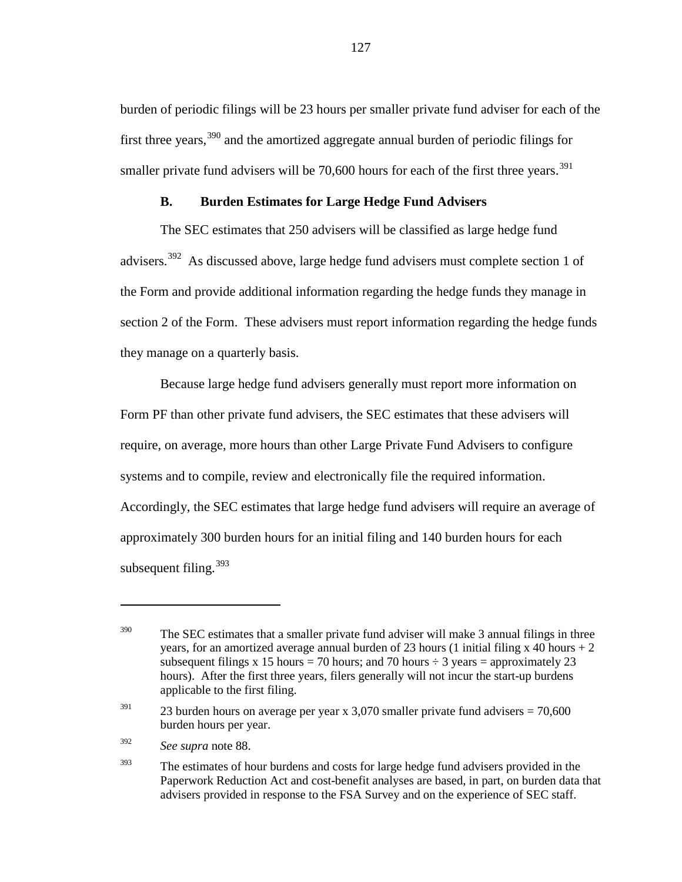burden of periodic filings will be 23 hours per smaller private fund adviser for each of the first three years,  $390$  and the amortized aggregate annual burden of periodic filings for smaller private fund advisers will be  $70,600$  hours for each of the first three years.<sup>[391](#page-126-1)</sup>

### **B. Burden Estimates for Large Hedge Fund Advisers**

The SEC estimates that 250 advisers will be classified as large hedge fund advisers.<sup>[392](#page-126-2)</sup> As discussed above, large hedge fund advisers must complete section 1 of the Form and provide additional information regarding the hedge funds they manage in section 2 of the Form. These advisers must report information regarding the hedge funds they manage on a quarterly basis.

Because large hedge fund advisers generally must report more information on Form PF than other private fund advisers, the SEC estimates that these advisers will require, on average, more hours than other Large Private Fund Advisers to configure systems and to compile, review and electronically file the required information. Accordingly, the SEC estimates that large hedge fund advisers will require an average of approximately 300 burden hours for an initial filing and 140 burden hours for each subsequent filing.<sup>[393](#page-126-3)</sup>

<span id="page-126-2"></span><sup>392</sup> *See supra* note [88.](#page-30-0)

<span id="page-126-0"></span> $390$  The SEC estimates that a smaller private fund adviser will make 3 annual filings in three years, for an amortized average annual burden of 23 hours (1 initial filing x 40 hours  $+2$ subsequent filings x 15 hours = 70 hours; and 70 hours  $\div$  3 years = approximately 23 hours). After the first three years, filers generally will not incur the start-up burdens applicable to the first filing.

<span id="page-126-1"></span><sup>&</sup>lt;sup>391</sup> 23 burden hours on average per year x 3,070 smaller private fund advisers =  $70,600$ burden hours per year.

<span id="page-126-3"></span><sup>&</sup>lt;sup>393</sup> The estimates of hour burdens and costs for large hedge fund advisers provided in the Paperwork Reduction Act and cost-benefit analyses are based, in part, on burden data that advisers provided in response to the FSA Survey and on the experience of SEC staff.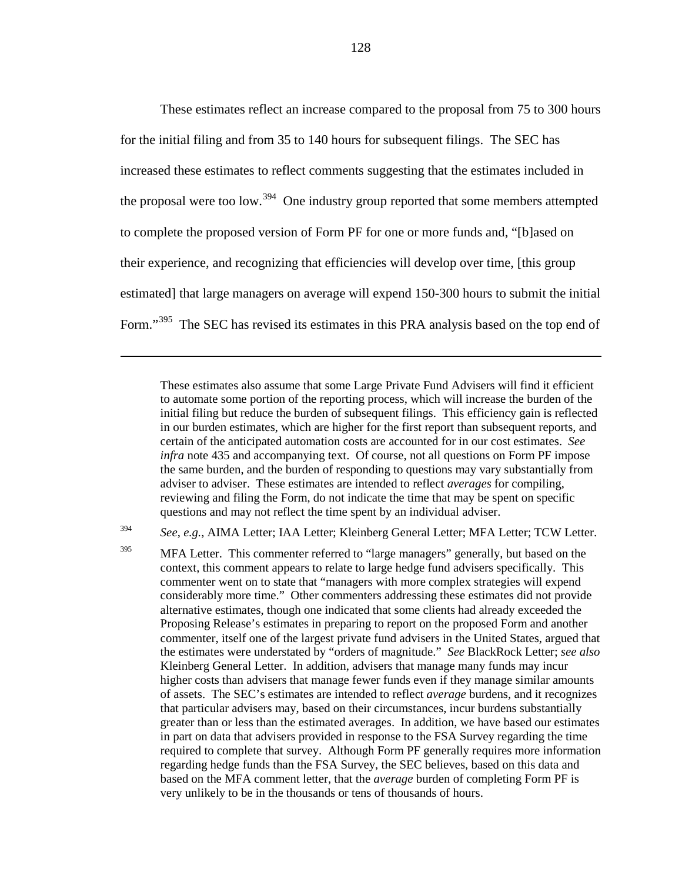<span id="page-127-2"></span>These estimates reflect an increase compared to the proposal from 75 to 300 hours for the initial filing and from 35 to 140 hours for subsequent filings. The SEC has increased these estimates to reflect comments suggesting that the estimates included in the proposal were too low.<sup>[394](#page-127-0)</sup> One industry group reported that some members attempted to complete the proposed version of Form PF for one or more funds and, "[b]ased on their experience, and recognizing that efficiencies will develop over time, [this group estimated] that large managers on average will expend 150-300 hours to submit the initial Form."<sup>[395](#page-127-1)</sup> The SEC has revised its estimates in this PRA analysis based on the top end of

 $\overline{a}$ 

These estimates also assume that some Large Private Fund Advisers will find it efficient to automate some portion of the reporting process, which will increase the burden of the initial filing but reduce the burden of subsequent filings. This efficiency gain is reflected in our burden estimates, which are higher for the first report than subsequent reports, and certain of the anticipated automation costs are accounted for in our cost estimates. *See infra* note [435](#page-138-0) and accompanying text. Of course, not all questions on Form PF impose the same burden, and the burden of responding to questions may vary substantially from adviser to adviser. These estimates are intended to reflect *averages* for compiling, reviewing and filing the Form, do not indicate the time that may be spent on specific questions and may not reflect the time spent by an individual adviser.

<span id="page-127-0"></span><sup>394</sup> *See*, *e.g.*, AIMA Letter; IAA Letter; Kleinberg General Letter; MFA Letter; TCW Letter.

<span id="page-127-1"></span><sup>395</sup> MFA Letter. This commenter referred to "large managers" generally, but based on the context, this comment appears to relate to large hedge fund advisers specifically. This commenter went on to state that "managers with more complex strategies will expend considerably more time." Other commenters addressing these estimates did not provide alternative estimates, though one indicated that some clients had already exceeded the Proposing Release's estimates in preparing to report on the proposed Form and another commenter, itself one of the largest private fund advisers in the United States, argued that the estimates were understated by "orders of magnitude." *See* BlackRock Letter; *see also* Kleinberg General Letter. In addition, advisers that manage many funds may incur higher costs than advisers that manage fewer funds even if they manage similar amounts of assets. The SEC's estimates are intended to reflect *average* burdens, and it recognizes that particular advisers may, based on their circumstances, incur burdens substantially greater than or less than the estimated averages. In addition, we have based our estimates in part on data that advisers provided in response to the FSA Survey regarding the time required to complete that survey. Although Form PF generally requires more information regarding hedge funds than the FSA Survey, the SEC believes, based on this data and based on the MFA comment letter, that the *average* burden of completing Form PF is very unlikely to be in the thousands or tens of thousands of hours.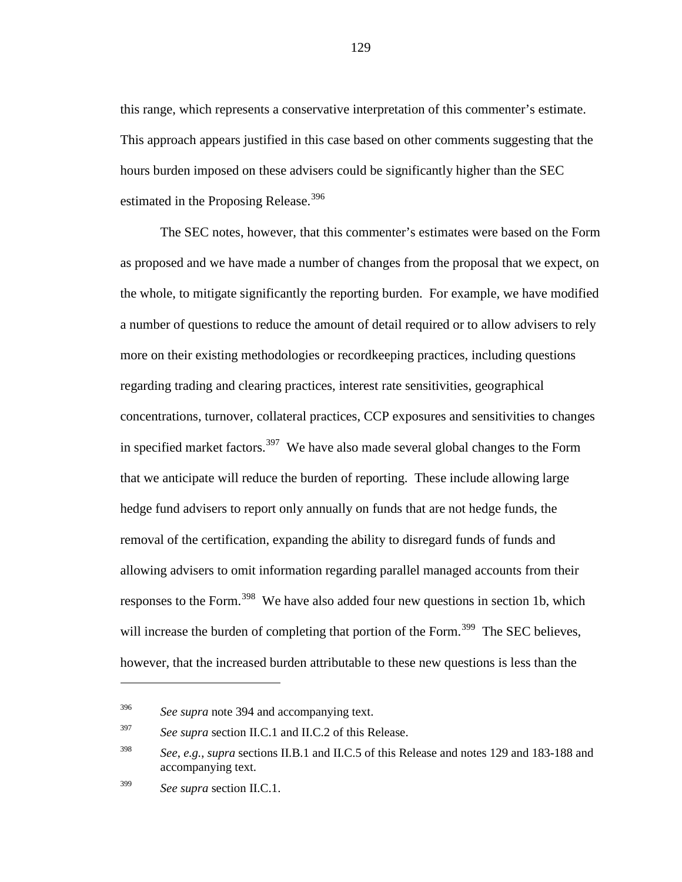this range, which represents a conservative interpretation of this commenter's estimate. This approach appears justified in this case based on other comments suggesting that the hours burden imposed on these advisers could be significantly higher than the SEC estimated in the Proposing Release.<sup>[396](#page-128-0)</sup>

The SEC notes, however, that this commenter's estimates were based on the Form as proposed and we have made a number of changes from the proposal that we expect, on the whole, to mitigate significantly the reporting burden. For example, we have modified a number of questions to reduce the amount of detail required or to allow advisers to rely more on their existing methodologies or recordkeeping practices, including questions regarding trading and clearing practices, interest rate sensitivities, geographical concentrations, turnover, collateral practices, CCP exposures and sensitivities to changes in specified market factors.<sup>[397](#page-128-1)</sup> We have also made several global changes to the Form that we anticipate will reduce the burden of reporting. These include allowing large hedge fund advisers to report only annually on funds that are not hedge funds, the removal of the certification, expanding the ability to disregard funds of funds and allowing advisers to omit information regarding parallel managed accounts from their responses to the Form.<sup>[398](#page-128-2)</sup> We have also added four new questions in section 1b, which will increase the burden of completing that portion of the Form.<sup>[399](#page-128-3)</sup> The SEC believes, however, that the increased burden attributable to these new questions is less than the

<span id="page-128-0"></span><sup>396</sup> *See supra* note [394](#page-127-2) and accompanying text.

<span id="page-128-1"></span><sup>397</sup> *See supra* section II.C.1 and II.C.2 of this Release.

<span id="page-128-2"></span><sup>398</sup> *See*, *e.g.*, *supra* sections II.B.1 and II.C.5 of this Release and note[s 129](#page-44-0) and [183](#page-60-0)[-188](#page-62-0) and accompanying text.

<span id="page-128-3"></span><sup>399</sup> *See supra* section II.C.1.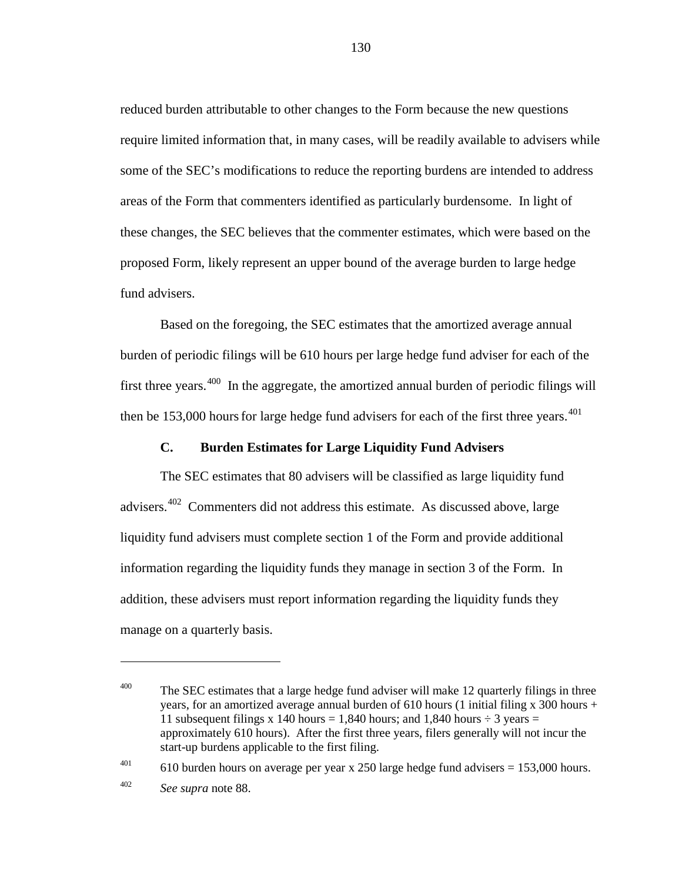reduced burden attributable to other changes to the Form because the new questions require limited information that, in many cases, will be readily available to advisers while some of the SEC's modifications to reduce the reporting burdens are intended to address areas of the Form that commenters identified as particularly burdensome. In light of these changes, the SEC believes that the commenter estimates, which were based on the proposed Form, likely represent an upper bound of the average burden to large hedge fund advisers.

Based on the foregoing, the SEC estimates that the amortized average annual burden of periodic filings will be 610 hours per large hedge fund adviser for each of the first three years. $400$  In the aggregate, the amortized annual burden of periodic filings will then be 153,000 hours for large hedge fund advisers for each of the first three years. $401$ 

### **C. Burden Estimates for Large Liquidity Fund Advisers**

The SEC estimates that 80 advisers will be classified as large liquidity fund advisers. $402$  Commenters did not address this estimate. As discussed above, large liquidity fund advisers must complete section 1 of the Form and provide additional information regarding the liquidity funds they manage in section 3 of the Form. In addition, these advisers must report information regarding the liquidity funds they manage on a quarterly basis.

<span id="page-129-1"></span><sup>401</sup> 610 burden hours on average per year x 250 large hedge fund advisers =  $153,000$  hours.

 $\overline{a}$ 

<span id="page-129-0"></span> $400$  The SEC estimates that a large hedge fund adviser will make 12 quarterly filings in three years, for an amortized average annual burden of 610 hours (1 initial filing x 300 hours + 11 subsequent filings x 140 hours = 1,840 hours; and 1,840 hours  $\div$  3 years = approximately 610 hours). After the first three years, filers generally will not incur the start-up burdens applicable to the first filing.

<span id="page-129-2"></span><sup>402</sup> *See supra* note [88.](#page-30-0)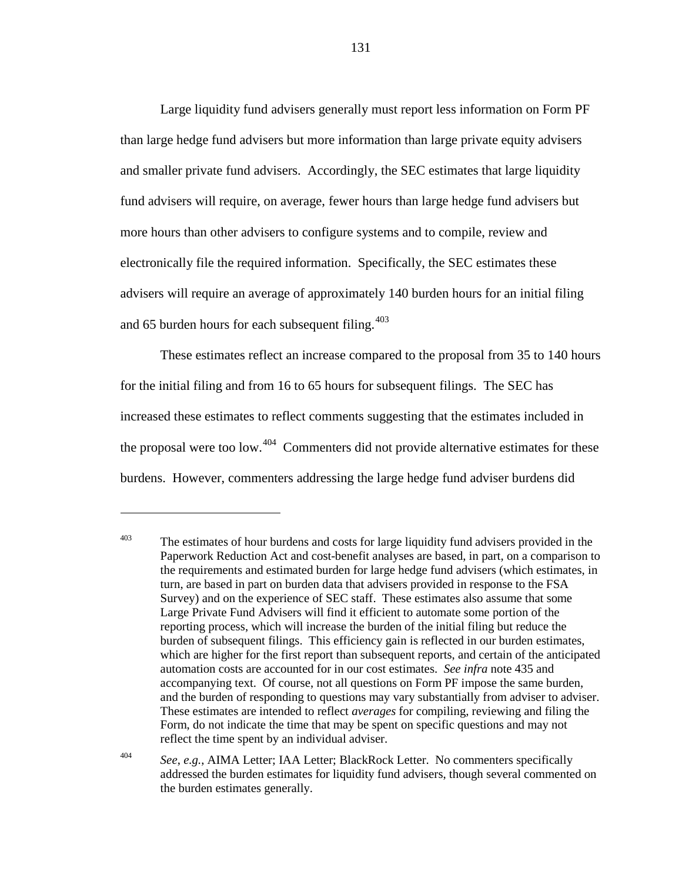Large liquidity fund advisers generally must report less information on Form PF than large hedge fund advisers but more information than large private equity advisers and smaller private fund advisers. Accordingly, the SEC estimates that large liquidity fund advisers will require, on average, fewer hours than large hedge fund advisers but more hours than other advisers to configure systems and to compile, review and electronically file the required information. Specifically, the SEC estimates these advisers will require an average of approximately 140 burden hours for an initial filing and 65 burden hours for each subsequent filing. $403$ 

These estimates reflect an increase compared to the proposal from 35 to 140 hours for the initial filing and from 16 to 65 hours for subsequent filings. The SEC has increased these estimates to reflect comments suggesting that the estimates included in the proposal were too low.<sup>[404](#page-130-1)</sup> Commenters did not provide alternative estimates for these burdens. However, commenters addressing the large hedge fund adviser burdens did

<span id="page-130-0"></span> $403$  The estimates of hour burdens and costs for large liquidity fund advisers provided in the Paperwork Reduction Act and cost-benefit analyses are based, in part, on a comparison to the requirements and estimated burden for large hedge fund advisers (which estimates, in turn, are based in part on burden data that advisers provided in response to the FSA Survey) and on the experience of SEC staff. These estimates also assume that some Large Private Fund Advisers will find it efficient to automate some portion of the reporting process, which will increase the burden of the initial filing but reduce the burden of subsequent filings. This efficiency gain is reflected in our burden estimates, which are higher for the first report than subsequent reports, and certain of the anticipated automation costs are accounted for in our cost estimates. *See infra* note [435](#page-138-0) and accompanying text. Of course, not all questions on Form PF impose the same burden, and the burden of responding to questions may vary substantially from adviser to adviser. These estimates are intended to reflect *averages* for compiling, reviewing and filing the Form, do not indicate the time that may be spent on specific questions and may not reflect the time spent by an individual adviser.

<span id="page-130-1"></span><sup>404</sup> *See*, *e.g.*, AIMA Letter; IAA Letter; BlackRock Letter. No commenters specifically addressed the burden estimates for liquidity fund advisers, though several commented on the burden estimates generally.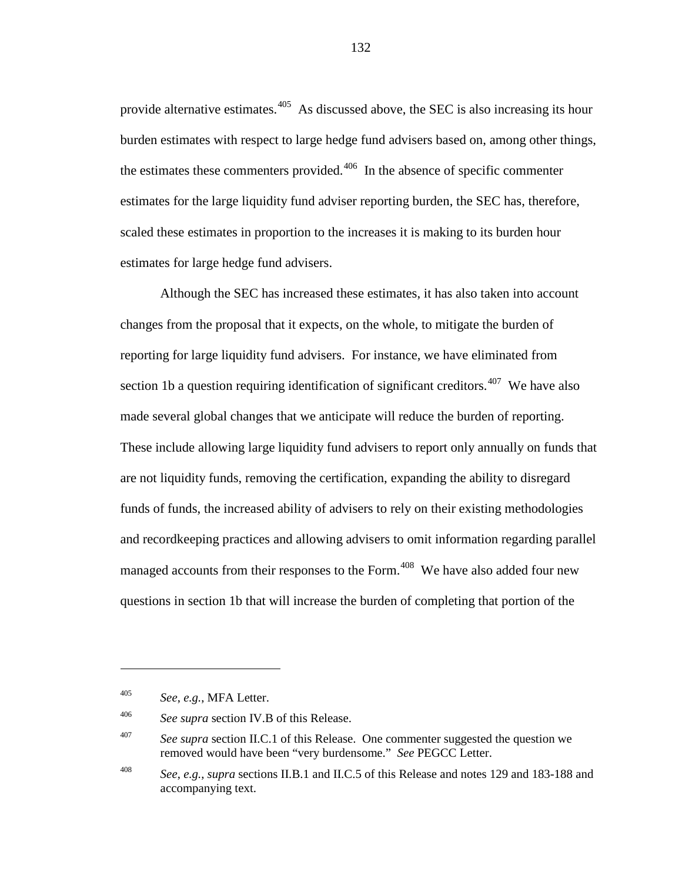provide alternative estimates.<sup>405</sup> As discussed above, the SEC is also increasing its hour burden estimates with respect to large hedge fund advisers based on, among other things, the estimates these commenters provided. $406$  In the absence of specific commenter estimates for the large liquidity fund adviser reporting burden, the SEC has, therefore, scaled these estimates in proportion to the increases it is making to its burden hour estimates for large hedge fund advisers.

Although the SEC has increased these estimates, it has also taken into account changes from the proposal that it expects, on the whole, to mitigate the burden of reporting for large liquidity fund advisers. For instance, we have eliminated from section 1b a question requiring identification of significant creditors.<sup>[407](#page-131-2)</sup> We have also made several global changes that we anticipate will reduce the burden of reporting. These include allowing large liquidity fund advisers to report only annually on funds that are not liquidity funds, removing the certification, expanding the ability to disregard funds of funds, the increased ability of advisers to rely on their existing methodologies and recordkeeping practices and allowing advisers to omit information regarding parallel managed accounts from their responses to the Form.<sup>[408](#page-131-3)</sup> We have also added four new questions in section 1b that will increase the burden of completing that portion of the

 $\overline{a}$ 

<span id="page-131-0"></span><sup>405</sup> *See*, *e.g.*, MFA Letter.

<span id="page-131-1"></span><sup>406</sup> *See supra* section IV.B of this Release.

<span id="page-131-2"></span><sup>407</sup> *See supra* section II.C.1 of this Release. One commenter suggested the question we removed would have been "very burdensome." *See* PEGCC Letter.

<span id="page-131-3"></span><sup>408</sup> *See*, *e.g.*, *supra* sections II.B.1 and II.C.5 of this Release and note[s 129](#page-44-0) and [183](#page-60-0)[-188](#page-62-0) and accompanying text.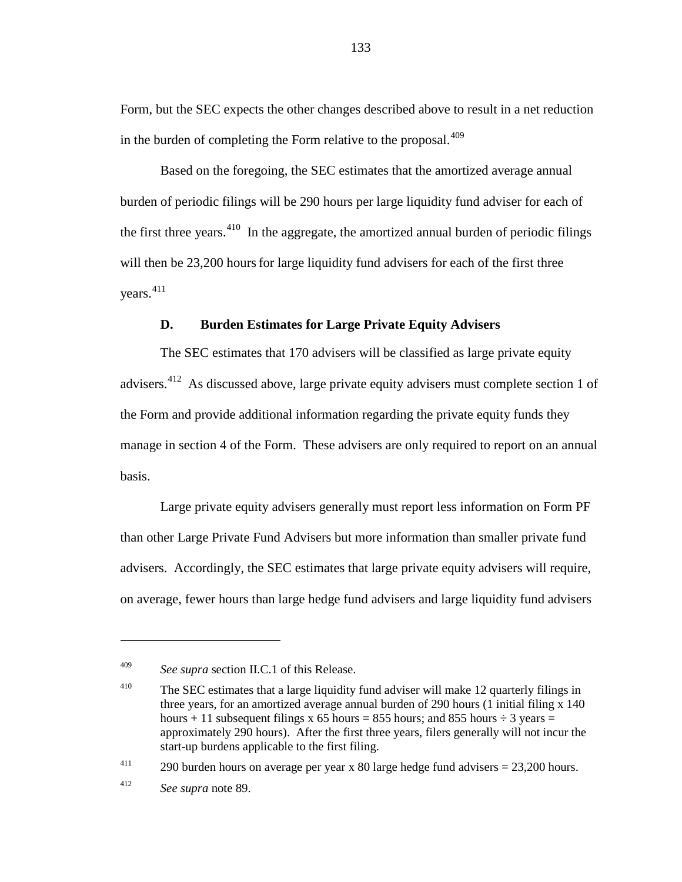Form, but the SEC expects the other changes described above to result in a net reduction in the burden of completing the Form relative to the proposal.<sup>[409](#page-132-0)</sup>

Based on the foregoing, the SEC estimates that the amortized average annual burden of periodic filings will be 290 hours per large liquidity fund adviser for each of the first three years.<sup>[410](#page-132-1)</sup> In the aggregate, the amortized annual burden of periodic filings will then be 23,200 hours for large liquidity fund advisers for each of the first three years. [411](#page-132-2)

### **D. Burden Estimates for Large Private Equity Advisers**

The SEC estimates that 170 advisers will be classified as large private equity advisers.<sup>[412](#page-132-3)</sup> As discussed above, large private equity advisers must complete section 1 of the Form and provide additional information regarding the private equity funds they manage in section 4 of the Form. These advisers are only required to report on an annual basis.

Large private equity advisers generally must report less information on Form PF than other Large Private Fund Advisers but more information than smaller private fund advisers. Accordingly, the SEC estimates that large private equity advisers will require, on average, fewer hours than large hedge fund advisers and large liquidity fund advisers

<span id="page-132-2"></span><sup>411</sup> 290 burden hours on average per year x 80 large hedge fund advisers  $= 23,200$  hours.

<span id="page-132-0"></span><sup>409</sup> *See supra* section II.C.1 of this Release.

<span id="page-132-1"></span><sup>&</sup>lt;sup>410</sup> The SEC estimates that a large liquidity fund adviser will make 12 quarterly filings in three years, for an amortized average annual burden of 290 hours (1 initial filing x 140 hours + 11 subsequent filings x 65 hours = 855 hours; and 855 hours  $\div$  3 years = approximately 290 hours). After the first three years, filers generally will not incur the start-up burdens applicable to the first filing.

<span id="page-132-3"></span><sup>412</sup> *See supra* note [89.](#page-31-0)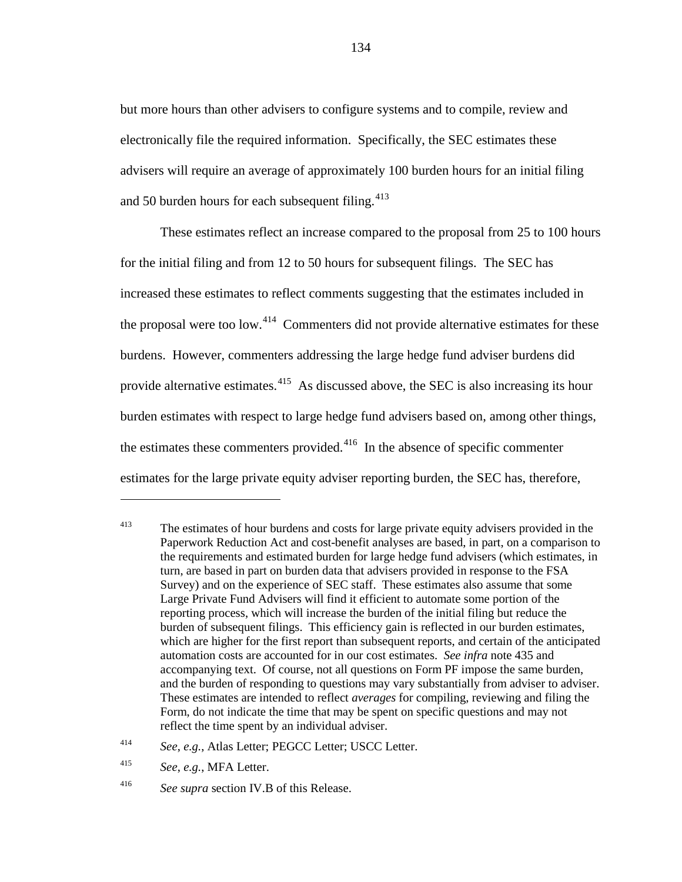but more hours than other advisers to configure systems and to compile, review and electronically file the required information. Specifically, the SEC estimates these advisers will require an average of approximately 100 burden hours for an initial filing and 50 burden hours for each subsequent filing.  $413$ 

These estimates reflect an increase compared to the proposal from 25 to 100 hours for the initial filing and from 12 to 50 hours for subsequent filings. The SEC has increased these estimates to reflect comments suggesting that the estimates included in the proposal were too low.<sup>[414](#page-133-1)</sup> Commenters did not provide alternative estimates for these burdens. However, commenters addressing the large hedge fund adviser burdens did provide alternative estimates.<sup>415</sup> As discussed above, the SEC is also increasing its hour burden estimates with respect to large hedge fund advisers based on, among other things, the estimates these commenters provided. $416$  In the absence of specific commenter estimates for the large private equity adviser reporting burden, the SEC has, therefore,

<span id="page-133-0"></span><sup>&</sup>lt;sup>413</sup> The estimates of hour burdens and costs for large private equity advisers provided in the Paperwork Reduction Act and cost-benefit analyses are based, in part, on a comparison to the requirements and estimated burden for large hedge fund advisers (which estimates, in turn, are based in part on burden data that advisers provided in response to the FSA Survey) and on the experience of SEC staff. These estimates also assume that some Large Private Fund Advisers will find it efficient to automate some portion of the reporting process, which will increase the burden of the initial filing but reduce the burden of subsequent filings. This efficiency gain is reflected in our burden estimates, which are higher for the first report than subsequent reports, and certain of the anticipated automation costs are accounted for in our cost estimates. *See infra* note [435](#page-138-0) and accompanying text. Of course, not all questions on Form PF impose the same burden, and the burden of responding to questions may vary substantially from adviser to adviser. These estimates are intended to reflect *averages* for compiling, reviewing and filing the Form, do not indicate the time that may be spent on specific questions and may not reflect the time spent by an individual adviser.

<span id="page-133-1"></span><sup>414</sup> *See*, *e.g.*, Atlas Letter; PEGCC Letter; USCC Letter.

<span id="page-133-2"></span><sup>415</sup> *See*, *e.g.*, MFA Letter.

<span id="page-133-3"></span><sup>416</sup> *See supra* section IV.B of this Release.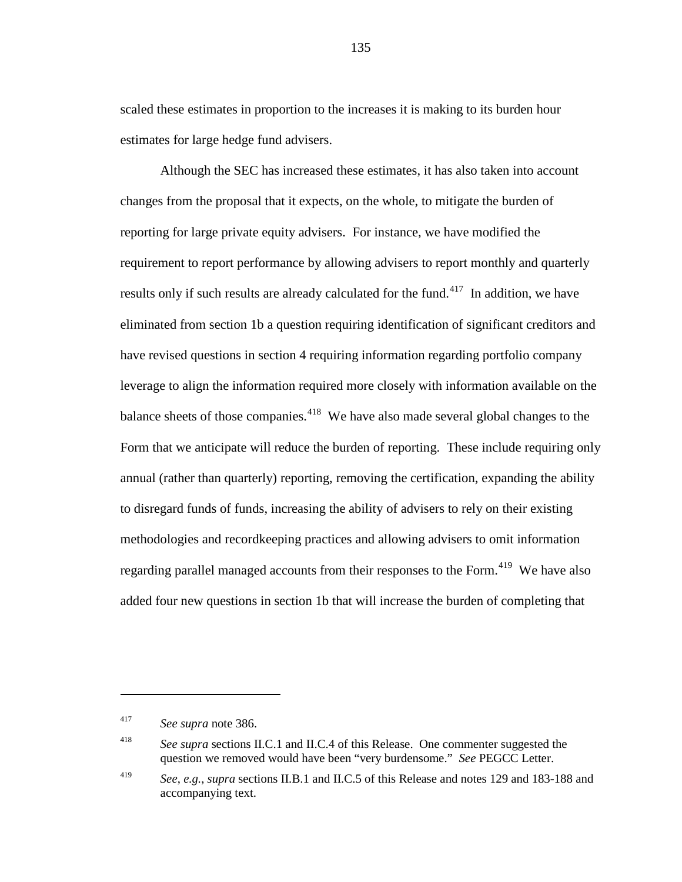scaled these estimates in proportion to the increases it is making to its burden hour estimates for large hedge fund advisers.

Although the SEC has increased these estimates, it has also taken into account changes from the proposal that it expects, on the whole, to mitigate the burden of reporting for large private equity advisers. For instance, we have modified the requirement to report performance by allowing advisers to report monthly and quarterly results only if such results are already calculated for the fund.<sup>[417](#page-134-0)</sup> In addition, we have eliminated from section 1b a question requiring identification of significant creditors and have revised questions in section 4 requiring information regarding portfolio company leverage to align the information required more closely with information available on the balance sheets of those companies.<sup>[418](#page-134-1)</sup> We have also made several global changes to the Form that we anticipate will reduce the burden of reporting. These include requiring only annual (rather than quarterly) reporting, removing the certification, expanding the ability to disregard funds of funds, increasing the ability of advisers to rely on their existing methodologies and recordkeeping practices and allowing advisers to omit information regarding parallel managed accounts from their responses to the Form.<sup>[419](#page-134-2)</sup> We have also added four new questions in section 1b that will increase the burden of completing that

<span id="page-134-0"></span><sup>417</sup> *See supra* note [386.](#page-124-4)

<span id="page-134-1"></span><sup>&</sup>lt;sup>418</sup> *See supra* sections II.C.1 and II.C.4 of this Release. One commenter suggested the question we removed would have been "very burdensome." *See* PEGCC Letter.

<span id="page-134-2"></span><sup>419</sup> *See*, *e.g.*, *supra* sections II.B.1 and II.C.5 of this Release and note[s 129](#page-44-0) and [183](#page-60-0)[-188](#page-62-0) and accompanying text.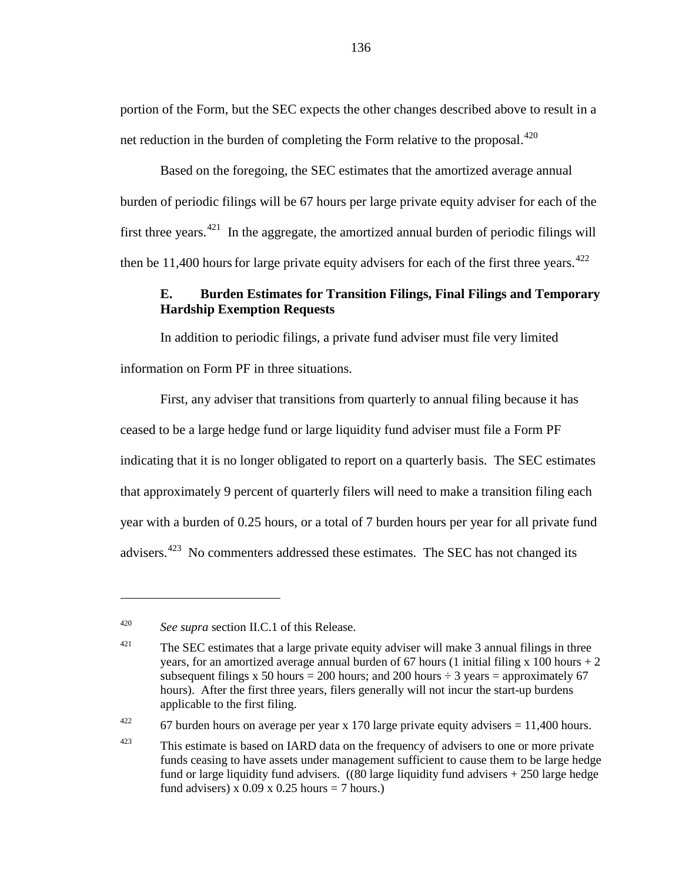portion of the Form, but the SEC expects the other changes described above to result in a net reduction in the burden of completing the Form relative to the proposal.  $420$ 

Based on the foregoing, the SEC estimates that the amortized average annual burden of periodic filings will be 67 hours per large private equity adviser for each of the first three years.<sup>[421](#page-135-1)</sup> In the aggregate, the amortized annual burden of periodic filings will then be 11,400 hours for large private equity advisers for each of the first three years.<sup>[422](#page-135-2)</sup>

# **E. Burden Estimates for Transition Filings, Final Filings and Temporary Hardship Exemption Requests**

In addition to periodic filings, a private fund adviser must file very limited information on Form PF in three situations.

First, any adviser that transitions from quarterly to annual filing because it has ceased to be a large hedge fund or large liquidity fund adviser must file a Form PF indicating that it is no longer obligated to report on a quarterly basis. The SEC estimates that approximately 9 percent of quarterly filers will need to make a transition filing each year with a burden of 0.25 hours, or a total of 7 burden hours per year for all private fund advisers.<sup>[423](#page-135-3)</sup> No commenters addressed these estimates. The SEC has not changed its

 $\overline{a}$ 

<span id="page-135-2"></span><sup>422</sup> 67 burden hours on average per year x 170 large private equity advisers = 11,400 hours.

<span id="page-135-0"></span><sup>420</sup> *See supra* section II.C.1 of this Release.

<span id="page-135-1"></span> $421$  The SEC estimates that a large private equity adviser will make 3 annual filings in three years, for an amortized average annual burden of 67 hours (1 initial filing x 100 hours  $+2$ subsequent filings x 50 hours = 200 hours; and 200 hours  $\div$  3 years = approximately 67 hours). After the first three years, filers generally will not incur the start-up burdens applicable to the first filing.

<span id="page-135-3"></span> $423$  This estimate is based on IARD data on the frequency of advisers to one or more private funds ceasing to have assets under management sufficient to cause them to be large hedge fund or large liquidity fund advisers. ((80 large liquidity fund advisers + 250 large hedge fund advisers) x  $0.09$  x  $0.25$  hours = 7 hours.)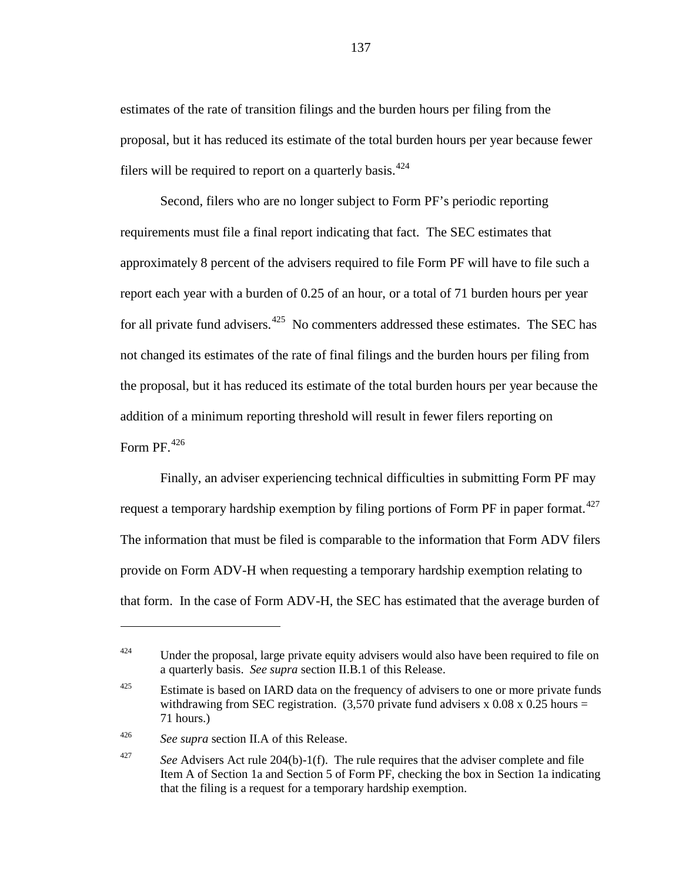estimates of the rate of transition filings and the burden hours per filing from the proposal, but it has reduced its estimate of the total burden hours per year because fewer filers will be required to report on a quarterly basis.<sup>[424](#page-136-0)</sup>

Second, filers who are no longer subject to Form PF's periodic reporting requirements must file a final report indicating that fact. The SEC estimates that approximately 8 percent of the advisers required to file Form PF will have to file such a report each year with a burden of 0.25 of an hour, or a total of 71 burden hours per year for all private fund advisers. $425$  No commenters addressed these estimates. The SEC has not changed its estimates of the rate of final filings and the burden hours per filing from the proposal, but it has reduced its estimate of the total burden hours per year because the addition of a minimum reporting threshold will result in fewer filers reporting on Form PF. $426$ 

Finally, an adviser experiencing technical difficulties in submitting Form PF may request a temporary hardship exemption by filing portions of Form PF in paper format.<sup>[427](#page-136-3)</sup> The information that must be filed is comparable to the information that Form ADV filers provide on Form ADV-H when requesting a temporary hardship exemption relating to that form. In the case of Form ADV-H, the SEC has estimated that the average burden of

<span id="page-136-2"></span><sup>426</sup> *See supra* section II.A of this Release.

<span id="page-136-0"></span> $424$  Under the proposal, large private equity advisers would also have been required to file on a quarterly basis. *See supra* section II.B.1 of this Release.

<span id="page-136-1"></span> $425$  Estimate is based on IARD data on the frequency of advisers to one or more private funds withdrawing from SEC registration.  $(3,570$  private fund advisers x 0.08 x 0.25 hours = 71 hours.)

<span id="page-136-3"></span><sup>&</sup>lt;sup>427</sup> *See* Advisers Act rule 204(b)-1(f). The rule requires that the adviser complete and file Item A of Section 1a and Section 5 of Form PF, checking the box in Section 1a indicating that the filing is a request for a temporary hardship exemption.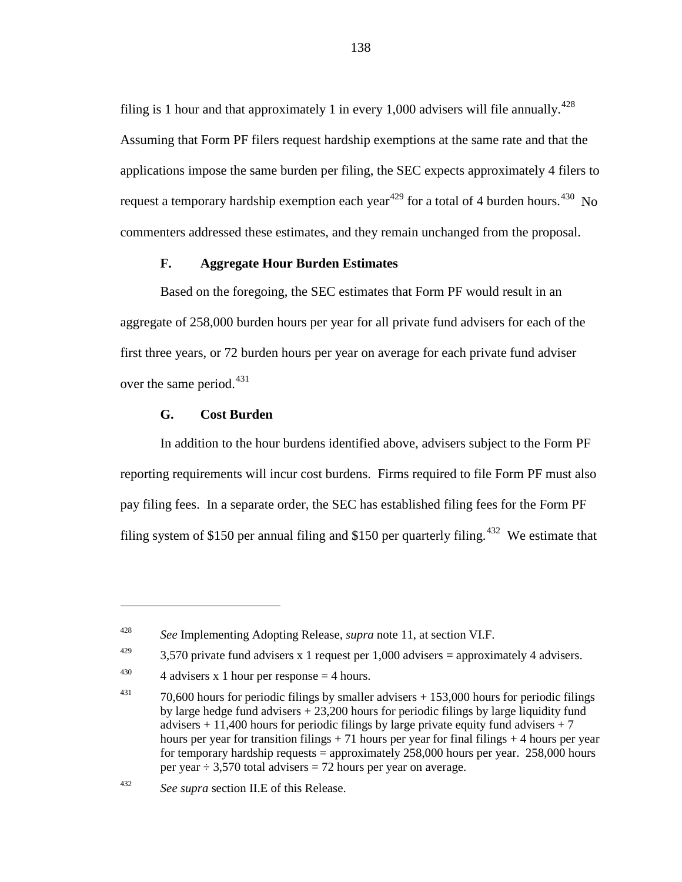filing is 1 hour and that approximately 1 in every 1,000 advisers will file annually.<sup>428</sup> Assuming that Form PF filers request hardship exemptions at the same rate and that the applications impose the same burden per filing, the SEC expects approximately 4 filers to request a temporary hardship exemption each year<sup>[429](#page-137-1)</sup> for a total of 4 burden hours.<sup>[430](#page-137-2)</sup> No commenters addressed these estimates, and they remain unchanged from the proposal.

#### **F. Aggregate Hour Burden Estimates**

Based on the foregoing, the SEC estimates that Form PF would result in an aggregate of 258,000 burden hours per year for all private fund advisers for each of the first three years, or 72 burden hours per year on average for each private fund adviser over the same period. $431$ 

#### **G. Cost Burden**

 $\overline{a}$ 

In addition to the hour burdens identified above, advisers subject to the Form PF reporting requirements will incur cost burdens. Firms required to file Form PF must also pay filing fees. In a separate order, the SEC has established filing fees for the Form PF filing system of \$150 per annual filing and \$150 per quarterly filing.<sup>[432](#page-137-4)</sup> We estimate that

<span id="page-137-0"></span><sup>428</sup> *See* Implementing Adopting Release, *supra* note [11,](#page-5-1) at section VI.F.

<span id="page-137-1"></span><sup>&</sup>lt;sup>429</sup> 3,570 private fund advisers x 1 request per 1,000 advisers = approximately 4 advisers.

<span id="page-137-2"></span><sup>&</sup>lt;sup>430</sup> 4 advisers x 1 hour per response  $=$  4 hours.

<span id="page-137-3"></span> $431$  70,600 hours for periodic filings by smaller advisers  $+ 153,000$  hours for periodic filings by large hedge fund advisers + 23,200 hours for periodic filings by large liquidity fund advisers  $+11,400$  hours for periodic filings by large private equity fund advisers  $+7$ hours per year for transition filings  $+ 71$  hours per year for final filings  $+ 4$  hours per year for temporary hardship requests = approximately  $258,000$  hours per year.  $258,000$  hours per year  $\div$  3,570 total advisers = 72 hours per year on average.

<span id="page-137-4"></span><sup>432</sup> *See supra* section II.E of this Release.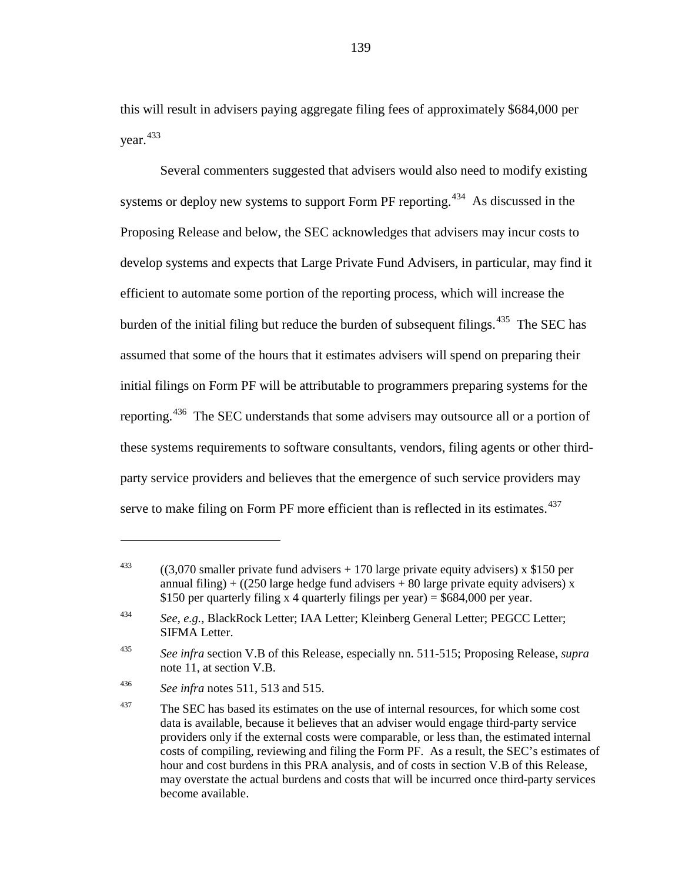this will result in advisers paying aggregate filing fees of approximately \$684,000 per year.<sup>[433](#page-138-1)</sup>

<span id="page-138-0"></span>Several commenters suggested that advisers would also need to modify existing systems or deploy new systems to support Form PF reporting.<sup>[434](#page-138-2)</sup> As discussed in the Proposing Release and below, the SEC acknowledges that advisers may incur costs to develop systems and expects that Large Private Fund Advisers, in particular, may find it efficient to automate some portion of the reporting process, which will increase the burden of the initial filing but reduce the burden of subsequent filings.<sup>[435](#page-138-3)</sup> The SEC has assumed that some of the hours that it estimates advisers will spend on preparing their initial filings on Form PF will be attributable to programmers preparing systems for the reporting.<sup>436</sup> The SEC understands that some advisers may outsource all or a portion of these systems requirements to software consultants, vendors, filing agents or other thirdparty service providers and believes that the emergence of such service providers may serve to make filing on Form PF more efficient than is reflected in its estimates. $437$ 

<span id="page-138-6"></span><span id="page-138-1"></span><sup>&</sup>lt;sup>433</sup> ((3,070 smaller private fund advisers + 170 large private equity advisers) x \$150 per annual filing) + ((250 large hedge fund advisers + 80 large private equity advisers) x \$150 per quarterly filing x 4 quarterly filings per year) =  $$684,000$  per year.

<span id="page-138-2"></span><sup>434</sup> *See*, *e.g.*, BlackRock Letter; IAA Letter; Kleinberg General Letter; PEGCC Letter; SIFMA Letter.

<span id="page-138-3"></span><sup>435</sup> *See infra* section V.B of this Release, especially nn. [511](#page-162-0)[-515;](#page-163-0) Proposing Release, *supra* not[e 11,](#page-5-1) at section V.B.

<span id="page-138-4"></span><sup>436</sup> *See infra* notes [511,](#page-162-0) [513](#page-162-1) and [515.](#page-163-0)

<span id="page-138-5"></span><sup>&</sup>lt;sup>437</sup> The SEC has based its estimates on the use of internal resources, for which some cost data is available, because it believes that an adviser would engage third-party service providers only if the external costs were comparable, or less than, the estimated internal costs of compiling, reviewing and filing the Form PF. As a result, the SEC's estimates of hour and cost burdens in this PRA analysis, and of costs in section V.B of this Release, may overstate the actual burdens and costs that will be incurred once third-party services become available.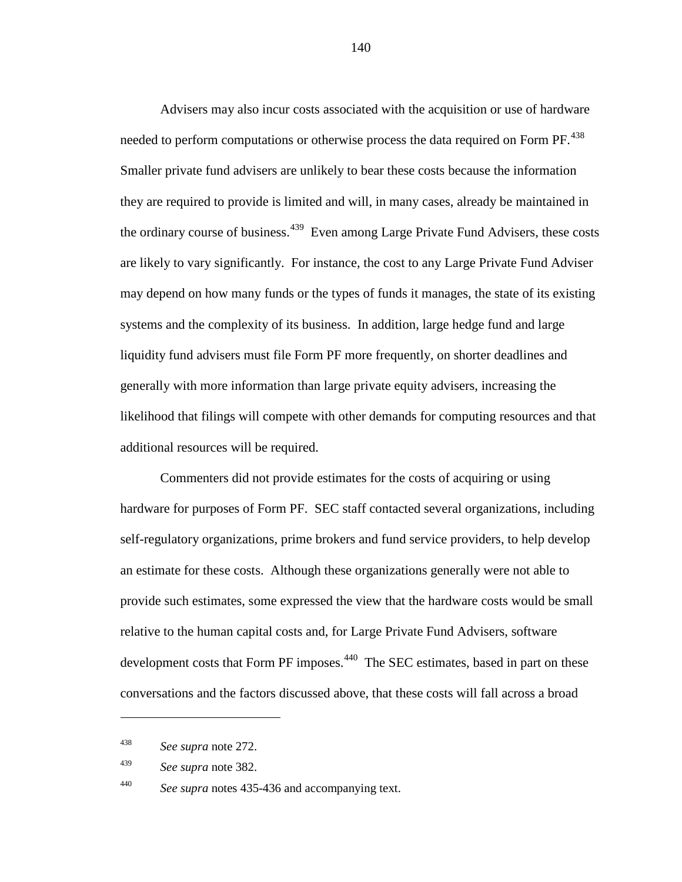Advisers may also incur costs associated with the acquisition or use of hardware needed to perform computations or otherwise process the data required on Form PF.<sup>[438](#page-139-0)</sup> Smaller private fund advisers are unlikely to bear these costs because the information they are required to provide is limited and will, in many cases, already be maintained in the ordinary course of business.<sup>[439](#page-139-1)</sup> Even among Large Private Fund Advisers, these costs are likely to vary significantly. For instance, the cost to any Large Private Fund Adviser may depend on how many funds or the types of funds it manages, the state of its existing systems and the complexity of its business. In addition, large hedge fund and large liquidity fund advisers must file Form PF more frequently, on shorter deadlines and generally with more information than large private equity advisers, increasing the likelihood that filings will compete with other demands for computing resources and that additional resources will be required.

Commenters did not provide estimates for the costs of acquiring or using hardware for purposes of Form PF. SEC staff contacted several organizations, including self-regulatory organizations, prime brokers and fund service providers, to help develop an estimate for these costs. Although these organizations generally were not able to provide such estimates, some expressed the view that the hardware costs would be small relative to the human capital costs and, for Large Private Fund Advisers, software development costs that Form PF imposes.<sup>[440](#page-139-2)</sup> The SEC estimates, based in part on these conversations and the factors discussed above, that these costs will fall across a broad

 $\overline{a}$ 

<span id="page-139-1"></span><sup>439</sup> *See supra* note [382.](#page-123-2)

<span id="page-139-2"></span><sup>440</sup> *See supra* notes [435-](#page-138-0)[436](#page-138-6) and accompanying text.

<span id="page-139-0"></span><sup>438</sup> *See supra* note [272.](#page-89-0)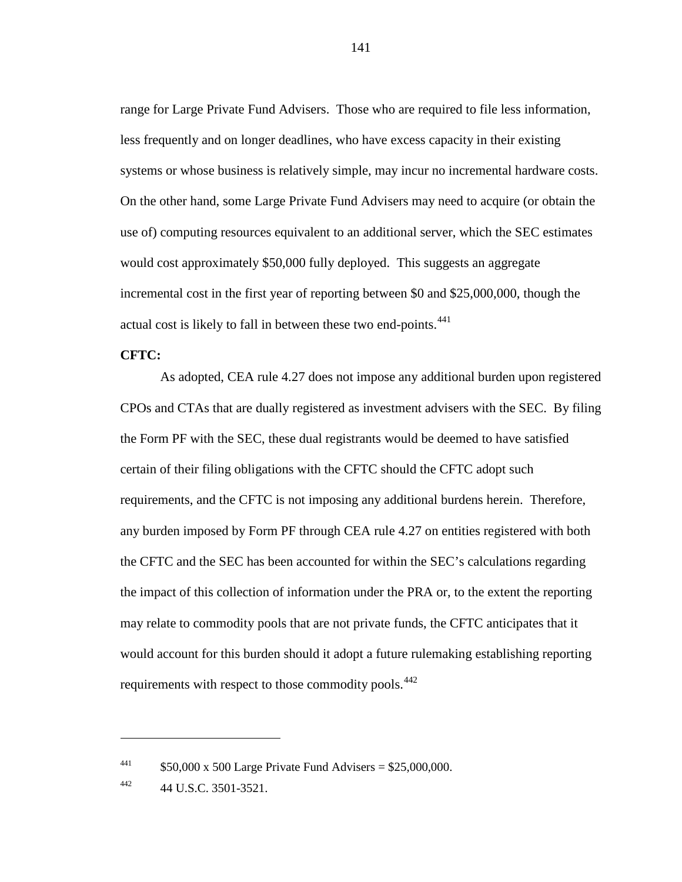range for Large Private Fund Advisers. Those who are required to file less information, less frequently and on longer deadlines, who have excess capacity in their existing systems or whose business is relatively simple, may incur no incremental hardware costs. On the other hand, some Large Private Fund Advisers may need to acquire (or obtain the use of) computing resources equivalent to an additional server, which the SEC estimates would cost approximately \$50,000 fully deployed. This suggests an aggregate incremental cost in the first year of reporting between \$0 and \$25,000,000, though the actual cost is likely to fall in between these two end-points.<sup>[441](#page-140-0)</sup>

#### **CFTC:**

As adopted, CEA rule 4.27 does not impose any additional burden upon registered CPOs and CTAs that are dually registered as investment advisers with the SEC. By filing the Form PF with the SEC, these dual registrants would be deemed to have satisfied certain of their filing obligations with the CFTC should the CFTC adopt such requirements, and the CFTC is not imposing any additional burdens herein. Therefore, any burden imposed by Form PF through CEA rule 4.27 on entities registered with both the CFTC and the SEC has been accounted for within the SEC's calculations regarding the impact of this collection of information under the PRA or, to the extent the reporting may relate to commodity pools that are not private funds, the CFTC anticipates that it would account for this burden should it adopt a future rulemaking establishing reporting requirements with respect to those commodity pools.<sup>[442](#page-140-1)</sup>

<span id="page-140-0"></span><sup>&</sup>lt;sup>441</sup>  $$50,000 \text{ x } 500 \text{ Large Private Fund Advances} = $25,000,000.$ 

<span id="page-140-1"></span> $^{442}$  44 U.S.C. 3501-3521.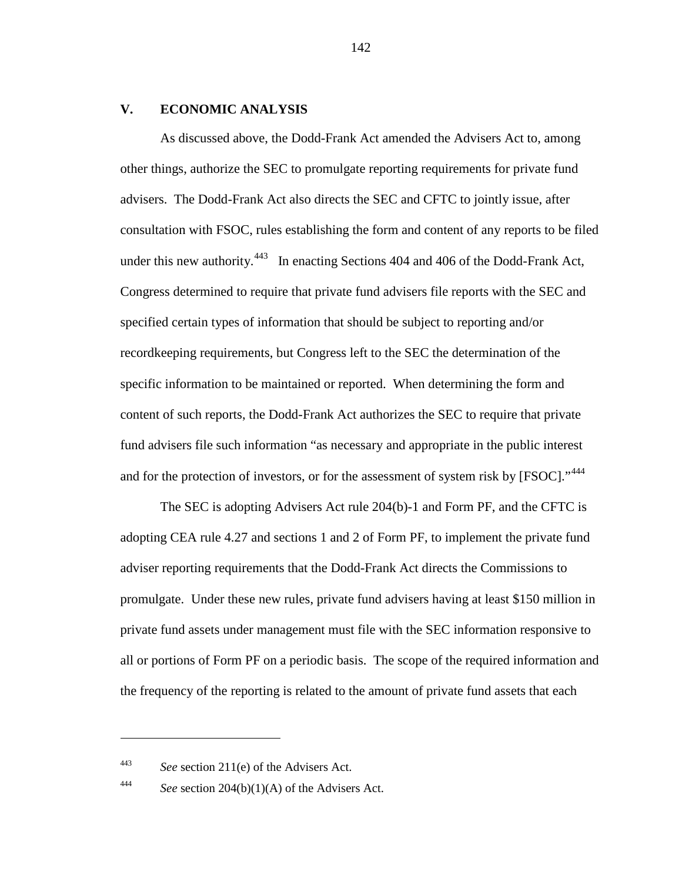#### **V. ECONOMIC ANALYSIS**

As discussed above, the Dodd-Frank Act amended the Advisers Act to, among other things, authorize the SEC to promulgate reporting requirements for private fund advisers. The Dodd-Frank Act also directs the SEC and CFTC to jointly issue, after consultation with FSOC, rules establishing the form and content of any reports to be filed under this new authority.<sup>443</sup> In enacting Sections 404 and 406 of the Dodd-Frank Act, Congress determined to require that private fund advisers file reports with the SEC and specified certain types of information that should be subject to reporting and/or recordkeeping requirements, but Congress left to the SEC the determination of the specific information to be maintained or reported. When determining the form and content of such reports, the Dodd-Frank Act authorizes the SEC to require that private fund advisers file such information "as necessary and appropriate in the public interest and for the protection of investors, or for the assessment of system risk by [FSOC]."<sup>[444](#page-141-1)</sup>

The SEC is adopting Advisers Act rule 204(b)-1 and Form PF, and the CFTC is adopting CEA rule 4.27 and sections 1 and 2 of Form PF, to implement the private fund adviser reporting requirements that the Dodd-Frank Act directs the Commissions to promulgate. Under these new rules, private fund advisers having at least \$150 million in private fund assets under management must file with the SEC information responsive to all or portions of Form PF on a periodic basis. The scope of the required information and the frequency of the reporting is related to the amount of private fund assets that each

<span id="page-141-0"></span><sup>443</sup> *See* section 211(e) of the Advisers Act.

<span id="page-141-1"></span><sup>444</sup> *See* section 204(b)(1)(A) of the Advisers Act.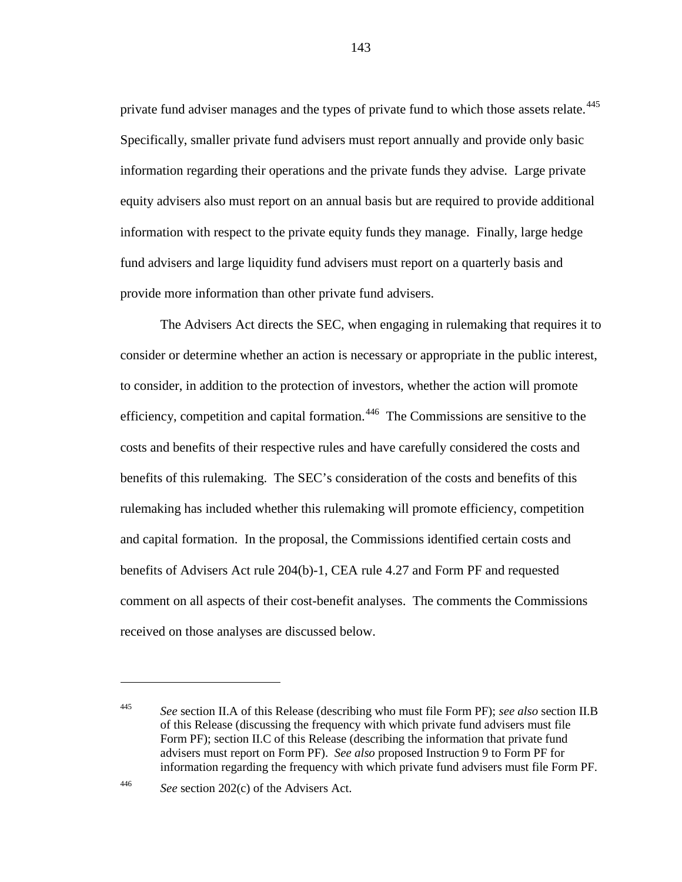private fund adviser manages and the types of private fund to which those assets relate.<sup>[445](#page-142-0)</sup> Specifically, smaller private fund advisers must report annually and provide only basic information regarding their operations and the private funds they advise. Large private equity advisers also must report on an annual basis but are required to provide additional information with respect to the private equity funds they manage. Finally, large hedge fund advisers and large liquidity fund advisers must report on a quarterly basis and provide more information than other private fund advisers.

The Advisers Act directs the SEC, when engaging in rulemaking that requires it to consider or determine whether an action is necessary or appropriate in the public interest, to consider, in addition to the protection of investors, whether the action will promote efficiency, competition and capital formation.<sup>[446](#page-142-1)</sup> The Commissions are sensitive to the costs and benefits of their respective rules and have carefully considered the costs and benefits of this rulemaking. The SEC's consideration of the costs and benefits of this rulemaking has included whether this rulemaking will promote efficiency, competition and capital formation. In the proposal, the Commissions identified certain costs and benefits of Advisers Act rule 204(b)-1, CEA rule 4.27 and Form PF and requested comment on all aspects of their cost-benefit analyses. The comments the Commissions received on those analyses are discussed below.

 $\overline{a}$ 

<span id="page-142-0"></span><sup>445</sup> *See* section II.A of this Release (describing who must file Form PF); *see also* section II.B of this Release (discussing the frequency with which private fund advisers must file Form PF); section II.C of this Release (describing the information that private fund advisers must report on Form PF). *See also* proposed Instruction 9 to Form PF for information regarding the frequency with which private fund advisers must file Form PF.

<span id="page-142-1"></span><sup>446</sup> *See* section 202(c) of the Advisers Act.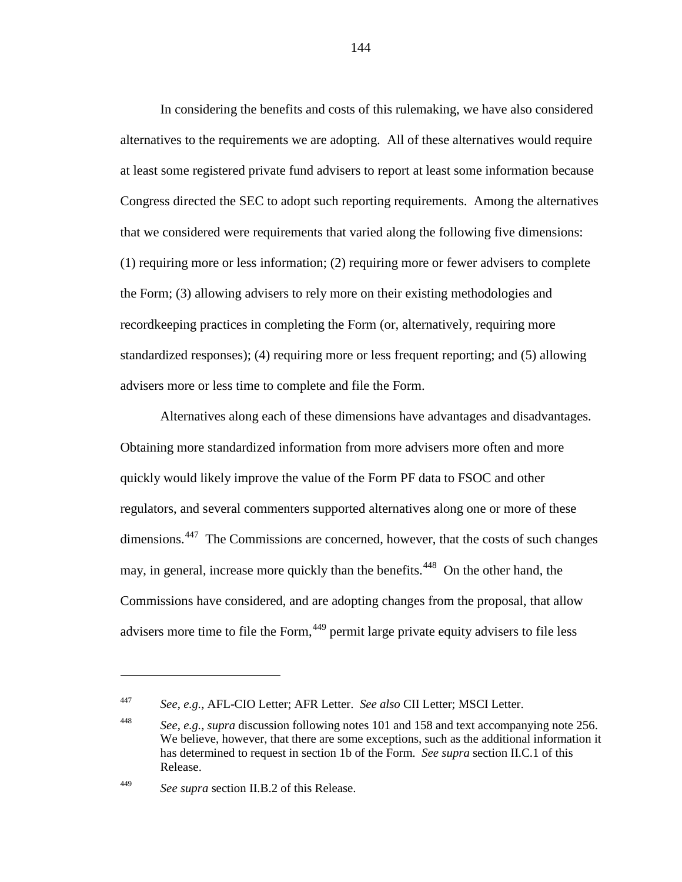In considering the benefits and costs of this rulemaking, we have also considered alternatives to the requirements we are adopting. All of these alternatives would require at least some registered private fund advisers to report at least some information because Congress directed the SEC to adopt such reporting requirements. Among the alternatives that we considered were requirements that varied along the following five dimensions: (1) requiring more or less information; (2) requiring more or fewer advisers to complete the Form; (3) allowing advisers to rely more on their existing methodologies and recordkeeping practices in completing the Form (or, alternatively, requiring more standardized responses); (4) requiring more or less frequent reporting; and (5) allowing advisers more or less time to complete and file the Form.

Alternatives along each of these dimensions have advantages and disadvantages. Obtaining more standardized information from more advisers more often and more quickly would likely improve the value of the Form PF data to FSOC and other regulators, and several commenters supported alternatives along one or more of these dimensions.<sup>[447](#page-143-0)</sup> The Commissions are concerned, however, that the costs of such changes may, in general, increase more quickly than the benefits.<sup>[448](#page-143-1)</sup> On the other hand, the Commissions have considered, and are adopting changes from the proposal, that allow advisers more time to file the Form, <sup>[449](#page-143-2)</sup> permit large private equity advisers to file less

<span id="page-143-0"></span><sup>447</sup> *See*, *e.g.*, AFL-CIO Letter; AFR Letter. *See also* CII Letter; MSCI Letter.

<span id="page-143-1"></span><sup>448</sup> *See*, *e.g.*, *supra* discussion following notes [101](#page-36-0) and [158](#page-52-0) and text accompanying note [256.](#page-83-0) We believe, however, that there are some exceptions, such as the additional information it has determined to request in section 1b of the Form. *See supra* section II.C.1 of this Release.

<span id="page-143-2"></span><sup>449</sup> *See supra* section II.B.2 of this Release.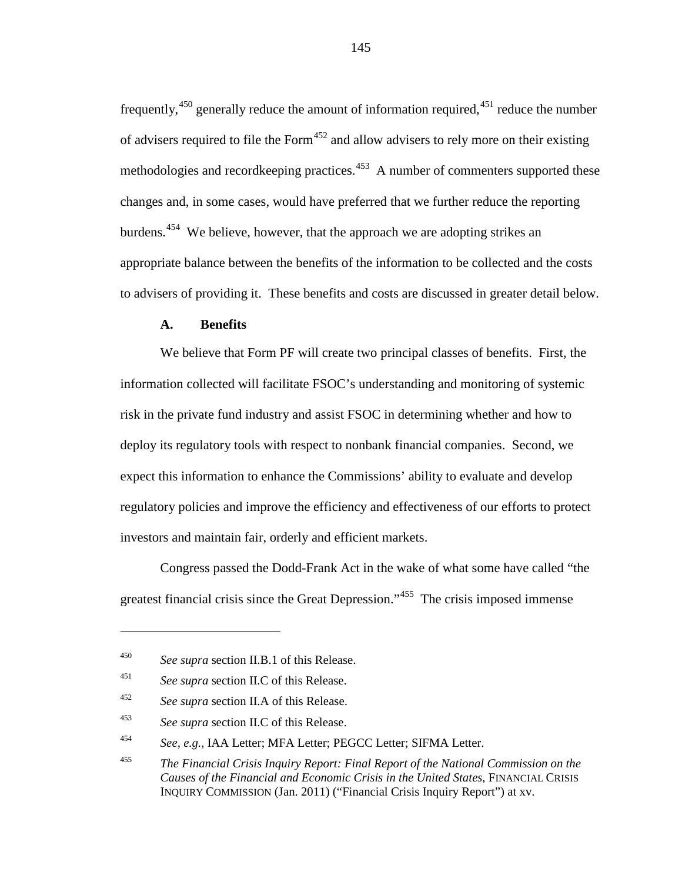frequently,<sup>[450](#page-144-0)</sup> generally reduce the amount of information required,<sup>[451](#page-144-1)</sup> reduce the number of advisers required to file the Form<sup>[452](#page-144-2)</sup> and allow advisers to rely more on their existing methodologies and recordkeeping practices.<sup>[453](#page-144-3)</sup> A number of commenters supported these changes and, in some cases, would have preferred that we further reduce the reporting burdens.<sup>[454](#page-144-4)</sup> We believe, however, that the approach we are adopting strikes an appropriate balance between the benefits of the information to be collected and the costs to advisers of providing it. These benefits and costs are discussed in greater detail below.

### **A. Benefits**

We believe that Form PF will create two principal classes of benefits. First, the information collected will facilitate FSOC's understanding and monitoring of systemic risk in the private fund industry and assist FSOC in determining whether and how to deploy its regulatory tools with respect to nonbank financial companies. Second, we expect this information to enhance the Commissions' ability to evaluate and develop regulatory policies and improve the efficiency and effectiveness of our efforts to protect investors and maintain fair, orderly and efficient markets.

Congress passed the Dodd-Frank Act in the wake of what some have called "the greatest financial crisis since the Great Depression."<sup>[455](#page-144-5)</sup> The crisis imposed immense

<span id="page-144-0"></span><sup>450</sup> *See supra* section II.B.1 of this Release.

<span id="page-144-1"></span><sup>451</sup> *See supra* section II.C of this Release.

<span id="page-144-2"></span><sup>452</sup> *See supra* section II.A of this Release.

<span id="page-144-3"></span><sup>453</sup> *See supra* section II.C of this Release.

<span id="page-144-4"></span><sup>454</sup> *See*, *e.g.*, IAA Letter; MFA Letter; PEGCC Letter; SIFMA Letter.

<span id="page-144-5"></span><sup>455</sup> *The Financial Crisis Inquiry Report: Final Report of the National Commission on the Causes of the Financial and Economic Crisis in the United States*, FINANCIAL CRISIS INQUIRY COMMISSION (Jan. 2011) ("Financial Crisis Inquiry Report") at xv.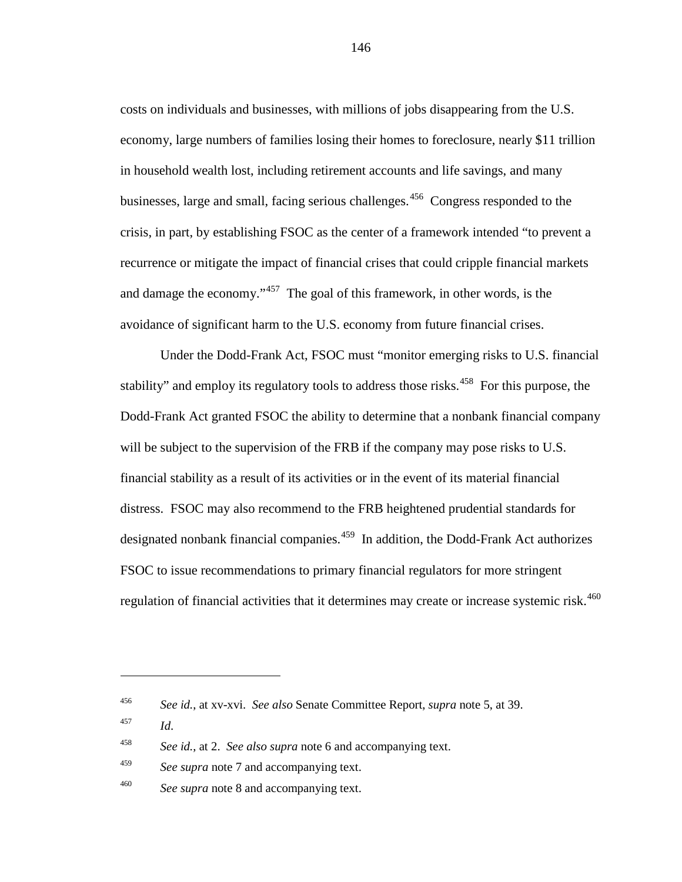costs on individuals and businesses, with millions of jobs disappearing from the U.S. economy, large numbers of families losing their homes to foreclosure, nearly \$11 trillion in household wealth lost, including retirement accounts and life savings, and many businesses, large and small, facing serious challenges. [456](#page-145-0) Congress responded to the crisis, in part, by establishing FSOC as the center of a framework intended "to prevent a recurrence or mitigate the impact of financial crises that could cripple financial markets and damage the economy."<sup>[457](#page-145-1)</sup> The goal of this framework, in other words, is the avoidance of significant harm to the U.S. economy from future financial crises.

<span id="page-145-5"></span>Under the Dodd-Frank Act, FSOC must "monitor emerging risks to U.S. financial stability" and employ its regulatory tools to address those risks.<sup>[458](#page-145-2)</sup> For this purpose, the Dodd-Frank Act granted FSOC the ability to determine that a nonbank financial company will be subject to the supervision of the FRB if the company may pose risks to U.S. financial stability as a result of its activities or in the event of its material financial distress. FSOC may also recommend to the FRB heightened prudential standards for designated nonbank financial companies.<sup>459</sup> In addition, the Dodd-Frank Act authorizes FSOC to issue recommendations to primary financial regulators for more stringent regulation of financial activities that it determines may create or increase systemic risk.<sup>[460](#page-145-4)</sup>

<span id="page-145-0"></span><sup>456</sup> *See id.*, at xv-xvi. *See also* Senate Committee Report, *supra* note [5,](#page-3-0) at 39.

<span id="page-145-1"></span><sup>457</sup> *Id*.

<span id="page-145-2"></span><sup>458</sup> *See id.*, at 2. *See also supra* note [6](#page-4-0) and accompanying text.

<span id="page-145-3"></span><sup>459</sup> *See supra* note [7](#page-4-1) and accompanying text.

<span id="page-145-4"></span><sup>460</sup> *See supra* note [8](#page-4-2) and accompanying text.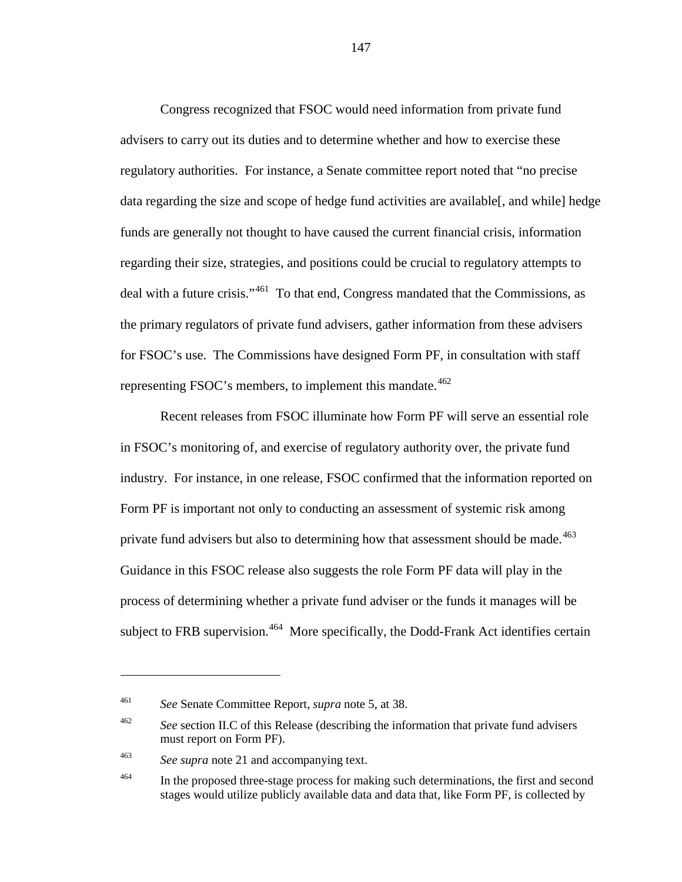Congress recognized that FSOC would need information from private fund advisers to carry out its duties and to determine whether and how to exercise these regulatory authorities. For instance, a Senate committee report noted that "no precise data regarding the size and scope of hedge fund activities are available[, and while] hedge funds are generally not thought to have caused the current financial crisis, information regarding their size, strategies, and positions could be crucial to regulatory attempts to deal with a future crisis."<sup>461</sup> To that end, Congress mandated that the Commissions, as the primary regulators of private fund advisers, gather information from these advisers for FSOC's use. The Commissions have designed Form PF, in consultation with staff representing FSOC's members, to implement this mandate. $462$ 

Recent releases from FSOC illuminate how Form PF will serve an essential role in FSOC's monitoring of, and exercise of regulatory authority over, the private fund industry. For instance, in one release, FSOC confirmed that the information reported on Form PF is important not only to conducting an assessment of systemic risk among private fund advisers but also to determining how that assessment should be made.<sup>463</sup> Guidance in this FSOC release also suggests the role Form PF data will play in the process of determining whether a private fund adviser or the funds it manages will be subject to FRB supervision.<sup>[464](#page-146-3)</sup> More specifically, the Dodd-Frank Act identifies certain

<span id="page-146-0"></span><sup>461</sup> *See* Senate Committee Report, *supra* note [5,](#page-3-0) at 38.

<span id="page-146-1"></span><sup>&</sup>lt;sup>462</sup> See section II.C of this Release (describing the information that private fund advisers must report on Form PF).

<span id="page-146-2"></span><sup>463</sup> *See supra* note [21](#page-8-0) and accompanying text.

<span id="page-146-3"></span><sup>&</sup>lt;sup>464</sup> In the proposed three-stage process for making such determinations, the first and second stages would utilize publicly available data and data that, like Form PF, is collected by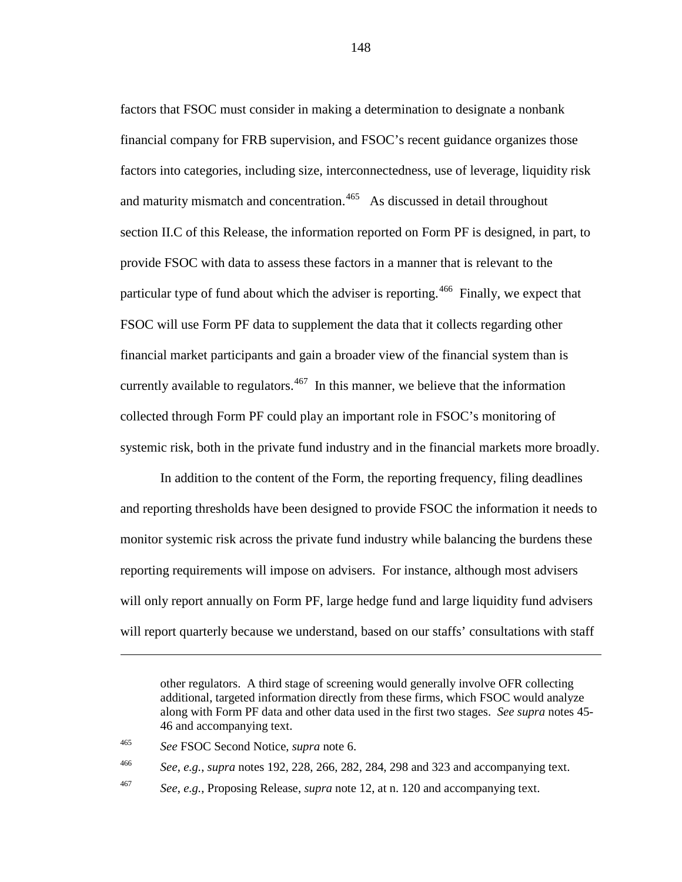factors that FSOC must consider in making a determination to designate a nonbank financial company for FRB supervision, and FSOC's recent guidance organizes those factors into categories, including size, interconnectedness, use of leverage, liquidity risk and maturity mismatch and concentration.<sup>[465](#page-147-0)</sup> As discussed in detail throughout section II.C of this Release, the information reported on Form PF is designed, in part, to provide FSOC with data to assess these factors in a manner that is relevant to the particular type of fund about which the adviser is reporting.<sup>466</sup> Finally, we expect that FSOC will use Form PF data to supplement the data that it collects regarding other financial market participants and gain a broader view of the financial system than is currently available to regulators.<sup>[467](#page-147-2)</sup> In this manner, we believe that the information collected through Form PF could play an important role in FSOC's monitoring of systemic risk, both in the private fund industry and in the financial markets more broadly.

In addition to the content of the Form, the reporting frequency, filing deadlines and reporting thresholds have been designed to provide FSOC the information it needs to monitor systemic risk across the private fund industry while balancing the burdens these reporting requirements will impose on advisers. For instance, although most advisers will only report annually on Form PF, large hedge fund and large liquidity fund advisers will report quarterly because we understand, based on our staffs' consultations with staff

 $\overline{a}$ 

<span id="page-147-1"></span><sup>466</sup> *See*, *e.g.*, *supra* notes [192,](#page-64-0) [228,](#page-75-0) [266,](#page-87-0) [282,](#page-92-0) [284,](#page-94-0) [298](#page-97-0) and [323](#page-107-0) and accompanying text.

other regulators. A third stage of screening would generally involve OFR collecting additional, targeted information directly from these firms, which FSOC would analyze along with Form PF data and other data used in the first two stages. *See supra* notes [45-](#page-15-0) [46](#page-15-1) and accompanying text.

<span id="page-147-0"></span><sup>465</sup> *See* FSOC Second Notice, *supra* not[e 6.](#page-4-0)

<span id="page-147-2"></span><sup>467</sup> *See*, *e.g.*, Proposing Release, *supra* not[e 12,](#page-5-0) at n. 120 and accompanying text.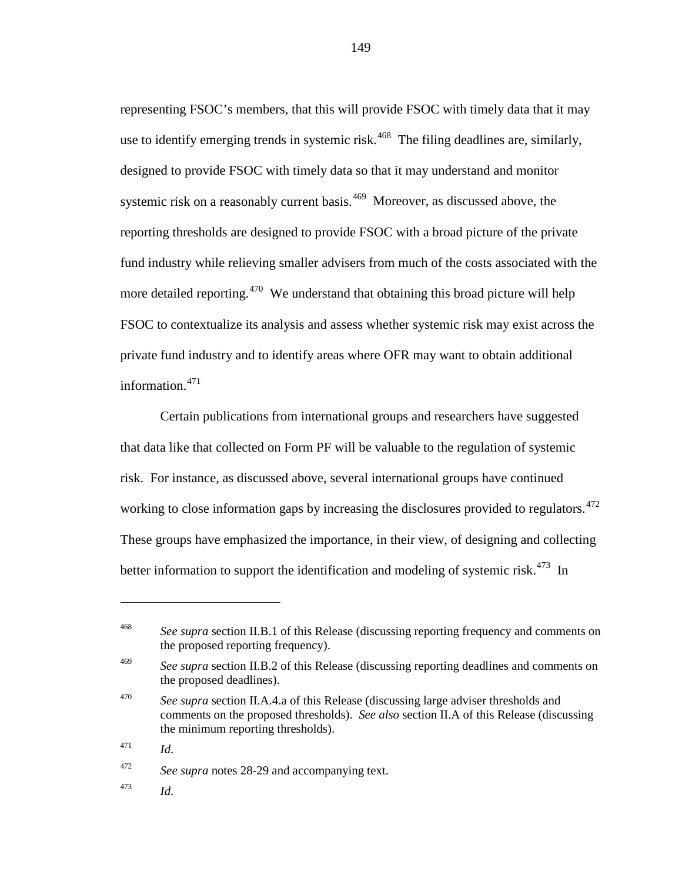representing FSOC's members, that this will provide FSOC with timely data that it may use to identify emerging trends in systemic risk.<sup>[468](#page-148-0)</sup> The filing deadlines are, similarly, designed to provide FSOC with timely data so that it may understand and monitor systemic risk on a reasonably current basis.<sup>[469](#page-148-1)</sup> Moreover, as discussed above, the reporting thresholds are designed to provide FSOC with a broad picture of the private fund industry while relieving smaller advisers from much of the costs associated with the more detailed reporting.<sup> $470$ </sup> We understand that obtaining this broad picture will help FSOC to contextualize its analysis and assess whether systemic risk may exist across the private fund industry and to identify areas where OFR may want to obtain additional information.[471](#page-148-3)

Certain publications from international groups and researchers have suggested that data like that collected on Form PF will be valuable to the regulation of systemic risk. For instance, as discussed above, several international groups have continued working to close information gaps by increasing the disclosures provided to regulators.<sup>472</sup> These groups have emphasized the importance, in their view, of designing and collecting better information to support the identification and modeling of systemic risk.<sup>[473](#page-148-5)</sup> In

 $\overline{a}$ 

<span id="page-148-4"></span><sup>472</sup> *See supra* notes [28](#page-11-0)[-29](#page-11-1) and accompanying text.

<span id="page-148-5"></span><sup>473</sup> *Id*.

<span id="page-148-0"></span><sup>&</sup>lt;sup>468</sup> *See supra* section II.B.1 of this Release (discussing reporting frequency and comments on the proposed reporting frequency).

<span id="page-148-1"></span><sup>&</sup>lt;sup>469</sup> *See supra* section II.B.2 of this Release (discussing reporting deadlines and comments on the proposed deadlines).

<span id="page-148-2"></span><sup>470</sup> *See supra* section II.A.4.a of this Release (discussing large adviser thresholds and comments on the proposed thresholds). *See also* section II.A of this Release (discussing the minimum reporting thresholds).

<span id="page-148-3"></span> $^{471}$  *Id.*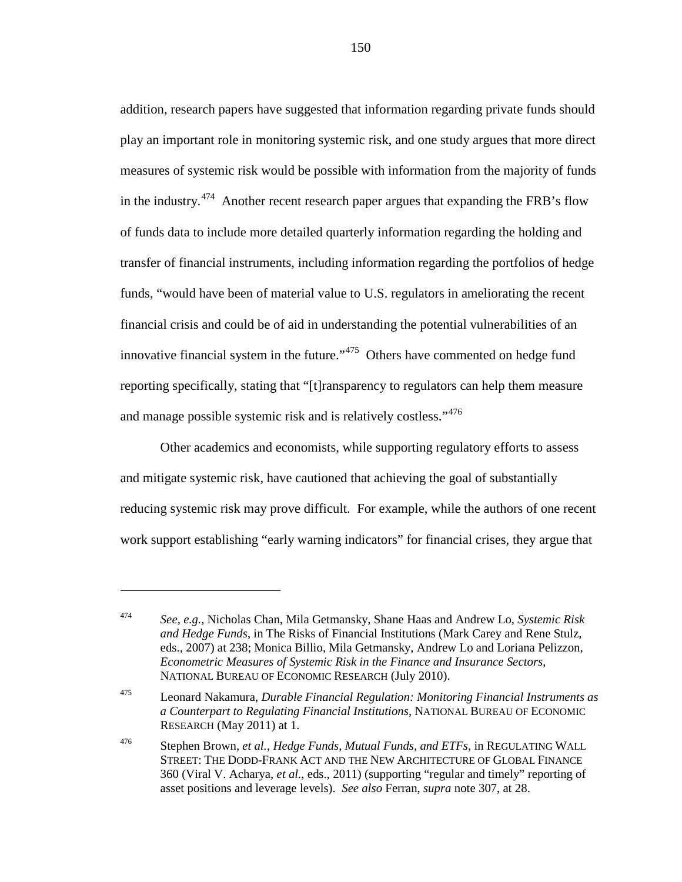addition, research papers have suggested that information regarding private funds should play an important role in monitoring systemic risk, and one study argues that more direct measures of systemic risk would be possible with information from the majority of funds in the industry.<sup>[474](#page-149-0)</sup> Another recent research paper argues that expanding the FRB's flow of funds data to include more detailed quarterly information regarding the holding and transfer of financial instruments, including information regarding the portfolios of hedge funds, "would have been of material value to U.S. regulators in ameliorating the recent financial crisis and could be of aid in understanding the potential vulnerabilities of an innovative financial system in the future." $475$  Others have commented on hedge fund reporting specifically, stating that "[t]ransparency to regulators can help them measure and manage possible systemic risk and is relatively costless."<sup>[476](#page-149-2)</sup>

Other academics and economists, while supporting regulatory efforts to assess and mitigate systemic risk, have cautioned that achieving the goal of substantially reducing systemic risk may prove difficult. For example, while the authors of one recent work support establishing "early warning indicators" for financial crises, they argue that

<span id="page-149-0"></span><sup>474</sup> *See*, *e.g.*, Nicholas Chan, Mila Getmansky, Shane Haas and Andrew Lo, *Systemic Risk and Hedge Funds*, in The Risks of Financial Institutions (Mark Carey and Rene Stulz, eds., 2007) at 238; Monica Billio, Mila Getmansky, Andrew Lo and Loriana Pelizzon, *Econometric Measures of Systemic Risk in the Finance and Insurance Sectors*, NATIONAL BUREAU OF ECONOMIC RESEARCH (July 2010).

<span id="page-149-1"></span><sup>475</sup> Leonard Nakamura, *Durable Financial Regulation: Monitoring Financial Instruments as a Counterpart to Regulating Financial Institutions*, NATIONAL BUREAU OF ECONOMIC RESEARCH (May 2011) at 1.

<span id="page-149-2"></span><sup>476</sup> Stephen Brown, *et al.*, *Hedge Funds, Mutual Funds, and ETFs*, in REGULATING WALL STREET: THE DODD-FRANK ACT AND THE NEW ARCHITECTURE OF GLOBAL FINANCE 360 (Viral V. Acharya, *et al.*, eds., 2011) (supporting "regular and timely" reporting of asset positions and leverage levels). *See also* Ferran, *supra* not[e 307,](#page-100-0) at 28.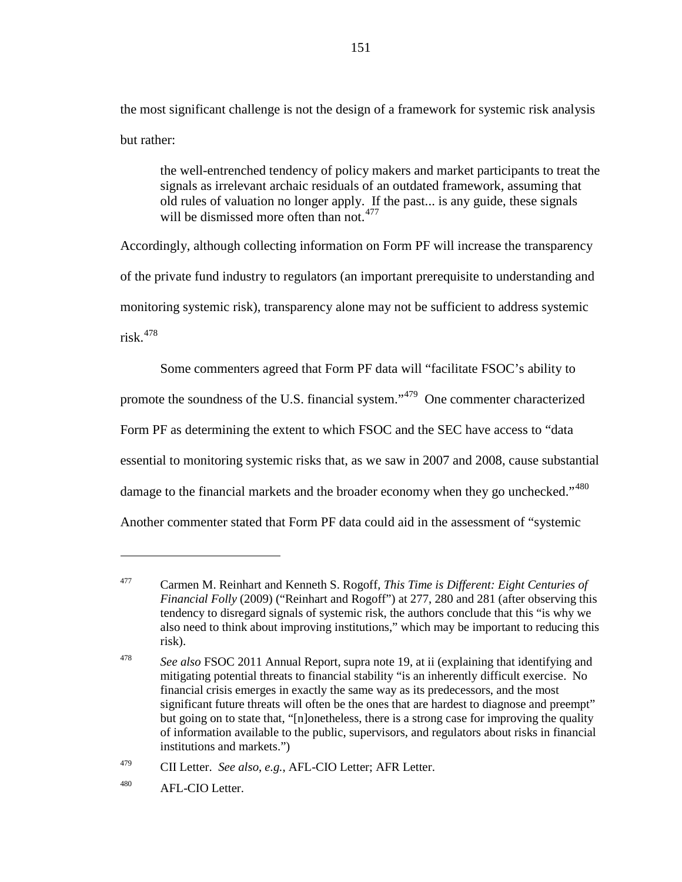the most significant challenge is not the design of a framework for systemic risk analysis but rather:

the well-entrenched tendency of policy makers and market participants to treat the signals as irrelevant archaic residuals of an outdated framework, assuming that old rules of valuation no longer apply. If the past... is any guide, these signals will be dismissed more often than not.<sup>[477](#page-150-0)</sup>

Accordingly, although collecting information on Form PF will increase the transparency of the private fund industry to regulators (an important prerequisite to understanding and monitoring systemic risk), transparency alone may not be sufficient to address systemic risk. [478](#page-150-1)

Some commenters agreed that Form PF data will "facilitate FSOC's ability to promote the soundness of the U.S. financial system."[479](#page-150-2) One commenter characterized Form PF as determining the extent to which FSOC and the SEC have access to "data essential to monitoring systemic risks that, as we saw in 2007 and 2008, cause substantial damage to the financial markets and the broader economy when they go unchecked."<sup>[480](#page-150-3)</sup> Another commenter stated that Form PF data could aid in the assessment of "systemic

<span id="page-150-2"></span><sup>479</sup> CII Letter. *See also*, *e.g.*, AFL-CIO Letter; AFR Letter.

<span id="page-150-0"></span><sup>477</sup> Carmen M. Reinhart and Kenneth S. Rogoff, *This Time is Different: Eight Centuries of Financial Folly* (2009) ("Reinhart and Rogoff") at 277, 280 and 281 (after observing this tendency to disregard signals of systemic risk, the authors conclude that this "is why we also need to think about improving institutions," which may be important to reducing this risk).

<span id="page-150-1"></span><sup>478</sup> *See also* FSOC 2011 Annual Report, supra note [19,](#page-8-1) at ii (explaining that identifying and mitigating potential threats to financial stability "is an inherently difficult exercise. No financial crisis emerges in exactly the same way as its predecessors, and the most significant future threats will often be the ones that are hardest to diagnose and preempt" but going on to state that, "[n]onetheless, there is a strong case for improving the quality of information available to the public, supervisors, and regulators about risks in financial institutions and markets.")

<span id="page-150-3"></span><sup>480</sup> AFL-CIO Letter.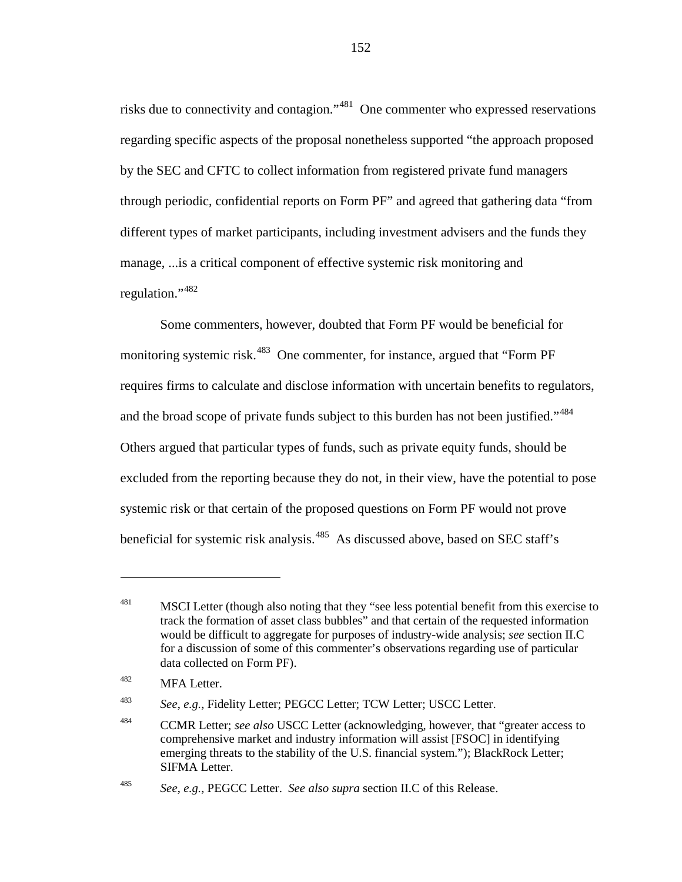risks due to connectivity and contagion."[481](#page-151-0) One commenter who expressed reservations regarding specific aspects of the proposal nonetheless supported "the approach proposed by the SEC and CFTC to collect information from registered private fund managers through periodic, confidential reports on Form PF" and agreed that gathering data "from different types of market participants, including investment advisers and the funds they manage, ...is a critical component of effective systemic risk monitoring and regulation."<sup>[482](#page-151-1)</sup>

<span id="page-151-5"></span>Some commenters, however, doubted that Form PF would be beneficial for monitoring systemic risk.<sup>[483](#page-151-2)</sup> One commenter, for instance, argued that "Form PF requires firms to calculate and disclose information with uncertain benefits to regulators, and the broad scope of private funds subject to this burden has not been justified."<sup>[484](#page-151-3)</sup> Others argued that particular types of funds, such as private equity funds, should be excluded from the reporting because they do not, in their view, have the potential to pose systemic risk or that certain of the proposed questions on Form PF would not prove beneficial for systemic risk analysis.<sup>[485](#page-151-4)</sup> As discussed above, based on SEC staff's

<span id="page-151-0"></span><sup>&</sup>lt;sup>481</sup> MSCI Letter (though also noting that they "see less potential benefit from this exercise to track the formation of asset class bubbles" and that certain of the requested information would be difficult to aggregate for purposes of industry-wide analysis; *see* section II.C for a discussion of some of this commenter's observations regarding use of particular data collected on Form PF).

<span id="page-151-1"></span><sup>482</sup> MFA Letter.

<span id="page-151-2"></span><sup>483</sup> *See*, *e.g.*, Fidelity Letter; PEGCC Letter; TCW Letter; USCC Letter.

<span id="page-151-3"></span><sup>484</sup> CCMR Letter; *see also* USCC Letter (acknowledging, however, that "greater access to comprehensive market and industry information will assist [FSOC] in identifying emerging threats to the stability of the U.S. financial system."); BlackRock Letter; SIFMA Letter.

<span id="page-151-4"></span><sup>485</sup> *See*, *e.g.*, PEGCC Letter. *See also supra* section II.C of this Release.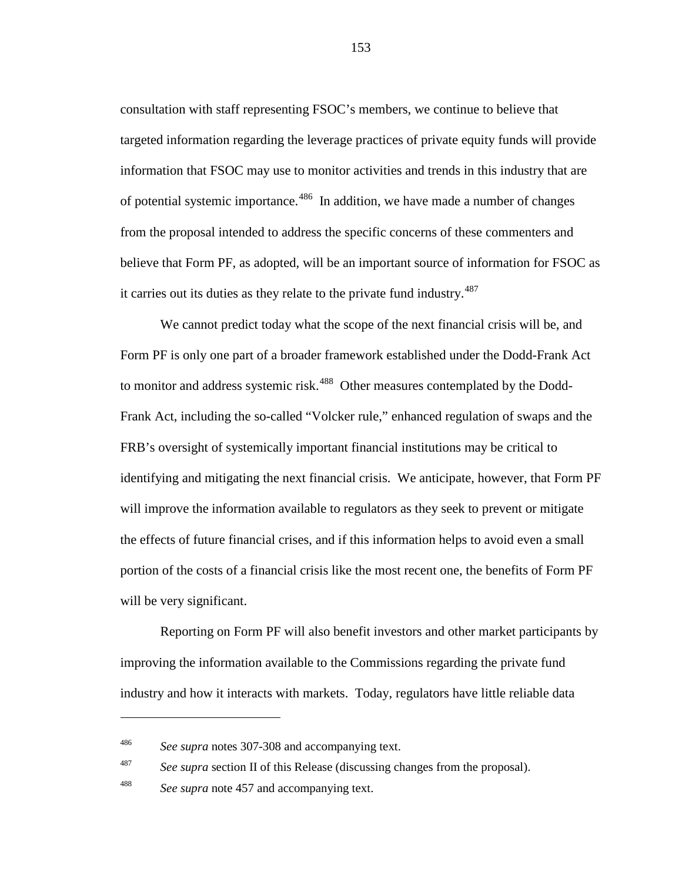consultation with staff representing FSOC's members, we continue to believe that targeted information regarding the leverage practices of private equity funds will provide information that FSOC may use to monitor activities and trends in this industry that are of potential systemic importance.<sup>486</sup> In addition, we have made a number of changes from the proposal intended to address the specific concerns of these commenters and believe that Form PF, as adopted, will be an important source of information for FSOC as it carries out its duties as they relate to the private fund industry. $487$ 

We cannot predict today what the scope of the next financial crisis will be, and Form PF is only one part of a broader framework established under the Dodd-Frank Act to monitor and address systemic risk.<sup>[488](#page-152-2)</sup> Other measures contemplated by the Dodd-Frank Act, including the so-called "Volcker rule," enhanced regulation of swaps and the FRB's oversight of systemically important financial institutions may be critical to identifying and mitigating the next financial crisis. We anticipate, however, that Form PF will improve the information available to regulators as they seek to prevent or mitigate the effects of future financial crises, and if this information helps to avoid even a small portion of the costs of a financial crisis like the most recent one, the benefits of Form PF will be very significant.

Reporting on Form PF will also benefit investors and other market participants by improving the information available to the Commissions regarding the private fund industry and how it interacts with markets. Today, regulators have little reliable data

<span id="page-152-1"></span><sup>487</sup> *See supra* section II of this Release (discussing changes from the proposal).

 $\overline{a}$ 

<span id="page-152-0"></span><sup>486</sup> *See supra* notes [307-](#page-100-0)[308](#page-100-1) and accompanying text.

<span id="page-152-2"></span><sup>488</sup> *See supra* note [457](#page-145-5) and accompanying text.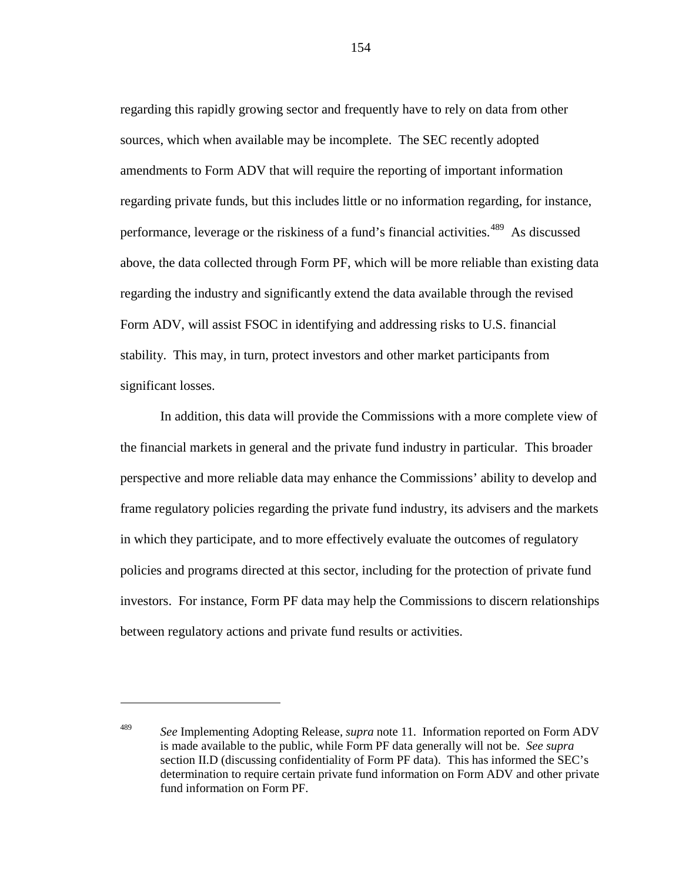regarding this rapidly growing sector and frequently have to rely on data from other sources, which when available may be incomplete. The SEC recently adopted amendments to Form ADV that will require the reporting of important information regarding private funds, but this includes little or no information regarding, for instance, performance, leverage or the riskiness of a fund's financial activities.<sup>[489](#page-153-0)</sup> As discussed above, the data collected through Form PF, which will be more reliable than existing data regarding the industry and significantly extend the data available through the revised Form ADV, will assist FSOC in identifying and addressing risks to U.S. financial stability. This may, in turn, protect investors and other market participants from significant losses.

In addition, this data will provide the Commissions with a more complete view of the financial markets in general and the private fund industry in particular. This broader perspective and more reliable data may enhance the Commissions' ability to develop and frame regulatory policies regarding the private fund industry, its advisers and the markets in which they participate, and to more effectively evaluate the outcomes of regulatory policies and programs directed at this sector, including for the protection of private fund investors. For instance, Form PF data may help the Commissions to discern relationships between regulatory actions and private fund results or activities.

 $\overline{a}$ 

<span id="page-153-0"></span><sup>489</sup> *See* Implementing Adopting Release, *supra* note [11.](#page-5-1) Information reported on Form ADV is made available to the public, while Form PF data generally will not be. *See supra* section II.D (discussing confidentiality of Form PF data). This has informed the SEC's determination to require certain private fund information on Form ADV and other private fund information on Form PF.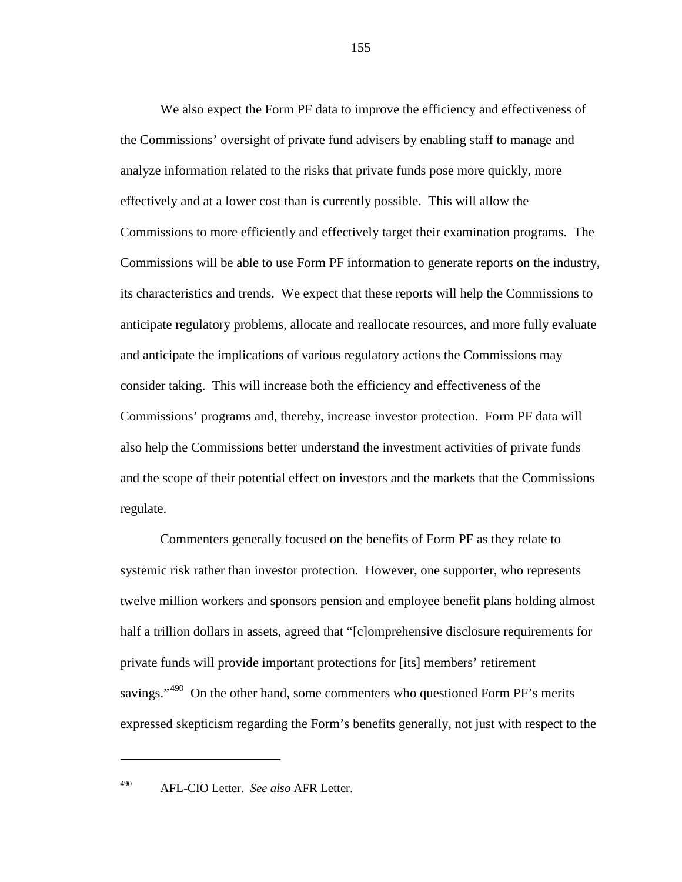We also expect the Form PF data to improve the efficiency and effectiveness of the Commissions' oversight of private fund advisers by enabling staff to manage and analyze information related to the risks that private funds pose more quickly, more effectively and at a lower cost than is currently possible. This will allow the Commissions to more efficiently and effectively target their examination programs. The Commissions will be able to use Form PF information to generate reports on the industry, its characteristics and trends. We expect that these reports will help the Commissions to anticipate regulatory problems, allocate and reallocate resources, and more fully evaluate and anticipate the implications of various regulatory actions the Commissions may consider taking. This will increase both the efficiency and effectiveness of the Commissions' programs and, thereby, increase investor protection. Form PF data will also help the Commissions better understand the investment activities of private funds and the scope of their potential effect on investors and the markets that the Commissions regulate.

Commenters generally focused on the benefits of Form PF as they relate to systemic risk rather than investor protection. However, one supporter, who represents twelve million workers and sponsors pension and employee benefit plans holding almost half a trillion dollars in assets, agreed that "[c]omprehensive disclosure requirements for private funds will provide important protections for [its] members' retirement savings."<sup>[490](#page-154-0)</sup> On the other hand, some commenters who questioned Form PF's merits expressed skepticism regarding the Form's benefits generally, not just with respect to the

<span id="page-154-0"></span>

<sup>490</sup> AFL-CIO Letter. *See also* AFR Letter.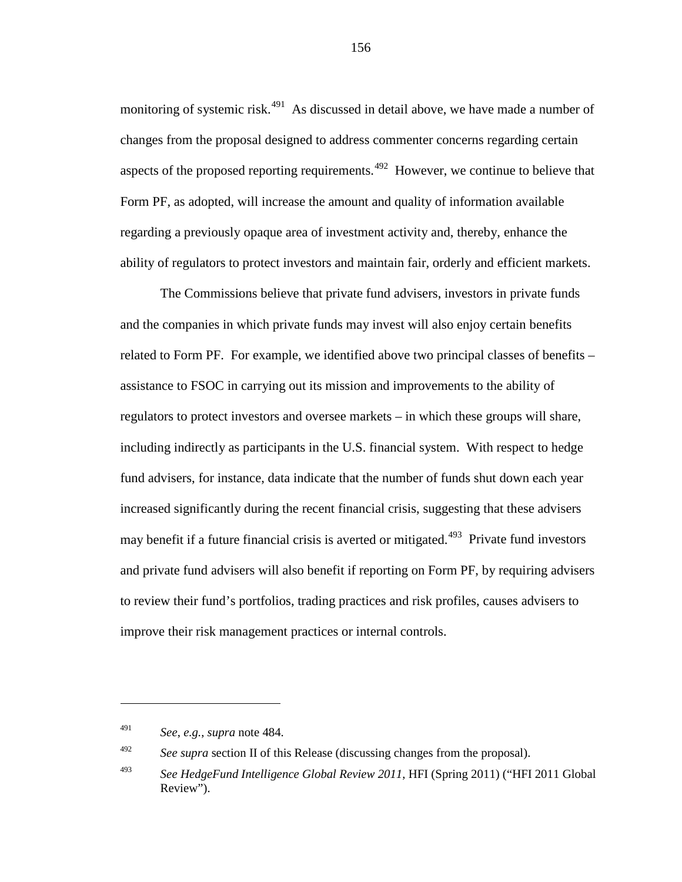monitoring of systemic risk.<sup>[491](#page-155-0)</sup> As discussed in detail above, we have made a number of changes from the proposal designed to address commenter concerns regarding certain aspects of the proposed reporting requirements.  $492$  However, we continue to believe that Form PF, as adopted, will increase the amount and quality of information available regarding a previously opaque area of investment activity and, thereby, enhance the ability of regulators to protect investors and maintain fair, orderly and efficient markets.

The Commissions believe that private fund advisers, investors in private funds and the companies in which private funds may invest will also enjoy certain benefits related to Form PF. For example, we identified above two principal classes of benefits – assistance to FSOC in carrying out its mission and improvements to the ability of regulators to protect investors and oversee markets – in which these groups will share, including indirectly as participants in the U.S. financial system. With respect to hedge fund advisers, for instance, data indicate that the number of funds shut down each year increased significantly during the recent financial crisis, suggesting that these advisers may benefit if a future financial crisis is averted or mitigated.<sup>[493](#page-155-2)</sup> Private fund investors and private fund advisers will also benefit if reporting on Form PF, by requiring advisers to review their fund's portfolios, trading practices and risk profiles, causes advisers to improve their risk management practices or internal controls.

<span id="page-155-3"></span> $\overline{a}$ 

<span id="page-155-1"></span><span id="page-155-0"></span><sup>492</sup> *See supra section II of this Release (discussing changes from the proposal).* 

<sup>491</sup> *See*, *e.g.*, *supra* note [484.](#page-151-5)

<span id="page-155-2"></span><sup>493</sup> *See HedgeFund Intelligence Global Review 2011*, HFI (Spring 2011) ("HFI 2011 Global Review").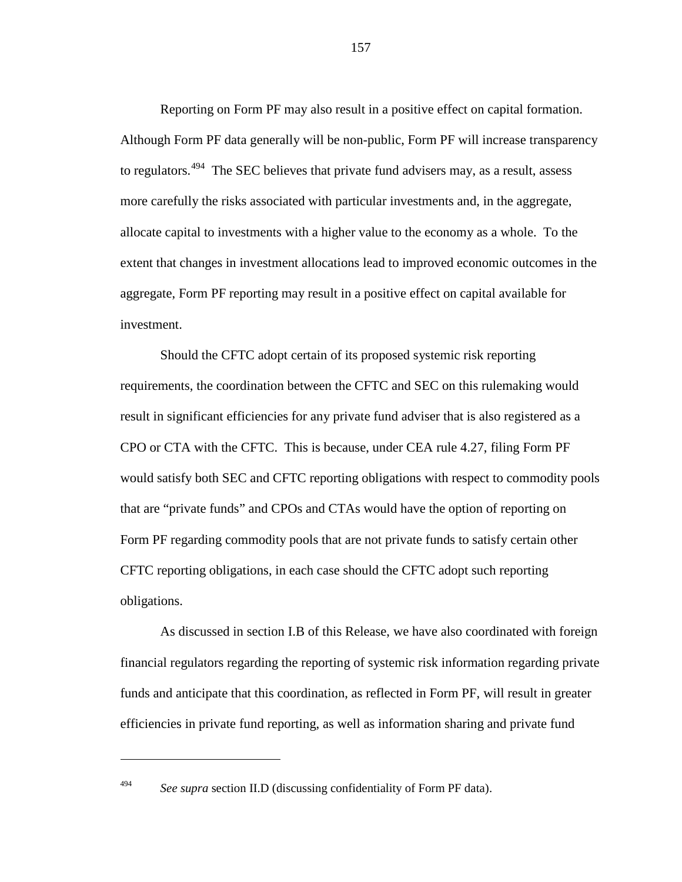<span id="page-156-1"></span>Reporting on Form PF may also result in a positive effect on capital formation. Although Form PF data generally will be non-public, Form PF will increase transparency to regulators.<sup>[494](#page-156-0)</sup> The SEC believes that private fund advisers may, as a result, assess more carefully the risks associated with particular investments and, in the aggregate, allocate capital to investments with a higher value to the economy as a whole. To the extent that changes in investment allocations lead to improved economic outcomes in the aggregate, Form PF reporting may result in a positive effect on capital available for investment.

Should the CFTC adopt certain of its proposed systemic risk reporting requirements, the coordination between the CFTC and SEC on this rulemaking would result in significant efficiencies for any private fund adviser that is also registered as a CPO or CTA with the CFTC. This is because, under CEA rule 4.27, filing Form PF would satisfy both SEC and CFTC reporting obligations with respect to commodity pools that are "private funds" and CPOs and CTAs would have the option of reporting on Form PF regarding commodity pools that are not private funds to satisfy certain other CFTC reporting obligations, in each case should the CFTC adopt such reporting obligations.

As discussed in section I.B of this Release, we have also coordinated with foreign financial regulators regarding the reporting of systemic risk information regarding private funds and anticipate that this coordination, as reflected in Form PF, will result in greater efficiencies in private fund reporting, as well as information sharing and private fund

<span id="page-156-0"></span>

<sup>494</sup> *See supra* section II.D (discussing confidentiality of Form PF data).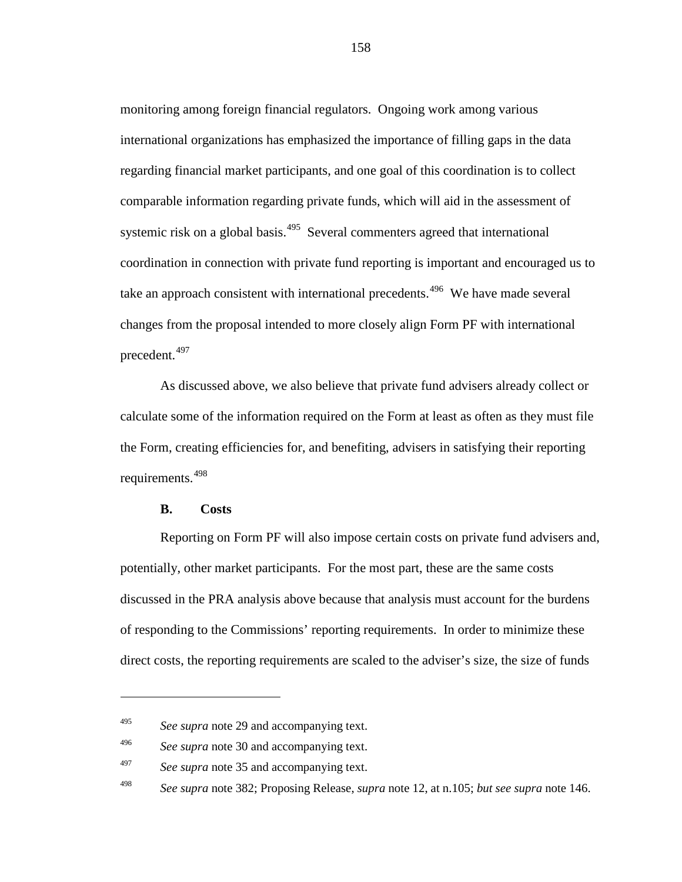monitoring among foreign financial regulators. Ongoing work among various international organizations has emphasized the importance of filling gaps in the data regarding financial market participants, and one goal of this coordination is to collect comparable information regarding private funds, which will aid in the assessment of systemic risk on a global basis.<sup>[495](#page-157-0)</sup> Several commenters agreed that international coordination in connection with private fund reporting is important and encouraged us to take an approach consistent with international precedents.<sup>[496](#page-157-1)</sup> We have made several changes from the proposal intended to more closely align Form PF with international precedent.[497](#page-157-2)

As discussed above, we also believe that private fund advisers already collect or calculate some of the information required on the Form at least as often as they must file the Form, creating efficiencies for, and benefiting, advisers in satisfying their reporting requirements. [498](#page-157-3)

## **B. Costs**

 $\overline{a}$ 

Reporting on Form PF will also impose certain costs on private fund advisers and, potentially, other market participants. For the most part, these are the same costs discussed in the PRA analysis above because that analysis must account for the burdens of responding to the Commissions' reporting requirements. In order to minimize these direct costs, the reporting requirements are scaled to the adviser's size, the size of funds

<span id="page-157-0"></span><sup>495</sup> *See supra* note [29](#page-11-1) and accompanying text.

<span id="page-157-1"></span><sup>496</sup> *See supra* note [30](#page-11-2) and accompanying text.

<span id="page-157-2"></span><sup>497</sup> *See supra* note [35](#page-13-0) and accompanying text.

<span id="page-157-3"></span><sup>498</sup> *See supra* note [382;](#page-123-0) Proposing Release, *supra* note [12,](#page-5-0) at n.105; *but see supra* note [146.](#page-50-0)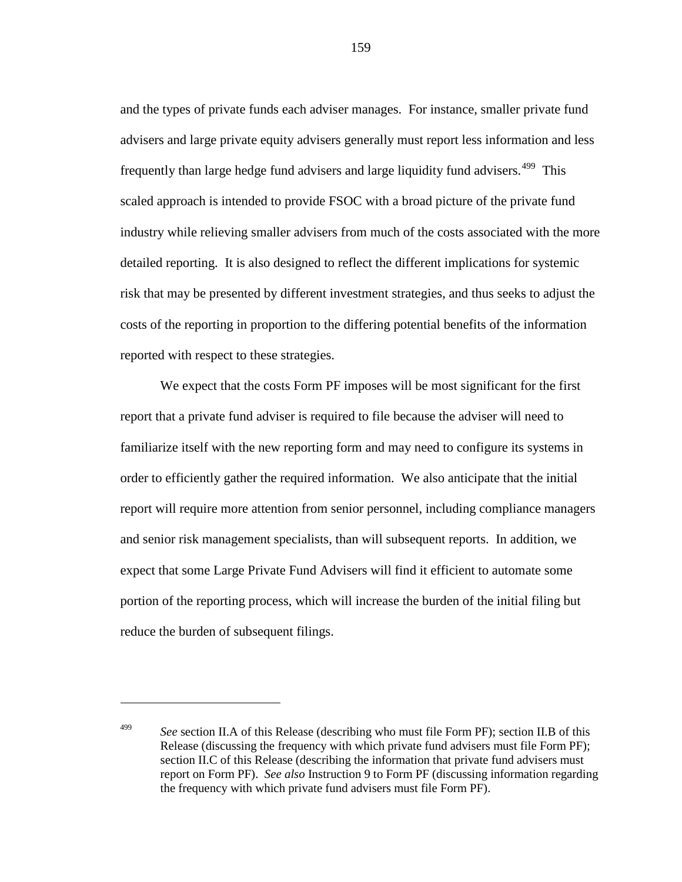and the types of private funds each adviser manages. For instance, smaller private fund advisers and large private equity advisers generally must report less information and less frequently than large hedge fund advisers and large liquidity fund advisers.<sup>[499](#page-158-0)</sup> This scaled approach is intended to provide FSOC with a broad picture of the private fund industry while relieving smaller advisers from much of the costs associated with the more detailed reporting. It is also designed to reflect the different implications for systemic risk that may be presented by different investment strategies, and thus seeks to adjust the costs of the reporting in proportion to the differing potential benefits of the information reported with respect to these strategies.

We expect that the costs Form PF imposes will be most significant for the first report that a private fund adviser is required to file because the adviser will need to familiarize itself with the new reporting form and may need to configure its systems in order to efficiently gather the required information. We also anticipate that the initial report will require more attention from senior personnel, including compliance managers and senior risk management specialists, than will subsequent reports. In addition, we expect that some Large Private Fund Advisers will find it efficient to automate some portion of the reporting process, which will increase the burden of the initial filing but reduce the burden of subsequent filings.

 $\overline{a}$ 

<span id="page-158-0"></span><sup>499</sup> *See* section II.A of this Release (describing who must file Form PF); section II.B of this Release (discussing the frequency with which private fund advisers must file Form PF); section II.C of this Release (describing the information that private fund advisers must report on Form PF). *See also* Instruction 9 to Form PF (discussing information regarding the frequency with which private fund advisers must file Form PF).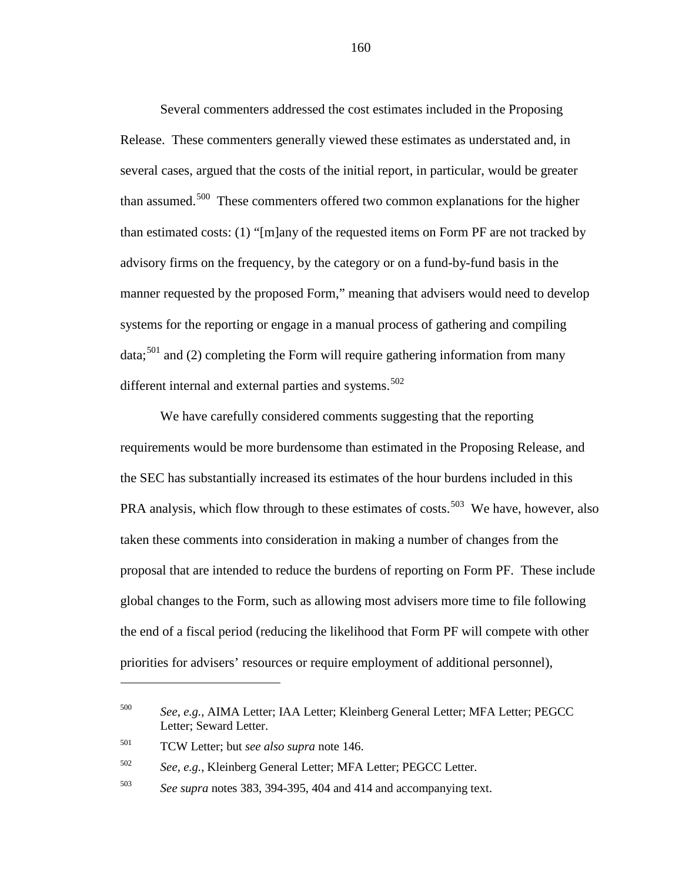Several commenters addressed the cost estimates included in the Proposing Release. These commenters generally viewed these estimates as understated and, in several cases, argued that the costs of the initial report, in particular, would be greater than assumed.<sup>500</sup> These commenters offered two common explanations for the higher than estimated costs: (1) "[m]any of the requested items on Form PF are not tracked by advisory firms on the frequency, by the category or on a fund-by-fund basis in the manner requested by the proposed Form," meaning that advisers would need to develop systems for the reporting or engage in a manual process of gathering and compiling  $data$ ;<sup>[501](#page-159-1)</sup> and (2) completing the Form will require gathering information from many different internal and external parties and systems.<sup>[502](#page-159-2)</sup>

We have carefully considered comments suggesting that the reporting requirements would be more burdensome than estimated in the Proposing Release, and the SEC has substantially increased its estimates of the hour burdens included in this PRA analysis, which flow through to these estimates of costs.<sup>[503](#page-159-3)</sup> We have, however, also taken these comments into consideration in making a number of changes from the proposal that are intended to reduce the burdens of reporting on Form PF. These include global changes to the Form, such as allowing most advisers more time to file following the end of a fiscal period (reducing the likelihood that Form PF will compete with other priorities for advisers' resources or require employment of additional personnel),

 $\overline{a}$ 

<span id="page-159-0"></span><sup>500</sup> *See*, *e.g.*, AIMA Letter; IAA Letter; Kleinberg General Letter; MFA Letter; PEGCC Letter; Seward Letter.

<span id="page-159-1"></span><sup>501</sup> TCW Letter; but *see also supra* note [146.](#page-50-0)

<span id="page-159-2"></span><sup>502</sup> *See*, *e.g.*, Kleinberg General Letter; MFA Letter; PEGCC Letter.

<span id="page-159-3"></span><sup>503</sup> *See supra* notes [383,](#page-124-0) [394-](#page-127-0)[395,](#page-127-1) [404](#page-130-0) and [414](#page-133-0) and accompanying text.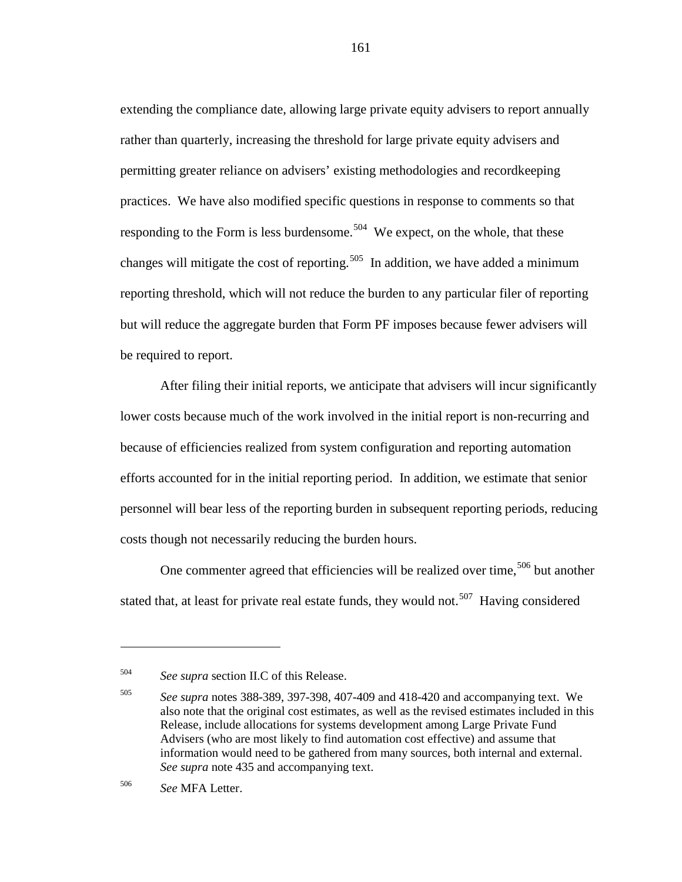extending the compliance date, allowing large private equity advisers to report annually rather than quarterly, increasing the threshold for large private equity advisers and permitting greater reliance on advisers' existing methodologies and recordkeeping practices. We have also modified specific questions in response to comments so that responding to the Form is less burdensome.<sup>504</sup> We expect, on the whole, that these changes will mitigate the cost of reporting.<sup>[505](#page-160-1)</sup> In addition, we have added a minimum reporting threshold, which will not reduce the burden to any particular filer of reporting but will reduce the aggregate burden that Form PF imposes because fewer advisers will be required to report.

After filing their initial reports, we anticipate that advisers will incur significantly lower costs because much of the work involved in the initial report is non-recurring and because of efficiencies realized from system configuration and reporting automation efforts accounted for in the initial reporting period. In addition, we estimate that senior personnel will bear less of the reporting burden in subsequent reporting periods, reducing costs though not necessarily reducing the burden hours.

<span id="page-160-3"></span>One commenter agreed that efficiencies will be realized over time,  $506$  but another stated that, at least for private real estate funds, they would not.<sup>[507](#page-160-3)</sup> Having considered

<span id="page-160-0"></span><sup>504</sup> *See supra* section II.C of this Release.

<span id="page-160-1"></span><sup>505</sup> *See supra* notes [388-](#page-125-0)[389,](#page-125-1) [397-](#page-128-0)[398,](#page-128-1) [407](#page-131-0)[-409](#page-132-0) and [418](#page-134-0)[-420](#page-135-0) and accompanying text. We also note that the original cost estimates, as well as the revised estimates included in this Release, include allocations for systems development among Large Private Fund Advisers (who are most likely to find automation cost effective) and assume that information would need to be gathered from many sources, both internal and external. *See supra* note [435](#page-138-0) and accompanying text.

<span id="page-160-2"></span><sup>506</sup> *See* MFA Letter.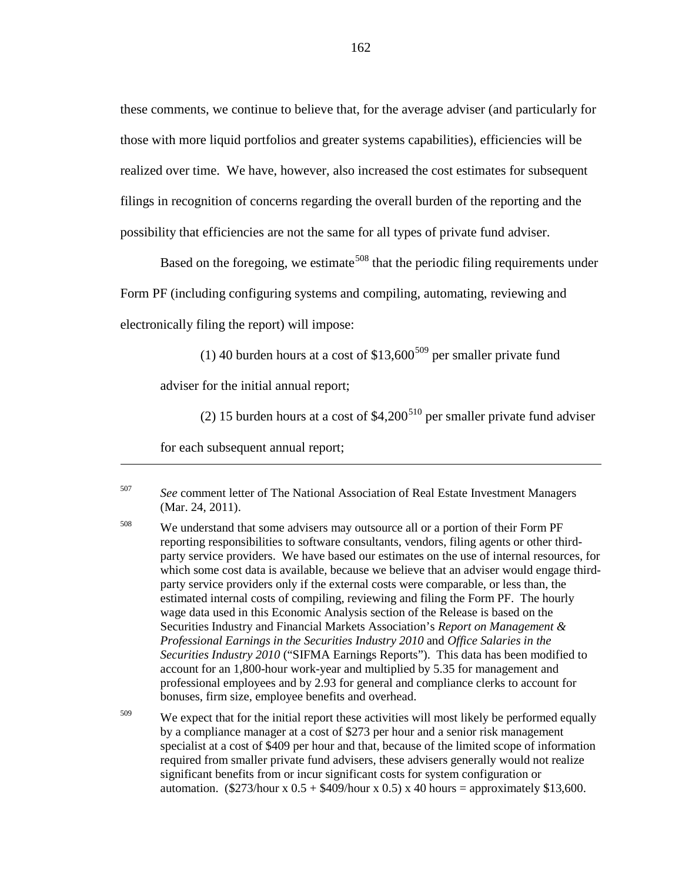these comments, we continue to believe that, for the average adviser (and particularly for those with more liquid portfolios and greater systems capabilities), efficiencies will be realized over time. We have, however, also increased the cost estimates for subsequent filings in recognition of concerns regarding the overall burden of the reporting and the possibility that efficiencies are not the same for all types of private fund adviser.

Based on the foregoing, we estimate<sup>[508](#page-161-0)</sup> that the periodic filing requirements under Form PF (including configuring systems and compiling, automating, reviewing and

<span id="page-161-2"></span>electronically filing the report) will impose:

(1) 40 burden hours at a cost of  $$13,600^{509}$  $$13,600^{509}$  $$13,600^{509}$  per smaller private fund

adviser for the initial annual report;

(2) 15 burden hours at a cost of  $$4,200<sup>510</sup>$  $$4,200<sup>510</sup>$  $$4,200<sup>510</sup>$  per smaller private fund adviser

for each subsequent annual report;

<sup>507</sup> *See* comment letter of The National Association of Real Estate Investment Managers (Mar. 24, 2011).

<span id="page-161-0"></span><sup>508</sup> We understand that some advisers may outsource all or a portion of their Form PF reporting responsibilities to software consultants, vendors, filing agents or other thirdparty service providers. We have based our estimates on the use of internal resources, for which some cost data is available, because we believe that an adviser would engage thirdparty service providers only if the external costs were comparable, or less than, the estimated internal costs of compiling, reviewing and filing the Form PF. The hourly wage data used in this Economic Analysis section of the Release is based on the Securities Industry and Financial Markets Association's *Report on Management & Professional Earnings in the Securities Industry 2010* and *Office Salaries in the Securities Industry 2010* ("SIFMA Earnings Reports"). This data has been modified to account for an 1,800-hour work-year and multiplied by 5.35 for management and professional employees and by 2.93 for general and compliance clerks to account for bonuses, firm size, employee benefits and overhead.

<span id="page-161-1"></span> $509$  We expect that for the initial report these activities will most likely be performed equally by a compliance manager at a cost of \$273 per hour and a senior risk management specialist at a cost of \$409 per hour and that, because of the limited scope of information required from smaller private fund advisers, these advisers generally would not realize significant benefits from or incur significant costs for system configuration or automation.  $(\frac{$273}{hour x} 0.5 + \frac{$409}{hour x} 0.5) x 40 hours = approximately \$13,600.$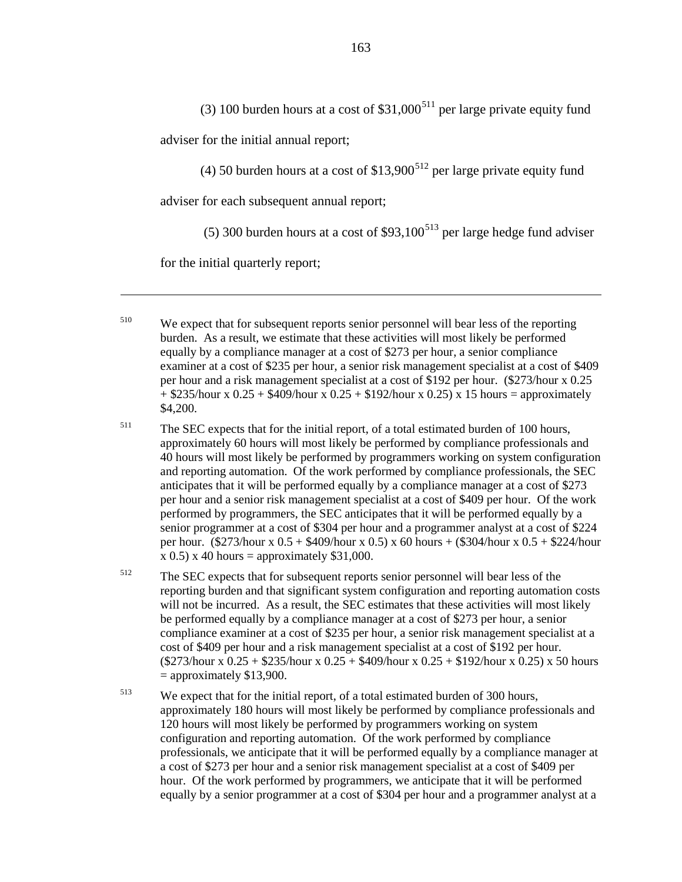(3) 100 burden hours at a cost of  $$31,000<sup>511</sup>$  $$31,000<sup>511</sup>$  $$31,000<sup>511</sup>$  per large private equity fund

adviser for the initial annual report;

(4) 50 burden hours at a cost of  $$13,900<sup>512</sup>$  $$13,900<sup>512</sup>$  $$13,900<sup>512</sup>$  per large private equity fund

adviser for each subsequent annual report;

<span id="page-162-3"></span>(5) 300 burden hours at a cost of  $$93,100<sup>513</sup>$  $$93,100<sup>513</sup>$  $$93,100<sup>513</sup>$  per large hedge fund adviser

for the initial quarterly report;

 $\overline{a}$ 

<sup>510</sup> We expect that for subsequent reports senior personnel will bear less of the reporting burden. As a result, we estimate that these activities will most likely be performed equally by a compliance manager at a cost of \$273 per hour, a senior compliance examiner at a cost of \$235 per hour, a senior risk management specialist at a cost of \$409 per hour and a risk management specialist at a cost of \$192 per hour. (\$273/hour x 0.25  $+$  \$235/hour x 0.25 + \$409/hour x 0.25 + \$192/hour x 0.25) x 15 hours = approximately \$4,200.

- <span id="page-162-0"></span><sup>511</sup> The SEC expects that for the initial report, of a total estimated burden of 100 hours, approximately 60 hours will most likely be performed by compliance professionals and 40 hours will most likely be performed by programmers working on system configuration and reporting automation. Of the work performed by compliance professionals, the SEC anticipates that it will be performed equally by a compliance manager at a cost of \$273 per hour and a senior risk management specialist at a cost of \$409 per hour. Of the work performed by programmers, the SEC anticipates that it will be performed equally by a senior programmer at a cost of \$304 per hour and a programmer analyst at a cost of \$224 per hour. (\$273/hour x 0.5 + \$409/hour x 0.5) x 60 hours + (\$304/hour x 0.5 + \$224/hour  $x$  0.5)  $x$  40 hours = approximately \$31,000.
- <span id="page-162-1"></span><sup>512</sup> The SEC expects that for subsequent reports senior personnel will bear less of the reporting burden and that significant system configuration and reporting automation costs will not be incurred. As a result, the SEC estimates that these activities will most likely be performed equally by a compliance manager at a cost of \$273 per hour, a senior compliance examiner at a cost of \$235 per hour, a senior risk management specialist at a cost of \$409 per hour and a risk management specialist at a cost of \$192 per hour. (\$273/hour x 0.25 + \$235/hour x 0.25 + \$409/hour x 0.25 + \$192/hour x 0.25) x 50 hours  $=$  approximately \$13,900.
- <span id="page-162-2"></span><sup>513</sup> We expect that for the initial report, of a total estimated burden of 300 hours, approximately 180 hours will most likely be performed by compliance professionals and 120 hours will most likely be performed by programmers working on system configuration and reporting automation. Of the work performed by compliance professionals, we anticipate that it will be performed equally by a compliance manager at a cost of \$273 per hour and a senior risk management specialist at a cost of \$409 per hour. Of the work performed by programmers, we anticipate that it will be performed equally by a senior programmer at a cost of \$304 per hour and a programmer analyst at a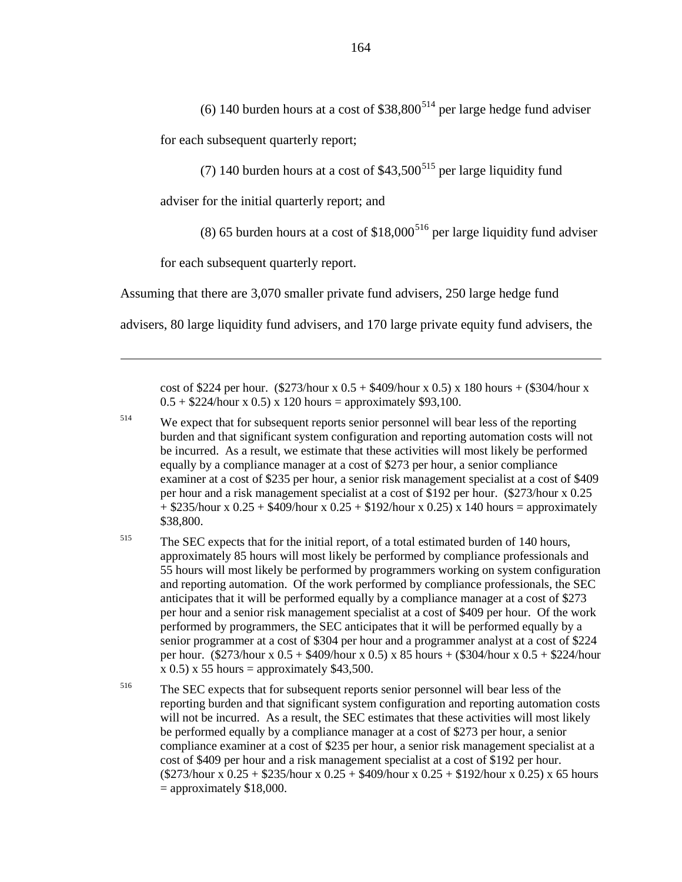for each subsequent quarterly report;

<span id="page-163-3"></span>(7) 140 burden hours at a cost of  $$43,500<sup>515</sup>$  $$43,500<sup>515</sup>$  $$43,500<sup>515</sup>$  per large liquidity fund

adviser for the initial quarterly report; and

(8) 65 burden hours at a cost of  $$18,000<sup>516</sup>$  $$18,000<sup>516</sup>$  $$18,000<sup>516</sup>$  per large liquidity fund adviser

for each subsequent quarterly report.

 $\overline{a}$ 

Assuming that there are 3,070 smaller private fund advisers, 250 large hedge fund

advisers, 80 large liquidity fund advisers, and 170 large private equity fund advisers, the

cost of \$224 per hour. (\$273/hour x  $0.5 + $409$ /hour x  $0.5$ ) x 180 hours + (\$304/hour x  $0.5 + $224$ /hour x 0.5) x 120 hours = approximately \$93,100.

<span id="page-163-0"></span><sup>514</sup> We expect that for subsequent reports senior personnel will bear less of the reporting burden and that significant system configuration and reporting automation costs will not be incurred. As a result, we estimate that these activities will most likely be performed equally by a compliance manager at a cost of \$273 per hour, a senior compliance examiner at a cost of \$235 per hour, a senior risk management specialist at a cost of \$409 per hour and a risk management specialist at a cost of \$192 per hour. (\$273/hour x 0.25  $+$  \$235/hour x 0.25 + \$409/hour x 0.25 + \$192/hour x 0.25) x 140 hours = approximately \$38,800.

<span id="page-163-1"></span><sup>515</sup> The SEC expects that for the initial report, of a total estimated burden of 140 hours, approximately 85 hours will most likely be performed by compliance professionals and 55 hours will most likely be performed by programmers working on system configuration and reporting automation. Of the work performed by compliance professionals, the SEC anticipates that it will be performed equally by a compliance manager at a cost of \$273 per hour and a senior risk management specialist at a cost of \$409 per hour. Of the work performed by programmers, the SEC anticipates that it will be performed equally by a senior programmer at a cost of \$304 per hour and a programmer analyst at a cost of \$224 per hour. (\$273/hour x 0.5 + \$409/hour x 0.5) x 85 hours + (\$304/hour x 0.5 + \$224/hour  $x$  0.5)  $x$  55 hours = approximately \$43,500.

<span id="page-163-2"></span><sup>516</sup> The SEC expects that for subsequent reports senior personnel will bear less of the reporting burden and that significant system configuration and reporting automation costs will not be incurred. As a result, the SEC estimates that these activities will most likely be performed equally by a compliance manager at a cost of \$273 per hour, a senior compliance examiner at a cost of \$235 per hour, a senior risk management specialist at a cost of \$409 per hour and a risk management specialist at a cost of \$192 per hour. (\$273/hour x 0.25 + \$235/hour x 0.25 + \$409/hour x 0.25 + \$192/hour x 0.25) x 65 hours  $=$  approximately \$18,000.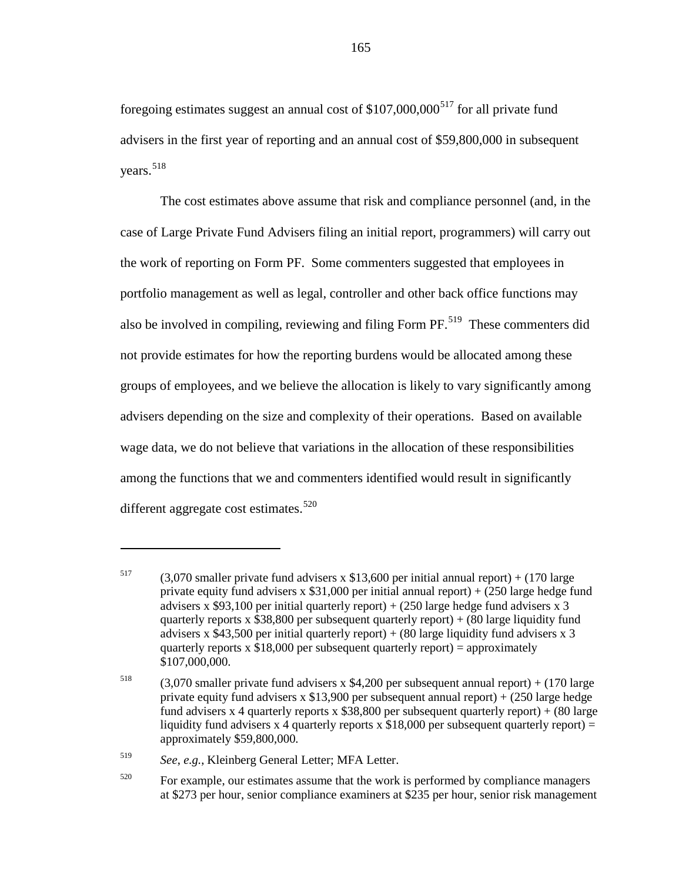foregoing estimates suggest an annual cost of  $$107,000,000<sup>517</sup>$  $$107,000,000<sup>517</sup>$  $$107,000,000<sup>517</sup>$  for all private fund advisers in the first year of reporting and an annual cost of \$59,800,000 in subsequent years.<sup>[518](#page-164-1)</sup>

The cost estimates above assume that risk and compliance personnel (and, in the case of Large Private Fund Advisers filing an initial report, programmers) will carry out the work of reporting on Form PF. Some commenters suggested that employees in portfolio management as well as legal, controller and other back office functions may also be involved in compiling, reviewing and filing Form  $PF<sup>519</sup>$  These commenters did not provide estimates for how the reporting burdens would be allocated among these groups of employees, and we believe the allocation is likely to vary significantly among advisers depending on the size and complexity of their operations. Based on available wage data, we do not believe that variations in the allocation of these responsibilities among the functions that we and commenters identified would result in significantly different aggregate cost estimates.<sup>[520](#page-164-3)</sup>

<span id="page-164-0"></span><sup>&</sup>lt;sup>517</sup> (3,070 smaller private fund advisers x \$13,600 per initial annual report) + (170 large private equity fund advisers x \$31,000 per initial annual report) + (250 large hedge fund advisers x \$93,100 per initial quarterly report)  $+$  (250 large hedge fund advisers x 3 quarterly reports x  $$38,800$  per subsequent quarterly report) + (80 large liquidity fund advisers x  $$43,500$  per initial quarterly report) + (80 large liquidity fund advisers x 3 quarterly reports  $x$  \$18,000 per subsequent quarterly report) = approximately \$107,000,000.

<span id="page-164-1"></span><sup>&</sup>lt;sup>518</sup> (3,070 smaller private fund advisers x \$4,200 per subsequent annual report) + (170 large private equity fund advisers x \$13,900 per subsequent annual report) + (250 large hedge fund advisers x 4 quarterly reports x  $$38,800$  per subsequent quarterly report) + (80 large liquidity fund advisers x 4 quarterly reports x  $$18,000$  per subsequent quarterly report) = approximately \$59,800,000.

<span id="page-164-2"></span><sup>519</sup> *See*, *e.g.*, Kleinberg General Letter; MFA Letter.

<span id="page-164-3"></span> $520$  For example, our estimates assume that the work is performed by compliance managers at \$273 per hour, senior compliance examiners at \$235 per hour, senior risk management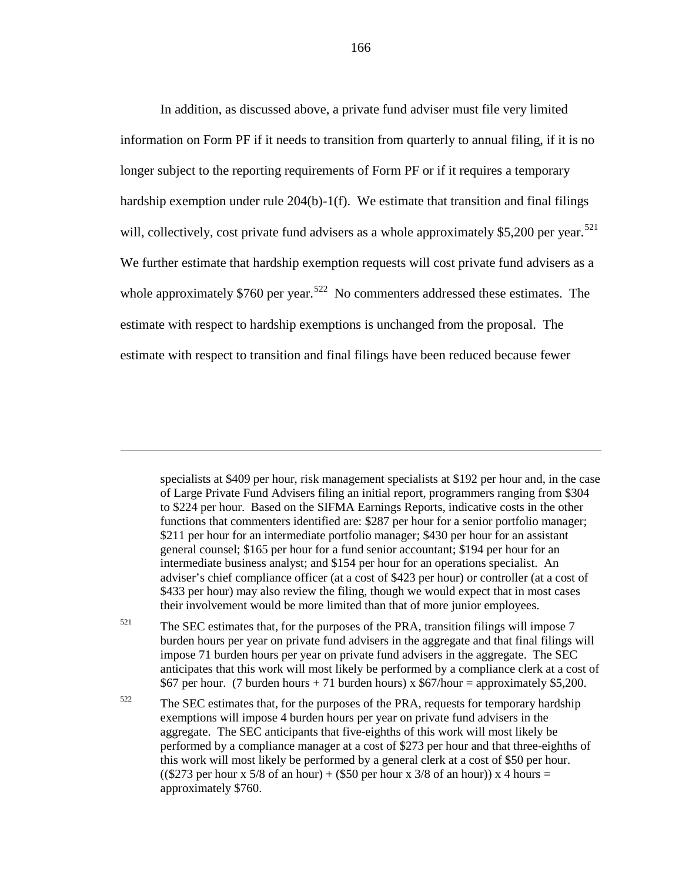In addition, as discussed above, a private fund adviser must file very limited information on Form PF if it needs to transition from quarterly to annual filing, if it is no longer subject to the reporting requirements of Form PF or if it requires a temporary hardship exemption under rule 204(b)-1(f). We estimate that transition and final filings will, collectively, cost private fund advisers as a whole approximately \$5,200 per year.<sup>[521](#page-165-0)</sup> We further estimate that hardship exemption requests will cost private fund advisers as a whole approximately \$760 per year.<sup>[522](#page-165-1)</sup> No commenters addressed these estimates. The estimate with respect to hardship exemptions is unchanged from the proposal. The estimate with respect to transition and final filings have been reduced because fewer

specialists at \$409 per hour, risk management specialists at \$192 per hour and, in the case of Large Private Fund Advisers filing an initial report, programmers ranging from \$304 to \$224 per hour. Based on the SIFMA Earnings Reports, indicative costs in the other functions that commenters identified are: \$287 per hour for a senior portfolio manager; \$211 per hour for an intermediate portfolio manager; \$430 per hour for an assistant general counsel; \$165 per hour for a fund senior accountant; \$194 per hour for an intermediate business analyst; and \$154 per hour for an operations specialist. An adviser's chief compliance officer (at a cost of \$423 per hour) or controller (at a cost of \$433 per hour) may also review the filing, though we would expect that in most cases their involvement would be more limited than that of more junior employees.

 $\overline{a}$ 

<span id="page-165-0"></span> $521$  The SEC estimates that, for the purposes of the PRA, transition filings will impose 7 burden hours per year on private fund advisers in the aggregate and that final filings will impose 71 burden hours per year on private fund advisers in the aggregate. The SEC anticipates that this work will most likely be performed by a compliance clerk at a cost of \$67 per hour. (7 burden hours + 71 burden hours) x  $$67/h$ our = approximately \$5,200.

<span id="page-165-1"></span> $522$  The SEC estimates that, for the purposes of the PRA, requests for temporary hardship exemptions will impose 4 burden hours per year on private fund advisers in the aggregate. The SEC anticipants that five-eighths of this work will most likely be performed by a compliance manager at a cost of \$273 per hour and that three-eighths of this work will most likely be performed by a general clerk at a cost of \$50 per hour. ((\$273 per hour x 5/8 of an hour) + (\$50 per hour x 3/8 of an hour)) x 4 hours = approximately \$760.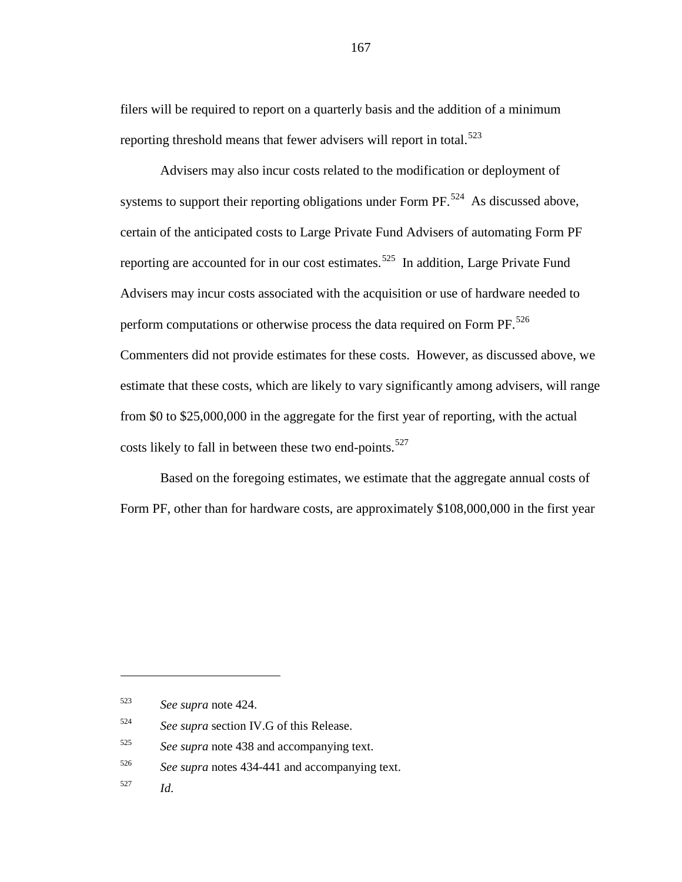filers will be required to report on a quarterly basis and the addition of a minimum reporting threshold means that fewer advisers will report in total.<sup>[523](#page-166-0)</sup>

Advisers may also incur costs related to the modification or deployment of systems to support their reporting obligations under Form  $PF<sup>.524</sup>$  $PF<sup>.524</sup>$  $PF<sup>.524</sup>$  As discussed above, certain of the anticipated costs to Large Private Fund Advisers of automating Form PF reporting are accounted for in our cost estimates.<sup>[525](#page-166-2)</sup> In addition, Large Private Fund Advisers may incur costs associated with the acquisition or use of hardware needed to perform computations or otherwise process the data required on Form  $PF$ <sup>526</sup> Commenters did not provide estimates for these costs. However, as discussed above, we estimate that these costs, which are likely to vary significantly among advisers, will range from \$0 to \$25,000,000 in the aggregate for the first year of reporting, with the actual costs likely to fall in between these two end-points.<sup>[527](#page-166-4)</sup>

Based on the foregoing estimates, we estimate that the aggregate annual costs of Form PF, other than for hardware costs, are approximately \$108,000,000 in the first year

<span id="page-166-0"></span><sup>523</sup> *See supra* note [424.](#page-136-0)

<span id="page-166-1"></span><sup>524</sup> *See supra* section IV.G of this Release.

<span id="page-166-2"></span><sup>525</sup> *See supra* note [438](#page-139-0) and accompanying text.

<span id="page-166-3"></span><sup>526</sup> *See supra* notes [434-](#page-138-1)[441](#page-140-0) and accompanying text.

<span id="page-166-4"></span><sup>527</sup> *Id*.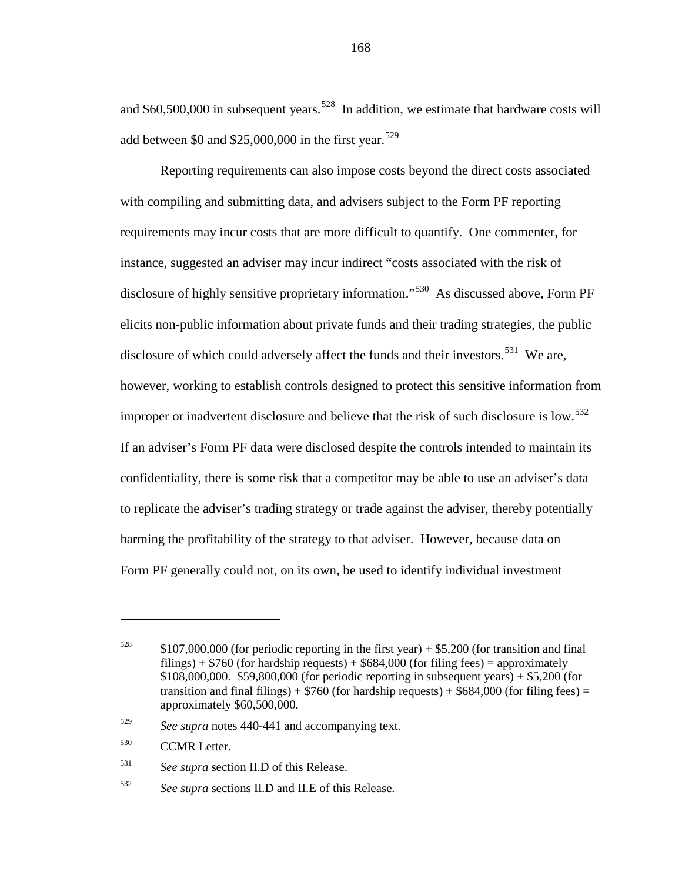and  $$60,500,000$  in subsequent years.<sup>528</sup> In addition, we estimate that hardware costs will add between \$0 and \$25,000,000 in the first year.<sup>[529](#page-167-1)</sup>

Reporting requirements can also impose costs beyond the direct costs associated with compiling and submitting data, and advisers subject to the Form PF reporting requirements may incur costs that are more difficult to quantify. One commenter, for instance, suggested an adviser may incur indirect "costs associated with the risk of disclosure of highly sensitive proprietary information."<sup>[530](#page-167-2)</sup> As discussed above, Form PF elicits non-public information about private funds and their trading strategies, the public disclosure of which could adversely affect the funds and their investors.<sup>531</sup> We are, however, working to establish controls designed to protect this sensitive information from improper or inadvertent disclosure and believe that the risk of such disclosure is low.<sup>[532](#page-167-4)</sup> If an adviser's Form PF data were disclosed despite the controls intended to maintain its confidentiality, there is some risk that a competitor may be able to use an adviser's data to replicate the adviser's trading strategy or trade against the adviser, thereby potentially harming the profitability of the strategy to that adviser. However, because data on Form PF generally could not, on its own, be used to identify individual investment

 $\overline{a}$ 

<span id="page-167-3"></span><sup>531</sup> *See supra* section II.D of this Release.

<span id="page-167-0"></span> $528$  \$107,000,000 (for periodic reporting in the first year) + \$5,200 (for transition and final filings) +  $$760$  (for hardship requests) +  $$684,000$  (for filing fees) = approximately \$108,000,000. \$59,800,000 (for periodic reporting in subsequent years) + \$5,200 (for transition and final filings) +  $$760$  (for hardship requests) +  $$684,000$  (for filing fees) = approximately \$60,500,000.

<span id="page-167-1"></span><sup>529</sup> *See supra* notes [440-](#page-139-1)[441](#page-140-0) and accompanying text.

<span id="page-167-2"></span><sup>530</sup> CCMR Letter.

<span id="page-167-4"></span><sup>532</sup> *See supra* sections II.D and II.E of this Release.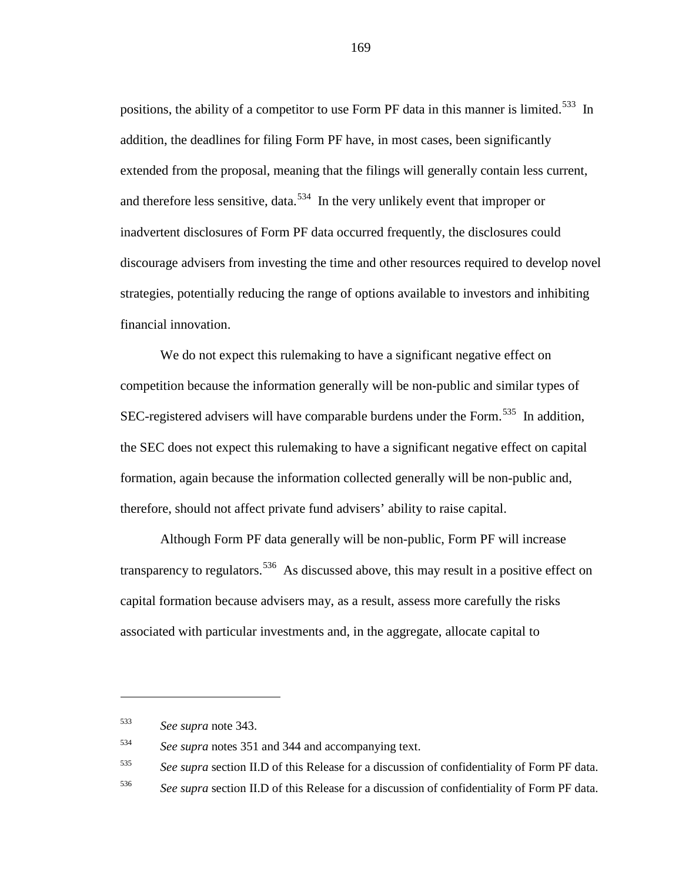positions, the ability of a competitor to use Form PF data in this manner is limited.<sup>[533](#page-168-0)</sup> In addition, the deadlines for filing Form PF have, in most cases, been significantly extended from the proposal, meaning that the filings will generally contain less current, and therefore less sensitive, data.<sup>[534](#page-168-1)</sup> In the very unlikely event that improper or inadvertent disclosures of Form PF data occurred frequently, the disclosures could discourage advisers from investing the time and other resources required to develop novel strategies, potentially reducing the range of options available to investors and inhibiting financial innovation.

We do not expect this rulemaking to have a significant negative effect on competition because the information generally will be non-public and similar types of SEC-registered advisers will have comparable burdens under the Form.<sup>[535](#page-168-2)</sup> In addition, the SEC does not expect this rulemaking to have a significant negative effect on capital formation, again because the information collected generally will be non-public and, therefore, should not affect private fund advisers' ability to raise capital.

Although Form PF data generally will be non-public, Form PF will increase transparency to regulators.<sup>[536](#page-168-3)</sup> As discussed above, this may result in a positive effect on capital formation because advisers may, as a result, assess more carefully the risks associated with particular investments and, in the aggregate, allocate capital to

<span id="page-168-0"></span><sup>533</sup> *See supra* note [343.](#page-112-0)

<span id="page-168-1"></span><sup>534</sup> *See supra* notes [351](#page-113-0) an[d 344](#page-112-1) and accompanying text.

<span id="page-168-2"></span><sup>535</sup> *See supra* section II.D of this Release for a discussion of confidentiality of Form PF data.

<span id="page-168-3"></span><sup>536</sup> *See supra* section II.D of this Release for a discussion of confidentiality of Form PF data.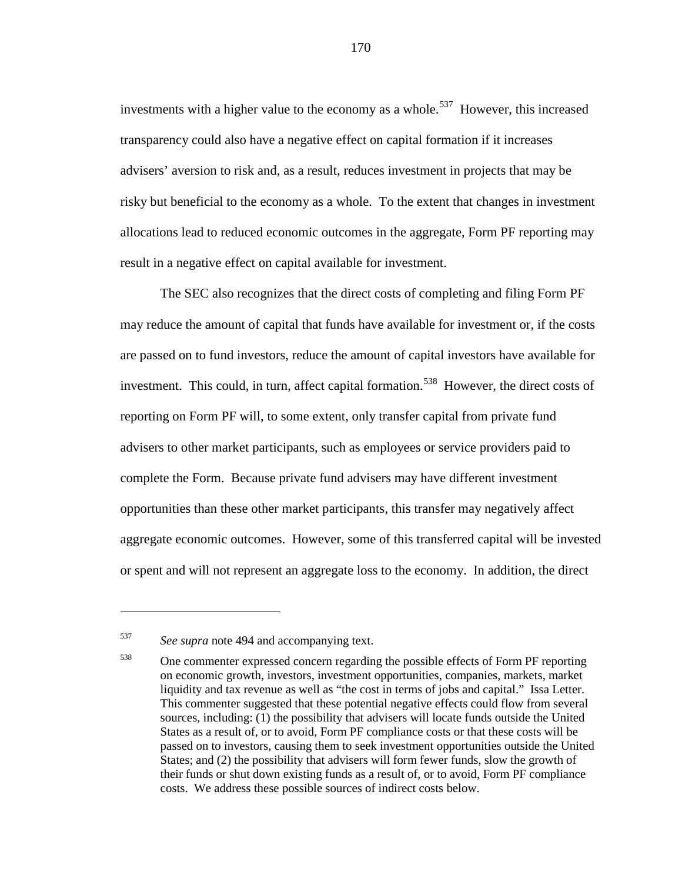investments with a higher value to the economy as a whole.<sup>[537](#page-169-0)</sup> However, this increased transparency could also have a negative effect on capital formation if it increases advisers' aversion to risk and, as a result, reduces investment in projects that may be risky but beneficial to the economy as a whole. To the extent that changes in investment allocations lead to reduced economic outcomes in the aggregate, Form PF reporting may result in a negative effect on capital available for investment.

The SEC also recognizes that the direct costs of completing and filing Form PF may reduce the amount of capital that funds have available for investment or, if the costs are passed on to fund investors, reduce the amount of capital investors have available for investment. This could, in turn, affect capital formation. [538](#page-169-1) However, the direct costs of reporting on Form PF will, to some extent, only transfer capital from private fund advisers to other market participants, such as employees or service providers paid to complete the Form. Because private fund advisers may have different investment opportunities than these other market participants, this transfer may negatively affect aggregate economic outcomes. However, some of this transferred capital will be invested or spent and will not represent an aggregate loss to the economy. In addition, the direct

<span id="page-169-0"></span><sup>537</sup> *See supra* note [494](#page-156-1) and accompanying text.

<span id="page-169-1"></span><sup>538</sup> One commenter expressed concern regarding the possible effects of Form PF reporting on economic growth, investors, investment opportunities, companies, markets, market liquidity and tax revenue as well as "the cost in terms of jobs and capital." Issa Letter. This commenter suggested that these potential negative effects could flow from several sources, including: (1) the possibility that advisers will locate funds outside the United States as a result of, or to avoid, Form PF compliance costs or that these costs will be passed on to investors, causing them to seek investment opportunities outside the United States; and (2) the possibility that advisers will form fewer funds, slow the growth of their funds or shut down existing funds as a result of, or to avoid, Form PF compliance costs. We address these possible sources of indirect costs below.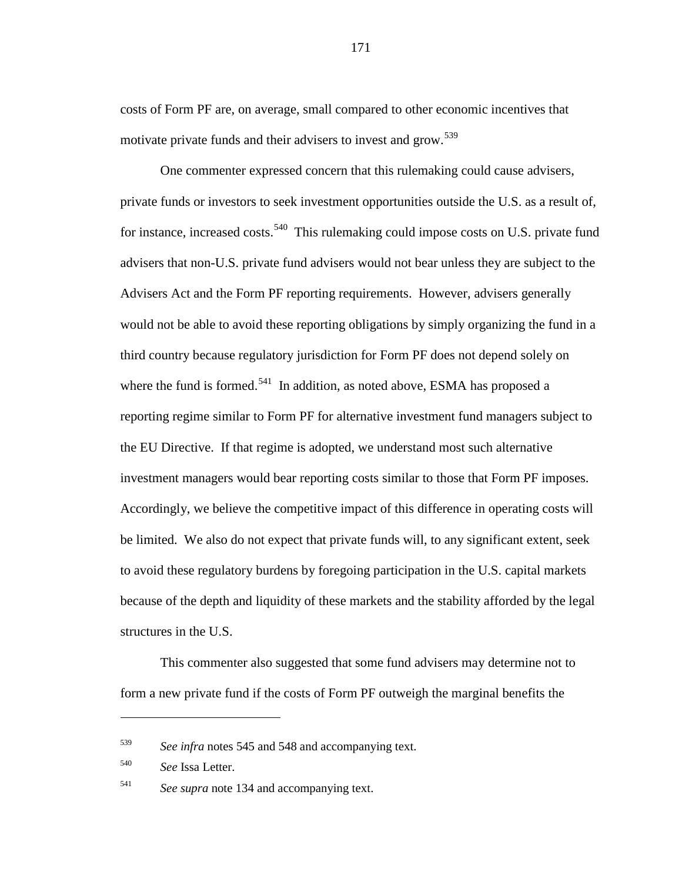costs of Form PF are, on average, small compared to other economic incentives that motivate private funds and their advisers to invest and grow.<sup>[539](#page-170-0)</sup>

One commenter expressed concern that this rulemaking could cause advisers, private funds or investors to seek investment opportunities outside the U.S. as a result of, for instance, increased costs.<sup>[540](#page-170-1)</sup> This rulemaking could impose costs on U.S. private fund advisers that non-U.S. private fund advisers would not bear unless they are subject to the Advisers Act and the Form PF reporting requirements. However, advisers generally would not be able to avoid these reporting obligations by simply organizing the fund in a third country because regulatory jurisdiction for Form PF does not depend solely on where the fund is formed.<sup>[541](#page-170-2)</sup> In addition, as noted above, ESMA has proposed a reporting regime similar to Form PF for alternative investment fund managers subject to the EU Directive. If that regime is adopted, we understand most such alternative investment managers would bear reporting costs similar to those that Form PF imposes. Accordingly, we believe the competitive impact of this difference in operating costs will be limited. We also do not expect that private funds will, to any significant extent, seek to avoid these regulatory burdens by foregoing participation in the U.S. capital markets because of the depth and liquidity of these markets and the stability afforded by the legal structures in the U.S.

This commenter also suggested that some fund advisers may determine not to form a new private fund if the costs of Form PF outweigh the marginal benefits the

<span id="page-170-0"></span><sup>539</sup> *See infra* notes [545](#page-172-0) and [548](#page-173-0) and accompanying text.

<span id="page-170-1"></span><sup>540</sup> *See* Issa Letter.

<span id="page-170-2"></span><sup>541</sup> *See supra* note [134](#page-46-0) and accompanying text.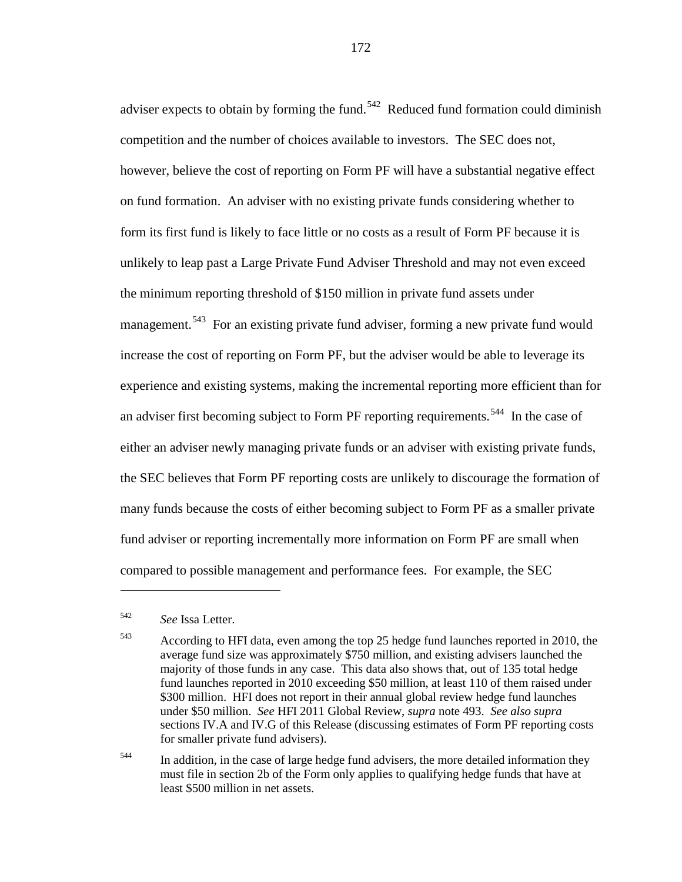adviser expects to obtain by forming the fund.<sup>[542](#page-171-0)</sup> Reduced fund formation could diminish competition and the number of choices available to investors. The SEC does not, however, believe the cost of reporting on Form PF will have a substantial negative effect on fund formation. An adviser with no existing private funds considering whether to form its first fund is likely to face little or no costs as a result of Form PF because it is unlikely to leap past a Large Private Fund Adviser Threshold and may not even exceed the minimum reporting threshold of \$150 million in private fund assets under management.<sup>[543](#page-171-1)</sup> For an existing private fund adviser, forming a new private fund would increase the cost of reporting on Form PF, but the adviser would be able to leverage its experience and existing systems, making the incremental reporting more efficient than for an adviser first becoming subject to Form PF reporting requirements.<sup>[544](#page-171-2)</sup> In the case of either an adviser newly managing private funds or an adviser with existing private funds, the SEC believes that Form PF reporting costs are unlikely to discourage the formation of many funds because the costs of either becoming subject to Form PF as a smaller private fund adviser or reporting incrementally more information on Form PF are small when compared to possible management and performance fees. For example, the SEC

 $\overline{a}$ 

<span id="page-171-2"></span><sup>544</sup> In addition, in the case of large hedge fund advisers, the more detailed information they must file in section 2b of the Form only applies to qualifying hedge funds that have at least \$500 million in net assets.

<span id="page-171-0"></span><sup>542</sup> *See* Issa Letter.

<span id="page-171-1"></span><sup>543</sup> According to HFI data, even among the top 25 hedge fund launches reported in 2010, the average fund size was approximately \$750 million, and existing advisers launched the majority of those funds in any case. This data also shows that, out of 135 total hedge fund launches reported in 2010 exceeding \$50 million, at least 110 of them raised under \$300 million. HFI does not report in their annual global review hedge fund launches under \$50 million. *See* HFI 2011 Global Review, *supra* not[e 493.](#page-155-3) *See also supra* sections IV.A and IV.G of this Release (discussing estimates of Form PF reporting costs for smaller private fund advisers).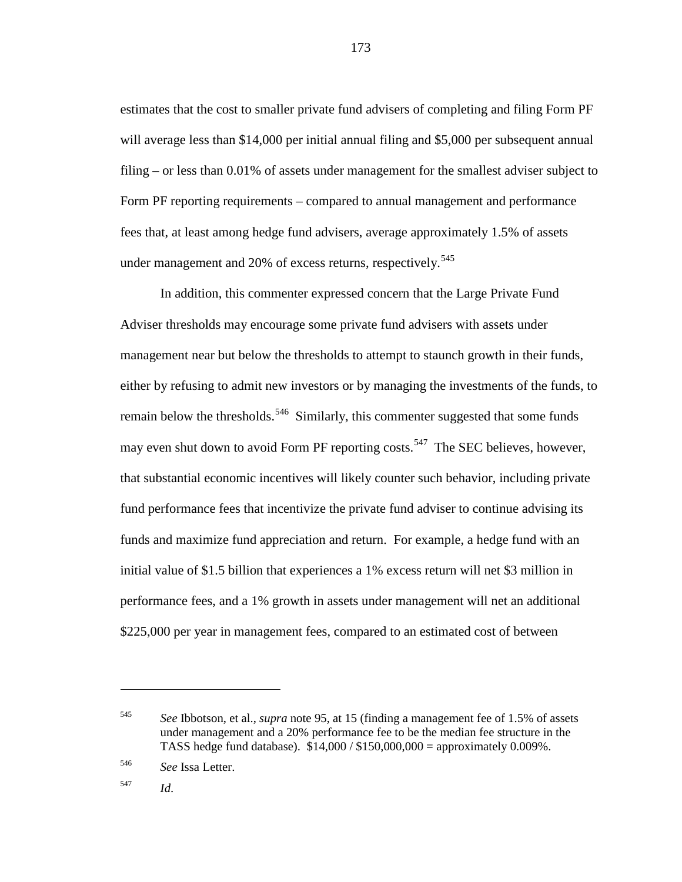estimates that the cost to smaller private fund advisers of completing and filing Form PF will average less than \$14,000 per initial annual filing and \$5,000 per subsequent annual filing – or less than 0.01% of assets under management for the smallest adviser subject to Form PF reporting requirements – compared to annual management and performance fees that, at least among hedge fund advisers, average approximately 1.5% of assets under management and 20% of excess returns, respectively.<sup>[545](#page-172-1)</sup>

<span id="page-172-0"></span>In addition, this commenter expressed concern that the Large Private Fund Adviser thresholds may encourage some private fund advisers with assets under management near but below the thresholds to attempt to staunch growth in their funds, either by refusing to admit new investors or by managing the investments of the funds, to remain below the thresholds.<sup>[546](#page-172-2)</sup> Similarly, this commenter suggested that some funds may even shut down to avoid Form PF reporting costs.<sup>[547](#page-172-3)</sup> The SEC believes, however, that substantial economic incentives will likely counter such behavior, including private fund performance fees that incentivize the private fund adviser to continue advising its funds and maximize fund appreciation and return. For example, a hedge fund with an initial value of \$1.5 billion that experiences a 1% excess return will net \$3 million in performance fees, and a 1% growth in assets under management will net an additional \$225,000 per year in management fees, compared to an estimated cost of between

<span id="page-172-3"></span><sup>547</sup> *Id*.

<span id="page-172-1"></span><sup>545</sup> *See* Ibbotson, et al., *supra* note [95,](#page-34-0) at 15 (finding a management fee of 1.5% of assets under management and a 20% performance fee to be the median fee structure in the TASS hedge fund database). \$14,000 / \$150,000,000 = approximately 0.009%.

<span id="page-172-2"></span><sup>546</sup> *See* Issa Letter.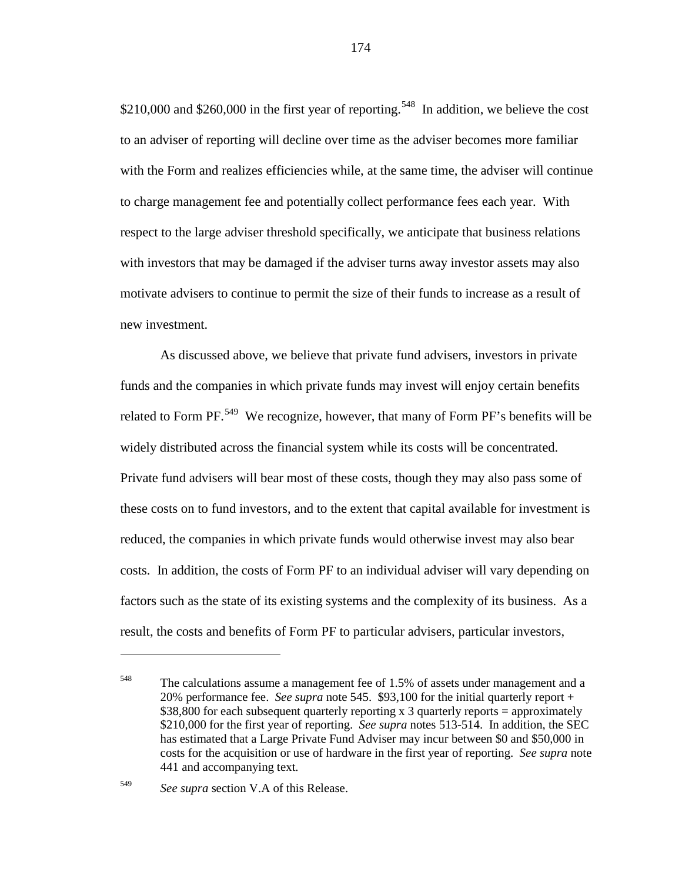<span id="page-173-0"></span>\$210,000 and \$260,000 in the first year of reporting.<sup>[548](#page-173-1)</sup> In addition, we believe the cost to an adviser of reporting will decline over time as the adviser becomes more familiar with the Form and realizes efficiencies while, at the same time, the adviser will continue to charge management fee and potentially collect performance fees each year. With respect to the large adviser threshold specifically, we anticipate that business relations with investors that may be damaged if the adviser turns away investor assets may also motivate advisers to continue to permit the size of their funds to increase as a result of new investment.

As discussed above, we believe that private fund advisers, investors in private funds and the companies in which private funds may invest will enjoy certain benefits related to Form PF.<sup>[549](#page-173-2)</sup> We recognize, however, that many of Form PF's benefits will be widely distributed across the financial system while its costs will be concentrated. Private fund advisers will bear most of these costs, though they may also pass some of these costs on to fund investors, and to the extent that capital available for investment is reduced, the companies in which private funds would otherwise invest may also bear costs. In addition, the costs of Form PF to an individual adviser will vary depending on factors such as the state of its existing systems and the complexity of its business. As a result, the costs and benefits of Form PF to particular advisers, particular investors,

<span id="page-173-1"></span><sup>&</sup>lt;sup>548</sup> The calculations assume a management fee of 1.5% of assets under management and a 20% performance fee. *See supra* note [545.](#page-172-0) \$93,100 for the initial quarterly report + \$38,800 for each subsequent quarterly reporting x 3 quarterly reports = approximately \$210,000 for the first year of reporting. *See supra* notes [513](#page-162-3)[-514.](#page-163-3) In addition, the SEC has estimated that a Large Private Fund Adviser may incur between \$0 and \$50,000 in costs for the acquisition or use of hardware in the first year of reporting. *See supra* note [441](#page-140-0) and accompanying text.

<span id="page-173-2"></span><sup>549</sup> *See supra* section V.A of this Release.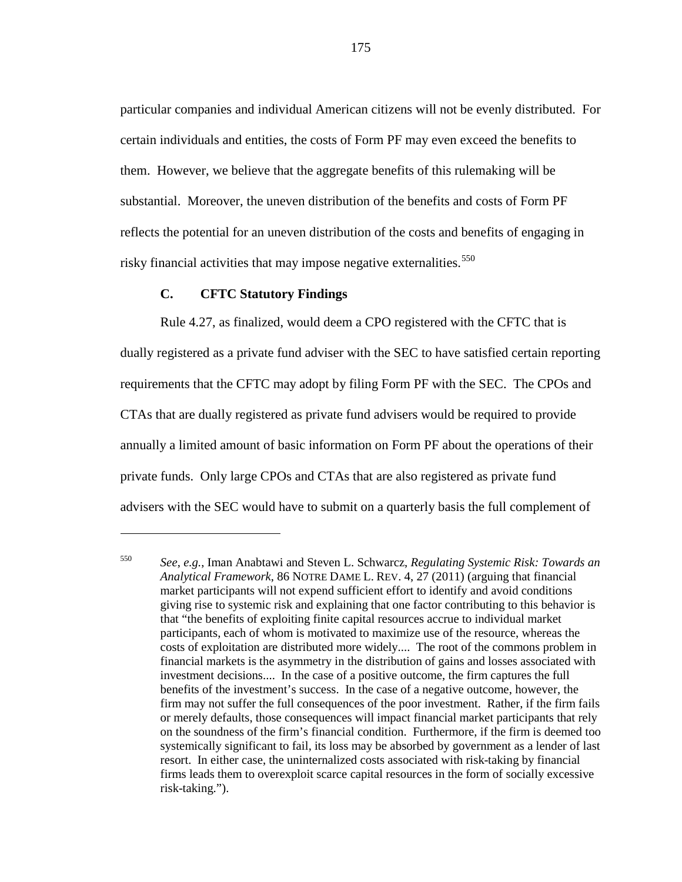particular companies and individual American citizens will not be evenly distributed. For certain individuals and entities, the costs of Form PF may even exceed the benefits to them. However, we believe that the aggregate benefits of this rulemaking will be substantial. Moreover, the uneven distribution of the benefits and costs of Form PF reflects the potential for an uneven distribution of the costs and benefits of engaging in risky financial activities that may impose negative externalities. [550](#page-174-0)

# **C. CFTC Statutory Findings**

 $\overline{a}$ 

Rule 4.27, as finalized, would deem a CPO registered with the CFTC that is dually registered as a private fund adviser with the SEC to have satisfied certain reporting requirements that the CFTC may adopt by filing Form PF with the SEC. The CPOs and CTAs that are dually registered as private fund advisers would be required to provide annually a limited amount of basic information on Form PF about the operations of their private funds. Only large CPOs and CTAs that are also registered as private fund advisers with the SEC would have to submit on a quarterly basis the full complement of

<span id="page-174-0"></span><sup>550</sup> *See*, *e.g.*, Iman Anabtawi and Steven L. Schwarcz, *Regulating Systemic Risk: Towards an Analytical Framework*, 86 NOTRE DAME L. REV. 4, 27 (2011) (arguing that financial market participants will not expend sufficient effort to identify and avoid conditions giving rise to systemic risk and explaining that one factor contributing to this behavior is that "the benefits of exploiting finite capital resources accrue to individual market participants, each of whom is motivated to maximize use of the resource, whereas the costs of exploitation are distributed more widely.... The root of the commons problem in financial markets is the asymmetry in the distribution of gains and losses associated with investment decisions.... In the case of a positive outcome, the firm captures the full benefits of the investment's success. In the case of a negative outcome, however, the firm may not suffer the full consequences of the poor investment. Rather, if the firm fails or merely defaults, those consequences will impact financial market participants that rely on the soundness of the firm's financial condition. Furthermore, if the firm is deemed too systemically significant to fail, its loss may be absorbed by government as a lender of last resort. In either case, the uninternalized costs associated with risk-taking by financial firms leads them to overexploit scarce capital resources in the form of socially excessive risk-taking.").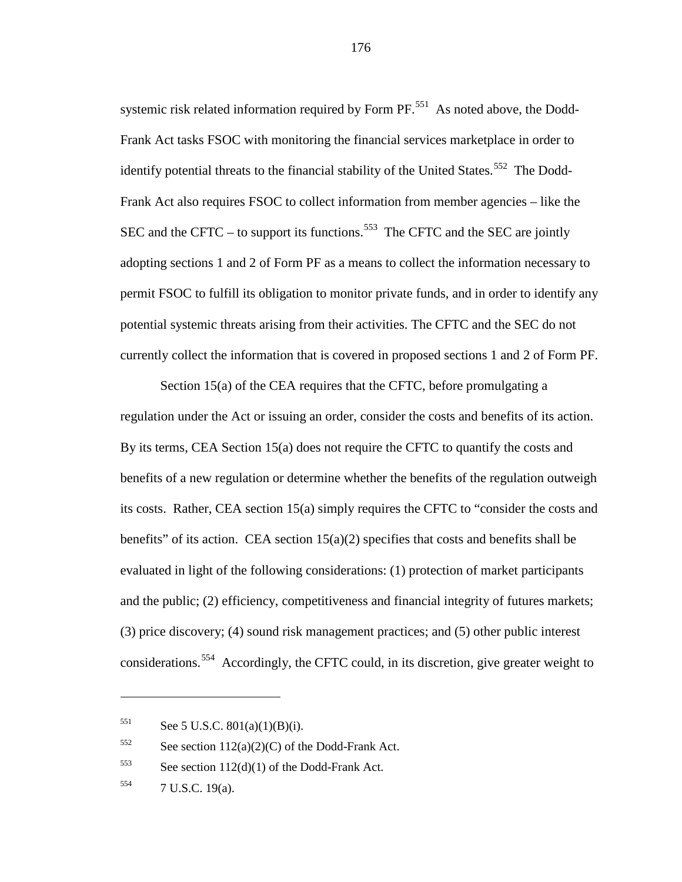systemic risk related information required by Form PF.<sup>[551](#page-175-0)</sup> As noted above, the Dodd-Frank Act tasks FSOC with monitoring the financial services marketplace in order to identify potential threats to the financial stability of the United States.<sup>[552](#page-175-1)</sup> The Dodd-Frank Act also requires FSOC to collect information from member agencies – like the SEC and the CFTC – to support its functions.<sup>[553](#page-175-2)</sup> The CFTC and the SEC are jointly adopting sections 1 and 2 of Form PF as a means to collect the information necessary to permit FSOC to fulfill its obligation to monitor private funds, and in order to identify any potential systemic threats arising from their activities. The CFTC and the SEC do not currently collect the information that is covered in proposed sections 1 and 2 of Form PF.

Section 15(a) of the CEA requires that the CFTC, before promulgating a regulation under the Act or issuing an order, consider the costs and benefits of its action. By its terms, CEA Section 15(a) does not require the CFTC to quantify the costs and benefits of a new regulation or determine whether the benefits of the regulation outweigh its costs. Rather, CEA section 15(a) simply requires the CFTC to "consider the costs and benefits" of its action. CEA section  $15(a)(2)$  specifies that costs and benefits shall be evaluated in light of the following considerations: (1) protection of market participants and the public; (2) efficiency, competitiveness and financial integrity of futures markets; (3) price discovery; (4) sound risk management practices; and (5) other public interest considerations.<sup>[554](#page-175-3)</sup> Accordingly, the CFTC could, in its discretion, give greater weight to

 $\overline{a}$ 

<span id="page-175-0"></span> $551$  See 5 U.S.C.  $801(a)(1)(B)(i)$ .

<span id="page-175-1"></span> $552$  See section 112(a)(2)(C) of the Dodd-Frank Act.

<span id="page-175-2"></span> $553$  See section 112(d)(1) of the Dodd-Frank Act.

<span id="page-175-3"></span><sup>554</sup> 7 U.S.C. 19(a).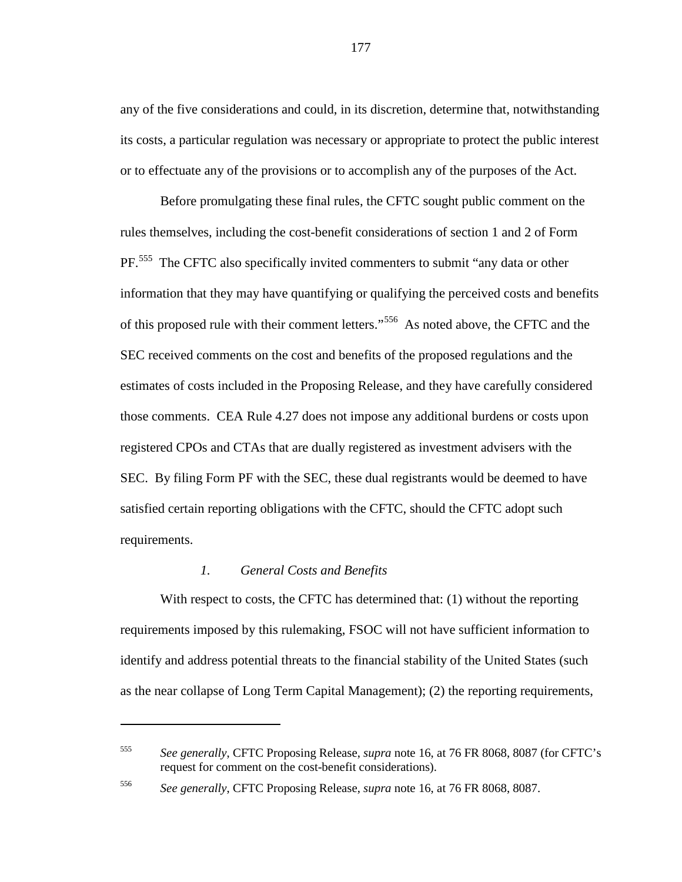any of the five considerations and could, in its discretion, determine that, notwithstanding its costs, a particular regulation was necessary or appropriate to protect the public interest or to effectuate any of the provisions or to accomplish any of the purposes of the Act.

Before promulgating these final rules, the CFTC sought public comment on the rules themselves, including the cost-benefit considerations of section 1 and 2 of Form PF.<sup>[555](#page-176-0)</sup> The CFTC also specifically invited commenters to submit "any data or other information that they may have quantifying or qualifying the perceived costs and benefits of this proposed rule with their comment letters."<sup>[556](#page-176-1)</sup> As noted above, the CFTC and the SEC received comments on the cost and benefits of the proposed regulations and the estimates of costs included in the Proposing Release, and they have carefully considered those comments. CEA Rule 4.27 does not impose any additional burdens or costs upon registered CPOs and CTAs that are dually registered as investment advisers with the SEC. By filing Form PF with the SEC, these dual registrants would be deemed to have satisfied certain reporting obligations with the CFTC, should the CFTC adopt such requirements.

# *1. General Costs and Benefits*

 $\overline{a}$ 

With respect to costs, the CFTC has determined that: (1) without the reporting requirements imposed by this rulemaking, FSOC will not have sufficient information to identify and address potential threats to the financial stability of the United States (such as the near collapse of Long Term Capital Management); (2) the reporting requirements,

<span id="page-176-0"></span><sup>555</sup> *See generally*, CFTC Proposing Release, *supra* note [16,](#page-6-0) at 76 FR 8068, 8087 (for CFTC's request for comment on the cost-benefit considerations).

<span id="page-176-1"></span><sup>556</sup> *See generally*, CFTC Proposing Release, *supra* note [16,](#page-6-0) at 76 FR 8068, 8087.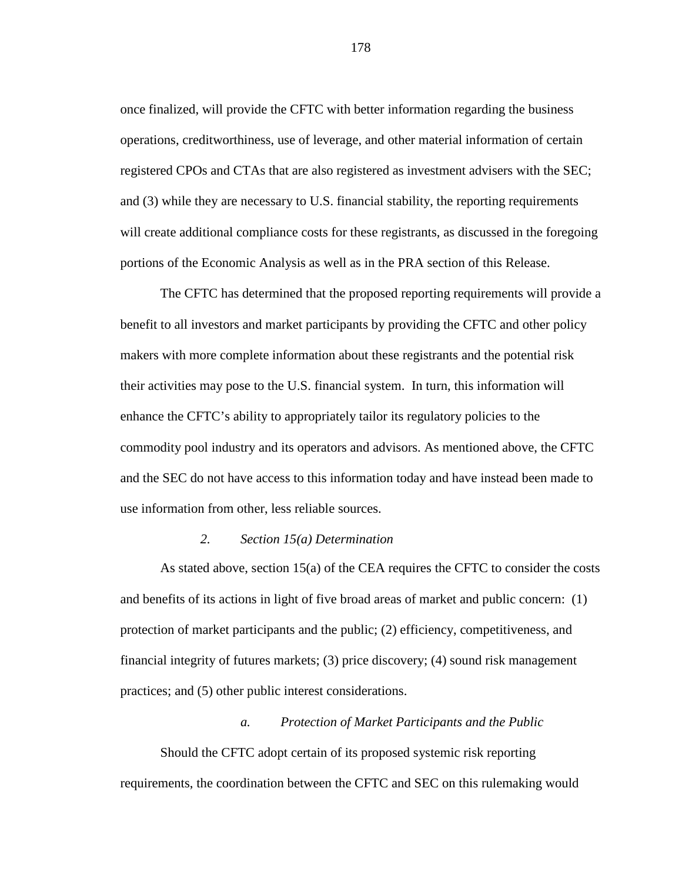once finalized, will provide the CFTC with better information regarding the business operations, creditworthiness, use of leverage, and other material information of certain registered CPOs and CTAs that are also registered as investment advisers with the SEC; and (3) while they are necessary to U.S. financial stability, the reporting requirements will create additional compliance costs for these registrants, as discussed in the foregoing portions of the Economic Analysis as well as in the PRA section of this Release.

The CFTC has determined that the proposed reporting requirements will provide a benefit to all investors and market participants by providing the CFTC and other policy makers with more complete information about these registrants and the potential risk their activities may pose to the U.S. financial system. In turn, this information will enhance the CFTC's ability to appropriately tailor its regulatory policies to the commodity pool industry and its operators and advisors. As mentioned above, the CFTC and the SEC do not have access to this information today and have instead been made to use information from other, less reliable sources.

### *2. Section 15(a) Determination*

As stated above, section 15(a) of the CEA requires the CFTC to consider the costs and benefits of its actions in light of five broad areas of market and public concern: (1) protection of market participants and the public; (2) efficiency, competitiveness, and financial integrity of futures markets; (3) price discovery; (4) sound risk management practices; and (5) other public interest considerations.

## *a. Protection of Market Participants and the Public*

Should the CFTC adopt certain of its proposed systemic risk reporting requirements, the coordination between the CFTC and SEC on this rulemaking would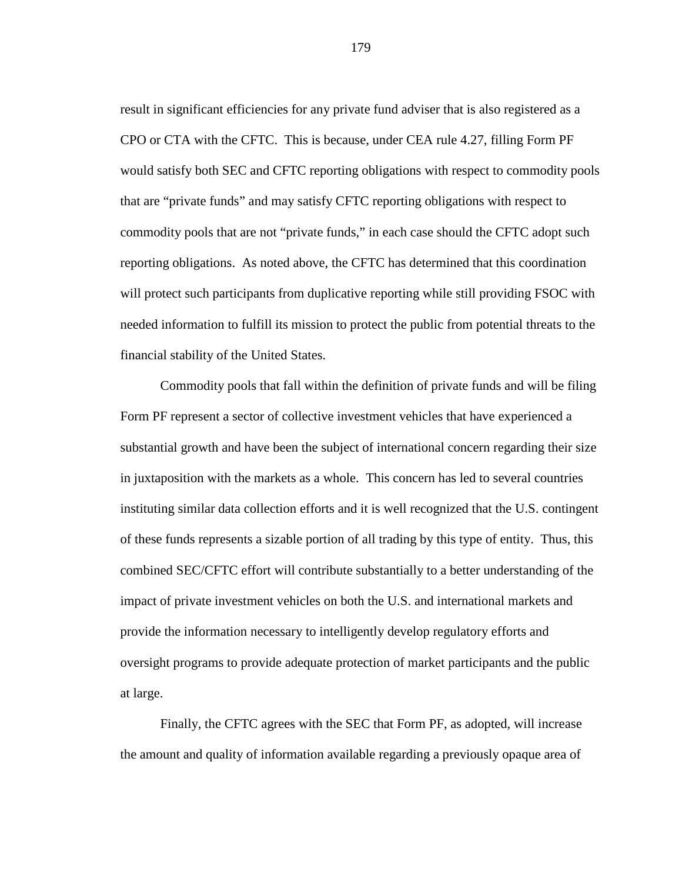result in significant efficiencies for any private fund adviser that is also registered as a CPO or CTA with the CFTC. This is because, under CEA rule 4.27, filling Form PF would satisfy both SEC and CFTC reporting obligations with respect to commodity pools that are "private funds" and may satisfy CFTC reporting obligations with respect to commodity pools that are not "private funds," in each case should the CFTC adopt such reporting obligations. As noted above, the CFTC has determined that this coordination will protect such participants from duplicative reporting while still providing FSOC with needed information to fulfill its mission to protect the public from potential threats to the financial stability of the United States.

Commodity pools that fall within the definition of private funds and will be filing Form PF represent a sector of collective investment vehicles that have experienced a substantial growth and have been the subject of international concern regarding their size in juxtaposition with the markets as a whole. This concern has led to several countries instituting similar data collection efforts and it is well recognized that the U.S. contingent of these funds represents a sizable portion of all trading by this type of entity. Thus, this combined SEC/CFTC effort will contribute substantially to a better understanding of the impact of private investment vehicles on both the U.S. and international markets and provide the information necessary to intelligently develop regulatory efforts and oversight programs to provide adequate protection of market participants and the public at large.

Finally, the CFTC agrees with the SEC that Form PF, as adopted, will increase the amount and quality of information available regarding a previously opaque area of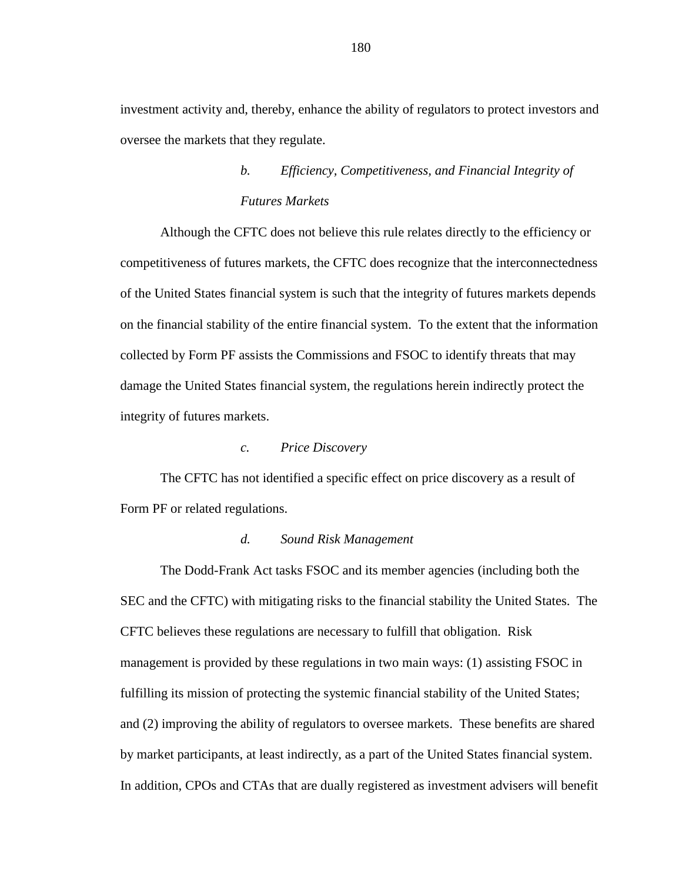investment activity and, thereby, enhance the ability of regulators to protect investors and oversee the markets that they regulate.

# *b. Efficiency, Competitiveness, and Financial Integrity of Futures Markets*

Although the CFTC does not believe this rule relates directly to the efficiency or competitiveness of futures markets, the CFTC does recognize that the interconnectedness of the United States financial system is such that the integrity of futures markets depends on the financial stability of the entire financial system. To the extent that the information collected by Form PF assists the Commissions and FSOC to identify threats that may damage the United States financial system, the regulations herein indirectly protect the integrity of futures markets.

#### *c. Price Discovery*

The CFTC has not identified a specific effect on price discovery as a result of Form PF or related regulations.

#### *d. Sound Risk Management*

The Dodd-Frank Act tasks FSOC and its member agencies (including both the SEC and the CFTC) with mitigating risks to the financial stability the United States. The CFTC believes these regulations are necessary to fulfill that obligation. Risk management is provided by these regulations in two main ways: (1) assisting FSOC in fulfilling its mission of protecting the systemic financial stability of the United States; and (2) improving the ability of regulators to oversee markets. These benefits are shared by market participants, at least indirectly, as a part of the United States financial system. In addition, CPOs and CTAs that are dually registered as investment advisers will benefit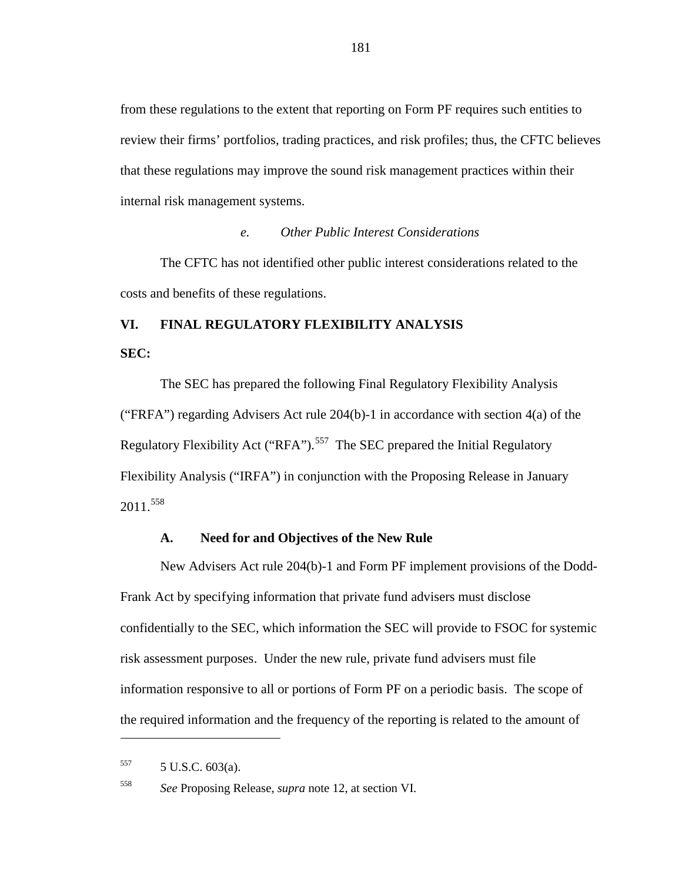from these regulations to the extent that reporting on Form PF requires such entities to review their firms' portfolios, trading practices, and risk profiles; thus, the CFTC believes that these regulations may improve the sound risk management practices within their internal risk management systems.

#### *e. Other Public Interest Considerations*

The CFTC has not identified other public interest considerations related to the costs and benefits of these regulations.

## **VI. FINAL REGULATORY FLEXIBILITY ANALYSIS**

**SEC:**

The SEC has prepared the following Final Regulatory Flexibility Analysis ("FRFA") regarding Advisers Act rule 204(b)-1 in accordance with section 4(a) of the Regulatory Flexibility Act ("RFA").<sup>[557](#page-180-0)</sup> The SEC prepared the Initial Regulatory Flexibility Analysis ("IRFA") in conjunction with the Proposing Release in January  $2011.<sup>558</sup>$  $2011.<sup>558</sup>$  $2011.<sup>558</sup>$ 

### **A. Need for and Objectives of the New Rule**

New Advisers Act rule 204(b)-1 and Form PF implement provisions of the Dodd-Frank Act by specifying information that private fund advisers must disclose confidentially to the SEC, which information the SEC will provide to FSOC for systemic risk assessment purposes. Under the new rule, private fund advisers must file information responsive to all or portions of Form PF on a periodic basis. The scope of the required information and the frequency of the reporting is related to the amount of

<span id="page-180-0"></span> $557$  5 U.S.C. 603(a).

<span id="page-180-1"></span><sup>558</sup> *See* Proposing Release, *supra* note [12,](#page-5-0) at section VI.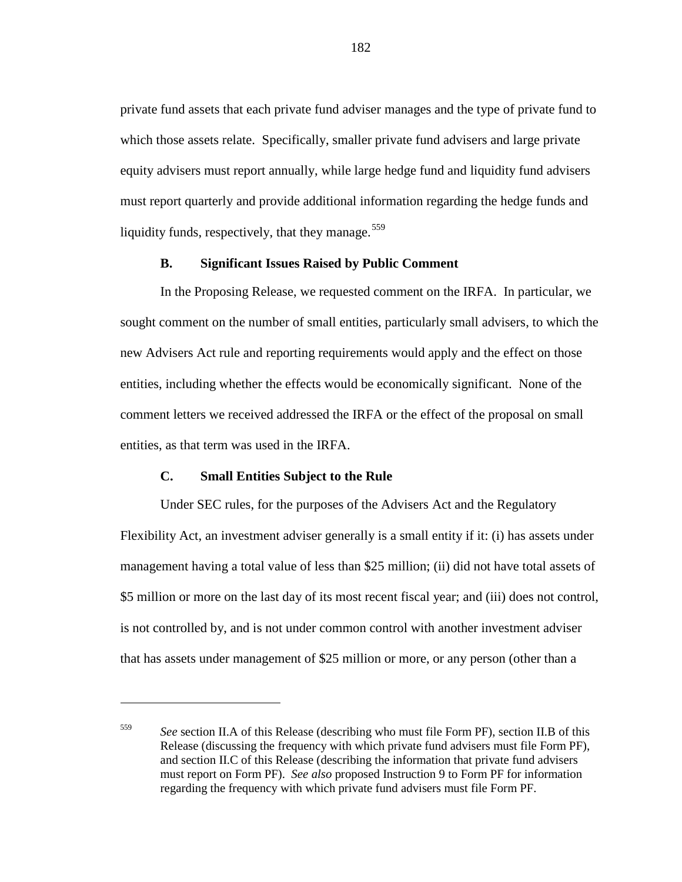private fund assets that each private fund adviser manages and the type of private fund to which those assets relate. Specifically, smaller private fund advisers and large private equity advisers must report annually, while large hedge fund and liquidity fund advisers must report quarterly and provide additional information regarding the hedge funds and liquidity funds, respectively, that they manage.  $559$ 

#### **B. Significant Issues Raised by Public Comment**

In the Proposing Release, we requested comment on the IRFA. In particular, we sought comment on the number of small entities, particularly small advisers, to which the new Advisers Act rule and reporting requirements would apply and the effect on those entities, including whether the effects would be economically significant. None of the comment letters we received addressed the IRFA or the effect of the proposal on small entities, as that term was used in the IRFA.

## **C. Small Entities Subject to the Rule**

Under SEC rules, for the purposes of the Advisers Act and the Regulatory Flexibility Act, an investment adviser generally is a small entity if it: (i) has assets under management having a total value of less than \$25 million; (ii) did not have total assets of \$5 million or more on the last day of its most recent fiscal year; and (iii) does not control, is not controlled by, and is not under common control with another investment adviser that has assets under management of \$25 million or more, or any person (other than a

<span id="page-181-0"></span><sup>559</sup> *See* section II.A of this Release (describing who must file Form PF), section II.B of this Release (discussing the frequency with which private fund advisers must file Form PF), and section II.C of this Release (describing the information that private fund advisers must report on Form PF). *See also* proposed Instruction 9 to Form PF for information regarding the frequency with which private fund advisers must file Form PF.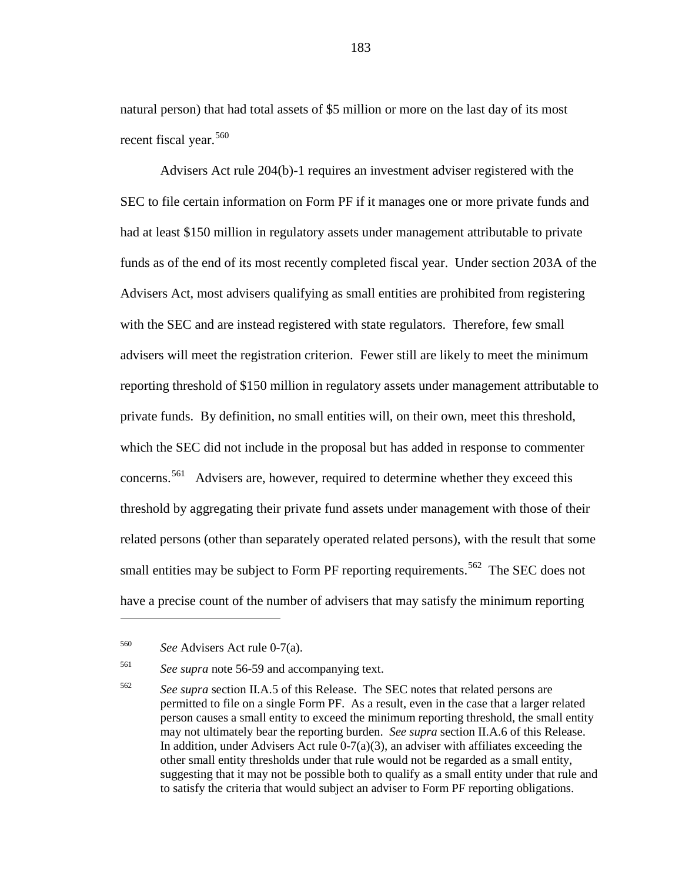natural person) that had total assets of \$5 million or more on the last day of its most recent fiscal year.<sup>[560](#page-182-0)</sup>

Advisers Act rule 204(b)-1 requires an investment adviser registered with the SEC to file certain information on Form PF if it manages one or more private funds and had at least \$150 million in regulatory assets under management attributable to private funds as of the end of its most recently completed fiscal year. Under section 203A of the Advisers Act, most advisers qualifying as small entities are prohibited from registering with the SEC and are instead registered with state regulators. Therefore, few small advisers will meet the registration criterion. Fewer still are likely to meet the minimum reporting threshold of \$150 million in regulatory assets under management attributable to private funds. By definition, no small entities will, on their own, meet this threshold, which the SEC did not include in the proposal but has added in response to commenter concerns.[561](#page-182-1) Advisers are, however, required to determine whether they exceed this threshold by aggregating their private fund assets under management with those of their related persons (other than separately operated related persons), with the result that some small entities may be subject to Form PF reporting requirements.<sup>[562](#page-182-2)</sup> The SEC does not have a precise count of the number of advisers that may satisfy the minimum reporting

<span id="page-182-0"></span><sup>560</sup> *See* Advisers Act rule 0-7(a).

<span id="page-182-1"></span><sup>561</sup> *See supra* note [56-](#page-19-0)[59](#page-20-0) and accompanying text.

<span id="page-182-2"></span><sup>562</sup> *See supra* section II.A.5 of this Release. The SEC notes that related persons are permitted to file on a single Form PF. As a result, even in the case that a larger related person causes a small entity to exceed the minimum reporting threshold, the small entity may not ultimately bear the reporting burden. *See supra* section II.A.6 of this Release. In addition, under Advisers Act rule  $0-7(a)(3)$ , an adviser with affiliates exceeding the other small entity thresholds under that rule would not be regarded as a small entity, suggesting that it may not be possible both to qualify as a small entity under that rule and to satisfy the criteria that would subject an adviser to Form PF reporting obligations.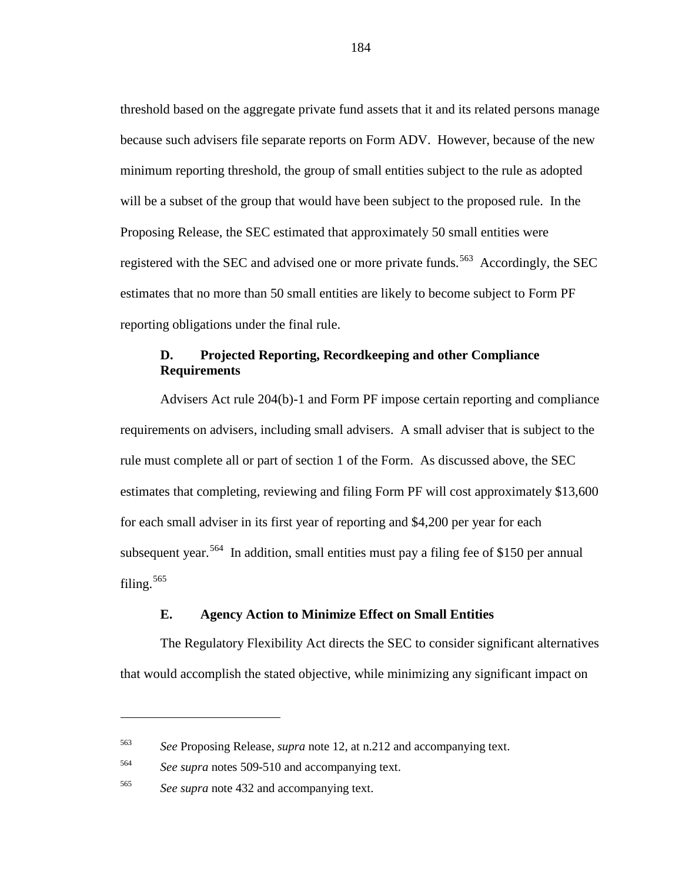threshold based on the aggregate private fund assets that it and its related persons manage because such advisers file separate reports on Form ADV. However, because of the new minimum reporting threshold, the group of small entities subject to the rule as adopted will be a subset of the group that would have been subject to the proposed rule. In the Proposing Release, the SEC estimated that approximately 50 small entities were registered with the SEC and advised one or more private funds.<sup>[563](#page-183-0)</sup> Accordingly, the SEC estimates that no more than 50 small entities are likely to become subject to Form PF reporting obligations under the final rule.

## **D. Projected Reporting, Recordkeeping and other Compliance Requirements**

Advisers Act rule 204(b)-1 and Form PF impose certain reporting and compliance requirements on advisers, including small advisers. A small adviser that is subject to the rule must complete all or part of section 1 of the Form. As discussed above, the SEC estimates that completing, reviewing and filing Form PF will cost approximately \$13,600 for each small adviser in its first year of reporting and \$4,200 per year for each subsequent year.<sup>564</sup> In addition, small entities must pay a filing fee of \$150 per annual filing.<sup>[565](#page-183-2)</sup>

#### **E. Agency Action to Minimize Effect on Small Entities**

The Regulatory Flexibility Act directs the SEC to consider significant alternatives that would accomplish the stated objective, while minimizing any significant impact on

<span id="page-183-0"></span><sup>563</sup> *See* Proposing Release, *supra* note [12,](#page-5-0) at n.212 and accompanying text.

<span id="page-183-1"></span><sup>564</sup> *See supra* notes [509-](#page-161-0)[510](#page-161-1) and accompanying text.

<span id="page-183-2"></span><sup>565</sup> *See supra* note [432](#page-137-0) and accompanying text.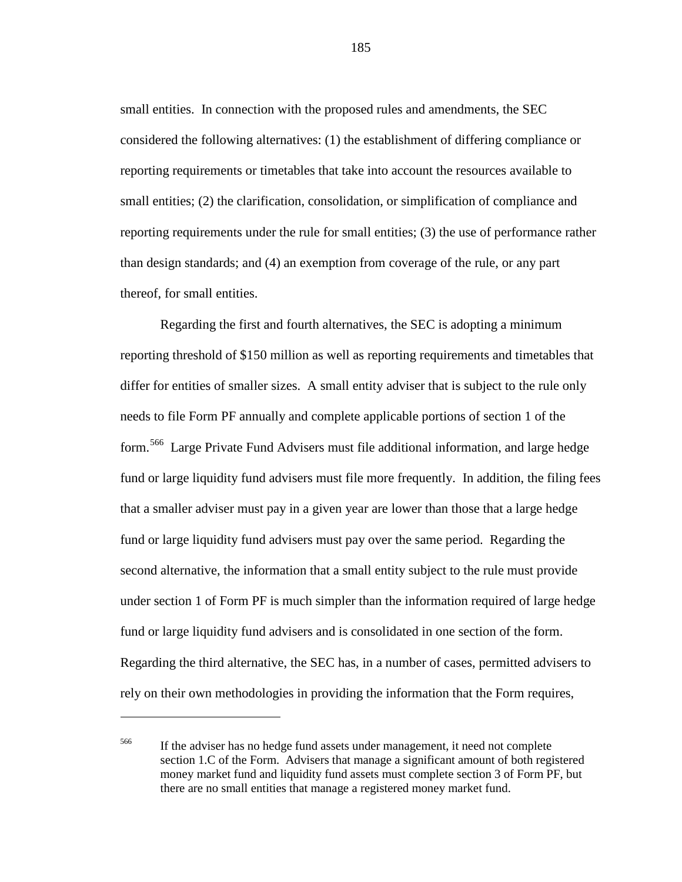small entities. In connection with the proposed rules and amendments, the SEC considered the following alternatives: (1) the establishment of differing compliance or reporting requirements or timetables that take into account the resources available to small entities; (2) the clarification, consolidation, or simplification of compliance and reporting requirements under the rule for small entities; (3) the use of performance rather than design standards; and (4) an exemption from coverage of the rule, or any part thereof, for small entities.

Regarding the first and fourth alternatives, the SEC is adopting a minimum reporting threshold of \$150 million as well as reporting requirements and timetables that differ for entities of smaller sizes. A small entity adviser that is subject to the rule only needs to file Form PF annually and complete applicable portions of section 1 of the form.<sup>[566](#page-184-0)</sup> Large Private Fund Advisers must file additional information, and large hedge fund or large liquidity fund advisers must file more frequently. In addition, the filing fees that a smaller adviser must pay in a given year are lower than those that a large hedge fund or large liquidity fund advisers must pay over the same period. Regarding the second alternative, the information that a small entity subject to the rule must provide under section 1 of Form PF is much simpler than the information required of large hedge fund or large liquidity fund advisers and is consolidated in one section of the form. Regarding the third alternative, the SEC has, in a number of cases, permitted advisers to rely on their own methodologies in providing the information that the Form requires,

 $\overline{a}$ 

185

<span id="page-184-0"></span><sup>566</sup> If the adviser has no hedge fund assets under management, it need not complete section 1.C of the Form. Advisers that manage a significant amount of both registered money market fund and liquidity fund assets must complete section 3 of Form PF, but there are no small entities that manage a registered money market fund.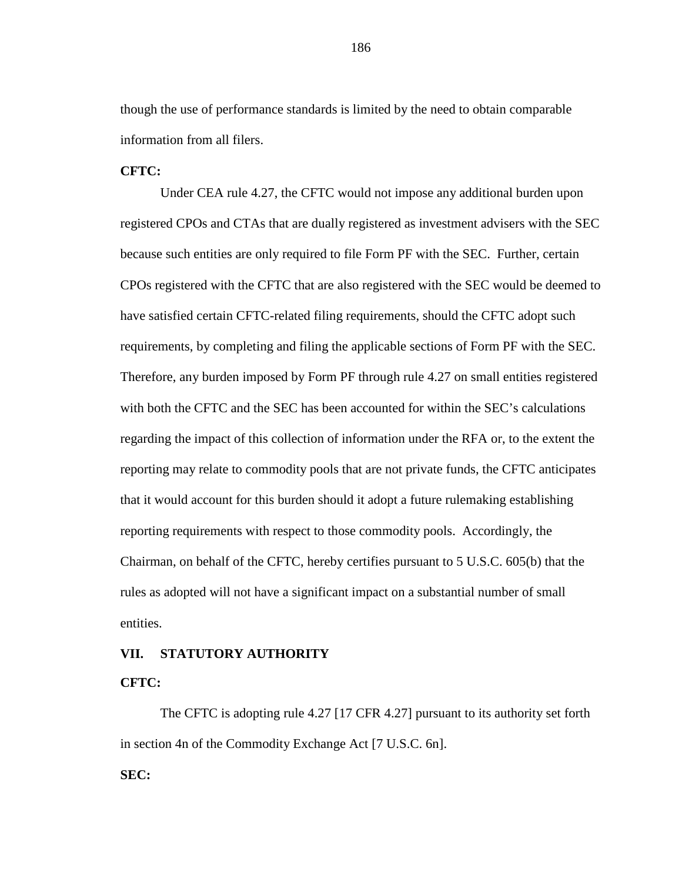though the use of performance standards is limited by the need to obtain comparable information from all filers.

## **CFTC:**

Under CEA rule 4.27, the CFTC would not impose any additional burden upon registered CPOs and CTAs that are dually registered as investment advisers with the SEC because such entities are only required to file Form PF with the SEC. Further, certain CPOs registered with the CFTC that are also registered with the SEC would be deemed to have satisfied certain CFTC-related filing requirements, should the CFTC adopt such requirements, by completing and filing the applicable sections of Form PF with the SEC. Therefore, any burden imposed by Form PF through rule 4.27 on small entities registered with both the CFTC and the SEC has been accounted for within the SEC's calculations regarding the impact of this collection of information under the RFA or, to the extent the reporting may relate to commodity pools that are not private funds, the CFTC anticipates that it would account for this burden should it adopt a future rulemaking establishing reporting requirements with respect to those commodity pools. Accordingly, the Chairman, on behalf of the CFTC, hereby certifies pursuant to 5 U.S.C. 605(b) that the rules as adopted will not have a significant impact on a substantial number of small entities.

#### **VII. STATUTORY AUTHORITY**

#### **CFTC:**

The CFTC is adopting rule 4.27 [17 CFR 4.27] pursuant to its authority set forth in section 4n of the Commodity Exchange Act [7 U.S.C. 6n].

## **SEC:**

186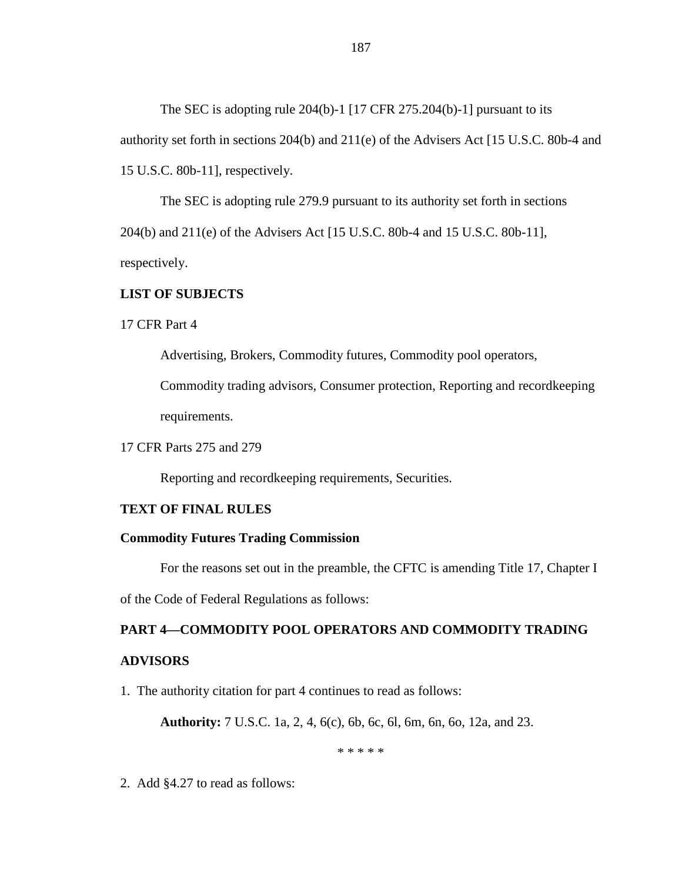The SEC is adopting rule 204(b)-1 [17 CFR 275.204(b)-1] pursuant to its authority set forth in sections 204(b) and 211(e) of the Advisers Act [15 U.S.C. 80b-4 and 15 U.S.C. 80b-11], respectively.

The SEC is adopting rule 279.9 pursuant to its authority set forth in sections 204(b) and 211(e) of the Advisers Act [15 U.S.C. 80b-4 and 15 U.S.C. 80b-11], respectively.

## **LIST OF SUBJECTS**

17 CFR Part 4

Advertising, Brokers, Commodity futures, Commodity pool operators,

Commodity trading advisors, Consumer protection, Reporting and recordkeeping requirements.

17 CFR Parts 275 and 279

Reporting and recordkeeping requirements, Securities.

## **TEXT OF FINAL RULES**

#### **Commodity Futures Trading Commission**

For the reasons set out in the preamble, the CFTC is amending Title 17, Chapter I of the Code of Federal Regulations as follows:

# **PART 4—COMMODITY POOL OPERATORS AND COMMODITY TRADING ADVISORS**

1. The authority citation for part 4 continues to read as follows:

**Authority:** 7 U.S.C. 1a, 2, 4, 6(c), 6b, 6c, 6l, 6m, 6n, 6o, 12a, and 23.

\* \* \* \* \*

2. Add §4.27 to read as follows: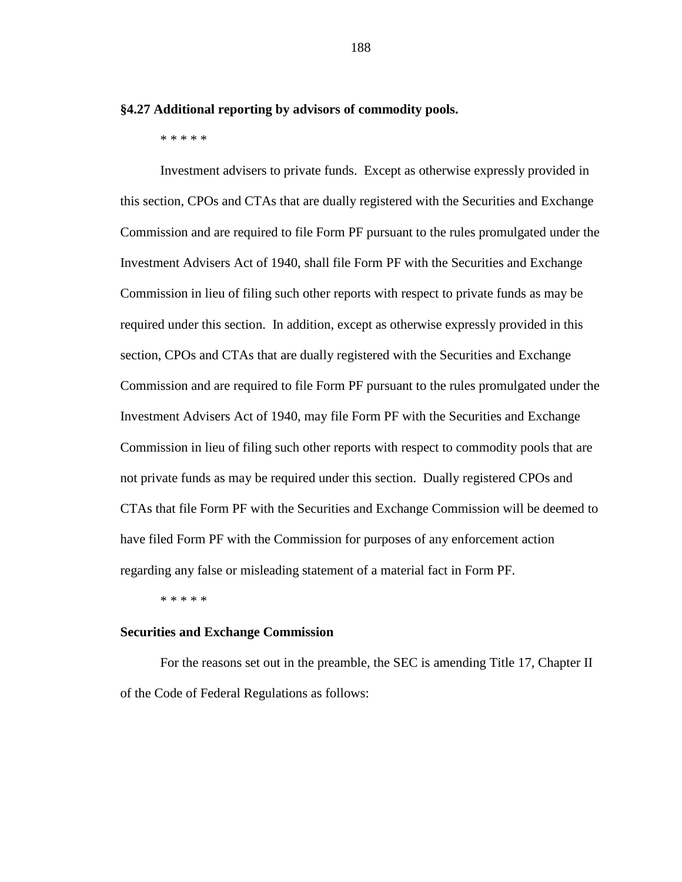**§4.27 Additional reporting by advisors of commodity pools.**

\* \* \* \* \*

Investment advisers to private funds. Except as otherwise expressly provided in this section, CPOs and CTAs that are dually registered with the Securities and Exchange Commission and are required to file Form PF pursuant to the rules promulgated under the Investment Advisers Act of 1940, shall file Form PF with the Securities and Exchange Commission in lieu of filing such other reports with respect to private funds as may be required under this section. In addition, except as otherwise expressly provided in this section, CPOs and CTAs that are dually registered with the Securities and Exchange Commission and are required to file Form PF pursuant to the rules promulgated under the Investment Advisers Act of 1940, may file Form PF with the Securities and Exchange Commission in lieu of filing such other reports with respect to commodity pools that are not private funds as may be required under this section. Dually registered CPOs and CTAs that file Form PF with the Securities and Exchange Commission will be deemed to have filed Form PF with the Commission for purposes of any enforcement action regarding any false or misleading statement of a material fact in Form PF.

\* \* \* \* \*

#### **Securities and Exchange Commission**

For the reasons set out in the preamble, the SEC is amending Title 17, Chapter II of the Code of Federal Regulations as follows:

188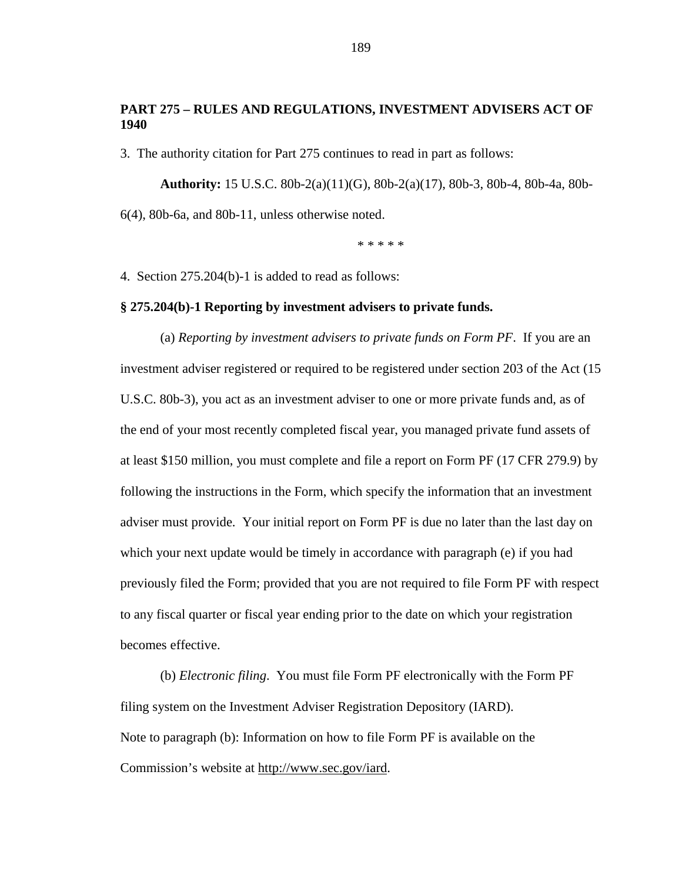## **PART 275 – RULES AND REGULATIONS, INVESTMENT ADVISERS ACT OF 1940**

3. The authority citation for Part 275 continues to read in part as follows:

**Authority:** 15 U.S.C. 80b-2(a)(11)(G), 80b-2(a)(17), 80b-3, 80b-4, 80b-4a, 80b-6(4), 80b-6a, and 80b-11, unless otherwise noted.

\* \* \* \* \*

4.Section 275.204(b)-1 is added to read as follows:

#### **§ 275.204(b)-1 Reporting by investment advisers to private funds.**

(a) *Reporting by investment advisers to private funds on Form PF*. If you are an investment adviser registered or required to be registered under section 203 of the Act (15 U.S.C. 80b-3), you act as an investment adviser to one or more private funds and, as of the end of your most recently completed fiscal year, you managed private fund assets of at least \$150 million, you must complete and file a report on Form PF (17 CFR 279.9) by following the instructions in the Form, which specify the information that an investment adviser must provide. Your initial report on Form PF is due no later than the last day on which your next update would be timely in accordance with paragraph (e) if you had previously filed the Form; provided that you are not required to file Form PF with respect to any fiscal quarter or fiscal year ending prior to the date on which your registration becomes effective.

(b) *Electronic filing*. You must file Form PF electronically with the Form PF filing system on the Investment Adviser Registration Depository (IARD). Note to paragraph (b): Information on how to file Form PF is available on the Commission's website at http://www.sec.gov/iard.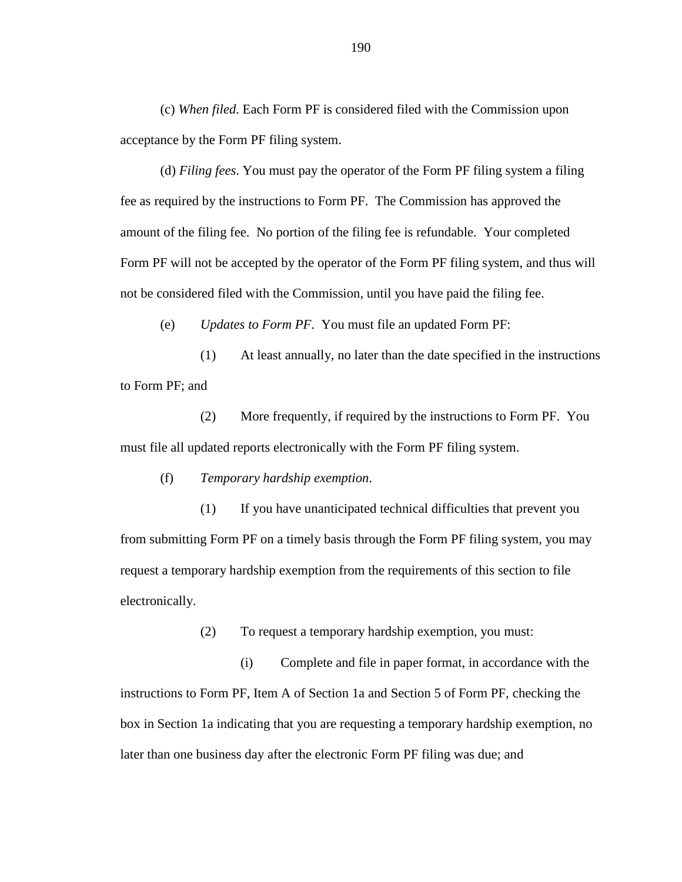(c) *When filed*. Each Form PF is considered filed with the Commission upon acceptance by the Form PF filing system.

(d) *Filing fees*. You must pay the operator of the Form PF filing system a filing fee as required by the instructions to Form PF. The Commission has approved the amount of the filing fee. No portion of the filing fee is refundable. Your completed Form PF will not be accepted by the operator of the Form PF filing system, and thus will not be considered filed with the Commission, until you have paid the filing fee.

(e) *Updates to Form PF*. You must file an updated Form PF:

(1) At least annually, no later than the date specified in the instructions to Form PF; and

(2) More frequently, if required by the instructions to Form PF. You must file all updated reports electronically with the Form PF filing system.

(f) *Temporary hardship exemption*.

(1) If you have unanticipated technical difficulties that prevent you from submitting Form PF on a timely basis through the Form PF filing system, you may request a temporary hardship exemption from the requirements of this section to file electronically.

(2) To request a temporary hardship exemption, you must:

(i) Complete and file in paper format, in accordance with the instructions to Form PF, Item A of Section 1a and Section 5 of Form PF, checking the box in Section 1a indicating that you are requesting a temporary hardship exemption, no later than one business day after the electronic Form PF filing was due; and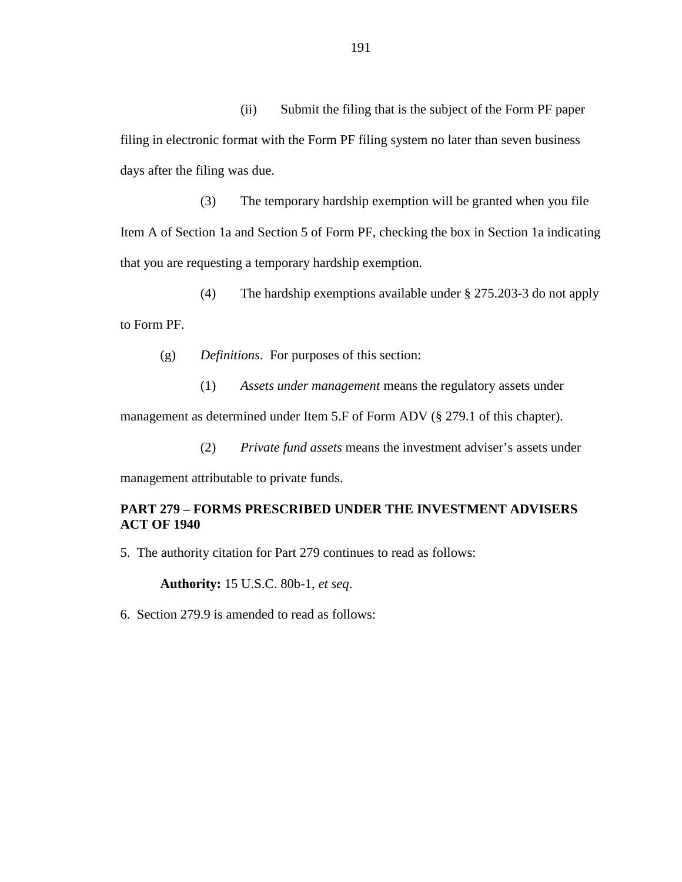(ii) Submit the filing that is the subject of the Form PF paper filing in electronic format with the Form PF filing system no later than seven business days after the filing was due.

(3) The temporary hardship exemption will be granted when you file Item A of Section 1a and Section 5 of Form PF, checking the box in Section 1a indicating that you are requesting a temporary hardship exemption.

(4) The hardship exemptions available under § 275.203-3 do not apply to Form PF.

(g) *Definitions*. For purposes of this section:

(1) *Assets under management* means the regulatory assets under management as determined under Item 5.F of Form ADV (§ 279.1 of this chapter).

(2) *Private fund assets* means the investment adviser's assets under

management attributable to private funds.

## **PART 279 – FORMS PRESCRIBED UNDER THE INVESTMENT ADVISERS ACT OF 1940**

5. The authority citation for Part 279 continues to read as follows:

**Authority:** 15 U.S.C. 80b-1, *et seq*.

6.Section 279.9 is amended to read as follows: